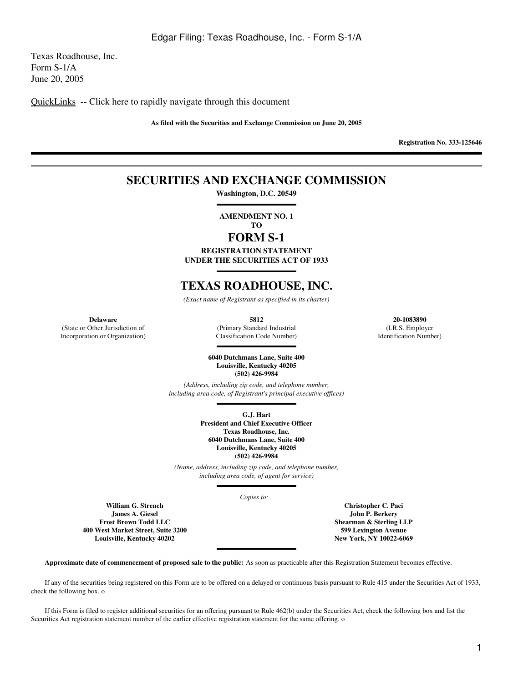Texas Roadhouse, Inc. Form S-1/A June 20, 2005

[QuickLinks](#page-166-0) -- Click here to rapidly navigate through this document

**As filed with the Securities and Exchange Commission on June 20, 2005**

**Registration No. 333-125646**

# **SECURITIES AND EXCHANGE COMMISSION**

**Washington, D.C. 20549**

**AMENDMENT NO. 1 TO**

# **FORM S-1**

**REGISTRATION STATEMENT UNDER THE SECURITIES ACT OF 1933**

# **TEXAS ROADHOUSE, INC.**

*(Exact name of Registrant as specified in its charter)*

(State or Other Jurisdiction of Incorporation or Organization)

(Primary Standard Industrial Classification Code Number)

**6040 Dutchmans Lane, Suite 400 Louisville, Kentucky 40205 (502) 426-9984**

*(Address, including zip code, and telephone number, including area code, of Registrant's principal executive offices)*

> **G.J. Hart President and Chief Executive Officer Texas Roadhouse, Inc. 6040 Dutchmans Lane, Suite 400 Louisville, Kentucky 40205 (502) 426-9984**

*(Name, address, including zip code, and telephone number, including area code, of agent for service)*

*Copies to:*

**William G. Strench James A. Giesel Frost Brown Todd LLC 400 West Market Street, Suite 3200 Louisville, Kentucky 40202**

**Christopher C. Paci John P. Berkery Shearman & Sterling LLP 599 Lexington Avenue New York, NY 10022-6069**

**Approximate date of commencement of proposed sale to the public:** As soon as practicable after this Registration Statement becomes effective.

 If any of the securities being registered on this Form are to be offered on a delayed or continuous basis pursuant to Rule 415 under the Securities Act of 1933, check the following box. o

 If this Form is filed to register additional securities for an offering pursuant to Rule 462(b) under the Securities Act, check the following box and list the Securities Act registration statement number of the earlier effective registration statement for the same offering. o

**Delaware 5812 20-1083890** (I.R.S. Employer Identification Number)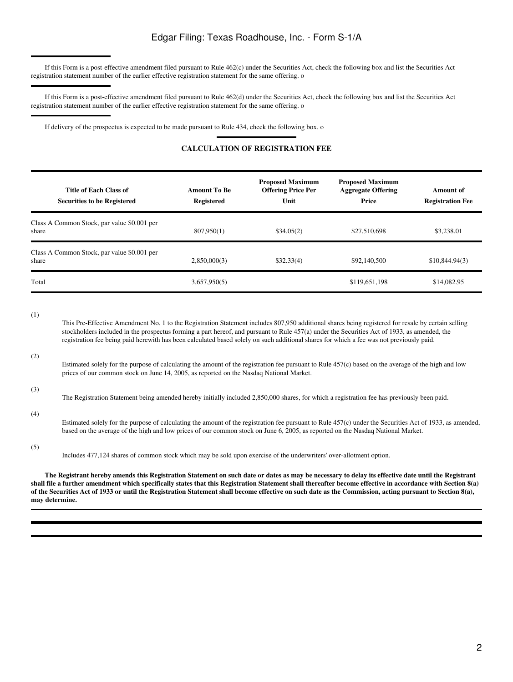If this Form is a post-effective amendment filed pursuant to Rule 462(c) under the Securities Act, check the following box and list the Securities Act registration statement number of the earlier effective registration statement for the same offering. o

 If this Form is a post-effective amendment filed pursuant to Rule 462(d) under the Securities Act, check the following box and list the Securities Act registration statement number of the earlier effective registration statement for the same offering. o

If delivery of the prospectus is expected to be made pursuant to Rule 434, check the following box. o

### **CALCULATION OF REGISTRATION FEE**

| Title of Each Class of<br><b>Securities to be Registered</b> | <b>Amount To Be</b><br><b>Registered</b> | <b>Proposed Maximum</b><br><b>Offering Price Per</b><br>Unit | <b>Proposed Maximum</b><br><b>Aggregate Offering</b><br>Price | Amount of<br><b>Registration Fee</b> |
|--------------------------------------------------------------|------------------------------------------|--------------------------------------------------------------|---------------------------------------------------------------|--------------------------------------|
| Class A Common Stock, par value \$0.001 per<br>share         | 807,950(1)                               | \$34.05(2)                                                   | \$27,510,698                                                  | \$3,238.01                           |
| Class A Common Stock, par value \$0.001 per<br>share         | 2,850,000(3)                             | \$32.33(4)                                                   | \$92,140,500                                                  | \$10,844.94(3)                       |
| Total                                                        | 3,657,950(5)                             |                                                              | \$119,651,198                                                 | \$14,082.95                          |

(1)

This Pre-Effective Amendment No. 1 to the Registration Statement includes 807,950 additional shares being registered for resale by certain selling stockholders included in the prospectus forming a part hereof, and pursuant to Rule 457(a) under the Securities Act of 1933, as amended, the registration fee being paid herewith has been calculated based solely on such additional shares for which a fee was not previously paid.

Estimated solely for the purpose of calculating the amount of the registration fee pursuant to Rule 457(c) based on the average of the high and low prices of our common stock on June 14, 2005, as reported on the Nasdaq National Market.

(3)

(2)

The Registration Statement being amended hereby initially included 2,850,000 shares, for which a registration fee has previously been paid.

(4)

Estimated solely for the purpose of calculating the amount of the registration fee pursuant to Rule 457(c) under the Securities Act of 1933, as amended, based on the average of the high and low prices of our common stock on June 6, 2005, as reported on the Nasdaq National Market.

(5)

Includes 477,124 shares of common stock which may be sold upon exercise of the underwriters' over-allotment option.

**The Registrant hereby amends this Registration Statement on such date or dates as may be necessary to delay its effective date until the Registrant shall file a further amendment which specifically states that this Registration Statement shall thereafter become effective in accordance with Section 8(a) of the Securities Act of 1933 or until the Registration Statement shall become effective on such date as the Commission, acting pursuant to Section 8(a), may determine.**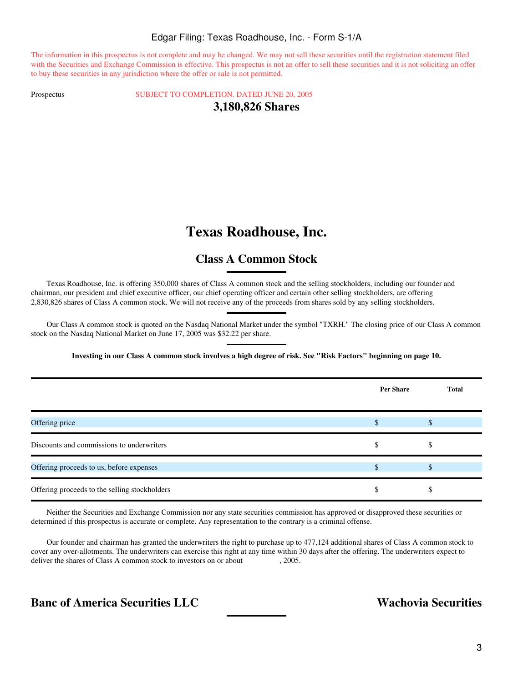The information in this prospectus is not complete and may be changed. We may not sell these securities until the registration statement filed with the Securities and Exchange Commission is effective. This prospectus is not an offer to sell these securities and it is not soliciting an offer to buy these securities in any jurisdiction where the offer or sale is not permitted.

Prospectus SUBJECT TO COMPLETION. DATED JUNE 20, 2005

## **3,180,826 Shares**

# **Texas Roadhouse, Inc.**

# **Class A Common Stock**

 Texas Roadhouse, Inc. is offering 350,000 shares of Class A common stock and the selling stockholders, including our founder and chairman, our president and chief executive officer, our chief operating officer and certain other selling stockholders, are offering 2,830,826 shares of Class A common stock. We will not receive any of the proceeds from shares sold by any selling stockholders.

 Our Class A common stock is quoted on the Nasdaq National Market under the symbol "TXRH." The closing price of our Class A common stock on the Nasdaq National Market on June 17, 2005 was \$32.22 per share.

**Investing in our Class A common stock involves a high degree of risk. See "Risk Factors" beginning on page 10.**

|                                               | <b>Per Share</b> | <b>Total</b> |
|-----------------------------------------------|------------------|--------------|
| Offering price                                | \$.              |              |
| Discounts and commissions to underwriters     | ъ                |              |
| Offering proceeds to us, before expenses      | \$.              |              |
| Offering proceeds to the selling stockholders | ъ                |              |

 Neither the Securities and Exchange Commission nor any state securities commission has approved or disapproved these securities or determined if this prospectus is accurate or complete. Any representation to the contrary is a criminal offense.

 Our founder and chairman has granted the underwriters the right to purchase up to 477,124 additional shares of Class A common stock to cover any over-allotments. The underwriters can exercise this right at any time within 30 days after the offering. The underwriters expect to deliver the shares of Class A common stock to investors on or about  $, 2005$ .

# **Banc of America Securities LLC Wachovia Securities**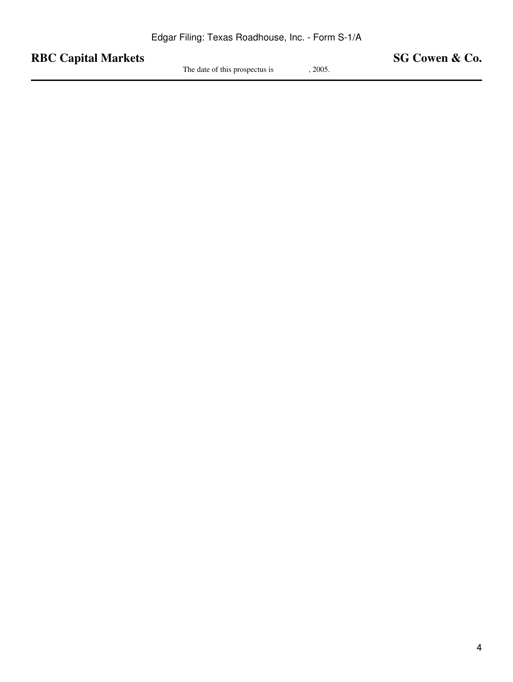| <b>RBC Capital Markets</b> |                                |       | SG Cowen & Co. |
|----------------------------|--------------------------------|-------|----------------|
|                            | The date of this prospectus is | 2005. |                |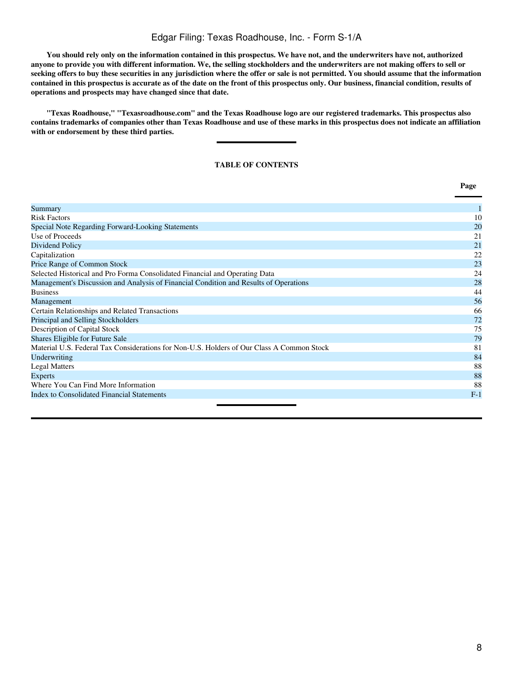**You should rely only on the information contained in this prospectus. We have not, and the underwriters have not, authorized anyone to provide you with different information. We, the selling stockholders and the underwriters are not making offers to sell or seeking offers to buy these securities in any jurisdiction where the offer or sale is not permitted. You should assume that the information contained in this prospectus is accurate as of the date on the front of this prospectus only. Our business, financial condition, results of operations and prospects may have changed since that date.**

**"Texas Roadhouse," "Texasroadhouse.com" and the Texas Roadhouse logo are our registered trademarks. This prospectus also contains trademarks of companies other than Texas Roadhouse and use of these marks in this prospectus does not indicate an affiliation with or endorsement by these third parties.**

### **TABLE OF CONTENTS**

**Page**

| <b>Summary</b>                                                                            |       |
|-------------------------------------------------------------------------------------------|-------|
| <b>Risk Factors</b>                                                                       | 10    |
| Special Note Regarding Forward-Looking Statements                                         | 20    |
| Use of Proceeds                                                                           | 21    |
| Dividend Policy                                                                           | 21    |
| Capitalization                                                                            | 22    |
| Price Range of Common Stock                                                               | 23    |
| Selected Historical and Pro Forma Consolidated Financial and Operating Data               | 24    |
| Management's Discussion and Analysis of Financial Condition and Results of Operations     | 28    |
| <b>Business</b>                                                                           | 44    |
| Management                                                                                | 56    |
| Certain Relationships and Related Transactions                                            | 66    |
| Principal and Selling Stockholders                                                        | 72    |
| Description of Capital Stock                                                              | 75    |
| <b>Shares Eligible for Future Sale</b>                                                    | 79    |
| Material U.S. Federal Tax Considerations for Non-U.S. Holders of Our Class A Common Stock | 81    |
| Underwriting                                                                              | 84    |
| <b>Legal Matters</b>                                                                      | 88    |
| <b>Experts</b>                                                                            | 88    |
| Where You Can Find More Information                                                       | 88    |
| Index to Consolidated Financial Statements                                                | $F-1$ |
|                                                                                           |       |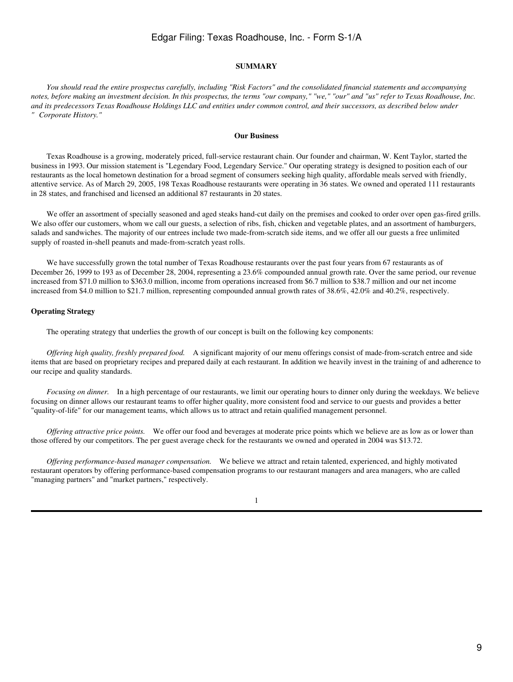### **SUMMARY**

*You should read the entire prospectus carefully, including "Risk Factors" and the consolidated financial statements and accompanying notes, before making an investment decision. In this prospectus, the terms "our company," "we," "our" and "us" refer to Texas Roadhouse, Inc. and its predecessors Texas Roadhouse Holdings LLC and entities under common control, and their successors, as described below under "Corporate History."*

### **Our Business**

 Texas Roadhouse is a growing, moderately priced, full-service restaurant chain. Our founder and chairman, W. Kent Taylor, started the business in 1993. Our mission statement is "Legendary Food, Legendary Service." Our operating strategy is designed to position each of our restaurants as the local hometown destination for a broad segment of consumers seeking high quality, affordable meals served with friendly, attentive service. As of March 29, 2005, 198 Texas Roadhouse restaurants were operating in 36 states. We owned and operated 111 restaurants in 28 states, and franchised and licensed an additional 87 restaurants in 20 states.

 We offer an assortment of specially seasoned and aged steaks hand-cut daily on the premises and cooked to order over open gas-fired grills. We also offer our customers, whom we call our guests, a selection of ribs, fish, chicken and vegetable plates, and an assortment of hamburgers, salads and sandwiches. The majority of our entrees include two made-from-scratch side items, and we offer all our guests a free unlimited supply of roasted in-shell peanuts and made-from-scratch yeast rolls.

We have successfully grown the total number of Texas Roadhouse restaurants over the past four years from 67 restaurants as of December 26, 1999 to 193 as of December 28, 2004, representing a 23.6% compounded annual growth rate. Over the same period, our revenue increased from \$71.0 million to \$363.0 million, income from operations increased from \$6.7 million to \$38.7 million and our net income increased from \$4.0 million to \$21.7 million, representing compounded annual growth rates of 38.6%, 42.0% and 40.2%, respectively.

### **Operating Strategy**

The operating strategy that underlies the growth of our concept is built on the following key components:

 *Offering high quality, freshly prepared food.* A significant majority of our menu offerings consist of made-from-scratch entree and side items that are based on proprietary recipes and prepared daily at each restaurant. In addition we heavily invest in the training of and adherence to our recipe and quality standards.

 *Focusing on dinner.* In a high percentage of our restaurants, we limit our operating hours to dinner only during the weekdays. We believe focusing on dinner allows our restaurant teams to offer higher quality, more consistent food and service to our guests and provides a better "quality-of-life" for our management teams, which allows us to attract and retain qualified management personnel.

 *Offering attractive price points.* We offer our food and beverages at moderate price points which we believe are as low as or lower than those offered by our competitors. The per guest average check for the restaurants we owned and operated in 2004 was \$13.72.

 *Offering performance-based manager compensation.* We believe we attract and retain talented, experienced, and highly motivated restaurant operators by offering performance-based compensation programs to our restaurant managers and area managers, who are called "managing partners" and "market partners," respectively.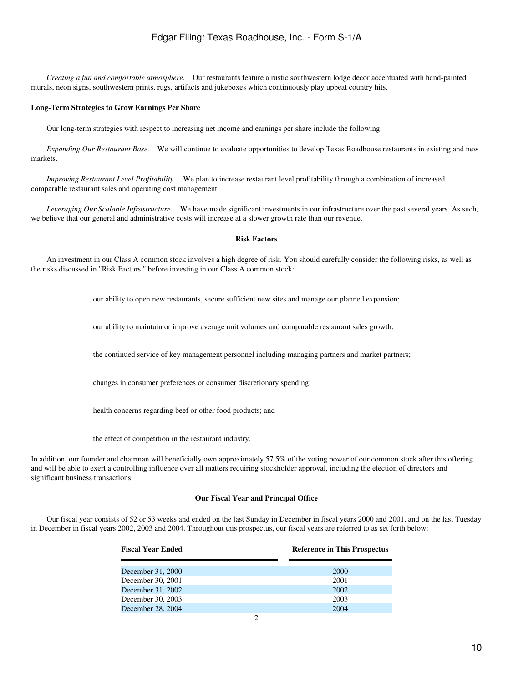*Creating a fun and comfortable atmosphere.* Our restaurants feature a rustic southwestern lodge decor accentuated with hand-painted murals, neon signs, southwestern prints, rugs, artifacts and jukeboxes which continuously play upbeat country hits.

### **Long-Term Strategies to Grow Earnings Per Share**

Our long-term strategies with respect to increasing net income and earnings per share include the following:

 *Expanding Our Restaurant Base.* We will continue to evaluate opportunities to develop Texas Roadhouse restaurants in existing and new markets.

 *Improving Restaurant Level Profitability.* We plan to increase restaurant level profitability through a combination of increased comparable restaurant sales and operating cost management.

 *Leveraging Our Scalable Infrastructure.* We have made significant investments in our infrastructure over the past several years. As such, we believe that our general and administrative costs will increase at a slower growth rate than our revenue.

### **Risk Factors**

 An investment in our Class A common stock involves a high degree of risk. You should carefully consider the following risks, as well as the risks discussed in "Risk Factors," before investing in our Class A common stock:

our ability to open new restaurants, secure sufficient new sites and manage our planned expansion;

our ability to maintain or improve average unit volumes and comparable restaurant sales growth;

the continued service of key management personnel including managing partners and market partners;

changes in consumer preferences or consumer discretionary spending;

health concerns regarding beef or other food products; and

the effect of competition in the restaurant industry.

In addition, our founder and chairman will beneficially own approximately 57.5% of the voting power of our common stock after this offering and will be able to exert a controlling influence over all matters requiring stockholder approval, including the election of directors and significant business transactions.

### **Our Fiscal Year and Principal Office**

 Our fiscal year consists of 52 or 53 weeks and ended on the last Sunday in December in fiscal years 2000 and 2001, and on the last Tuesday in December in fiscal years 2002, 2003 and 2004. Throughout this prospectus, our fiscal years are referred to as set forth below:

| <b>Fiscal Year Ended</b> | <b>Reference in This Prospectus</b> |
|--------------------------|-------------------------------------|
|                          |                                     |
| December 31, 2000        | <b>2000</b>                         |
| December 30, 2001        | 2001                                |
| December 31, 2002        | 2002                                |
| December 30, 2003        | 2003                                |
| December 28, 2004        | 2004                                |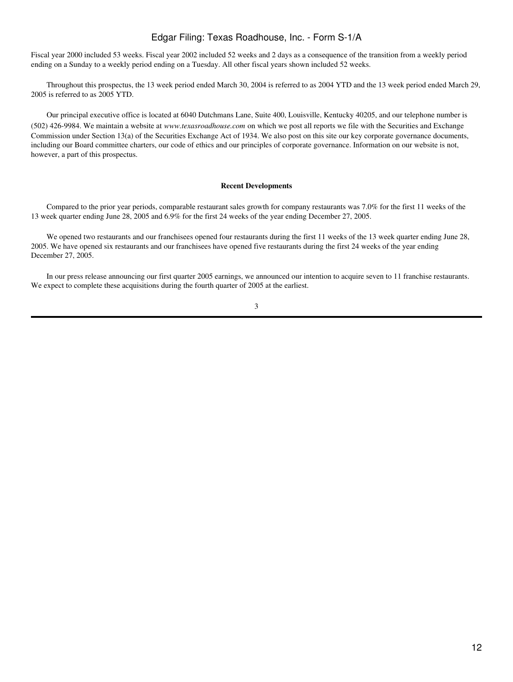Fiscal year 2000 included 53 weeks. Fiscal year 2002 included 52 weeks and 2 days as a consequence of the transition from a weekly period ending on a Sunday to a weekly period ending on a Tuesday. All other fiscal years shown included 52 weeks.

 Throughout this prospectus, the 13 week period ended March 30, 2004 is referred to as 2004 YTD and the 13 week period ended March 29, 2005 is referred to as 2005 YTD.

 Our principal executive office is located at 6040 Dutchmans Lane, Suite 400, Louisville, Kentucky 40205, and our telephone number is (502) 426-9984. We maintain a website at *www.texasroadhouse.com* on which we post all reports we file with the Securities and Exchange Commission under Section 13(a) of the Securities Exchange Act of 1934. We also post on this site our key corporate governance documents, including our Board committee charters, our code of ethics and our principles of corporate governance. Information on our website is not, however, a part of this prospectus.

#### **Recent Developments**

 Compared to the prior year periods, comparable restaurant sales growth for company restaurants was 7.0% for the first 11 weeks of the 13 week quarter ending June 28, 2005 and 6.9% for the first 24 weeks of the year ending December 27, 2005.

We opened two restaurants and our franchisees opened four restaurants during the first 11 weeks of the 13 week quarter ending June 28, 2005. We have opened six restaurants and our franchisees have opened five restaurants during the first 24 weeks of the year ending December 27, 2005.

 In our press release announcing our first quarter 2005 earnings, we announced our intention to acquire seven to 11 franchise restaurants. We expect to complete these acquisitions during the fourth quarter of 2005 at the earliest.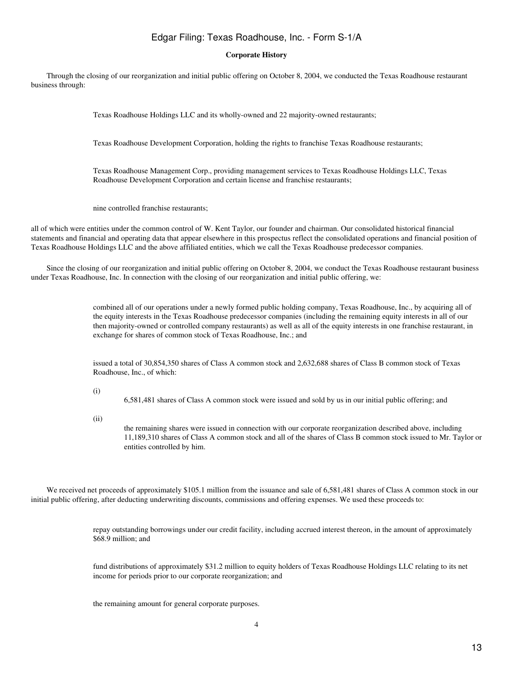### **Corporate History**

 Through the closing of our reorganization and initial public offering on October 8, 2004, we conducted the Texas Roadhouse restaurant business through:

Texas Roadhouse Holdings LLC and its wholly-owned and 22 majority-owned restaurants;

Texas Roadhouse Development Corporation, holding the rights to franchise Texas Roadhouse restaurants;

Texas Roadhouse Management Corp., providing management services to Texas Roadhouse Holdings LLC, Texas Roadhouse Development Corporation and certain license and franchise restaurants;

nine controlled franchise restaurants;

all of which were entities under the common control of W. Kent Taylor, our founder and chairman. Our consolidated historical financial statements and financial and operating data that appear elsewhere in this prospectus reflect the consolidated operations and financial position of Texas Roadhouse Holdings LLC and the above affiliated entities, which we call the Texas Roadhouse predecessor companies.

 Since the closing of our reorganization and initial public offering on October 8, 2004, we conduct the Texas Roadhouse restaurant business under Texas Roadhouse, Inc. In connection with the closing of our reorganization and initial public offering, we:

> combined all of our operations under a newly formed public holding company, Texas Roadhouse, Inc., by acquiring all of the equity interests in the Texas Roadhouse predecessor companies (including the remaining equity interests in all of our then majority-owned or controlled company restaurants) as well as all of the equity interests in one franchise restaurant, in exchange for shares of common stock of Texas Roadhouse, Inc.; and

issued a total of 30,854,350 shares of Class A common stock and 2,632,688 shares of Class B common stock of Texas Roadhouse, Inc., of which:

(i)

6,581,481 shares of Class A common stock were issued and sold by us in our initial public offering; and

(ii)

the remaining shares were issued in connection with our corporate reorganization described above, including 11,189,310 shares of Class A common stock and all of the shares of Class B common stock issued to Mr. Taylor or entities controlled by him.

We received net proceeds of approximately \$105.1 million from the issuance and sale of 6,581,481 shares of Class A common stock in our initial public offering, after deducting underwriting discounts, commissions and offering expenses. We used these proceeds to:

> repay outstanding borrowings under our credit facility, including accrued interest thereon, in the amount of approximately \$68.9 million; and

fund distributions of approximately \$31.2 million to equity holders of Texas Roadhouse Holdings LLC relating to its net income for periods prior to our corporate reorganization; and

the remaining amount for general corporate purposes.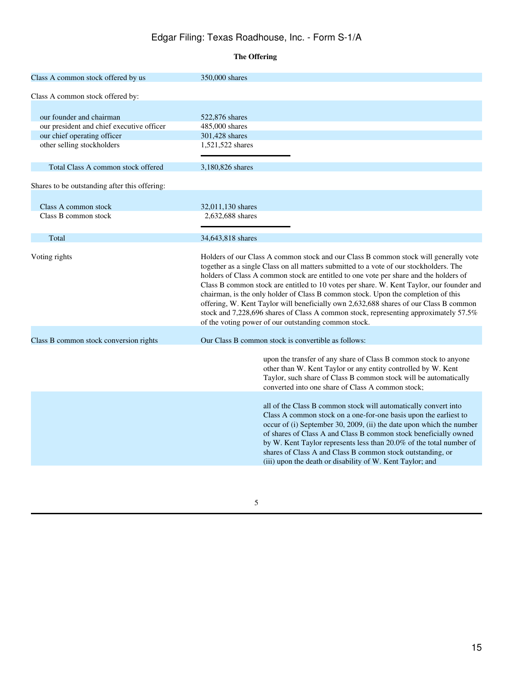# **The Offering**

| Class A common stock offered by us            | 350,000 shares                                                                                                                                                                                                                                                                                                                                                                                                                                                                                                                                                                                                                                                                                    |  |  |  |  |  |
|-----------------------------------------------|---------------------------------------------------------------------------------------------------------------------------------------------------------------------------------------------------------------------------------------------------------------------------------------------------------------------------------------------------------------------------------------------------------------------------------------------------------------------------------------------------------------------------------------------------------------------------------------------------------------------------------------------------------------------------------------------------|--|--|--|--|--|
| Class A common stock offered by:              |                                                                                                                                                                                                                                                                                                                                                                                                                                                                                                                                                                                                                                                                                                   |  |  |  |  |  |
| our founder and chairman                      | 522,876 shares                                                                                                                                                                                                                                                                                                                                                                                                                                                                                                                                                                                                                                                                                    |  |  |  |  |  |
| our president and chief executive officer     | 485,000 shares                                                                                                                                                                                                                                                                                                                                                                                                                                                                                                                                                                                                                                                                                    |  |  |  |  |  |
| our chief operating officer                   | 301,428 shares                                                                                                                                                                                                                                                                                                                                                                                                                                                                                                                                                                                                                                                                                    |  |  |  |  |  |
| other selling stockholders                    | 1,521,522 shares                                                                                                                                                                                                                                                                                                                                                                                                                                                                                                                                                                                                                                                                                  |  |  |  |  |  |
|                                               |                                                                                                                                                                                                                                                                                                                                                                                                                                                                                                                                                                                                                                                                                                   |  |  |  |  |  |
| Total Class A common stock offered            | 3,180,826 shares                                                                                                                                                                                                                                                                                                                                                                                                                                                                                                                                                                                                                                                                                  |  |  |  |  |  |
| Shares to be outstanding after this offering: |                                                                                                                                                                                                                                                                                                                                                                                                                                                                                                                                                                                                                                                                                                   |  |  |  |  |  |
|                                               |                                                                                                                                                                                                                                                                                                                                                                                                                                                                                                                                                                                                                                                                                                   |  |  |  |  |  |
| Class A common stock                          | 32,011,130 shares                                                                                                                                                                                                                                                                                                                                                                                                                                                                                                                                                                                                                                                                                 |  |  |  |  |  |
| Class B common stock                          | 2,632,688 shares                                                                                                                                                                                                                                                                                                                                                                                                                                                                                                                                                                                                                                                                                  |  |  |  |  |  |
| Total                                         | 34,643,818 shares                                                                                                                                                                                                                                                                                                                                                                                                                                                                                                                                                                                                                                                                                 |  |  |  |  |  |
| Voting rights                                 | Holders of our Class A common stock and our Class B common stock will generally vote<br>together as a single Class on all matters submitted to a vote of our stockholders. The<br>holders of Class A common stock are entitled to one vote per share and the holders of<br>Class B common stock are entitled to 10 votes per share. W. Kent Taylor, our founder and<br>chairman, is the only holder of Class B common stock. Upon the completion of this<br>offering, W. Kent Taylor will beneficially own 2,632,688 shares of our Class B common<br>stock and 7,228,696 shares of Class A common stock, representing approximately 57.5%<br>of the voting power of our outstanding common stock. |  |  |  |  |  |
| Class B common stock conversion rights        | Our Class B common stock is convertible as follows:                                                                                                                                                                                                                                                                                                                                                                                                                                                                                                                                                                                                                                               |  |  |  |  |  |
|                                               | upon the transfer of any share of Class B common stock to anyone<br>other than W. Kent Taylor or any entity controlled by W. Kent<br>Taylor, such share of Class B common stock will be automatically<br>converted into one share of Class A common stock;                                                                                                                                                                                                                                                                                                                                                                                                                                        |  |  |  |  |  |
|                                               | all of the Class B common stock will automatically convert into<br>Class A common stock on a one-for-one basis upon the earliest to<br>occur of (i) September 30, 2009, (ii) the date upon which the number<br>of shares of Class A and Class B common stock beneficially owned<br>by W. Kent Taylor represents less than 20.0% of the total number of<br>shares of Class A and Class B common stock outstanding, or<br>(iii) upon the death or disability of W. Kent Taylor; and                                                                                                                                                                                                                 |  |  |  |  |  |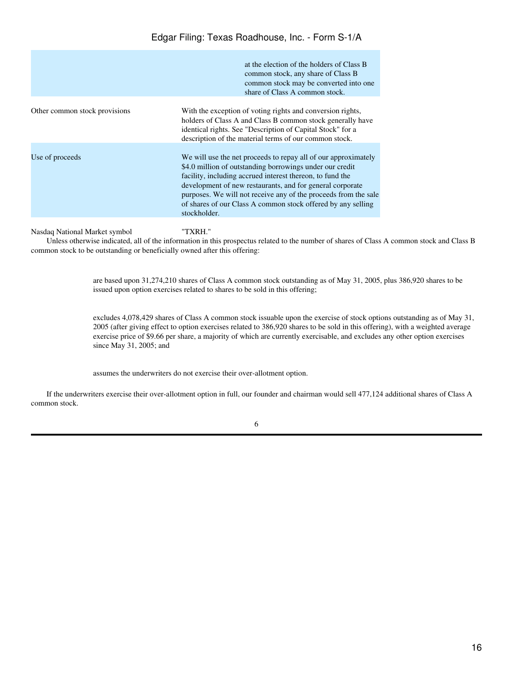|                               | at the election of the holders of Class B<br>common stock, any share of Class B<br>common stock may be converted into one<br>share of Class A common stock.                                                                                                                                                                                                                                             |
|-------------------------------|---------------------------------------------------------------------------------------------------------------------------------------------------------------------------------------------------------------------------------------------------------------------------------------------------------------------------------------------------------------------------------------------------------|
| Other common stock provisions | With the exception of voting rights and conversion rights,<br>holders of Class A and Class B common stock generally have<br>identical rights. See "Description of Capital Stock" for a<br>description of the material terms of our common stock.                                                                                                                                                        |
| Use of proceeds               | We will use the net proceeds to repay all of our approximately<br>\$4.0 million of outstanding borrowings under our credit<br>facility, including accrued interest thereon, to fund the<br>development of new restaurants, and for general corporate<br>purposes. We will not receive any of the proceeds from the sale<br>of shares of our Class A common stock offered by any selling<br>stockholder. |

Nasdaq National Market symbol "TXRH."

 Unless otherwise indicated, all of the information in this prospectus related to the number of shares of Class A common stock and Class B common stock to be outstanding or beneficially owned after this offering:

> are based upon 31,274,210 shares of Class A common stock outstanding as of May 31, 2005, plus 386,920 shares to be issued upon option exercises related to shares to be sold in this offering;

excludes 4,078,429 shares of Class A common stock issuable upon the exercise of stock options outstanding as of May 31, 2005 (after giving effect to option exercises related to 386,920 shares to be sold in this offering), with a weighted average exercise price of \$9.66 per share, a majority of which are currently exercisable, and excludes any other option exercises since May 31, 2005; and

assumes the underwriters do not exercise their over-allotment option.

 If the underwriters exercise their over-allotment option in full, our founder and chairman would sell 477,124 additional shares of Class A common stock.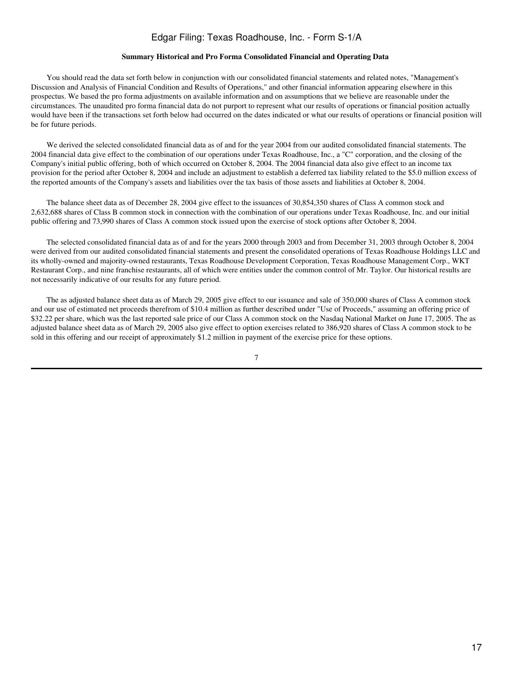### **Summary Historical and Pro Forma Consolidated Financial and Operating Data**

 You should read the data set forth below in conjunction with our consolidated financial statements and related notes, "Management's Discussion and Analysis of Financial Condition and Results of Operations," and other financial information appearing elsewhere in this prospectus. We based the pro forma adjustments on available information and on assumptions that we believe are reasonable under the circumstances. The unaudited pro forma financial data do not purport to represent what our results of operations or financial position actually would have been if the transactions set forth below had occurred on the dates indicated or what our results of operations or financial position will be for future periods.

 We derived the selected consolidated financial data as of and for the year 2004 from our audited consolidated financial statements. The 2004 financial data give effect to the combination of our operations under Texas Roadhouse, Inc., a "C" corporation, and the closing of the Company's initial public offering, both of which occurred on October 8, 2004. The 2004 financial data also give effect to an income tax provision for the period after October 8, 2004 and include an adjustment to establish a deferred tax liability related to the \$5.0 million excess of the reported amounts of the Company's assets and liabilities over the tax basis of those assets and liabilities at October 8, 2004.

 The balance sheet data as of December 28, 2004 give effect to the issuances of 30,854,350 shares of Class A common stock and 2,632,688 shares of Class B common stock in connection with the combination of our operations under Texas Roadhouse, Inc. and our initial public offering and 73,990 shares of Class A common stock issued upon the exercise of stock options after October 8, 2004.

 The selected consolidated financial data as of and for the years 2000 through 2003 and from December 31, 2003 through October 8, 2004 were derived from our audited consolidated financial statements and present the consolidated operations of Texas Roadhouse Holdings LLC and its wholly-owned and majority-owned restaurants, Texas Roadhouse Development Corporation, Texas Roadhouse Management Corp., WKT Restaurant Corp., and nine franchise restaurants, all of which were entities under the common control of Mr. Taylor. Our historical results are not necessarily indicative of our results for any future period.

 The as adjusted balance sheet data as of March 29, 2005 give effect to our issuance and sale of 350,000 shares of Class A common stock and our use of estimated net proceeds therefrom of \$10.4 million as further described under "Use of Proceeds," assuming an offering price of \$32.22 per share, which was the last reported sale price of our Class A common stock on the Nasdaq National Market on June 17, 2005. The as adjusted balance sheet data as of March 29, 2005 also give effect to option exercises related to 386,920 shares of Class A common stock to be sold in this offering and our receipt of approximately \$1.2 million in payment of the exercise price for these options.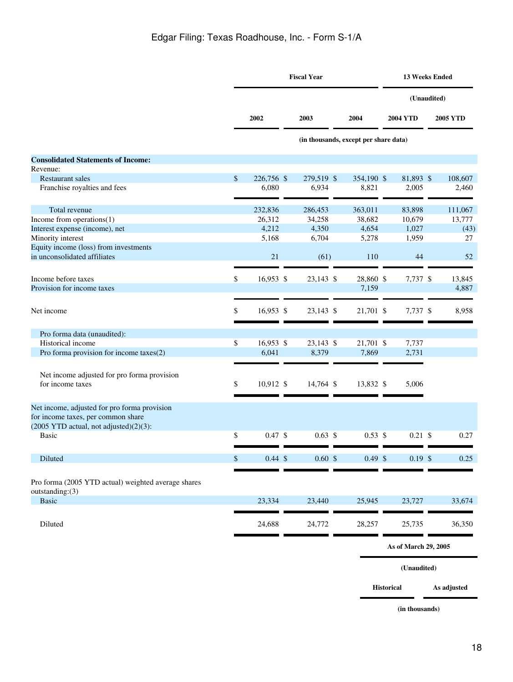|                                                                                    |                      | <b>Fiscal Year</b> |  |                   |                 |                                       |  | <b>13 Weeks Ended</b>          |  |         |  |  |
|------------------------------------------------------------------------------------|----------------------|--------------------|--|-------------------|-----------------|---------------------------------------|--|--------------------------------|--|---------|--|--|
|                                                                                    | 2002<br>2003<br>2004 |                    |  |                   | <b>2004 YTD</b> |                                       |  | (Unaudited)<br><b>2005 YTD</b> |  |         |  |  |
|                                                                                    |                      |                    |  |                   |                 |                                       |  |                                |  |         |  |  |
|                                                                                    |                      |                    |  |                   |                 | (in thousands, except per share data) |  |                                |  |         |  |  |
| <b>Consolidated Statements of Income:</b>                                          |                      |                    |  |                   |                 |                                       |  |                                |  |         |  |  |
| Revenue:                                                                           |                      |                    |  |                   |                 |                                       |  |                                |  |         |  |  |
| <b>Restaurant sales</b>                                                            | $\mathcal{S}$        | 226,756 \$         |  | 279,519 \$        |                 | 354,190 \$                            |  | 81,893 \$                      |  | 108,607 |  |  |
| Franchise royalties and fees                                                       |                      | 6,080              |  | 6,934             |                 | 8,821                                 |  | 2,005                          |  | 2,460   |  |  |
| Total revenue                                                                      |                      | 232,836            |  | 286,453           |                 | 363,011                               |  | 83,898                         |  | 111,067 |  |  |
| Income from operations $(1)$                                                       |                      | 26,312             |  | 34,258            |                 | 38,682                                |  | 10,679                         |  | 13,777  |  |  |
| Interest expense (income), net                                                     |                      | 4,212              |  | 4,350             |                 | 4,654                                 |  | 1,027                          |  | (43)    |  |  |
| Minority interest                                                                  |                      | 5,168              |  | 6,704             |                 | 5,278                                 |  | 1,959                          |  | 27      |  |  |
| Equity income (loss) from investments                                              |                      |                    |  |                   |                 |                                       |  |                                |  |         |  |  |
| in unconsolidated affiliates                                                       |                      | 21                 |  | (61)              |                 | 110                                   |  | 44                             |  | 52      |  |  |
| Income before taxes                                                                | \$                   | 16,953 \$          |  | 23,143 \$         |                 | 28,860 \$                             |  | 7,737 \$                       |  | 13,845  |  |  |
| Provision for income taxes                                                         |                      |                    |  |                   |                 | 7,159                                 |  |                                |  | 4,887   |  |  |
|                                                                                    |                      |                    |  |                   |                 |                                       |  |                                |  |         |  |  |
| Net income                                                                         | \$                   | $16,953$ \$        |  | 23,143 \$         |                 | 21,701 \$                             |  | 7,737 \$                       |  | 8,958   |  |  |
| Pro forma data (unaudited):                                                        |                      |                    |  |                   |                 |                                       |  |                                |  |         |  |  |
| Historical income                                                                  | \$                   | 16,953 \$          |  | 23,143 \$         |                 | 21,701 \$                             |  | 7,737                          |  |         |  |  |
| Pro forma provision for income taxes(2)                                            |                      | 6,041              |  | 8,379             |                 | 7,869                                 |  | 2,731                          |  |         |  |  |
|                                                                                    |                      |                    |  |                   |                 |                                       |  |                                |  |         |  |  |
| Net income adjusted for pro forma provision                                        |                      |                    |  |                   |                 |                                       |  |                                |  |         |  |  |
| for income taxes                                                                   | \$                   | 10,912 \$          |  | 14,764 \$         |                 | 13,832 \$                             |  | 5,006                          |  |         |  |  |
|                                                                                    |                      |                    |  |                   |                 |                                       |  |                                |  |         |  |  |
| Net income, adjusted for pro forma provision<br>for income taxes, per common share |                      |                    |  |                   |                 |                                       |  |                                |  |         |  |  |
| $(2005 \text{ YTD actual}, \text{not adjusted})(2)(3)$ :                           |                      |                    |  |                   |                 |                                       |  |                                |  |         |  |  |
| <b>Basic</b>                                                                       | \$                   | $0.47~\text{\AA}$  |  | $0.63~\text{\AA}$ |                 | $0.53 \text{ }$ \$                    |  | $0.21$ \$                      |  | 0.27    |  |  |
| Diluted                                                                            | $\$$                 | $0.44 \text{ } $$  |  | 0.60~\$           |                 | $0.49$ \$                             |  | $0.19$ \$                      |  | 0.25    |  |  |
|                                                                                    |                      |                    |  |                   |                 |                                       |  |                                |  |         |  |  |
| Pro forma (2005 YTD actual) weighted average shares<br>outstanding:(3)             |                      |                    |  |                   |                 |                                       |  |                                |  |         |  |  |
| <b>Basic</b>                                                                       |                      | 23,334             |  | 23,440            |                 | 25,945                                |  | 23,727                         |  | 33,674  |  |  |
|                                                                                    |                      |                    |  |                   |                 |                                       |  |                                |  |         |  |  |
| Diluted                                                                            |                      | 24,688             |  | 24,772            |                 | 28,257                                |  | 25,735                         |  | 36,350  |  |  |
|                                                                                    |                      |                    |  |                   |                 |                                       |  |                                |  |         |  |  |

**As of March 29, 2005**

**(Unaudited)**

**Historical As adjusted**

**(in thousands)**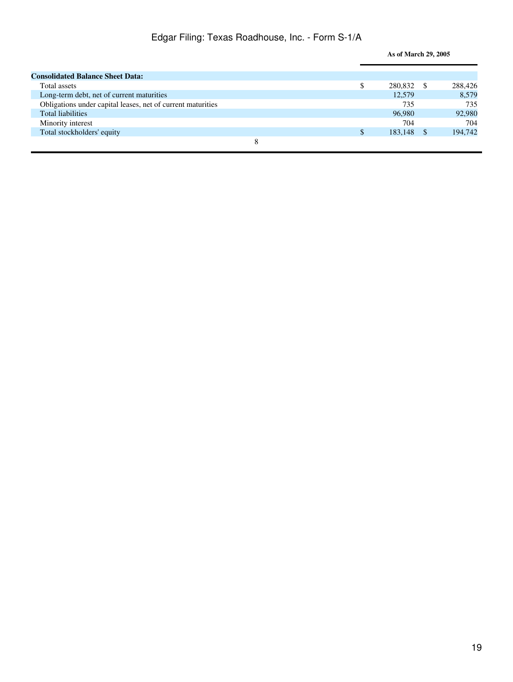|                                                             | As of March 29, 2005 |  |         |  |
|-------------------------------------------------------------|----------------------|--|---------|--|
| <b>Consolidated Balance Sheet Data:</b>                     |                      |  |         |  |
| Total assets                                                | 280,832 \$           |  | 288,426 |  |
| Long-term debt, net of current maturities                   | 12,579               |  | 8,579   |  |
| Obligations under capital leases, net of current maturities | 735                  |  | 735     |  |
| Total liabilities                                           | 96,980               |  | 92,980  |  |
| Minority interest                                           | 704                  |  | 704     |  |
| Total stockholders' equity                                  | 183,148              |  | 194,742 |  |
| 8                                                           |                      |  |         |  |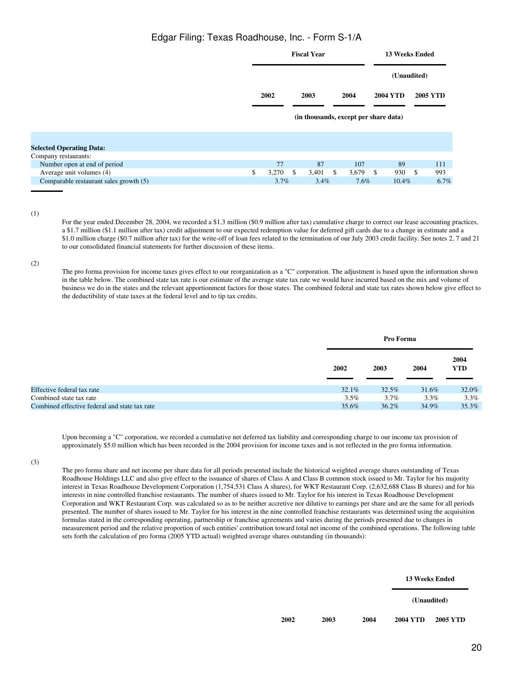|                                        |    |       | <b>Fiscal Year</b> |         |    |       | <b>13 Weeks Ended</b>                 |               |                 |  |  |  |             |  |
|----------------------------------------|----|-------|--------------------|---------|----|-------|---------------------------------------|---------------|-----------------|--|--|--|-------------|--|
|                                        |    |       |                    |         |    |       |                                       |               |                 |  |  |  | (Unaudited) |  |
|                                        |    | 2002  |                    | 2003    |    | 2004  | <b>2004 YTD</b>                       |               | <b>2005 YTD</b> |  |  |  |             |  |
|                                        |    |       |                    |         |    |       | (in thousands, except per share data) |               |                 |  |  |  |             |  |
| <b>Selected Operating Data:</b>        |    |       |                    |         |    |       |                                       |               |                 |  |  |  |             |  |
| Company restaurants:                   |    |       |                    |         |    |       |                                       |               |                 |  |  |  |             |  |
| Number open at end of period           |    | 77    |                    | 87      |    | 107   | 89                                    |               | 111             |  |  |  |             |  |
| Average unit volumes (4)               | \$ | 3,270 | <sup>S</sup>       | 3,401   | S. | 3,679 | 930<br>$\mathbb{S}$                   | <sup>\$</sup> | 993             |  |  |  |             |  |
| Comparable restaurant sales growth (5) |    | 3.7%  |                    | $3.4\%$ |    | 7.6%  | $10.4\%$                              |               | 6.7%            |  |  |  |             |  |

<sup>(1)</sup>

For the year ended December 28, 2004, we recorded a \$1.3 million (\$0.9 million after tax) cumulative charge to correct our lease accounting practices, a \$1.7 million (\$1.1 million after tax) credit adjustment to our expected redemption value for deferred gift cards due to a change in estimate and a \$1.0 million charge (\$0.7 million after tax) for the write-off of loan fees related to the termination of our July 2003 credit facility. See notes 2, 7 and 21 to our consolidated financial statements for further discussion of these items.

#### (2)

The pro forma provision for income taxes gives effect to our reorganization as a "C" corporation. The adjustment is based upon the information shown in the table below. The combined state tax rate is our estimate of the average state tax rate we would have incurred based on the mix and volume of business we do in the states and the relevant apportionment factors for those states. The combined federal and state tax rates shown below give effect to the deductibility of state taxes at the federal level and to tip tax credits.

|                                               |          | Pro Forma |         |                    |
|-----------------------------------------------|----------|-----------|---------|--------------------|
|                                               | 2002     | 2003      | 2004    | 2004<br><b>YTD</b> |
| Effective federal tax rate                    | $32.1\%$ | 32.5%     | 31.6%   | 32.0%              |
| Combined state tax rate                       | $3.5\%$  | 3.7%      | $3.3\%$ | $3.3\%$            |
| Combined effective federal and state tax rate | 35.6%    | 36.2%     | 34.9%   | 35.3%              |

Upon becoming a "C" corporation, we recorded a cumulative net deferred tax liability and corresponding charge to our income tax provision of approximately \$5.0 million which has been recorded in the 2004 provision for income taxes and is not reflected in the pro forma information.

(3)

The pro forma share and net income per share data for all periods presented include the historical weighted average shares outstanding of Texas Roadhouse Holdings LLC and also give effect to the issuance of shares of Class A and Class B common stock issued to Mr. Taylor for his majority interest in Texas Roadhouse Development Corporation (1,754,531 Class A shares), for WKT Restaurant Corp. (2,632,688 Class B shares) and for his interests in nine controlled franchise restaurants. The number of shares issued to Mr. Taylor for his interest in Texas Roadhouse Development Corporation and WKT Restaurant Corp. was calculated so as to be neither accretive nor dilutive to earnings per share and are the same for all periods presented. The number of shares issued to Mr. Taylor for his interest in the nine controlled franchise restaurants was determined using the acquisition formulas stated in the corresponding operating, partnership or franchise agreements and varies during the periods presented due to changes in measurement period and the relative proportion of such entities' contribution toward total net income of the combined operations. The following table sets forth the calculation of pro forma (2005 YTD actual) weighted average shares outstanding (in thousands):

**13 Weeks Ended**

**(Unaudited)**

**2002 2003 2004 2004 YTD 2005 YTD**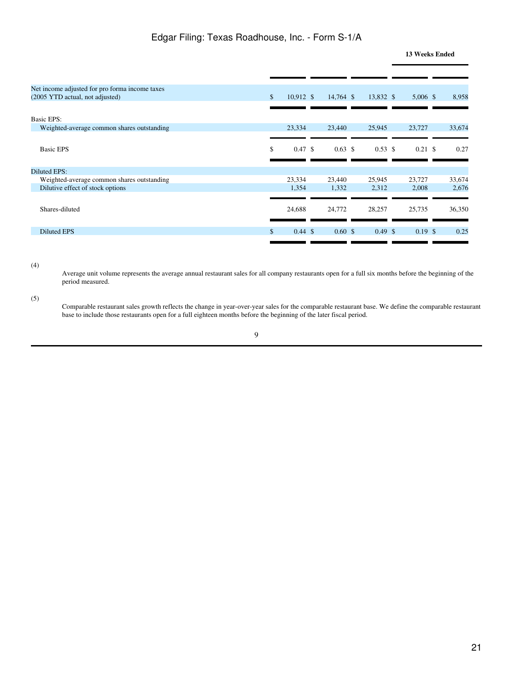| Net income adjusted for pro forma income taxes<br>(2005 YTD actual, not adjusted) | $\mathbb{S}$ | $10.912 \text{ }$  | $14,764$ \$        | 13,832 \$         | $5,006$ \$         | 8,958  |
|-----------------------------------------------------------------------------------|--------------|--------------------|--------------------|-------------------|--------------------|--------|
|                                                                                   |              |                    |                    |                   |                    |        |
| Basic EPS:                                                                        |              |                    |                    |                   |                    |        |
| Weighted-average common shares outstanding                                        |              | 23,334             | 23,440             | 25,945            | 23,727             | 33,674 |
|                                                                                   |              |                    |                    |                   |                    |        |
| <b>Basic EPS</b>                                                                  | \$           | $0.47 \text{ }$ \$ | $0.63 \text{ }$ \$ | 0.53 S            | $0.21 \text{ }$ \$ | 0.27   |
|                                                                                   |              |                    |                    |                   |                    |        |
| Diluted EPS:                                                                      |              |                    |                    |                   |                    |        |
| Weighted-average common shares outstanding                                        |              | 23,334             | 23,440             | 25,945            | 23,727             | 33,674 |
| Dilutive effect of stock options                                                  |              | 1,354              | 1,332              | 2,312             | 2,008              | 2,676  |
|                                                                                   |              |                    |                    |                   |                    |        |
| Shares-diluted                                                                    |              | 24,688             | 24,772             | 28,257            | 25,735             | 36,350 |
|                                                                                   |              |                    |                    |                   |                    |        |
| <b>Diluted EPS</b>                                                                | \$.          | $0.44 \text{ } $$  | $0.60 \text{ }$ \$ | $0.49 \text{ } $$ | $0.19 \text{ }$ \$ | 0.25   |
|                                                                                   |              |                    |                    |                   |                    |        |
|                                                                                   |              |                    |                    |                   |                    |        |

(4)

Average unit volume represents the average annual restaurant sales for all company restaurants open for a full six months before the beginning of the period measured.

(5)

Comparable restaurant sales growth reflects the change in year-over-year sales for the comparable restaurant base. We define the comparable restaurant base to include those restaurants open for a full eighteen months before the beginning of the later fiscal period.

9

**13 Weeks Ended**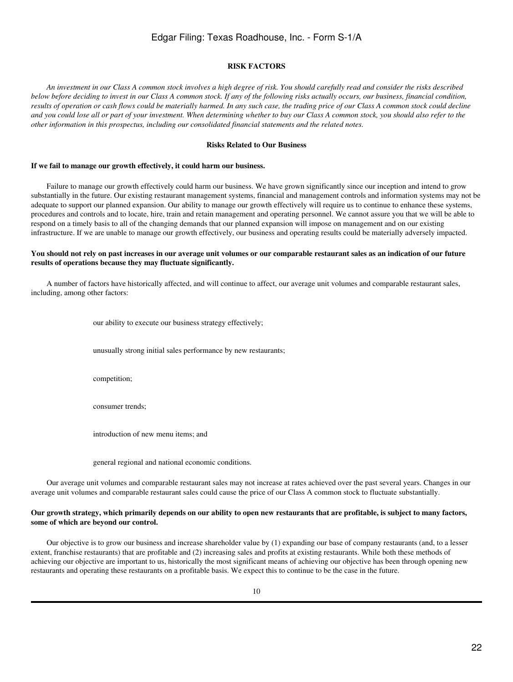### **RISK FACTORS**

*An investment in our Class A common stock involves a high degree of risk. You should carefully read and consider the risks described below before deciding to invest in our Class A common stock. If any of the following risks actually occurs, our business, financial condition, results of operation or cash flows could be materially harmed. In any such case, the trading price of our Class A common stock could decline and you could lose all or part of your investment. When determining whether to buy our Class A common stock, you should also refer to the other information in this prospectus, including our consolidated financial statements and the related notes.*

### **Risks Related to Our Business**

### **If we fail to manage our growth effectively, it could harm our business.**

 Failure to manage our growth effectively could harm our business. We have grown significantly since our inception and intend to grow substantially in the future. Our existing restaurant management systems, financial and management controls and information systems may not be adequate to support our planned expansion. Our ability to manage our growth effectively will require us to continue to enhance these systems, procedures and controls and to locate, hire, train and retain management and operating personnel. We cannot assure you that we will be able to respond on a timely basis to all of the changing demands that our planned expansion will impose on management and on our existing infrastructure. If we are unable to manage our growth effectively, our business and operating results could be materially adversely impacted.

### **You should not rely on past increases in our average unit volumes or our comparable restaurant sales as an indication of our future results of operations because they may fluctuate significantly.**

 A number of factors have historically affected, and will continue to affect, our average unit volumes and comparable restaurant sales, including, among other factors:

our ability to execute our business strategy effectively;

unusually strong initial sales performance by new restaurants;

competition;

consumer trends;

introduction of new menu items; and

general regional and national economic conditions.

 Our average unit volumes and comparable restaurant sales may not increase at rates achieved over the past several years. Changes in our average unit volumes and comparable restaurant sales could cause the price of our Class A common stock to fluctuate substantially.

### **Our growth strategy, which primarily depends on our ability to open new restaurants that are profitable, is subject to many factors, some of which are beyond our control.**

 Our objective is to grow our business and increase shareholder value by (1) expanding our base of company restaurants (and, to a lesser extent, franchise restaurants) that are profitable and (2) increasing sales and profits at existing restaurants. While both these methods of achieving our objective are important to us, historically the most significant means of achieving our objective has been through opening new restaurants and operating these restaurants on a profitable basis. We expect this to continue to be the case in the future.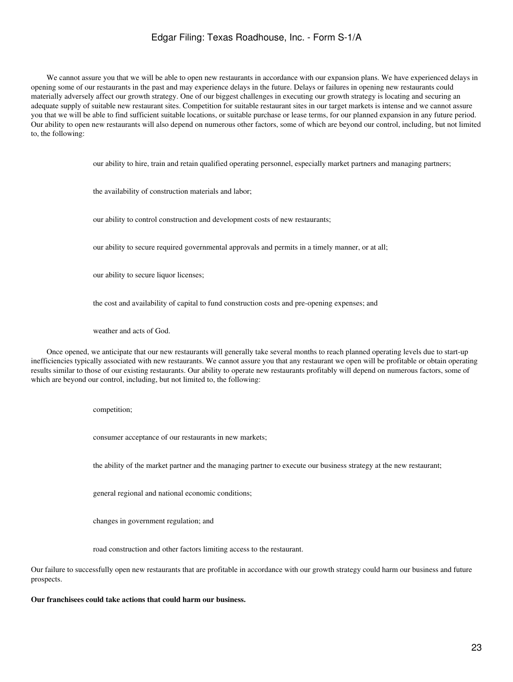We cannot assure you that we will be able to open new restaurants in accordance with our expansion plans. We have experienced delays in opening some of our restaurants in the past and may experience delays in the future. Delays or failures in opening new restaurants could materially adversely affect our growth strategy. One of our biggest challenges in executing our growth strategy is locating and securing an adequate supply of suitable new restaurant sites. Competition for suitable restaurant sites in our target markets is intense and we cannot assure you that we will be able to find sufficient suitable locations, or suitable purchase or lease terms, for our planned expansion in any future period. Our ability to open new restaurants will also depend on numerous other factors, some of which are beyond our control, including, but not limited to, the following:

our ability to hire, train and retain qualified operating personnel, especially market partners and managing partners;

the availability of construction materials and labor;

our ability to control construction and development costs of new restaurants;

our ability to secure required governmental approvals and permits in a timely manner, or at all;

our ability to secure liquor licenses;

the cost and availability of capital to fund construction costs and pre-opening expenses; and

weather and acts of God.

 Once opened, we anticipate that our new restaurants will generally take several months to reach planned operating levels due to start-up inefficiencies typically associated with new restaurants. We cannot assure you that any restaurant we open will be profitable or obtain operating results similar to those of our existing restaurants. Our ability to operate new restaurants profitably will depend on numerous factors, some of which are beyond our control, including, but not limited to, the following:

competition;

consumer acceptance of our restaurants in new markets;

the ability of the market partner and the managing partner to execute our business strategy at the new restaurant;

general regional and national economic conditions;

changes in government regulation; and

road construction and other factors limiting access to the restaurant.

Our failure to successfully open new restaurants that are profitable in accordance with our growth strategy could harm our business and future prospects.

**Our franchisees could take actions that could harm our business.**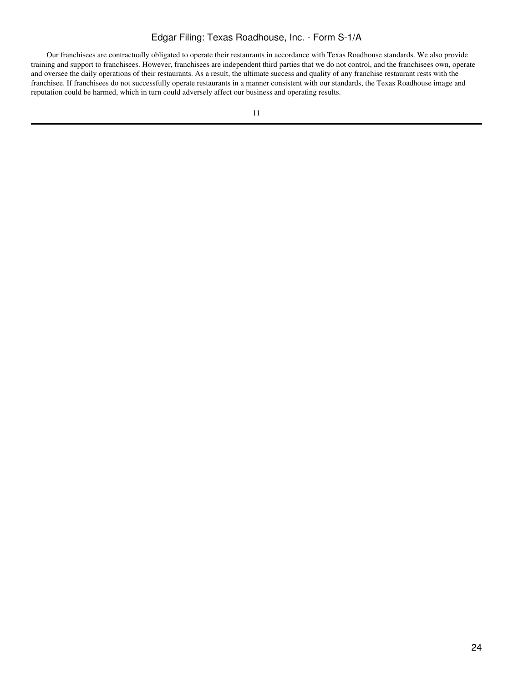Our franchisees are contractually obligated to operate their restaurants in accordance with Texas Roadhouse standards. We also provide training and support to franchisees. However, franchisees are independent third parties that we do not control, and the franchisees own, operate and oversee the daily operations of their restaurants. As a result, the ultimate success and quality of any franchise restaurant rests with the franchisee. If franchisees do not successfully operate restaurants in a manner consistent with our standards, the Texas Roadhouse image and reputation could be harmed, which in turn could adversely affect our business and operating results.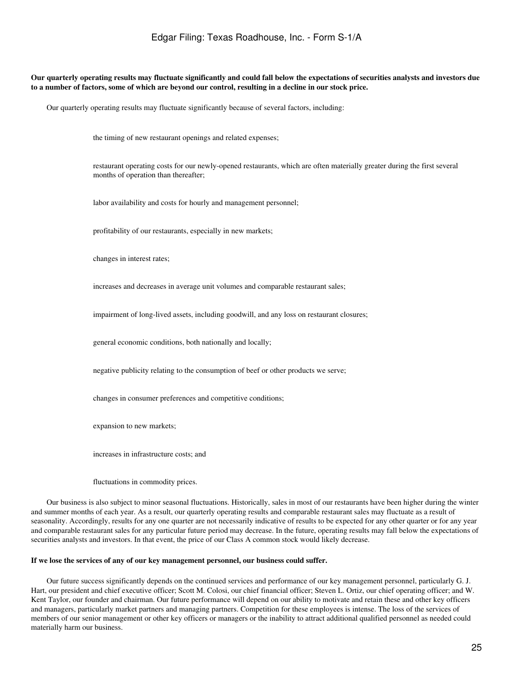### **Our quarterly operating results may fluctuate significantly and could fall below the expectations of securities analysts and investors due to a number of factors, some of which are beyond our control, resulting in a decline in our stock price.**

Our quarterly operating results may fluctuate significantly because of several factors, including:

the timing of new restaurant openings and related expenses;

restaurant operating costs for our newly-opened restaurants, which are often materially greater during the first several months of operation than thereafter;

labor availability and costs for hourly and management personnel;

profitability of our restaurants, especially in new markets;

changes in interest rates;

increases and decreases in average unit volumes and comparable restaurant sales;

impairment of long-lived assets, including goodwill, and any loss on restaurant closures;

general economic conditions, both nationally and locally;

negative publicity relating to the consumption of beef or other products we serve;

changes in consumer preferences and competitive conditions;

expansion to new markets;

increases in infrastructure costs; and

fluctuations in commodity prices.

 Our business is also subject to minor seasonal fluctuations. Historically, sales in most of our restaurants have been higher during the winter and summer months of each year. As a result, our quarterly operating results and comparable restaurant sales may fluctuate as a result of seasonality. Accordingly, results for any one quarter are not necessarily indicative of results to be expected for any other quarter or for any year and comparable restaurant sales for any particular future period may decrease. In the future, operating results may fall below the expectations of securities analysts and investors. In that event, the price of our Class A common stock would likely decrease.

#### **If we lose the services of any of our key management personnel, our business could suffer.**

 Our future success significantly depends on the continued services and performance of our key management personnel, particularly G. J. Hart, our president and chief executive officer; Scott M. Colosi, our chief financial officer; Steven L. Ortiz, our chief operating officer; and W. Kent Taylor, our founder and chairman. Our future performance will depend on our ability to motivate and retain these and other key officers and managers, particularly market partners and managing partners. Competition for these employees is intense. The loss of the services of members of our senior management or other key officers or managers or the inability to attract additional qualified personnel as needed could materially harm our business.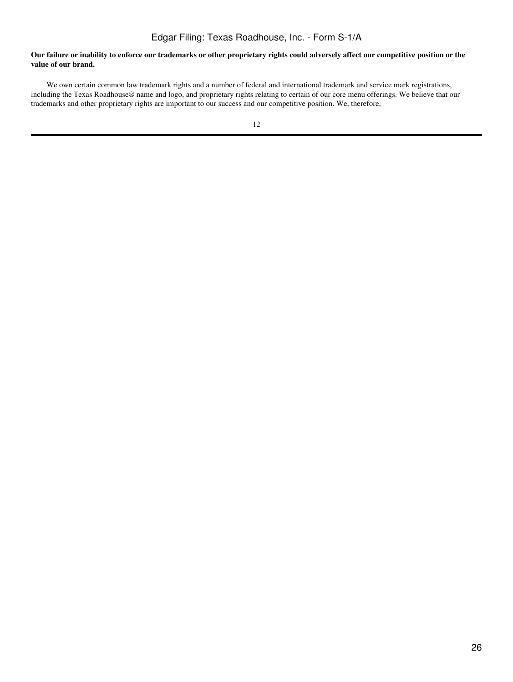### **Our failure or inability to enforce our trademarks or other proprietary rights could adversely affect our competitive position or the value of our brand.**

 We own certain common law trademark rights and a number of federal and international trademark and service mark registrations, including the Texas Roadhouse® name and logo, and proprietary rights relating to certain of our core menu offerings. We believe that our trademarks and other proprietary rights are important to our success and our competitive position. We, therefore,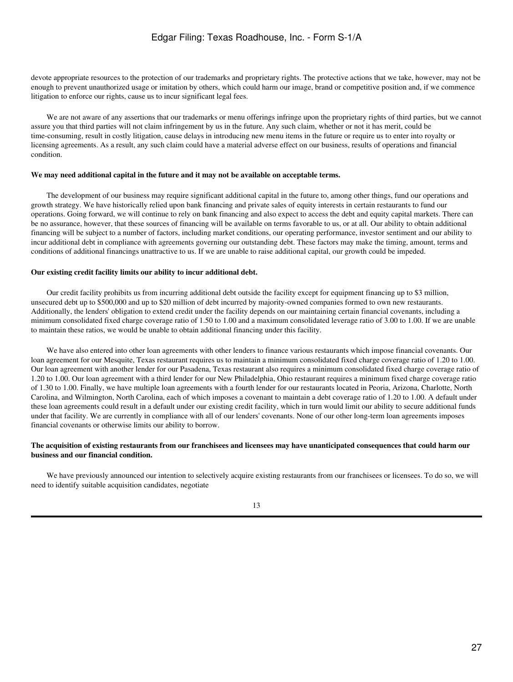devote appropriate resources to the protection of our trademarks and proprietary rights. The protective actions that we take, however, may not be enough to prevent unauthorized usage or imitation by others, which could harm our image, brand or competitive position and, if we commence litigation to enforce our rights, cause us to incur significant legal fees.

 We are not aware of any assertions that our trademarks or menu offerings infringe upon the proprietary rights of third parties, but we cannot assure you that third parties will not claim infringement by us in the future. Any such claim, whether or not it has merit, could be time-consuming, result in costly litigation, cause delays in introducing new menu items in the future or require us to enter into royalty or licensing agreements. As a result, any such claim could have a material adverse effect on our business, results of operations and financial condition.

### **We may need additional capital in the future and it may not be available on acceptable terms.**

 The development of our business may require significant additional capital in the future to, among other things, fund our operations and growth strategy. We have historically relied upon bank financing and private sales of equity interests in certain restaurants to fund our operations. Going forward, we will continue to rely on bank financing and also expect to access the debt and equity capital markets. There can be no assurance, however, that these sources of financing will be available on terms favorable to us, or at all. Our ability to obtain additional financing will be subject to a number of factors, including market conditions, our operating performance, investor sentiment and our ability to incur additional debt in compliance with agreements governing our outstanding debt. These factors may make the timing, amount, terms and conditions of additional financings unattractive to us. If we are unable to raise additional capital, our growth could be impeded.

### **Our existing credit facility limits our ability to incur additional debt.**

 Our credit facility prohibits us from incurring additional debt outside the facility except for equipment financing up to \$3 million, unsecured debt up to \$500,000 and up to \$20 million of debt incurred by majority-owned companies formed to own new restaurants. Additionally, the lenders' obligation to extend credit under the facility depends on our maintaining certain financial covenants, including a minimum consolidated fixed charge coverage ratio of 1.50 to 1.00 and a maximum consolidated leverage ratio of 3.00 to 1.00. If we are unable to maintain these ratios, we would be unable to obtain additional financing under this facility.

 We have also entered into other loan agreements with other lenders to finance various restaurants which impose financial covenants. Our loan agreement for our Mesquite, Texas restaurant requires us to maintain a minimum consolidated fixed charge coverage ratio of 1.20 to 1.00. Our loan agreement with another lender for our Pasadena, Texas restaurant also requires a minimum consolidated fixed charge coverage ratio of 1.20 to 1.00. Our loan agreement with a third lender for our New Philadelphia, Ohio restaurant requires a minimum fixed charge coverage ratio of 1.30 to 1.00. Finally, we have multiple loan agreements with a fourth lender for our restaurants located in Peoria, Arizona, Charlotte, North Carolina, and Wilmington, North Carolina, each of which imposes a covenant to maintain a debt coverage ratio of 1.20 to 1.00. A default under these loan agreements could result in a default under our existing credit facility, which in turn would limit our ability to secure additional funds under that facility. We are currently in compliance with all of our lenders' covenants. None of our other long-term loan agreements imposes financial covenants or otherwise limits our ability to borrow.

### **The acquisition of existing restaurants from our franchisees and licensees may have unanticipated consequences that could harm our business and our financial condition.**

 We have previously announced our intention to selectively acquire existing restaurants from our franchisees or licensees. To do so, we will need to identify suitable acquisition candidates, negotiate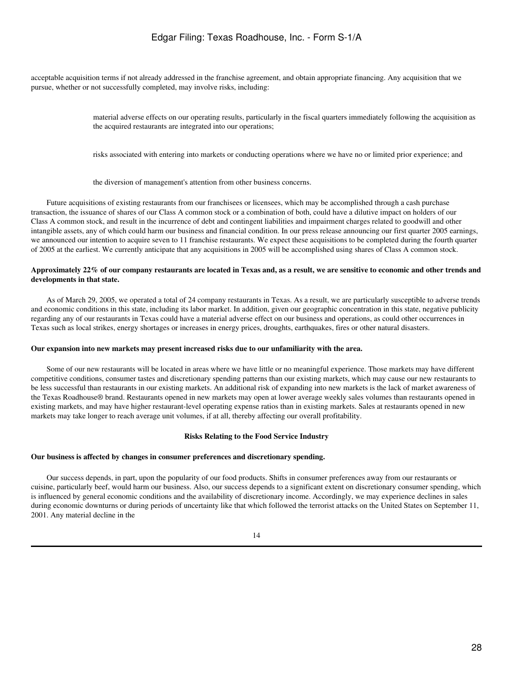acceptable acquisition terms if not already addressed in the franchise agreement, and obtain appropriate financing. Any acquisition that we pursue, whether or not successfully completed, may involve risks, including:

> material adverse effects on our operating results, particularly in the fiscal quarters immediately following the acquisition as the acquired restaurants are integrated into our operations;

risks associated with entering into markets or conducting operations where we have no or limited prior experience; and

the diversion of management's attention from other business concerns.

 Future acquisitions of existing restaurants from our franchisees or licensees, which may be accomplished through a cash purchase transaction, the issuance of shares of our Class A common stock or a combination of both, could have a dilutive impact on holders of our Class A common stock, and result in the incurrence of debt and contingent liabilities and impairment charges related to goodwill and other intangible assets, any of which could harm our business and financial condition. In our press release announcing our first quarter 2005 earnings, we announced our intention to acquire seven to 11 franchise restaurants. We expect these acquisitions to be completed during the fourth quarter of 2005 at the earliest. We currently anticipate that any acquisitions in 2005 will be accomplished using shares of Class A common stock.

### **Approximately 22% of our company restaurants are located in Texas and, as a result, we are sensitive to economic and other trends and developments in that state.**

 As of March 29, 2005, we operated a total of 24 company restaurants in Texas. As a result, we are particularly susceptible to adverse trends and economic conditions in this state, including its labor market. In addition, given our geographic concentration in this state, negative publicity regarding any of our restaurants in Texas could have a material adverse effect on our business and operations, as could other occurrences in Texas such as local strikes, energy shortages or increases in energy prices, droughts, earthquakes, fires or other natural disasters.

### **Our expansion into new markets may present increased risks due to our unfamiliarity with the area.**

 Some of our new restaurants will be located in areas where we have little or no meaningful experience. Those markets may have different competitive conditions, consumer tastes and discretionary spending patterns than our existing markets, which may cause our new restaurants to be less successful than restaurants in our existing markets. An additional risk of expanding into new markets is the lack of market awareness of the Texas Roadhouse® brand. Restaurants opened in new markets may open at lower average weekly sales volumes than restaurants opened in existing markets, and may have higher restaurant-level operating expense ratios than in existing markets. Sales at restaurants opened in new markets may take longer to reach average unit volumes, if at all, thereby affecting our overall profitability.

### **Risks Relating to the Food Service Industry**

#### **Our business is affected by changes in consumer preferences and discretionary spending.**

 Our success depends, in part, upon the popularity of our food products. Shifts in consumer preferences away from our restaurants or cuisine, particularly beef, would harm our business. Also, our success depends to a significant extent on discretionary consumer spending, which is influenced by general economic conditions and the availability of discretionary income. Accordingly, we may experience declines in sales during economic downturns or during periods of uncertainty like that which followed the terrorist attacks on the United States on September 11, 2001. Any material decline in the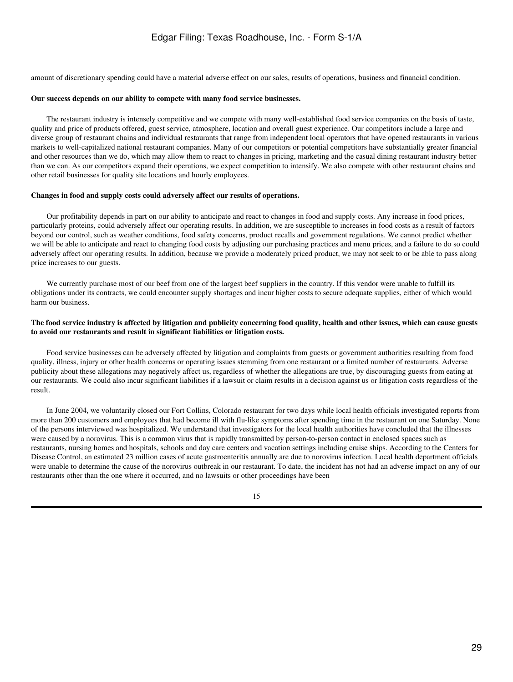amount of discretionary spending could have a material adverse effect on our sales, results of operations, business and financial condition.

#### **Our success depends on our ability to compete with many food service businesses.**

 The restaurant industry is intensely competitive and we compete with many well-established food service companies on the basis of taste, quality and price of products offered, guest service, atmosphere, location and overall guest experience. Our competitors include a large and diverse group of restaurant chains and individual restaurants that range from independent local operators that have opened restaurants in various markets to well-capitalized national restaurant companies. Many of our competitors or potential competitors have substantially greater financial and other resources than we do, which may allow them to react to changes in pricing, marketing and the casual dining restaurant industry better than we can. As our competitors expand their operations, we expect competition to intensify. We also compete with other restaurant chains and other retail businesses for quality site locations and hourly employees.

### **Changes in food and supply costs could adversely affect our results of operations.**

 Our profitability depends in part on our ability to anticipate and react to changes in food and supply costs. Any increase in food prices, particularly proteins, could adversely affect our operating results. In addition, we are susceptible to increases in food costs as a result of factors beyond our control, such as weather conditions, food safety concerns, product recalls and government regulations. We cannot predict whether we will be able to anticipate and react to changing food costs by adjusting our purchasing practices and menu prices, and a failure to do so could adversely affect our operating results. In addition, because we provide a moderately priced product, we may not seek to or be able to pass along price increases to our guests.

 We currently purchase most of our beef from one of the largest beef suppliers in the country. If this vendor were unable to fulfill its obligations under its contracts, we could encounter supply shortages and incur higher costs to secure adequate supplies, either of which would harm our business.

### **The food service industry is affected by litigation and publicity concerning food quality, health and other issues, which can cause guests to avoid our restaurants and result in significant liabilities or litigation costs.**

 Food service businesses can be adversely affected by litigation and complaints from guests or government authorities resulting from food quality, illness, injury or other health concerns or operating issues stemming from one restaurant or a limited number of restaurants. Adverse publicity about these allegations may negatively affect us, regardless of whether the allegations are true, by discouraging guests from eating at our restaurants. We could also incur significant liabilities if a lawsuit or claim results in a decision against us or litigation costs regardless of the result.

 In June 2004, we voluntarily closed our Fort Collins, Colorado restaurant for two days while local health officials investigated reports from more than 200 customers and employees that had become ill with flu-like symptoms after spending time in the restaurant on one Saturday. None of the persons interviewed was hospitalized. We understand that investigators for the local health authorities have concluded that the illnesses were caused by a norovirus. This is a common virus that is rapidly transmitted by person-to-person contact in enclosed spaces such as restaurants, nursing homes and hospitals, schools and day care centers and vacation settings including cruise ships. According to the Centers for Disease Control, an estimated 23 million cases of acute gastroenteritis annually are due to norovirus infection. Local health department officials were unable to determine the cause of the norovirus outbreak in our restaurant. To date, the incident has not had an adverse impact on any of our restaurants other than the one where it occurred, and no lawsuits or other proceedings have been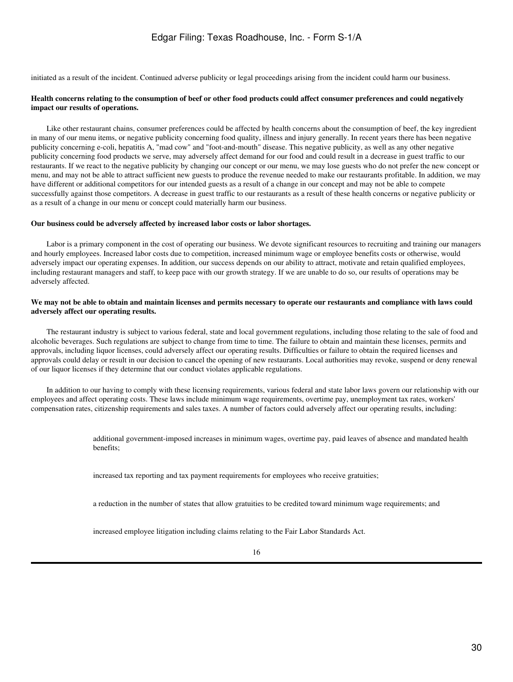initiated as a result of the incident. Continued adverse publicity or legal proceedings arising from the incident could harm our business.

### **Health concerns relating to the consumption of beef or other food products could affect consumer preferences and could negatively impact our results of operations.**

 Like other restaurant chains, consumer preferences could be affected by health concerns about the consumption of beef, the key ingredient in many of our menu items, or negative publicity concerning food quality, illness and injury generally. In recent years there has been negative publicity concerning e-coli, hepatitis A, "mad cow" and "foot-and-mouth" disease. This negative publicity, as well as any other negative publicity concerning food products we serve, may adversely affect demand for our food and could result in a decrease in guest traffic to our restaurants. If we react to the negative publicity by changing our concept or our menu, we may lose guests who do not prefer the new concept or menu, and may not be able to attract sufficient new guests to produce the revenue needed to make our restaurants profitable. In addition, we may have different or additional competitors for our intended guests as a result of a change in our concept and may not be able to compete successfully against those competitors. A decrease in guest traffic to our restaurants as a result of these health concerns or negative publicity or as a result of a change in our menu or concept could materially harm our business.

#### **Our business could be adversely affected by increased labor costs or labor shortages.**

 Labor is a primary component in the cost of operating our business. We devote significant resources to recruiting and training our managers and hourly employees. Increased labor costs due to competition, increased minimum wage or employee benefits costs or otherwise, would adversely impact our operating expenses. In addition, our success depends on our ability to attract, motivate and retain qualified employees, including restaurant managers and staff, to keep pace with our growth strategy. If we are unable to do so, our results of operations may be adversely affected.

### **We may not be able to obtain and maintain licenses and permits necessary to operate our restaurants and compliance with laws could adversely affect our operating results.**

 The restaurant industry is subject to various federal, state and local government regulations, including those relating to the sale of food and alcoholic beverages. Such regulations are subject to change from time to time. The failure to obtain and maintain these licenses, permits and approvals, including liquor licenses, could adversely affect our operating results. Difficulties or failure to obtain the required licenses and approvals could delay or result in our decision to cancel the opening of new restaurants. Local authorities may revoke, suspend or deny renewal of our liquor licenses if they determine that our conduct violates applicable regulations.

 In addition to our having to comply with these licensing requirements, various federal and state labor laws govern our relationship with our employees and affect operating costs. These laws include minimum wage requirements, overtime pay, unemployment tax rates, workers' compensation rates, citizenship requirements and sales taxes. A number of factors could adversely affect our operating results, including:

> additional government-imposed increases in minimum wages, overtime pay, paid leaves of absence and mandated health benefits;

increased tax reporting and tax payment requirements for employees who receive gratuities;

a reduction in the number of states that allow gratuities to be credited toward minimum wage requirements; and

increased employee litigation including claims relating to the Fair Labor Standards Act.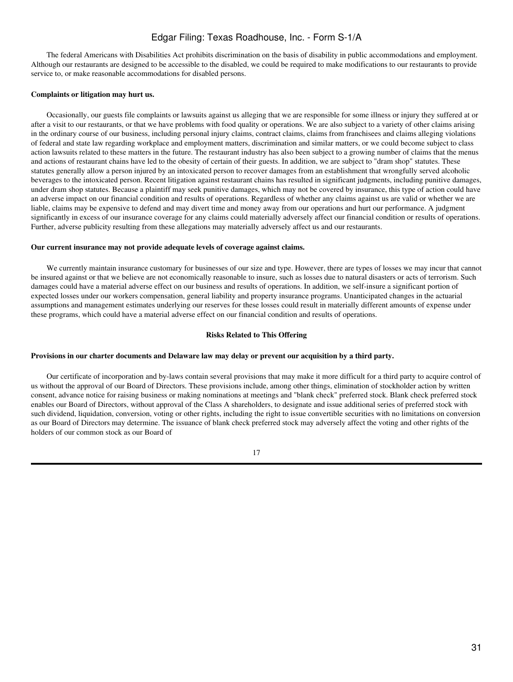The federal Americans with Disabilities Act prohibits discrimination on the basis of disability in public accommodations and employment. Although our restaurants are designed to be accessible to the disabled, we could be required to make modifications to our restaurants to provide service to, or make reasonable accommodations for disabled persons.

### **Complaints or litigation may hurt us.**

 Occasionally, our guests file complaints or lawsuits against us alleging that we are responsible for some illness or injury they suffered at or after a visit to our restaurants, or that we have problems with food quality or operations. We are also subject to a variety of other claims arising in the ordinary course of our business, including personal injury claims, contract claims, claims from franchisees and claims alleging violations of federal and state law regarding workplace and employment matters, discrimination and similar matters, or we could become subject to class action lawsuits related to these matters in the future. The restaurant industry has also been subject to a growing number of claims that the menus and actions of restaurant chains have led to the obesity of certain of their guests. In addition, we are subject to "dram shop" statutes. These statutes generally allow a person injured by an intoxicated person to recover damages from an establishment that wrongfully served alcoholic beverages to the intoxicated person. Recent litigation against restaurant chains has resulted in significant judgments, including punitive damages, under dram shop statutes. Because a plaintiff may seek punitive damages, which may not be covered by insurance, this type of action could have an adverse impact on our financial condition and results of operations. Regardless of whether any claims against us are valid or whether we are liable, claims may be expensive to defend and may divert time and money away from our operations and hurt our performance. A judgment significantly in excess of our insurance coverage for any claims could materially adversely affect our financial condition or results of operations. Further, adverse publicity resulting from these allegations may materially adversely affect us and our restaurants.

### **Our current insurance may not provide adequate levels of coverage against claims.**

We currently maintain insurance customary for businesses of our size and type. However, there are types of losses we may incur that cannot be insured against or that we believe are not economically reasonable to insure, such as losses due to natural disasters or acts of terrorism. Such damages could have a material adverse effect on our business and results of operations. In addition, we self-insure a significant portion of expected losses under our workers compensation, general liability and property insurance programs. Unanticipated changes in the actuarial assumptions and management estimates underlying our reserves for these losses could result in materially different amounts of expense under these programs, which could have a material adverse effect on our financial condition and results of operations.

### **Risks Related to This Offering**

### **Provisions in our charter documents and Delaware law may delay or prevent our acquisition by a third party.**

 Our certificate of incorporation and by-laws contain several provisions that may make it more difficult for a third party to acquire control of us without the approval of our Board of Directors. These provisions include, among other things, elimination of stockholder action by written consent, advance notice for raising business or making nominations at meetings and "blank check" preferred stock. Blank check preferred stock enables our Board of Directors, without approval of the Class A shareholders, to designate and issue additional series of preferred stock with such dividend, liquidation, conversion, voting or other rights, including the right to issue convertible securities with no limitations on conversion as our Board of Directors may determine. The issuance of blank check preferred stock may adversely affect the voting and other rights of the holders of our common stock as our Board of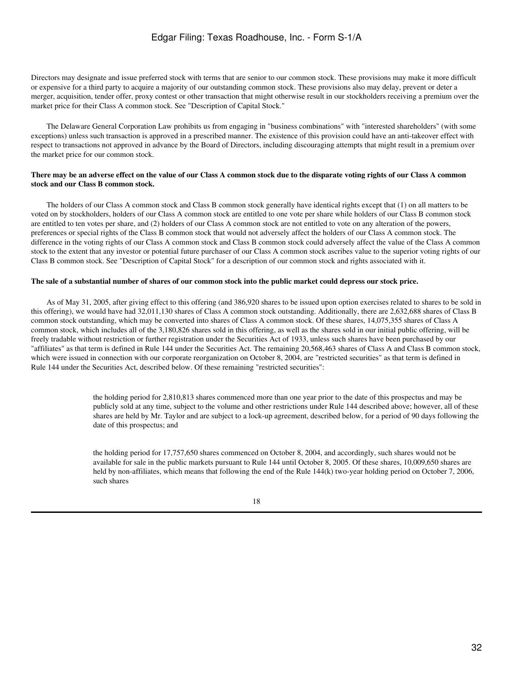Directors may designate and issue preferred stock with terms that are senior to our common stock. These provisions may make it more difficult or expensive for a third party to acquire a majority of our outstanding common stock. These provisions also may delay, prevent or deter a merger, acquisition, tender offer, proxy contest or other transaction that might otherwise result in our stockholders receiving a premium over the market price for their Class A common stock. See "Description of Capital Stock."

 The Delaware General Corporation Law prohibits us from engaging in "business combinations" with "interested shareholders" (with some exceptions) unless such transaction is approved in a prescribed manner. The existence of this provision could have an anti-takeover effect with respect to transactions not approved in advance by the Board of Directors, including discouraging attempts that might result in a premium over the market price for our common stock.

### **There may be an adverse effect on the value of our Class A common stock due to the disparate voting rights of our Class A common stock and our Class B common stock.**

 The holders of our Class A common stock and Class B common stock generally have identical rights except that (1) on all matters to be voted on by stockholders, holders of our Class A common stock are entitled to one vote per share while holders of our Class B common stock are entitled to ten votes per share, and (2) holders of our Class A common stock are not entitled to vote on any alteration of the powers, preferences or special rights of the Class B common stock that would not adversely affect the holders of our Class A common stock. The difference in the voting rights of our Class A common stock and Class B common stock could adversely affect the value of the Class A common stock to the extent that any investor or potential future purchaser of our Class A common stock ascribes value to the superior voting rights of our Class B common stock. See "Description of Capital Stock" for a description of our common stock and rights associated with it.

### **The sale of a substantial number of shares of our common stock into the public market could depress our stock price.**

 As of May 31, 2005, after giving effect to this offering (and 386,920 shares to be issued upon option exercises related to shares to be sold in this offering), we would have had 32,011,130 shares of Class A common stock outstanding. Additionally, there are 2,632,688 shares of Class B common stock outstanding, which may be converted into shares of Class A common stock. Of these shares, 14,075,355 shares of Class A common stock, which includes all of the 3,180,826 shares sold in this offering, as well as the shares sold in our initial public offering, will be freely tradable without restriction or further registration under the Securities Act of 1933, unless such shares have been purchased by our "affiliates" as that term is defined in Rule 144 under the Securities Act. The remaining 20,568,463 shares of Class A and Class B common stock, which were issued in connection with our corporate reorganization on October 8, 2004, are "restricted securities" as that term is defined in Rule 144 under the Securities Act, described below. Of these remaining "restricted securities":

> the holding period for 2,810,813 shares commenced more than one year prior to the date of this prospectus and may be publicly sold at any time, subject to the volume and other restrictions under Rule 144 described above; however, all of these shares are held by Mr. Taylor and are subject to a lock-up agreement, described below, for a period of 90 days following the date of this prospectus; and

the holding period for 17,757,650 shares commenced on October 8, 2004, and accordingly, such shares would not be available for sale in the public markets pursuant to Rule 144 until October 8, 2005. Of these shares, 10,009,650 shares are held by non-affiliates, which means that following the end of the Rule 144(k) two-year holding period on October 7, 2006, such shares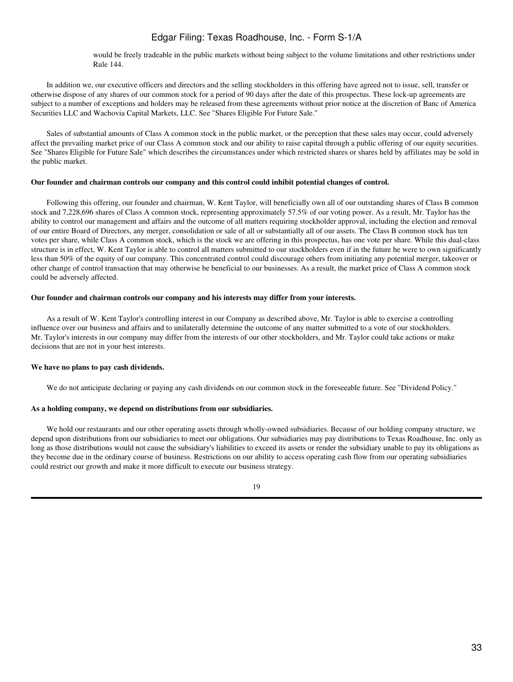would be freely tradeable in the public markets without being subject to the volume limitations and other restrictions under Rule 144.

 In addition we, our executive officers and directors and the selling stockholders in this offering have agreed not to issue, sell, transfer or otherwise dispose of any shares of our common stock for a period of 90 days after the date of this prospectus. These lock-up agreements are subject to a number of exceptions and holders may be released from these agreements without prior notice at the discretion of Banc of America Securities LLC and Wachovia Capital Markets, LLC. See "Shares Eligible For Future Sale."

 Sales of substantial amounts of Class A common stock in the public market, or the perception that these sales may occur, could adversely affect the prevailing market price of our Class A common stock and our ability to raise capital through a public offering of our equity securities. See "Shares Eligible for Future Sale" which describes the circumstances under which restricted shares or shares held by affiliates may be sold in the public market.

### **Our founder and chairman controls our company and this control could inhibit potential changes of control.**

 Following this offering, our founder and chairman, W. Kent Taylor, will beneficially own all of our outstanding shares of Class B common stock and 7,228,696 shares of Class A common stock, representing approximately 57.5% of our voting power. As a result, Mr. Taylor has the ability to control our management and affairs and the outcome of all matters requiring stockholder approval, including the election and removal of our entire Board of Directors, any merger, consolidation or sale of all or substantially all of our assets. The Class B common stock has ten votes per share, while Class A common stock, which is the stock we are offering in this prospectus, has one vote per share. While this dual-class structure is in effect, W. Kent Taylor is able to control all matters submitted to our stockholders even if in the future he were to own significantly less than 50% of the equity of our company. This concentrated control could discourage others from initiating any potential merger, takeover or other change of control transaction that may otherwise be beneficial to our businesses. As a result, the market price of Class A common stock could be adversely affected.

### **Our founder and chairman controls our company and his interests may differ from your interests.**

 As a result of W. Kent Taylor's controlling interest in our Company as described above, Mr. Taylor is able to exercise a controlling influence over our business and affairs and to unilaterally determine the outcome of any matter submitted to a vote of our stockholders. Mr. Taylor's interests in our company may differ from the interests of our other stockholders, and Mr. Taylor could take actions or make decisions that are not in your best interests.

### **We have no plans to pay cash dividends.**

We do not anticipate declaring or paying any cash dividends on our common stock in the foreseeable future. See "Dividend Policy."

#### **As a holding company, we depend on distributions from our subsidiaries.**

 We hold our restaurants and our other operating assets through wholly-owned subsidiaries. Because of our holding company structure, we depend upon distributions from our subsidiaries to meet our obligations. Our subsidiaries may pay distributions to Texas Roadhouse, Inc. only as long as those distributions would not cause the subsidiary's liabilities to exceed its assets or render the subsidiary unable to pay its obligations as they become due in the ordinary course of business. Restrictions on our ability to access operating cash flow from our operating subsidiaries could restrict our growth and make it more difficult to execute our business strategy.

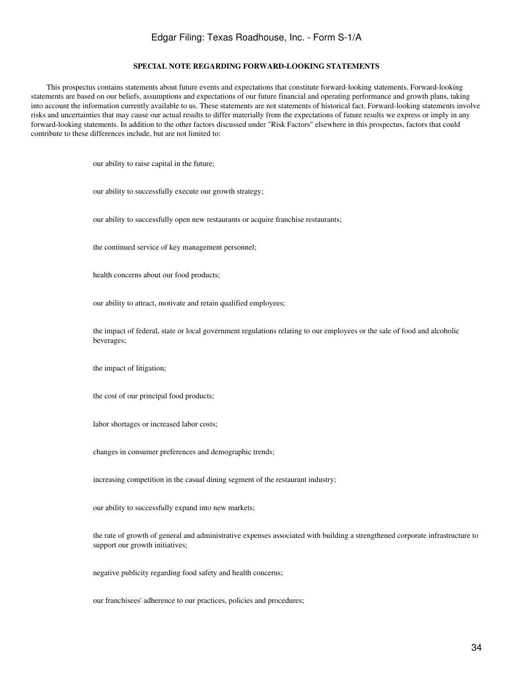### **SPECIAL NOTE REGARDING FORWARD-LOOKING STATEMENTS**

 This prospectus contains statements about future events and expectations that constitute forward-looking statements. Forward-looking statements are based on our beliefs, assumptions and expectations of our future financial and operating performance and growth plans, taking into account the information currently available to us. These statements are not statements of historical fact. Forward-looking statements involve risks and uncertainties that may cause our actual results to differ materially from the expectations of future results we express or imply in any forward-looking statements. In addition to the other factors discussed under "Risk Factors" elsewhere in this prospectus, factors that could contribute to these differences include, but are not limited to:

our ability to raise capital in the future;

our ability to successfully execute our growth strategy;

our ability to successfully open new restaurants or acquire franchise restaurants;

the continued service of key management personnel;

health concerns about our food products;

our ability to attract, motivate and retain qualified employees;

the impact of federal, state or local government regulations relating to our employees or the sale of food and alcoholic beverages;

the impact of litigation;

the cost of our principal food products;

labor shortages or increased labor costs;

changes in consumer preferences and demographic trends;

increasing competition in the casual dining segment of the restaurant industry;

our ability to successfully expand into new markets;

the rate of growth of general and administrative expenses associated with building a strengthened corporate infrastructure to support our growth initiatives;

negative publicity regarding food safety and health concerns;

our franchisees' adherence to our practices, policies and procedures;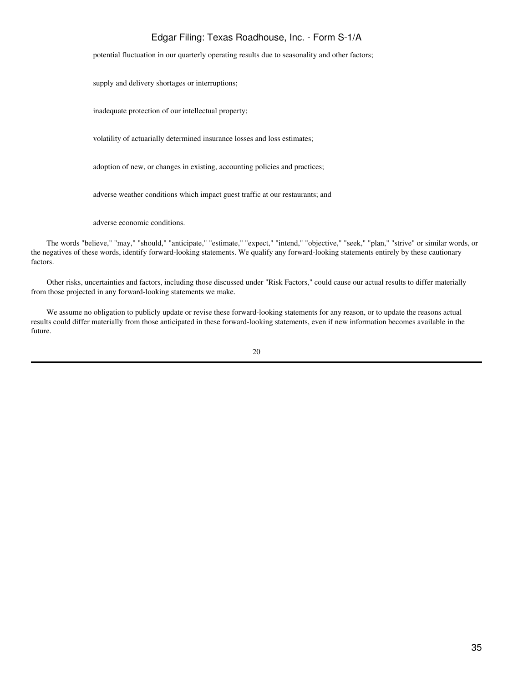potential fluctuation in our quarterly operating results due to seasonality and other factors;

supply and delivery shortages or interruptions;

inadequate protection of our intellectual property;

volatility of actuarially determined insurance losses and loss estimates;

adoption of new, or changes in existing, accounting policies and practices;

adverse weather conditions which impact guest traffic at our restaurants; and

adverse economic conditions.

 The words "believe," "may," "should," "anticipate," "estimate," "expect," "intend," "objective," "seek," "plan," "strive" or similar words, or the negatives of these words, identify forward-looking statements. We qualify any forward-looking statements entirely by these cautionary factors.

 Other risks, uncertainties and factors, including those discussed under "Risk Factors," could cause our actual results to differ materially from those projected in any forward-looking statements we make.

 We assume no obligation to publicly update or revise these forward-looking statements for any reason, or to update the reasons actual results could differ materially from those anticipated in these forward-looking statements, even if new information becomes available in the future.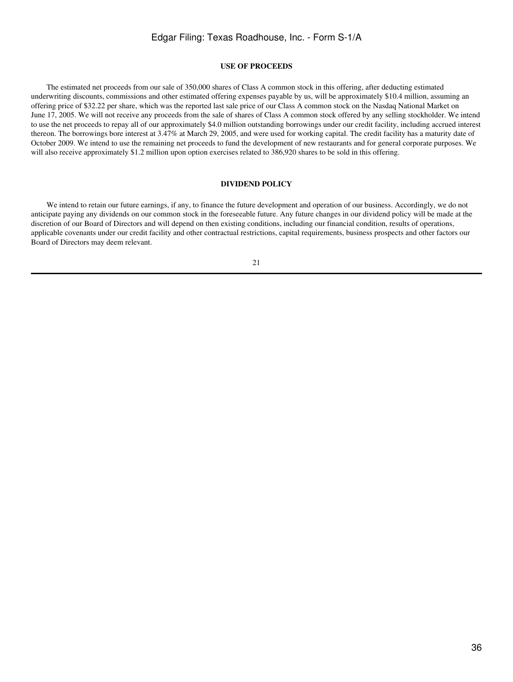### **USE OF PROCEEDS**

 The estimated net proceeds from our sale of 350,000 shares of Class A common stock in this offering, after deducting estimated underwriting discounts, commissions and other estimated offering expenses payable by us, will be approximately \$10.4 million, assuming an offering price of \$32.22 per share, which was the reported last sale price of our Class A common stock on the Nasdaq National Market on June 17, 2005. We will not receive any proceeds from the sale of shares of Class A common stock offered by any selling stockholder. We intend to use the net proceeds to repay all of our approximately \$4.0 million outstanding borrowings under our credit facility, including accrued interest thereon. The borrowings bore interest at 3.47% at March 29, 2005, and were used for working capital. The credit facility has a maturity date of October 2009. We intend to use the remaining net proceeds to fund the development of new restaurants and for general corporate purposes. We will also receive approximately \$1.2 million upon option exercises related to 386,920 shares to be sold in this offering.

### **DIVIDEND POLICY**

We intend to retain our future earnings, if any, to finance the future development and operation of our business. Accordingly, we do not anticipate paying any dividends on our common stock in the foreseeable future. Any future changes in our dividend policy will be made at the discretion of our Board of Directors and will depend on then existing conditions, including our financial condition, results of operations, applicable covenants under our credit facility and other contractual restrictions, capital requirements, business prospects and other factors our Board of Directors may deem relevant.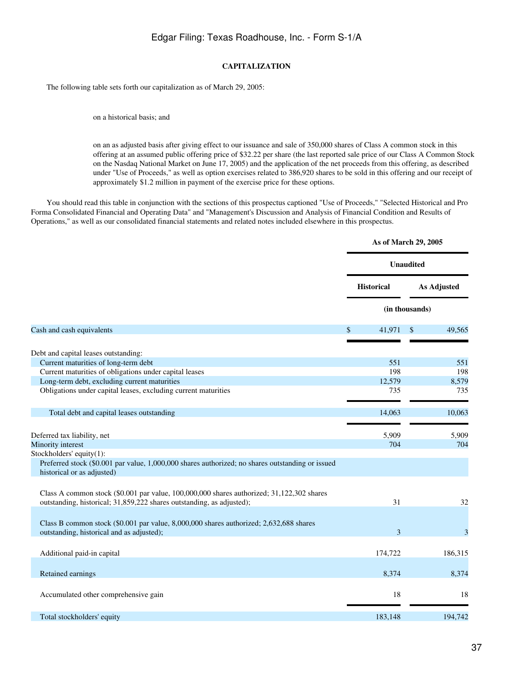### **CAPITALIZATION**

The following table sets forth our capitalization as of March 29, 2005:

on a historical basis; and

on an as adjusted basis after giving effect to our issuance and sale of 350,000 shares of Class A common stock in this offering at an assumed public offering price of \$32.22 per share (the last reported sale price of our Class A Common Stock on the Nasdaq National Market on June 17, 2005) and the application of the net proceeds from this offering, as described under "Use of Proceeds," as well as option exercises related to 386,920 shares to be sold in this offering and our receipt of approximately \$1.2 million in payment of the exercise price for these options.

 You should read this table in conjunction with the sections of this prospectus captioned "Use of Proceeds," "Selected Historical and Pro Forma Consolidated Financial and Operating Data" and "Management's Discussion and Analysis of Financial Condition and Results of Operations," as well as our consolidated financial statements and related notes included elsewhere in this prospectus.

|                                                                                                                                                                    |                   | As of March 29, 2005   |
|--------------------------------------------------------------------------------------------------------------------------------------------------------------------|-------------------|------------------------|
|                                                                                                                                                                    |                   | <b>Unaudited</b>       |
|                                                                                                                                                                    | <b>Historical</b> | <b>As Adjusted</b>     |
|                                                                                                                                                                    |                   | (in thousands)         |
| Cash and cash equivalents                                                                                                                                          | \$<br>41,971      | 49,565<br>$\mathbb{S}$ |
| Debt and capital leases outstanding:                                                                                                                               |                   |                        |
| Current maturities of long-term debt                                                                                                                               | 551               | 551                    |
| Current maturities of obligations under capital leases                                                                                                             | 198               | 198                    |
| Long-term debt, excluding current maturities                                                                                                                       | 12,579            | 8,579                  |
| Obligations under capital leases, excluding current maturities                                                                                                     | 735               | 735                    |
| Total debt and capital leases outstanding                                                                                                                          | 14,063            | 10,063                 |
|                                                                                                                                                                    |                   |                        |
| Deferred tax liability, net                                                                                                                                        | 5,909             | 5,909                  |
| Minority interest                                                                                                                                                  | 704               | 704                    |
| Stockholders' equity(1):<br>Preferred stock (\$0.001 par value, 1,000,000 shares authorized; no shares outstanding or issued<br>historical or as adjusted)         |                   |                        |
| Class A common stock (\$0.001 par value, 100,000,000 shares authorized; 31,122,302 shares<br>outstanding, historical; 31,859,222 shares outstanding, as adjusted); | 31                | 32                     |
| Class B common stock (\$0.001 par value, 8,000,000 shares authorized; 2,632,688 shares<br>outstanding, historical and as adjusted);                                | 3                 | 3                      |
| Additional paid-in capital                                                                                                                                         | 174,722           | 186,315                |
| Retained earnings                                                                                                                                                  | 8,374             | 8,374                  |
| Accumulated other comprehensive gain                                                                                                                               | 18                | 18                     |
| Total stockholders' equity                                                                                                                                         | 183,148           | 194,742                |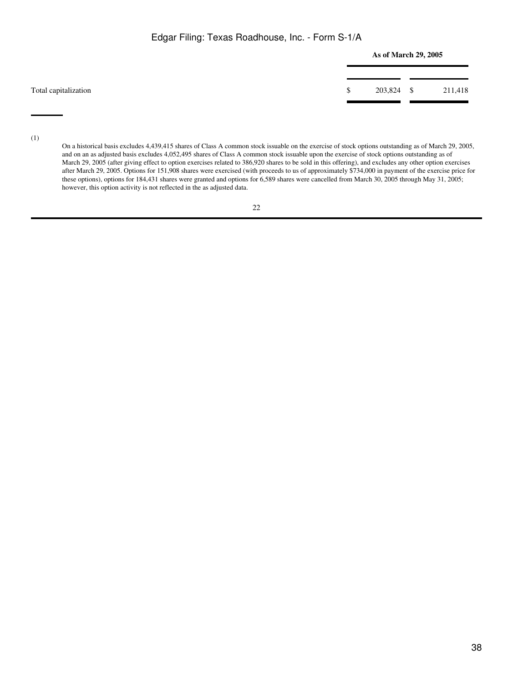|                      |    | As of March 29, 2005 |         |
|----------------------|----|----------------------|---------|
| Total capitalization | S. | 203,824 \$           | 211,418 |
|                      |    |                      |         |

(1)

On a historical basis excludes 4,439,415 shares of Class A common stock issuable on the exercise of stock options outstanding as of March 29, 2005, and on an as adjusted basis excludes 4,052,495 shares of Class A common stock issuable upon the exercise of stock options outstanding as of March 29, 2005 (after giving effect to option exercises related to 386,920 shares to be sold in this offering), and excludes any other option exercises after March 29, 2005. Options for 151,908 shares were exercised (with proceeds to us of approximately \$734,000 in payment of the exercise price for these options), options for 184,431 shares were granted and options for 6,589 shares were cancelled from March 30, 2005 through May 31, 2005; however, this option activity is not reflected in the as adjusted data.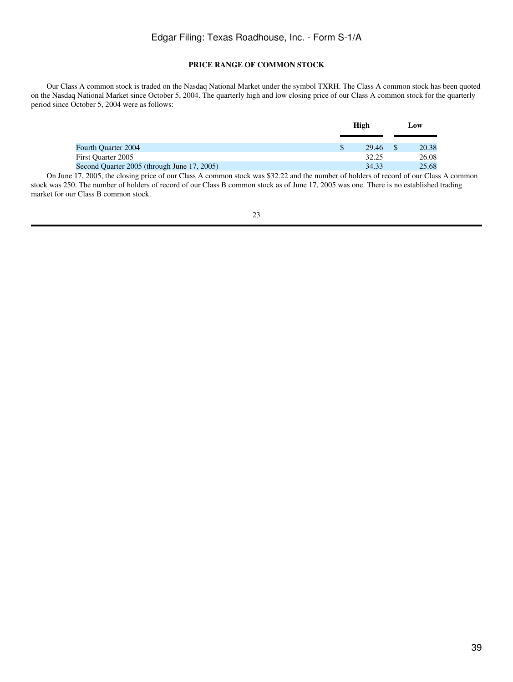## **PRICE RANGE OF COMMON STOCK**

 Our Class A common stock is traded on the Nasdaq National Market under the symbol TXRH. The Class A common stock has been quoted on the Nasdaq National Market since October 5, 2004. The quarterly high and low closing price of our Class A common stock for the quarterly period since October 5, 2004 were as follows:

|                                                                                                                                                                                                                                                                                                                                                                                                                                                                                                                               |   | High                           | Low    |
|-------------------------------------------------------------------------------------------------------------------------------------------------------------------------------------------------------------------------------------------------------------------------------------------------------------------------------------------------------------------------------------------------------------------------------------------------------------------------------------------------------------------------------|---|--------------------------------|--------|
|                                                                                                                                                                                                                                                                                                                                                                                                                                                                                                                               |   |                                |        |
| <b>Fourth Quarter 2004</b>                                                                                                                                                                                                                                                                                                                                                                                                                                                                                                    |   | 29.46                          | 20.38  |
| First Ouarter 2005                                                                                                                                                                                                                                                                                                                                                                                                                                                                                                            |   | 32.25                          | 26.08  |
| Second Quarter 2005 (through June 17, 2005)                                                                                                                                                                                                                                                                                                                                                                                                                                                                                   |   | 34.33                          | 25.68  |
| $\sim$ $\sim$ $\sim$<br>$\mathbf{a} = \mathbf{a} \times \mathbf{a} = \mathbf{a} \times \mathbf{a} = \mathbf{a} \times \mathbf{a} \times \mathbf{a} = \mathbf{a} \times \mathbf{a} \times \mathbf{a} \times \mathbf{a} \times \mathbf{a} \times \mathbf{a} \times \mathbf{a} \times \mathbf{a} \times \mathbf{a} \times \mathbf{a} \times \mathbf{a} \times \mathbf{a} \times \mathbf{a} \times \mathbf{a} \times \mathbf{a} \times \mathbf{a} \times \mathbf{a} \times \mathbf{a} \times \mathbf{a} \times \mathbf{a} \times$ | . | $\sim$ $\sim$ $\sim$<br>$\sim$ | $\sim$ |

 On June 17, 2005, the closing price of our Class A common stock was \$32.22 and the number of holders of record of our Class A common stock was 250. The number of holders of record of our Class B common stock as of June 17, 2005 was one. There is no established trading market for our Class B common stock.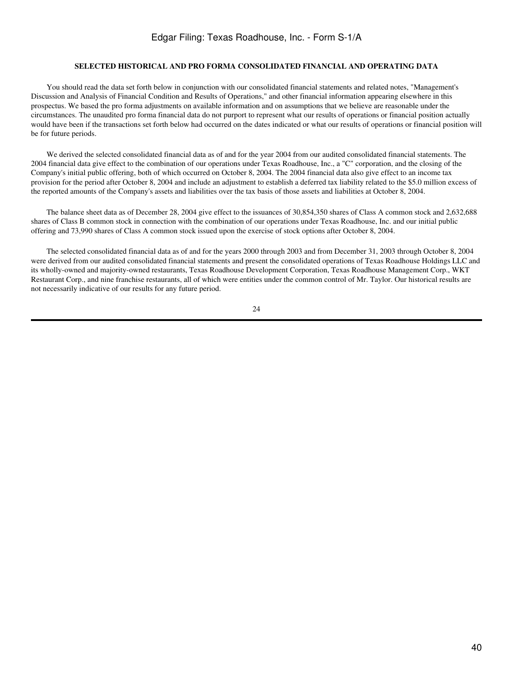### **SELECTED HISTORICAL AND PRO FORMA CONSOLIDATED FINANCIAL AND OPERATING DATA**

 You should read the data set forth below in conjunction with our consolidated financial statements and related notes, "Management's Discussion and Analysis of Financial Condition and Results of Operations," and other financial information appearing elsewhere in this prospectus. We based the pro forma adjustments on available information and on assumptions that we believe are reasonable under the circumstances. The unaudited pro forma financial data do not purport to represent what our results of operations or financial position actually would have been if the transactions set forth below had occurred on the dates indicated or what our results of operations or financial position will be for future periods.

 We derived the selected consolidated financial data as of and for the year 2004 from our audited consolidated financial statements. The 2004 financial data give effect to the combination of our operations under Texas Roadhouse, Inc., a "C" corporation, and the closing of the Company's initial public offering, both of which occurred on October 8, 2004. The 2004 financial data also give effect to an income tax provision for the period after October 8, 2004 and include an adjustment to establish a deferred tax liability related to the \$5.0 million excess of the reported amounts of the Company's assets and liabilities over the tax basis of those assets and liabilities at October 8, 2004.

 The balance sheet data as of December 28, 2004 give effect to the issuances of 30,854,350 shares of Class A common stock and 2,632,688 shares of Class B common stock in connection with the combination of our operations under Texas Roadhouse, Inc. and our initial public offering and 73,990 shares of Class A common stock issued upon the exercise of stock options after October 8, 2004.

 The selected consolidated financial data as of and for the years 2000 through 2003 and from December 31, 2003 through October 8, 2004 were derived from our audited consolidated financial statements and present the consolidated operations of Texas Roadhouse Holdings LLC and its wholly-owned and majority-owned restaurants, Texas Roadhouse Development Corporation, Texas Roadhouse Management Corp., WKT Restaurant Corp., and nine franchise restaurants, all of which were entities under the common control of Mr. Taylor. Our historical results are not necessarily indicative of our results for any future period.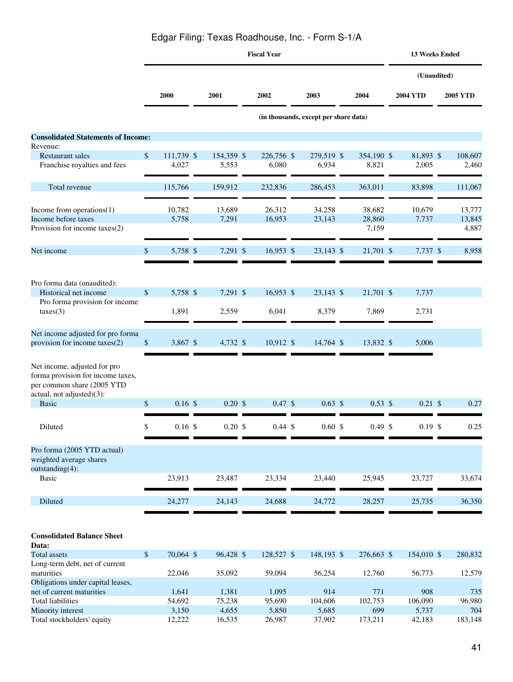|                                                                                                                              |              | <b>Fiscal Year</b> |  |                   |  |                    |  |                                       | <b>13 Weeks Ended</b> |  |                   |  |                 |
|------------------------------------------------------------------------------------------------------------------------------|--------------|--------------------|--|-------------------|--|--------------------|--|---------------------------------------|-----------------------|--|-------------------|--|-----------------|
|                                                                                                                              |              |                    |  |                   |  |                    |  |                                       |                       |  | (Unaudited)       |  |                 |
|                                                                                                                              |              | 2000               |  | 2001              |  | 2002               |  | 2003                                  | 2004                  |  | <b>2004 YTD</b>   |  | <b>2005 YTD</b> |
|                                                                                                                              |              |                    |  |                   |  |                    |  | (in thousands, except per share data) |                       |  |                   |  |                 |
| <b>Consolidated Statements of Income:</b><br>Revenue:                                                                        |              |                    |  |                   |  |                    |  |                                       |                       |  |                   |  |                 |
| <b>Restaurant sales</b>                                                                                                      | $\mathbb{S}$ | 111,739 \$         |  | 154,359 \$        |  | 226,756 \$         |  | 279,519 \$                            | 354,190 \$            |  | 81,893 \$         |  | 108,607         |
| Franchise royalties and fees                                                                                                 |              | 4,027              |  | 5,553             |  | 6,080              |  | 6,934                                 | 8,821                 |  | 2,005             |  | 2,460           |
| Total revenue                                                                                                                |              | 115,766            |  | 159,912           |  | 232,836            |  | 286,453                               | 363,011               |  | 83,898            |  | 111,067         |
| Income from operations $(1)$                                                                                                 |              | 10,782             |  | 13,689            |  | 26,312             |  | 34,258                                | 38,682                |  | 10,679            |  | 13,777          |
| Income before taxes                                                                                                          |              | 5,758              |  | 7,291             |  | 16,953             |  | 23,143                                | 28,860                |  | 7,737             |  | 13,845          |
| Provision for income taxes(2)                                                                                                |              |                    |  |                   |  |                    |  |                                       | 7,159                 |  |                   |  | 4,887           |
| Net income                                                                                                                   | \$           | 5,758 \$           |  | 7,291 \$          |  | 16,953 \$          |  | 23,143 \$                             | 21,701 \$             |  | 7,737 \$          |  | 8,958           |
|                                                                                                                              |              |                    |  |                   |  |                    |  |                                       |                       |  |                   |  |                 |
| Pro forma data (unaudited):<br>Historical net income                                                                         | \$           | 5,758 \$           |  | $7,291$ \$        |  | $16,953$ \$        |  | 23,143 \$                             | 21,701 \$             |  | 7,737             |  |                 |
| Pro forma provision for income                                                                                               |              |                    |  |                   |  |                    |  |                                       |                       |  |                   |  |                 |
| $\text{taxes}(3)$                                                                                                            |              | 1,891              |  | 2,559             |  | 6,041              |  | 8,379                                 | 7,869                 |  | 2,731             |  |                 |
| Net income adjusted for pro forma<br>provision for income taxes(2)                                                           | \$           | 3,867 \$           |  | 4,732 \$          |  | $10,912$ \$        |  | 14,764 \$                             | 13,832 \$             |  | 5,006             |  |                 |
| Net income, adjusted for pro<br>forma provision for income taxes,<br>per common share (2005 YTD<br>actual, not adjusted)(3): |              |                    |  |                   |  |                    |  |                                       |                       |  |                   |  |                 |
| <b>Basic</b>                                                                                                                 | \$           | $0.16$ \$          |  | $0.20~\text{\AA}$ |  | $0.47 \text{ }$ \$ |  | $0.63~\text{\AA}$                     | $0.53 \text{ }$ \$    |  | $0.21~\text{\AA}$ |  | 0.27            |
| Diluted                                                                                                                      | \$           | $0.16$ \$          |  | $0.20~\text{\AA}$ |  | $0.44 \text{ } $$  |  | 0.60~\$                               | $0.49$ \$             |  | $0.19$ \$         |  | 0.25            |
| Pro forma (2005 YTD actual)<br>weighted average shares<br>outstanding(4):                                                    |              |                    |  |                   |  |                    |  |                                       |                       |  |                   |  |                 |
| <b>Basic</b>                                                                                                                 |              | 23,913             |  | 23,487            |  | 23,334             |  | 23,440                                | 25,945                |  | 23,727            |  | 33,674          |
| Diluted                                                                                                                      |              | 24,277             |  | 24,143            |  | 24,688             |  | 24,772                                | 28,257                |  | 25,735            |  | 36,350          |
| <b>Consolidated Balance Sheet</b><br>Data:                                                                                   |              |                    |  |                   |  |                    |  |                                       |                       |  |                   |  |                 |
| <b>Total</b> assets                                                                                                          | \$           | 70,064 \$          |  | 96,428 \$         |  | 128,527 \$         |  | 148,193 \$                            | 276,663 \$            |  | 154,010 \$        |  | 280,832         |
| Long-term debt, net of current                                                                                               |              |                    |  |                   |  |                    |  |                                       |                       |  |                   |  |                 |
| maturities                                                                                                                   |              | 22,046             |  | 35,092            |  | 59,094             |  | 56,254                                | 12,760                |  | 56,773            |  | 12,579          |
| Obligations under capital leases,<br>net of current maturities                                                               |              | 1,641              |  | 1,381             |  | 1,095              |  | 914                                   | 771                   |  | 908               |  | 735             |
| <b>Total liabilities</b>                                                                                                     |              | 54,692             |  | 75,238            |  | 95,690             |  | 104,606                               | 102,753               |  | 106,090           |  | 96,980          |
| Minority interest                                                                                                            |              | 3,150              |  | 4,655             |  | 5,850              |  | 5,685                                 | 699                   |  | 5,737             |  | 704             |

Minority interest 3,150 4,655 5,850 5,685 699 5,737 704<br>Total stockholders' equity 12,222 16,535 26,987 37,902 173,211 42,183 183,148

Total stockholders' equity 12,222 16,535 26,987 37,902 173,211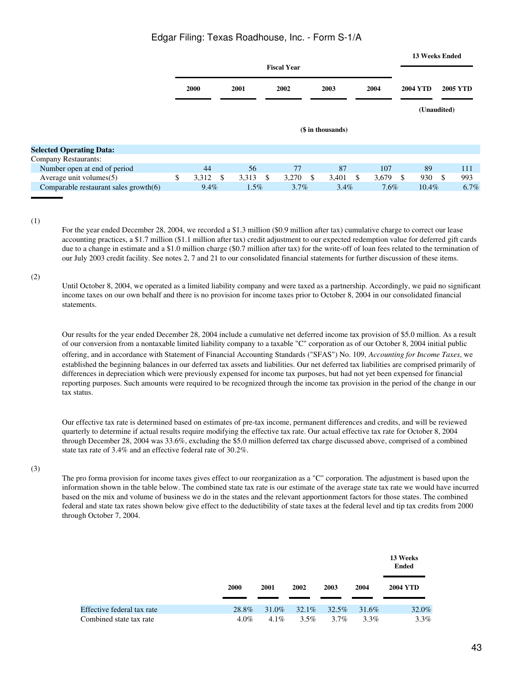|                                          |                |         |               |                    |               |                   |               |            | <b>13 Weeks Ended</b> |    |                 |
|------------------------------------------|----------------|---------|---------------|--------------------|---------------|-------------------|---------------|------------|-----------------------|----|-----------------|
|                                          |                |         |               | <b>Fiscal Year</b> |               |                   |               |            |                       |    |                 |
|                                          | 2000           | 2001    |               | 2002               |               | 2003              |               | 2004       | <b>2004 YTD</b>       |    | <b>2005 YTD</b> |
|                                          |                |         |               |                    |               |                   |               |            | (Unaudited)           |    |                 |
|                                          |                |         |               |                    |               | (\$ in thousands) |               |            |                       |    |                 |
| <b>Selected Operating Data:</b>          |                |         |               |                    |               |                   |               |            |                       |    |                 |
| Company Restaurants:                     |                |         |               |                    |               |                   |               |            |                       |    |                 |
| Number open at end of period             | 44             | 56      |               | 77                 |               | 87                |               | 107        | 89                    |    | 111             |
| Average unit volumes(5)                  | \$<br>3,312 \$ | 3,313   | $\mathcal{S}$ | 3,270              | <sup>\$</sup> | 3,401             | <sup>\$</sup> | $3,679$ \$ | 930                   | -S | 993             |
| Comparable restaurant sales growth $(6)$ | $9.4\%$        | $1.5\%$ |               | $3.7\%$            |               | $3.4\%$           |               | 7.6%       | $10.4\%$              |    | 6.7%            |

(1)

For the year ended December 28, 2004, we recorded a \$1.3 million (\$0.9 million after tax) cumulative charge to correct our lease accounting practices, a \$1.7 million (\$1.1 million after tax) credit adjustment to our expected redemption value for deferred gift cards due to a change in estimate and a \$1.0 million charge (\$0.7 million after tax) for the write-off of loan fees related to the termination of our July 2003 credit facility. See notes 2, 7 and 21 to our consolidated financial statements for further discussion of these items.

(2)

Until October 8, 2004, we operated as a limited liability company and were taxed as a partnership. Accordingly, we paid no significant income taxes on our own behalf and there is no provision for income taxes prior to October 8, 2004 in our consolidated financial statements.

Our results for the year ended December 28, 2004 include a cumulative net deferred income tax provision of \$5.0 million. As a result of our conversion from a nontaxable limited liability company to a taxable "C" corporation as of our October 8, 2004 initial public offering, and in accordance with Statement of Financial Accounting Standards ("SFAS") No. 109, *Accounting for Income Taxes*, we established the beginning balances in our deferred tax assets and liabilities. Our net deferred tax liabilities are comprised primarily of differences in depreciation which were previously expensed for income tax purposes, but had not yet been expensed for financial reporting purposes. Such amounts were required to be recognized through the income tax provision in the period of the change in our tax status.

Our effective tax rate is determined based on estimates of pre-tax income, permanent differences and credits, and will be reviewed quarterly to determine if actual results require modifying the effective tax rate. Our actual effective tax rate for October 8, 2004 through December 28, 2004 was 33.6%, excluding the \$5.0 million deferred tax charge discussed above, comprised of a combined state tax rate of 3.4% and an effective federal rate of 30.2%.

### (3)

The pro forma provision for income taxes gives effect to our reorganization as a "C" corporation. The adjustment is based upon the information shown in the table below. The combined state tax rate is our estimate of the average state tax rate we would have incurred based on the mix and volume of business we do in the states and the relevant apportionment factors for those states. The combined federal and state tax rates shown below give effect to the deductibility of state taxes at the federal level and tip tax credits from 2000 through October 7, 2004.

|                            |         |         |         |          |         | 13 Weeks<br>Ended |
|----------------------------|---------|---------|---------|----------|---------|-------------------|
|                            | 2000    | 2001    | 2002    | 2003     | 2004    | <b>2004 YTD</b>   |
| Effective federal tax rate | 28.8%   | 31.0%   | 32.1%   | $32.5\%$ | 31.6%   | 32.0%             |
| Combined state tax rate    | $4.0\%$ | $4.1\%$ | $3.5\%$ | $3.7\%$  | $3.3\%$ | 3.3%              |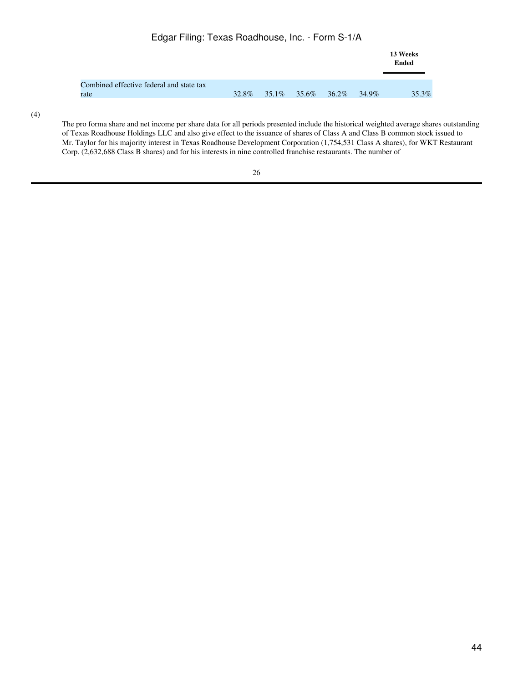|                                          |       |                            |  |          | 13 Weeks<br>Ended |
|------------------------------------------|-------|----------------------------|--|----------|-------------------|
| Combined effective federal and state tax |       |                            |  |          |                   |
| rate                                     | 32.8% | $35.1\%$ $35.6\%$ $36.2\%$ |  | $34.9\%$ | 35.3%             |

(4)

The pro forma share and net income per share data for all periods presented include the historical weighted average shares outstanding of Texas Roadhouse Holdings LLC and also give effect to the issuance of shares of Class A and Class B common stock issued to Mr. Taylor for his majority interest in Texas Roadhouse Development Corporation (1,754,531 Class A shares), for WKT Restaurant Corp. (2,632,688 Class B shares) and for his interests in nine controlled franchise restaurants. The number of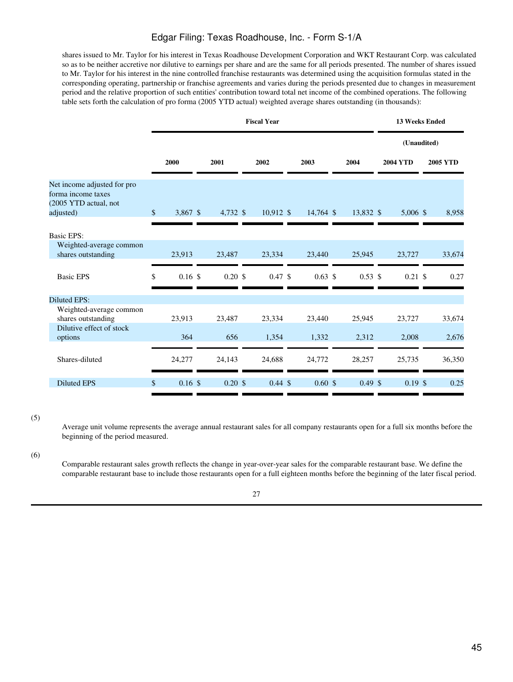shares issued to Mr. Taylor for his interest in Texas Roadhouse Development Corporation and WKT Restaurant Corp. was calculated so as to be neither accretive nor dilutive to earnings per share and are the same for all periods presented. The number of shares issued to Mr. Taylor for his interest in the nine controlled franchise restaurants was determined using the acquisition formulas stated in the corresponding operating, partnership or franchise agreements and varies during the periods presented due to changes in measurement period and the relative proportion of such entities' contribution toward total net income of the combined operations. The following table sets forth the calculation of pro forma (2005 YTD actual) weighted average shares outstanding (in thousands):

|                                                                                         | <b>Fiscal Year</b> |           |  |                    |  |                    |  | <b>13 Weeks Ended</b> |                    |                    |  |                 |
|-----------------------------------------------------------------------------------------|--------------------|-----------|--|--------------------|--|--------------------|--|-----------------------|--------------------|--------------------|--|-----------------|
|                                                                                         |                    |           |  |                    |  |                    |  | (Unaudited)           |                    |                    |  |                 |
|                                                                                         |                    | 2000      |  | 2001               |  | 2002               |  | 2003                  | 2004               | <b>2004 YTD</b>    |  | <b>2005 YTD</b> |
| Net income adjusted for pro<br>forma income taxes<br>(2005 YTD actual, not<br>adjusted) | $\mathbb{S}$       | 3,867 \$  |  | 4,732 \$           |  | $10,912$ \$        |  | 14,764 \$             | 13,832 \$          | 5,006 \$           |  | 8,958           |
| <b>Basic EPS:</b>                                                                       |                    |           |  |                    |  |                    |  |                       |                    |                    |  |                 |
| Weighted-average common<br>shares outstanding                                           |                    | 23,913    |  | 23,487             |  | 23,334             |  | 23,440                | 25,945             | 23,727             |  | 33,674          |
| <b>Basic EPS</b>                                                                        | \$                 | $0.16$ \$ |  | $0.20 \text{ }$ \$ |  | $0.47 \text{ }$ \$ |  | $0.63 \text{ }$ \$    | $0.53 \text{ }$ \$ | $0.21 \text{ }$ \$ |  | 0.27            |
| <b>Diluted EPS:</b>                                                                     |                    |           |  |                    |  |                    |  |                       |                    |                    |  |                 |
| Weighted-average common<br>shares outstanding                                           |                    | 23,913    |  | 23,487             |  | 23,334             |  | 23,440                | 25,945             | 23,727             |  | 33,674          |
| Dilutive effect of stock<br>options                                                     |                    | 364       |  | 656                |  | 1,354              |  | 1,332                 | 2,312              | 2,008              |  | 2,676           |
| Shares-diluted                                                                          |                    | 24,277    |  | 24,143             |  | 24,688             |  | 24,772                | 28,257             | 25,735             |  | 36,350          |
| <b>Diluted EPS</b>                                                                      | \$                 | $0.16$ \$ |  | 0.20~\$            |  | $0.44 \text{ }$ \$ |  | $0.60 \text{ }$ \$    | $0.49$ \$          | $0.19$ \$          |  | 0.25            |

(5)

Average unit volume represents the average annual restaurant sales for all company restaurants open for a full six months before the beginning of the period measured.

(6)

Comparable restaurant sales growth reflects the change in year-over-year sales for the comparable restaurant base. We define the comparable restaurant base to include those restaurants open for a full eighteen months before the beginning of the later fiscal period.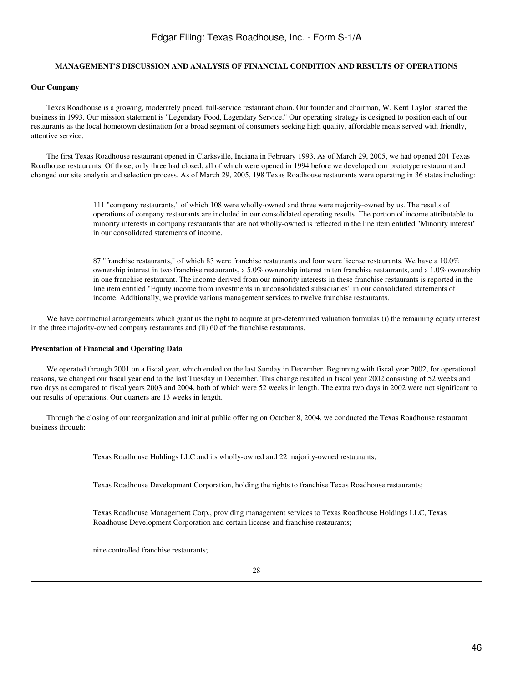### **MANAGEMENT'S DISCUSSION AND ANALYSIS OF FINANCIAL CONDITION AND RESULTS OF OPERATIONS**

#### **Our Company**

 Texas Roadhouse is a growing, moderately priced, full-service restaurant chain. Our founder and chairman, W. Kent Taylor, started the business in 1993. Our mission statement is "Legendary Food, Legendary Service." Our operating strategy is designed to position each of our restaurants as the local hometown destination for a broad segment of consumers seeking high quality, affordable meals served with friendly, attentive service.

 The first Texas Roadhouse restaurant opened in Clarksville, Indiana in February 1993. As of March 29, 2005, we had opened 201 Texas Roadhouse restaurants. Of those, only three had closed, all of which were opened in 1994 before we developed our prototype restaurant and changed our site analysis and selection process. As of March 29, 2005, 198 Texas Roadhouse restaurants were operating in 36 states including:

> 111 "company restaurants," of which 108 were wholly-owned and three were majority-owned by us. The results of operations of company restaurants are included in our consolidated operating results. The portion of income attributable to minority interests in company restaurants that are not wholly-owned is reflected in the line item entitled "Minority interest" in our consolidated statements of income.

87 "franchise restaurants," of which 83 were franchise restaurants and four were license restaurants. We have a 10.0% ownership interest in two franchise restaurants, a 5.0% ownership interest in ten franchise restaurants, and a 1.0% ownership in one franchise restaurant. The income derived from our minority interests in these franchise restaurants is reported in the line item entitled "Equity income from investments in unconsolidated subsidiaries" in our consolidated statements of income. Additionally, we provide various management services to twelve franchise restaurants.

We have contractual arrangements which grant us the right to acquire at pre-determined valuation formulas (i) the remaining equity interest in the three majority-owned company restaurants and (ii) 60 of the franchise restaurants.

#### **Presentation of Financial and Operating Data**

 We operated through 2001 on a fiscal year, which ended on the last Sunday in December. Beginning with fiscal year 2002, for operational reasons, we changed our fiscal year end to the last Tuesday in December. This change resulted in fiscal year 2002 consisting of 52 weeks and two days as compared to fiscal years 2003 and 2004, both of which were 52 weeks in length. The extra two days in 2002 were not significant to our results of operations. Our quarters are 13 weeks in length.

 Through the closing of our reorganization and initial public offering on October 8, 2004, we conducted the Texas Roadhouse restaurant business through:

Texas Roadhouse Holdings LLC and its wholly-owned and 22 majority-owned restaurants;

Texas Roadhouse Development Corporation, holding the rights to franchise Texas Roadhouse restaurants;

Texas Roadhouse Management Corp., providing management services to Texas Roadhouse Holdings LLC, Texas Roadhouse Development Corporation and certain license and franchise restaurants;

nine controlled franchise restaurants;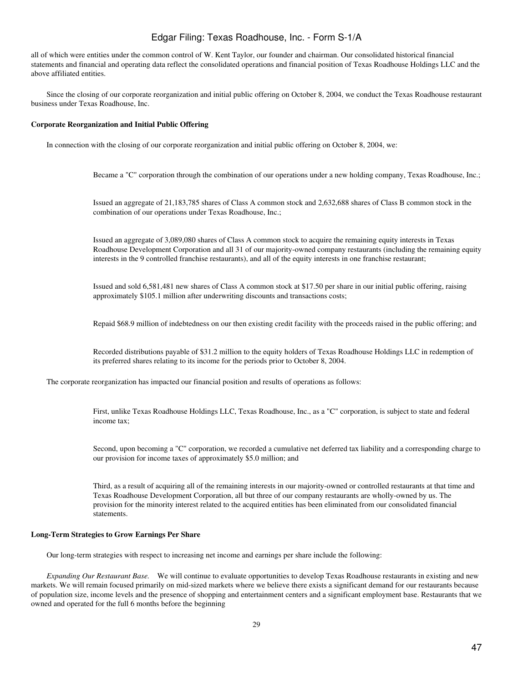all of which were entities under the common control of W. Kent Taylor, our founder and chairman. Our consolidated historical financial statements and financial and operating data reflect the consolidated operations and financial position of Texas Roadhouse Holdings LLC and the above affiliated entities.

 Since the closing of our corporate reorganization and initial public offering on October 8, 2004, we conduct the Texas Roadhouse restaurant business under Texas Roadhouse, Inc.

#### **Corporate Reorganization and Initial Public Offering**

In connection with the closing of our corporate reorganization and initial public offering on October 8, 2004, we:

Became a "C" corporation through the combination of our operations under a new holding company, Texas Roadhouse, Inc.;

Issued an aggregate of 21,183,785 shares of Class A common stock and 2,632,688 shares of Class B common stock in the combination of our operations under Texas Roadhouse, Inc.;

Issued an aggregate of 3,089,080 shares of Class A common stock to acquire the remaining equity interests in Texas Roadhouse Development Corporation and all 31 of our majority-owned company restaurants (including the remaining equity interests in the 9 controlled franchise restaurants), and all of the equity interests in one franchise restaurant;

Issued and sold 6,581,481 new shares of Class A common stock at \$17.50 per share in our initial public offering, raising approximately \$105.1 million after underwriting discounts and transactions costs;

Repaid \$68.9 million of indebtedness on our then existing credit facility with the proceeds raised in the public offering; and

Recorded distributions payable of \$31.2 million to the equity holders of Texas Roadhouse Holdings LLC in redemption of its preferred shares relating to its income for the periods prior to October 8, 2004.

The corporate reorganization has impacted our financial position and results of operations as follows:

First, unlike Texas Roadhouse Holdings LLC, Texas Roadhouse, Inc., as a "C" corporation, is subject to state and federal income tax;

Second, upon becoming a "C" corporation, we recorded a cumulative net deferred tax liability and a corresponding charge to our provision for income taxes of approximately \$5.0 million; and

Third, as a result of acquiring all of the remaining interests in our majority-owned or controlled restaurants at that time and Texas Roadhouse Development Corporation, all but three of our company restaurants are wholly-owned by us. The provision for the minority interest related to the acquired entities has been eliminated from our consolidated financial statements.

#### **Long-Term Strategies to Grow Earnings Per Share**

Our long-term strategies with respect to increasing net income and earnings per share include the following:

 *Expanding Our Restaurant Base.* We will continue to evaluate opportunities to develop Texas Roadhouse restaurants in existing and new markets. We will remain focused primarily on mid-sized markets where we believe there exists a significant demand for our restaurants because of population size, income levels and the presence of shopping and entertainment centers and a significant employment base. Restaurants that we owned and operated for the full 6 months before the beginning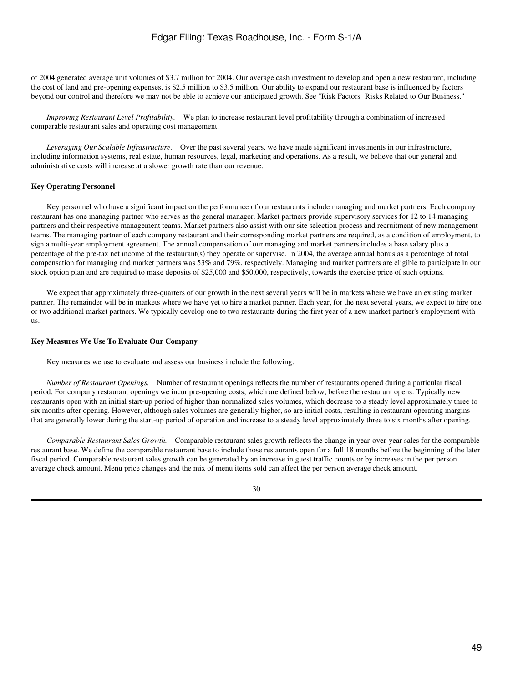of 2004 generated average unit volumes of \$3.7 million for 2004. Our average cash investment to develop and open a new restaurant, including the cost of land and pre-opening expenses, is \$2.5 million to \$3.5 million. Our ability to expand our restaurant base is influenced by factors beyond our control and therefore we may not be able to achieve our anticipated growth. See "Risk Factors Risks Related to Our Business."

 *Improving Restaurant Level Profitability.* We plan to increase restaurant level profitability through a combination of increased comparable restaurant sales and operating cost management.

 *Leveraging Our Scalable Infrastructure.* Over the past several years, we have made significant investments in our infrastructure, including information systems, real estate, human resources, legal, marketing and operations. As a result, we believe that our general and administrative costs will increase at a slower growth rate than our revenue.

#### **Key Operating Personnel**

 Key personnel who have a significant impact on the performance of our restaurants include managing and market partners. Each company restaurant has one managing partner who serves as the general manager. Market partners provide supervisory services for 12 to 14 managing partners and their respective management teams. Market partners also assist with our site selection process and recruitment of new management teams. The managing partner of each company restaurant and their corresponding market partners are required, as a condition of employment, to sign a multi-year employment agreement. The annual compensation of our managing and market partners includes a base salary plus a percentage of the pre-tax net income of the restaurant(s) they operate or supervise. In 2004, the average annual bonus as a percentage of total compensation for managing and market partners was 53% and 79%, respectively. Managing and market partners are eligible to participate in our stock option plan and are required to make deposits of \$25,000 and \$50,000, respectively, towards the exercise price of such options.

 We expect that approximately three-quarters of our growth in the next several years will be in markets where we have an existing market partner. The remainder will be in markets where we have yet to hire a market partner. Each year, for the next several years, we expect to hire one or two additional market partners. We typically develop one to two restaurants during the first year of a new market partner's employment with us.

### **Key Measures We Use To Evaluate Our Company**

Key measures we use to evaluate and assess our business include the following:

 *Number of Restaurant Openings.* Number of restaurant openings reflects the number of restaurants opened during a particular fiscal period. For company restaurant openings we incur pre-opening costs, which are defined below, before the restaurant opens. Typically new restaurants open with an initial start-up period of higher than normalized sales volumes, which decrease to a steady level approximately three to six months after opening. However, although sales volumes are generally higher, so are initial costs, resulting in restaurant operating margins that are generally lower during the start-up period of operation and increase to a steady level approximately three to six months after opening.

 *Comparable Restaurant Sales Growth.* Comparable restaurant sales growth reflects the change in year-over-year sales for the comparable restaurant base. We define the comparable restaurant base to include those restaurants open for a full 18 months before the beginning of the later fiscal period. Comparable restaurant sales growth can be generated by an increase in guest traffic counts or by increases in the per person average check amount. Menu price changes and the mix of menu items sold can affect the per person average check amount.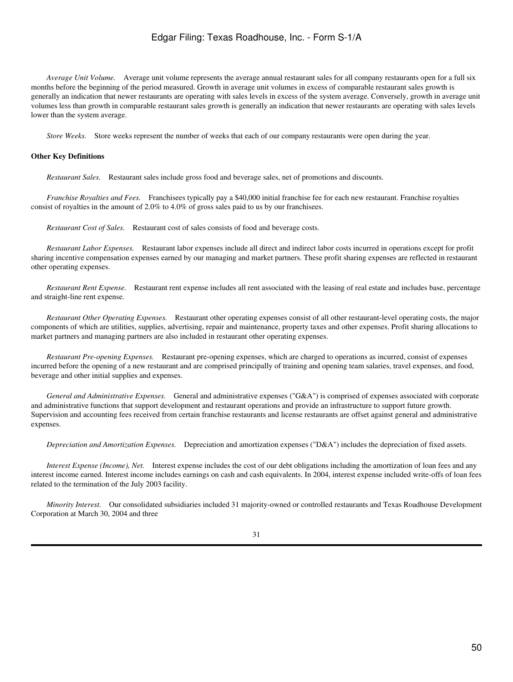*Average Unit Volume.* Average unit volume represents the average annual restaurant sales for all company restaurants open for a full six months before the beginning of the period measured. Growth in average unit volumes in excess of comparable restaurant sales growth is generally an indication that newer restaurants are operating with sales levels in excess of the system average. Conversely, growth in average unit volumes less than growth in comparable restaurant sales growth is generally an indication that newer restaurants are operating with sales levels lower than the system average.

 *Store Weeks.* Store weeks represent the number of weeks that each of our company restaurants were open during the year.

#### **Other Key Definitions**

 *Restaurant Sales.* Restaurant sales include gross food and beverage sales, net of promotions and discounts.

 *Franchise Royalties and Fees.* Franchisees typically pay a \$40,000 initial franchise fee for each new restaurant. Franchise royalties consist of royalties in the amount of 2.0% to 4.0% of gross sales paid to us by our franchisees.

 *Restaurant Cost of Sales.* Restaurant cost of sales consists of food and beverage costs.

 *Restaurant Labor Expenses.* Restaurant labor expenses include all direct and indirect labor costs incurred in operations except for profit sharing incentive compensation expenses earned by our managing and market partners. These profit sharing expenses are reflected in restaurant other operating expenses.

 *Restaurant Rent Expense.* Restaurant rent expense includes all rent associated with the leasing of real estate and includes base, percentage and straight-line rent expense.

 *Restaurant Other Operating Expenses.* Restaurant other operating expenses consist of all other restaurant-level operating costs, the major components of which are utilities, supplies, advertising, repair and maintenance, property taxes and other expenses. Profit sharing allocations to market partners and managing partners are also included in restaurant other operating expenses.

 *Restaurant Pre-opening Expenses.* Restaurant pre-opening expenses, which are charged to operations as incurred, consist of expenses incurred before the opening of a new restaurant and are comprised principally of training and opening team salaries, travel expenses, and food, beverage and other initial supplies and expenses.

 *General and Administrative Expenses.* General and administrative expenses ("G&A") is comprised of expenses associated with corporate and administrative functions that support development and restaurant operations and provide an infrastructure to support future growth. Supervision and accounting fees received from certain franchise restaurants and license restaurants are offset against general and administrative expenses.

 *Depreciation and Amortization Expenses.* Depreciation and amortization expenses ("D&A") includes the depreciation of fixed assets.

 *Interest Expense (Income), Net.* Interest expense includes the cost of our debt obligations including the amortization of loan fees and any interest income earned. Interest income includes earnings on cash and cash equivalents. In 2004, interest expense included write-offs of loan fees related to the termination of the July 2003 facility.

 *Minority Interest.* Our consolidated subsidiaries included 31 majority-owned or controlled restaurants and Texas Roadhouse Development Corporation at March 30, 2004 and three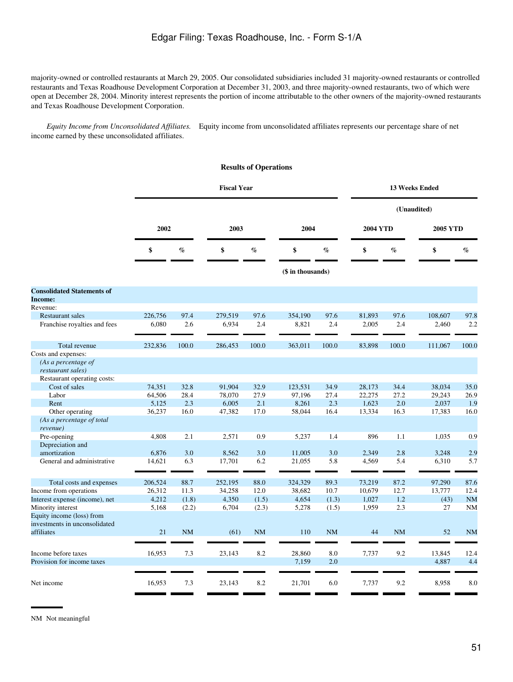majority-owned or controlled restaurants at March 29, 2005. Our consolidated subsidiaries included 31 majority-owned restaurants or controlled restaurants and Texas Roadhouse Development Corporation at December 31, 2003, and three majority-owned restaurants, two of which were open at December 28, 2004. Minority interest represents the portion of income attributable to the other owners of the majority-owned restaurants and Texas Roadhouse Development Corporation.

 *Equity Income from Unconsolidated Affiliates.* Equity income from unconsolidated affiliates represents our percentage share of net income earned by these unconsolidated affiliates.

|                                                     |         |       |                    | <b>Results of Operations</b> |                   |       |                 |           |                       |           |
|-----------------------------------------------------|---------|-------|--------------------|------------------------------|-------------------|-------|-----------------|-----------|-----------------------|-----------|
|                                                     |         |       | <b>Fiscal Year</b> |                              |                   |       |                 |           | <b>13 Weeks Ended</b> |           |
|                                                     |         |       |                    |                              |                   |       |                 |           | (Unaudited)           |           |
|                                                     | 2002    |       | 2003               |                              | 2004              |       | <b>2004 YTD</b> |           | <b>2005 YTD</b>       |           |
|                                                     | \$      | $\%$  | \$                 | $\%$                         | \$                | $\%$  | \$              | $\%$      | \$                    | $\%$      |
|                                                     |         |       |                    |                              | (\$ in thousands) |       |                 |           |                       |           |
| <b>Consolidated Statements of</b><br><b>Income:</b> |         |       |                    |                              |                   |       |                 |           |                       |           |
| Revenue:                                            |         |       |                    |                              |                   |       |                 |           |                       |           |
| <b>Restaurant sales</b>                             | 226,756 | 97.4  | 279,519            | 97.6                         | 354,190           | 97.6  | 81,893          | 97.6      | 108,607               | 97.8      |
| Franchise royalties and fees                        | 6,080   | 2.6   | 6,934              | 2.4                          | 8,821             | 2.4   | 2,005           | 2.4       | 2,460                 | 2.2       |
| Total revenue                                       | 232,836 | 100.0 | 286,453            | 100.0                        | 363,011           | 100.0 | 83,898          | 100.0     | 111,067               | 100.0     |
| Costs and expenses:                                 |         |       |                    |                              |                   |       |                 |           |                       |           |
| (As a percentage of<br>restaurant sales)            |         |       |                    |                              |                   |       |                 |           |                       |           |
| Restaurant operating costs:                         |         |       |                    |                              |                   |       |                 |           |                       |           |
| Cost of sales                                       | 74,351  | 32.8  | 91,904             | 32.9                         | 123,531           | 34.9  | 28,173          | 34.4      | 38,034                | 35.0      |
| Labor                                               | 64,506  | 28.4  | 78,070             | 27.9                         | 97,196            | 27.4  | 22,275          | 27.2      | 29,243                | 26.9      |
| Rent                                                | 5,125   | 2.3   | 6,005              | 2.1                          | 8,261             | 2.3   | 1,623           | 2.0       | 2,037                 | 1.9       |
| Other operating                                     | 36,237  | 16.0  | 47,382             | 17.0                         | 58,044            | 16.4  | 13,334          | 16.3      | 17,383                | 16.0      |
| (As a percentage of total<br>revenue)               |         |       |                    |                              |                   |       |                 |           |                       |           |
| Pre-opening                                         | 4,808   | 2.1   | 2,571              | 0.9                          | 5,237             | 1.4   | 896             | 1.1       | 1.035                 | 0.9       |
| Depreciation and                                    |         |       |                    |                              |                   |       |                 |           |                       |           |
| amortization                                        | 6,876   | 3.0   | 8,562              | 3.0                          | 11,005            | 3.0   | 2,349           | 2.8       | 3,248                 | 2.9       |
| General and administrative                          | 14,621  | 6.3   | 17,701             | 6.2                          | 21,055            | 5.8   | 4,569           | 5.4       | 6,310                 | 5.7       |
| Total costs and expenses                            | 206,524 | 88.7  | 252,195            | 88.0                         | 324,329           | 89.3  | 73,219          | 87.2      | 97,290                | 87.6      |
| Income from operations                              | 26,312  | 11.3  | 34,258             | 12.0                         | 38,682            | 10.7  | 10,679          | 12.7      | 13,777                | 12.4      |
| Interest expense (income), net                      | 4,212   | (1.8) | 4,350              | (1.5)                        | 4,654             | (1.3) | 1,027           | 1.2       | (43)                  | <b>NM</b> |
| Minority interest                                   | 5,168   | (2.2) | 6,704              | (2.3)                        | 5,278             | (1.5) | 1,959           | 2.3       | 27                    | <b>NM</b> |
| Equity income (loss) from                           |         |       |                    |                              |                   |       |                 |           |                       |           |
| investments in unconsolidated<br>affiliates         | 21      | NM    | (61)               | <b>NM</b>                    | 110               | NM    | 44              | <b>NM</b> | 52                    | <b>NM</b> |
|                                                     |         |       |                    |                              |                   |       |                 |           |                       |           |
| Income before taxes                                 | 16,953  | 7.3   | 23,143             | 8.2                          | 28,860            | 8.0   | 7,737           | 9.2       | 13,845                | 12.4      |
| Provision for income taxes                          |         |       |                    |                              | 7,159             | 2.0   |                 |           | 4,887                 | 4.4       |
| Net income                                          | 16,953  | 7.3   | 23,143             | 8.2                          | 21,701            | 6.0   | 7,737           | 9.2       | 8,958                 | 8.0       |

NM Not meaningful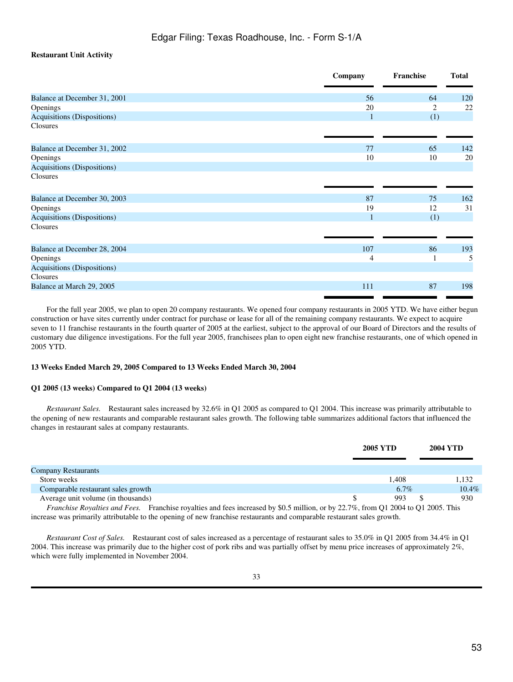## **Restaurant Unit Activity**

|                              | Company      | Franchise      | <b>Total</b> |
|------------------------------|--------------|----------------|--------------|
|                              |              |                |              |
| Balance at December 31, 2001 | 56           | 64             | 120          |
| Openings                     | 20           | $\overline{c}$ | 22           |
| Acquisitions (Dispositions)  | $\mathbf{1}$ | (1)            |              |
| Closures                     |              |                |              |
|                              |              |                |              |
| Balance at December 31, 2002 | 77           | 65             | 142          |
| Openings                     | 10           | 10             | 20           |
| Acquisitions (Dispositions)  |              |                |              |
| Closures                     |              |                |              |
|                              |              |                |              |
| Balance at December 30, 2003 | 87           | 75             | 162          |
| Openings                     | 19           | 12             | 31           |
| Acquisitions (Dispositions)  |              | (1)            |              |
| Closures                     |              |                |              |
|                              |              |                |              |
| Balance at December 28, 2004 | 107          | 86             | 193          |
| Openings                     | 4            |                | 5            |
| Acquisitions (Dispositions)  |              |                |              |
| Closures                     |              |                |              |
| Balance at March 29, 2005    | 111          | 87             | 198          |
|                              |              |                |              |

 For the full year 2005, we plan to open 20 company restaurants. We opened four company restaurants in 2005 YTD. We have either begun construction or have sites currently under contract for purchase or lease for all of the remaining company restaurants. We expect to acquire seven to 11 franchise restaurants in the fourth quarter of 2005 at the earliest, subject to the approval of our Board of Directors and the results of customary due diligence investigations. For the full year 2005, franchisees plan to open eight new franchise restaurants, one of which opened in 2005 YTD.

#### **13 Weeks Ended March 29, 2005 Compared to 13 Weeks Ended March 30, 2004**

#### **Q1 2005 (13 weeks) Compared to Q1 2004 (13 weeks)**

 *Restaurant Sales.* Restaurant sales increased by 32.6% in Q1 2005 as compared to Q1 2004. This increase was primarily attributable to the opening of new restaurants and comparable restaurant sales growth. The following table summarizes additional factors that influenced the changes in restaurant sales at company restaurants.

|                                                                                                                                   | <b>2005 YTD</b> | <b>2004 YTD</b> |
|-----------------------------------------------------------------------------------------------------------------------------------|-----------------|-----------------|
|                                                                                                                                   |                 |                 |
| <b>Company Restaurants</b>                                                                                                        |                 |                 |
| Store weeks                                                                                                                       | 1.408           | 1.132           |
| Comparable restaurant sales growth                                                                                                | $6.7\%$         | $10.4\%$        |
| Average unit volume (in thousands)                                                                                                | 993             | 930             |
| Franchise Royalties and Fees. Franchise royalties and fees increased by \$0.5 million, or by 22.7%, from Q1 2004 to Q1 2005. This |                 |                 |

increase was primarily attributable to the opening of new franchise restaurants and comparable restaurant sales growth.

 *Restaurant Cost of Sales.* Restaurant cost of sales increased as a percentage of restaurant sales to 35.0% in Q1 2005 from 34.4% in Q1 2004. This increase was primarily due to the higher cost of pork ribs and was partially offset by menu price increases of approximately 2%, which were fully implemented in November 2004.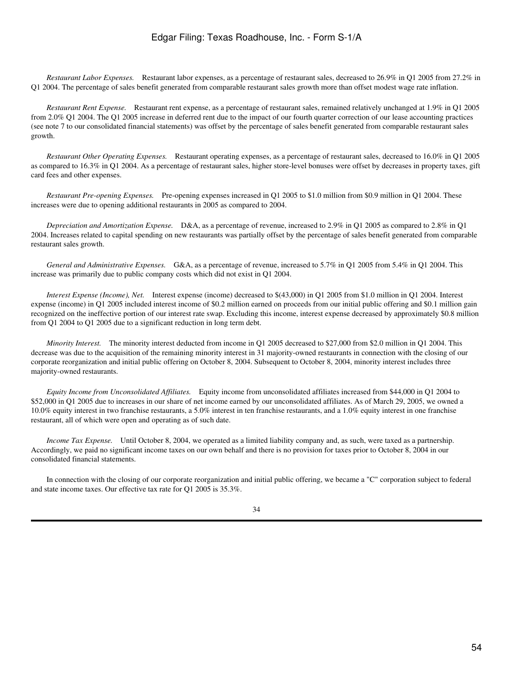*Restaurant Labor Expenses.* Restaurant labor expenses, as a percentage of restaurant sales, decreased to 26.9% in Q1 2005 from 27.2% in Q1 2004. The percentage of sales benefit generated from comparable restaurant sales growth more than offset modest wage rate inflation.

 *Restaurant Rent Expense.* Restaurant rent expense, as a percentage of restaurant sales, remained relatively unchanged at 1.9% in Q1 2005 from 2.0% Q1 2004. The Q1 2005 increase in deferred rent due to the impact of our fourth quarter correction of our lease accounting practices (see note 7 to our consolidated financial statements) was offset by the percentage of sales benefit generated from comparable restaurant sales growth.

 *Restaurant Other Operating Expenses.* Restaurant operating expenses, as a percentage of restaurant sales, decreased to 16.0% in Q1 2005 as compared to 16.3% in Q1 2004. As a percentage of restaurant sales, higher store-level bonuses were offset by decreases in property taxes, gift card fees and other expenses.

 *Restaurant Pre-opening Expenses.* Pre-opening expenses increased in Q1 2005 to \$1.0 million from \$0.9 million in Q1 2004. These increases were due to opening additional restaurants in 2005 as compared to 2004.

 *Depreciation and Amortization Expense.* D&A, as a percentage of revenue, increased to 2.9% in Q1 2005 as compared to 2.8% in Q1 2004. Increases related to capital spending on new restaurants was partially offset by the percentage of sales benefit generated from comparable restaurant sales growth.

 *General and Administrative Expenses.* G&A, as a percentage of revenue, increased to 5.7% in Q1 2005 from 5.4% in Q1 2004. This increase was primarily due to public company costs which did not exist in Q1 2004.

 *Interest Expense (Income), Net.* Interest expense (income) decreased to \$(43,000) in Q1 2005 from \$1.0 million in Q1 2004. Interest expense (income) in Q1 2005 included interest income of \$0.2 million earned on proceeds from our initial public offering and \$0.1 million gain recognized on the ineffective portion of our interest rate swap. Excluding this income, interest expense decreased by approximately \$0.8 million from Q1 2004 to Q1 2005 due to a significant reduction in long term debt.

 *Minority Interest.* The minority interest deducted from income in Q1 2005 decreased to \$27,000 from \$2.0 million in Q1 2004. This decrease was due to the acquisition of the remaining minority interest in 31 majority-owned restaurants in connection with the closing of our corporate reorganization and initial public offering on October 8, 2004. Subsequent to October 8, 2004, minority interest includes three majority-owned restaurants.

 *Equity Income from Unconsolidated Affiliates.* Equity income from unconsolidated affiliates increased from \$44,000 in Q1 2004 to \$52,000 in Q1 2005 due to increases in our share of net income earned by our unconsolidated affiliates. As of March 29, 2005, we owned a 10.0% equity interest in two franchise restaurants, a 5.0% interest in ten franchise restaurants, and a 1.0% equity interest in one franchise restaurant, all of which were open and operating as of such date.

 *Income Tax Expense.* Until October 8, 2004, we operated as a limited liability company and, as such, were taxed as a partnership. Accordingly, we paid no significant income taxes on our own behalf and there is no provision for taxes prior to October 8, 2004 in our consolidated financial statements.

 In connection with the closing of our corporate reorganization and initial public offering, we became a "C" corporation subject to federal and state income taxes. Our effective tax rate for Q1 2005 is 35.3%.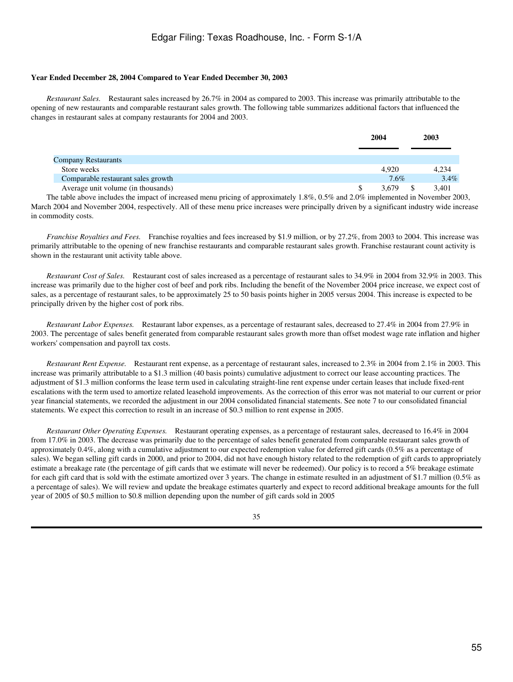### **Year Ended December 28, 2004 Compared to Year Ended December 30, 2003**

 *Restaurant Sales.* Restaurant sales increased by 26.7% in 2004 as compared to 2003. This increase was primarily attributable to the opening of new restaurants and comparable restaurant sales growth. The following table summarizes additional factors that influenced the changes in restaurant sales at company restaurants for 2004 and 2003.

|                                    | 2004 |         | 2003    |
|------------------------------------|------|---------|---------|
|                                    |      |         |         |
| <b>Company Restaurants</b>         |      |         |         |
| Store weeks                        |      | 4.920   | 4.234   |
| Comparable restaurant sales growth |      | $7.6\%$ | $3.4\%$ |
| Average unit volume (in thousands) |      | 3.679   | 3.401   |

 The table above includes the impact of increased menu pricing of approximately 1.8%, 0.5% and 2.0% implemented in November 2003, March 2004 and November 2004, respectively. All of these menu price increases were principally driven by a significant industry wide increase in commodity costs.

 *Franchise Royalties and Fees.* Franchise royalties and fees increased by \$1.9 million, or by 27.2%, from 2003 to 2004. This increase was primarily attributable to the opening of new franchise restaurants and comparable restaurant sales growth. Franchise restaurant count activity is shown in the restaurant unit activity table above.

 *Restaurant Cost of Sales.* Restaurant cost of sales increased as a percentage of restaurant sales to 34.9% in 2004 from 32.9% in 2003. This increase was primarily due to the higher cost of beef and pork ribs. Including the benefit of the November 2004 price increase, we expect cost of sales, as a percentage of restaurant sales, to be approximately 25 to 50 basis points higher in 2005 versus 2004. This increase is expected to be principally driven by the higher cost of pork ribs.

 *Restaurant Labor Expenses.* Restaurant labor expenses, as a percentage of restaurant sales, decreased to 27.4% in 2004 from 27.9% in 2003. The percentage of sales benefit generated from comparable restaurant sales growth more than offset modest wage rate inflation and higher workers' compensation and payroll tax costs.

 *Restaurant Rent Expense.* Restaurant rent expense, as a percentage of restaurant sales, increased to 2.3% in 2004 from 2.1% in 2003. This increase was primarily attributable to a \$1.3 million (40 basis points) cumulative adjustment to correct our lease accounting practices. The adjustment of \$1.3 million conforms the lease term used in calculating straight-line rent expense under certain leases that include fixed-rent escalations with the term used to amortize related leasehold improvements. As the correction of this error was not material to our current or prior year financial statements, we recorded the adjustment in our 2004 consolidated financial statements. See note 7 to our consolidated financial statements. We expect this correction to result in an increase of \$0.3 million to rent expense in 2005.

 *Restaurant Other Operating Expenses.* Restaurant operating expenses, as a percentage of restaurant sales, decreased to 16.4% in 2004 from 17.0% in 2003. The decrease was primarily due to the percentage of sales benefit generated from comparable restaurant sales growth of approximately 0.4%, along with a cumulative adjustment to our expected redemption value for deferred gift cards (0.5% as a percentage of sales). We began selling gift cards in 2000, and prior to 2004, did not have enough history related to the redemption of gift cards to appropriately estimate a breakage rate (the percentage of gift cards that we estimate will never be redeemed). Our policy is to record a 5% breakage estimate for each gift card that is sold with the estimate amortized over 3 years. The change in estimate resulted in an adjustment of \$1.7 million (0.5% as a percentage of sales). We will review and update the breakage estimates quarterly and expect to record additional breakage amounts for the full year of 2005 of \$0.5 million to \$0.8 million depending upon the number of gift cards sold in 2005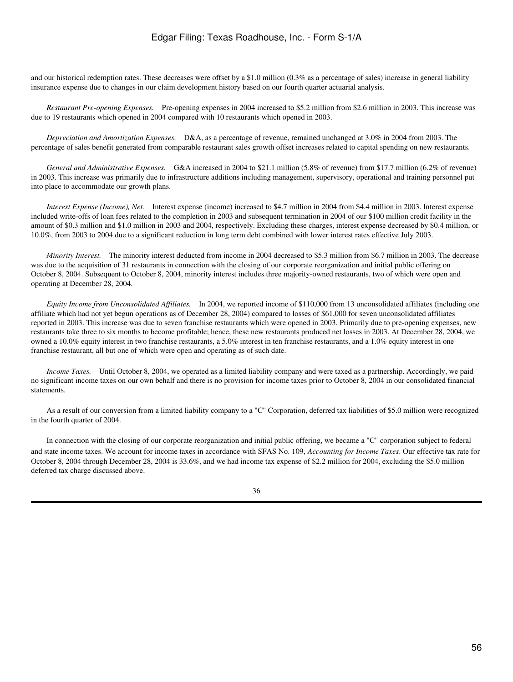and our historical redemption rates. These decreases were offset by a \$1.0 million (0.3% as a percentage of sales) increase in general liability insurance expense due to changes in our claim development history based on our fourth quarter actuarial analysis.

 *Restaurant Pre-opening Expenses.* Pre-opening expenses in 2004 increased to \$5.2 million from \$2.6 million in 2003. This increase was due to 19 restaurants which opened in 2004 compared with 10 restaurants which opened in 2003.

 *Depreciation and Amortization Expenses.* D&A, as a percentage of revenue, remained unchanged at 3.0% in 2004 from 2003. The percentage of sales benefit generated from comparable restaurant sales growth offset increases related to capital spending on new restaurants.

 *General and Administrative Expenses.* G&A increased in 2004 to \$21.1 million (5.8% of revenue) from \$17.7 million (6.2% of revenue) in 2003. This increase was primarily due to infrastructure additions including management, supervisory, operational and training personnel put into place to accommodate our growth plans.

 *Interest Expense (Income), Net.* Interest expense (income) increased to \$4.7 million in 2004 from \$4.4 million in 2003. Interest expense included write-offs of loan fees related to the completion in 2003 and subsequent termination in 2004 of our \$100 million credit facility in the amount of \$0.3 million and \$1.0 million in 2003 and 2004, respectively. Excluding these charges, interest expense decreased by \$0.4 million, or 10.0%, from 2003 to 2004 due to a significant reduction in long term debt combined with lower interest rates effective July 2003.

 *Minority Interest.* The minority interest deducted from income in 2004 decreased to \$5.3 million from \$6.7 million in 2003. The decrease was due to the acquisition of 31 restaurants in connection with the closing of our corporate reorganization and initial public offering on October 8, 2004. Subsequent to October 8, 2004, minority interest includes three majority-owned restaurants, two of which were open and operating at December 28, 2004.

 *Equity Income from Unconsolidated Affiliates.* In 2004, we reported income of \$110,000 from 13 unconsolidated affiliates (including one affiliate which had not yet begun operations as of December 28, 2004) compared to losses of \$61,000 for seven unconsolidated affiliates reported in 2003. This increase was due to seven franchise restaurants which were opened in 2003. Primarily due to pre-opening expenses, new restaurants take three to six months to become profitable; hence, these new restaurants produced net losses in 2003. At December 28, 2004, we owned a 10.0% equity interest in two franchise restaurants, a 5.0% interest in ten franchise restaurants, and a 1.0% equity interest in one franchise restaurant, all but one of which were open and operating as of such date.

 *Income Taxes.* Until October 8, 2004, we operated as a limited liability company and were taxed as a partnership. Accordingly, we paid no significant income taxes on our own behalf and there is no provision for income taxes prior to October 8, 2004 in our consolidated financial statements.

 As a result of our conversion from a limited liability company to a "C" Corporation, deferred tax liabilities of \$5.0 million were recognized in the fourth quarter of 2004.

 In connection with the closing of our corporate reorganization and initial public offering, we became a "C" corporation subject to federal and state income taxes. We account for income taxes in accordance with SFAS No. 109, *Accounting for Income Taxes*. Our effective tax rate for October 8, 2004 through December 28, 2004 is 33.6%, and we had income tax expense of \$2.2 million for 2004, excluding the \$5.0 million deferred tax charge discussed above.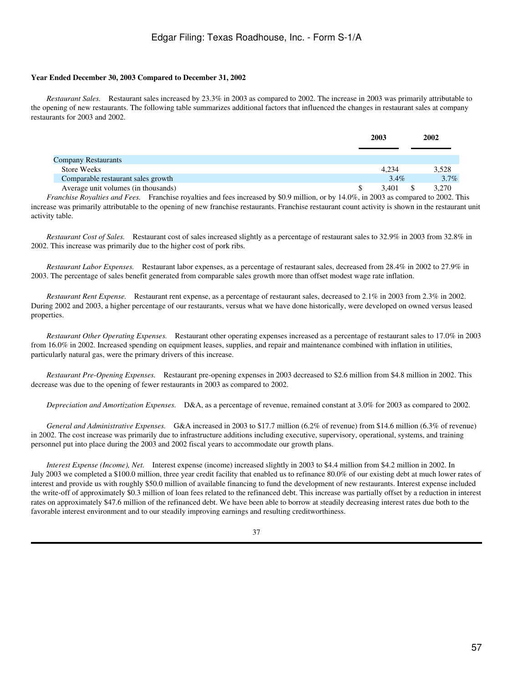### **Year Ended December 30, 2003 Compared to December 31, 2002**

 *Restaurant Sales.* Restaurant sales increased by 23.3% in 2003 as compared to 2002. The increase in 2003 was primarily attributable to the opening of new restaurants. The following table summarizes additional factors that influenced the changes in restaurant sales at company restaurants for 2003 and 2002.

|                                     | 2003    | 2002    |
|-------------------------------------|---------|---------|
|                                     |         |         |
| <b>Company Restaurants</b>          |         |         |
| <b>Store Weeks</b>                  | 4.234   | 3,528   |
| Comparable restaurant sales growth  | $3.4\%$ | $3.7\%$ |
| Average unit volumes (in thousands) | 3.401   | 3.270   |

*Franchise Royalties and Fees.* Franchise royalties and fees increased by \$0.9 million, or by 14.0%, in 2003 as compared to 2002. This increase was primarily attributable to the opening of new franchise restaurants. Franchise restaurant count activity is shown in the restaurant unit activity table.

 *Restaurant Cost of Sales.* Restaurant cost of sales increased slightly as a percentage of restaurant sales to 32.9% in 2003 from 32.8% in 2002. This increase was primarily due to the higher cost of pork ribs.

 *Restaurant Labor Expenses.* Restaurant labor expenses, as a percentage of restaurant sales, decreased from 28.4% in 2002 to 27.9% in 2003. The percentage of sales benefit generated from comparable sales growth more than offset modest wage rate inflation.

 *Restaurant Rent Expense.* Restaurant rent expense, as a percentage of restaurant sales, decreased to 2.1% in 2003 from 2.3% in 2002. During 2002 and 2003, a higher percentage of our restaurants, versus what we have done historically, were developed on owned versus leased properties.

 *Restaurant Other Operating Expenses.* Restaurant other operating expenses increased as a percentage of restaurant sales to 17.0% in 2003 from 16.0% in 2002. Increased spending on equipment leases, supplies, and repair and maintenance combined with inflation in utilities, particularly natural gas, were the primary drivers of this increase.

 *Restaurant Pre-Opening Expenses.* Restaurant pre-opening expenses in 2003 decreased to \$2.6 million from \$4.8 million in 2002. This decrease was due to the opening of fewer restaurants in 2003 as compared to 2002.

 *Depreciation and Amortization Expenses.* D&A, as a percentage of revenue, remained constant at 3.0% for 2003 as compared to 2002.

 *General and Administrative Expenses.* G&A increased in 2003 to \$17.7 million (6.2% of revenue) from \$14.6 million (6.3% of revenue) in 2002. The cost increase was primarily due to infrastructure additions including executive, supervisory, operational, systems, and training personnel put into place during the 2003 and 2002 fiscal years to accommodate our growth plans.

 *Interest Expense (Income), Net.* Interest expense (income) increased slightly in 2003 to \$4.4 million from \$4.2 million in 2002. In July 2003 we completed a \$100.0 million, three year credit facility that enabled us to refinance 80.0% of our existing debt at much lower rates of interest and provide us with roughly \$50.0 million of available financing to fund the development of new restaurants. Interest expense included the write-off of approximately \$0.3 million of loan fees related to the refinanced debt. This increase was partially offset by a reduction in interest rates on approximately \$47.6 million of the refinanced debt. We have been able to borrow at steadily decreasing interest rates due both to the favorable interest environment and to our steadily improving earnings and resulting creditworthiness.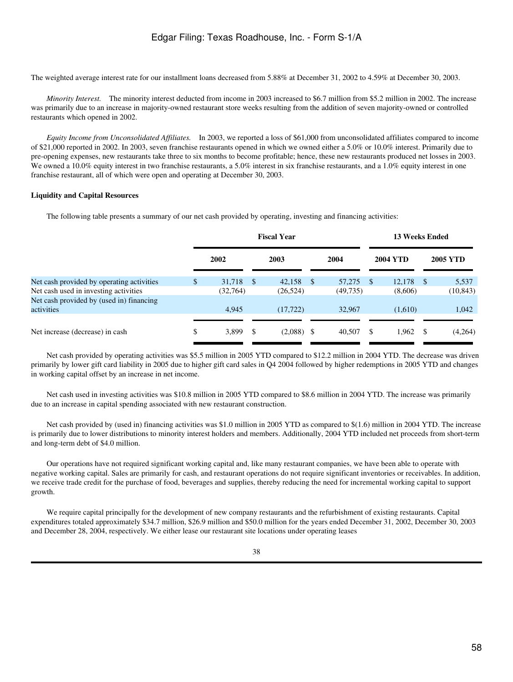The weighted average interest rate for our installment loans decreased from 5.88% at December 31, 2002 to 4.59% at December 30, 2003.

*Minority Interest.* The minority interest deducted from income in 2003 increased to \$6.7 million from \$5.2 million in 2002. The increase was primarily due to an increase in majority-owned restaurant store weeks resulting from the addition of seven majority-owned or controlled restaurants which opened in 2002.

 *Equity Income from Unconsolidated Affiliates.* In 2003, we reported a loss of \$61,000 from unconsolidated affiliates compared to income of \$21,000 reported in 2002. In 2003, seven franchise restaurants opened in which we owned either a 5.0% or 10.0% interest. Primarily due to pre-opening expenses, new restaurants take three to six months to become profitable; hence, these new restaurants produced net losses in 2003. We owned a 10.0% equity interest in two franchise restaurants, a 5.0% interest in six franchise restaurants, and a 1.0% equity interest in one franchise restaurant, all of which were open and operating at December 30, 2003.

### **Liquidity and Capital Resources**

The following table presents a summary of our net cash provided by operating, investing and financing activities:

|                                           | <b>Fiscal Year</b> |      |           |          | <b>13 Weeks Ended</b> |      |                 |   |                 |
|-------------------------------------------|--------------------|------|-----------|----------|-----------------------|------|-----------------|---|-----------------|
|                                           | 2002               |      | 2003      |          | 2004                  |      | <b>2004 YTD</b> |   | <b>2005 YTD</b> |
| Net cash provided by operating activities | \$<br>31,718       | - \$ | 42,158    | <b>S</b> | 57,275                | - \$ | $12.178$ \$     |   | 5,537           |
| Net cash used in investing activities     | (32, 764)          |      | (26, 524) |          | (49,735)              |      | (8,606)         |   | (10, 843)       |
| Net cash provided by (used in) financing  |                    |      |           |          |                       |      |                 |   |                 |
| activities                                | 4,945              |      | (17, 722) |          | 32,967                |      | (1,610)         |   | 1,042           |
|                                           |                    |      |           |          |                       |      |                 |   |                 |
| Net increase (decrease) in cash           | \$<br>3.899        | \$.  | (2,088)   | - \$     | 40,507                | S    | 1.962           | S | (4,264)         |

 Net cash provided by operating activities was \$5.5 million in 2005 YTD compared to \$12.2 million in 2004 YTD. The decrease was driven primarily by lower gift card liability in 2005 due to higher gift card sales in Q4 2004 followed by higher redemptions in 2005 YTD and changes in working capital offset by an increase in net income.

 Net cash used in investing activities was \$10.8 million in 2005 YTD compared to \$8.6 million in 2004 YTD. The increase was primarily due to an increase in capital spending associated with new restaurant construction.

Net cash provided by (used in) financing activities was \$1.0 million in 2005 YTD as compared to \$(1.6) million in 2004 YTD. The increase is primarily due to lower distributions to minority interest holders and members. Additionally, 2004 YTD included net proceeds from short-term and long-term debt of \$4.0 million.

 Our operations have not required significant working capital and, like many restaurant companies, we have been able to operate with negative working capital. Sales are primarily for cash, and restaurant operations do not require significant inventories or receivables. In addition, we receive trade credit for the purchase of food, beverages and supplies, thereby reducing the need for incremental working capital to support growth.

 We require capital principally for the development of new company restaurants and the refurbishment of existing restaurants. Capital expenditures totaled approximately \$34.7 million, \$26.9 million and \$50.0 million for the years ended December 31, 2002, December 30, 2003 and December 28, 2004, respectively. We either lease our restaurant site locations under operating leases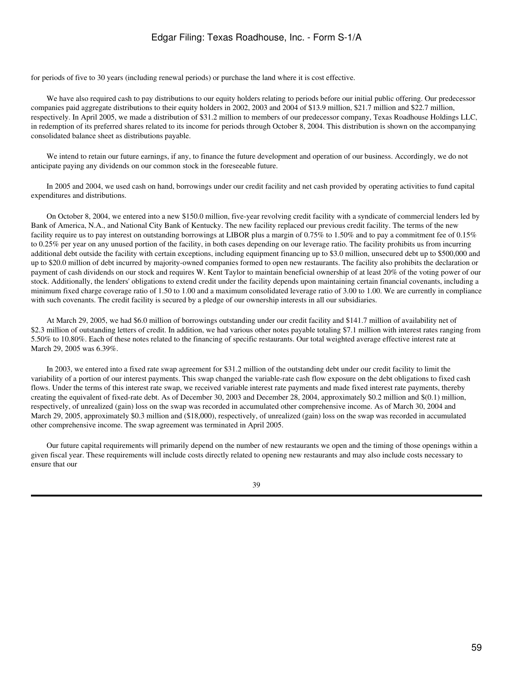for periods of five to 30 years (including renewal periods) or purchase the land where it is cost effective.

 We have also required cash to pay distributions to our equity holders relating to periods before our initial public offering. Our predecessor companies paid aggregate distributions to their equity holders in 2002, 2003 and 2004 of \$13.9 million, \$21.7 million and \$22.7 million, respectively. In April 2005, we made a distribution of \$31.2 million to members of our predecessor company, Texas Roadhouse Holdings LLC, in redemption of its preferred shares related to its income for periods through October 8, 2004. This distribution is shown on the accompanying consolidated balance sheet as distributions payable.

 We intend to retain our future earnings, if any, to finance the future development and operation of our business. Accordingly, we do not anticipate paying any dividends on our common stock in the foreseeable future.

 In 2005 and 2004, we used cash on hand, borrowings under our credit facility and net cash provided by operating activities to fund capital expenditures and distributions.

 On October 8, 2004, we entered into a new \$150.0 million, five-year revolving credit facility with a syndicate of commercial lenders led by Bank of America, N.A., and National City Bank of Kentucky. The new facility replaced our previous credit facility. The terms of the new facility require us to pay interest on outstanding borrowings at LIBOR plus a margin of 0.75% to 1.50% and to pay a commitment fee of 0.15% to 0.25% per year on any unused portion of the facility, in both cases depending on our leverage ratio. The facility prohibits us from incurring additional debt outside the facility with certain exceptions, including equipment financing up to \$3.0 million, unsecured debt up to \$500,000 and up to \$20.0 million of debt incurred by majority-owned companies formed to open new restaurants. The facility also prohibits the declaration or payment of cash dividends on our stock and requires W. Kent Taylor to maintain beneficial ownership of at least 20% of the voting power of our stock. Additionally, the lenders' obligations to extend credit under the facility depends upon maintaining certain financial covenants, including a minimum fixed charge coverage ratio of 1.50 to 1.00 and a maximum consolidated leverage ratio of 3.00 to 1.00. We are currently in compliance with such covenants. The credit facility is secured by a pledge of our ownership interests in all our subsidiaries.

 At March 29, 2005, we had \$6.0 million of borrowings outstanding under our credit facility and \$141.7 million of availability net of \$2.3 million of outstanding letters of credit. In addition, we had various other notes payable totaling \$7.1 million with interest rates ranging from 5.50% to 10.80%. Each of these notes related to the financing of specific restaurants. Our total weighted average effective interest rate at March 29, 2005 was 6.39%.

 In 2003, we entered into a fixed rate swap agreement for \$31.2 million of the outstanding debt under our credit facility to limit the variability of a portion of our interest payments. This swap changed the variable-rate cash flow exposure on the debt obligations to fixed cash flows. Under the terms of this interest rate swap, we received variable interest rate payments and made fixed interest rate payments, thereby creating the equivalent of fixed-rate debt. As of December 30, 2003 and December 28, 2004, approximately \$0.2 million and \$(0.1) million, respectively, of unrealized (gain) loss on the swap was recorded in accumulated other comprehensive income. As of March 30, 2004 and March 29, 2005, approximately \$0.3 million and (\$18,000), respectively, of unrealized (gain) loss on the swap was recorded in accumulated other comprehensive income. The swap agreement was terminated in April 2005.

 Our future capital requirements will primarily depend on the number of new restaurants we open and the timing of those openings within a given fiscal year. These requirements will include costs directly related to opening new restaurants and may also include costs necessary to ensure that our

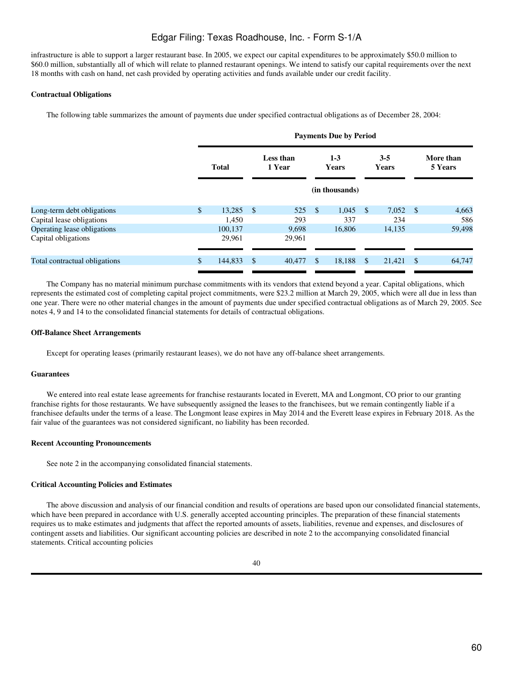infrastructure is able to support a larger restaurant base. In 2005, we expect our capital expenditures to be approximately \$50.0 million to \$60.0 million, substantially all of which will relate to planned restaurant openings. We intend to satisfy our capital requirements over the next 18 months with cash on hand, net cash provided by operating activities and funds available under our credit facility.

### **Contractual Obligations**

The following table summarizes the amount of payments due under specified contractual obligations as of December 28, 2004:

|                               |              | <b>Payments Due by Period</b> |      |                     |                         |                |                         |            |               |                      |
|-------------------------------|--------------|-------------------------------|------|---------------------|-------------------------|----------------|-------------------------|------------|---------------|----------------------|
|                               |              | <b>Total</b>                  |      | Less than<br>1 Year | $1 - 3$<br><b>Years</b> |                | $3 - 5$<br><b>Years</b> |            |               | More than<br>5 Years |
|                               |              |                               |      |                     |                         | (in thousands) |                         |            |               |                      |
| Long-term debt obligations    | $\mathbb{S}$ | 13,285                        | - \$ | 525                 | $^{\circ}$              | 1.045          | -8                      | $7,052$ \$ |               | 4,663                |
| Capital lease obligations     |              | 1.450                         |      | 293                 |                         | 337            |                         | 234        |               | 586                  |
| Operating lease obligations   |              | 100,137                       |      | 9,698               |                         | 16,806         |                         | 14,135     |               | 59,498               |
| Capital obligations           |              | 29,961                        |      | 29,961              |                         |                |                         |            |               |                      |
|                               |              |                               |      |                     |                         |                |                         |            |               |                      |
| Total contractual obligations | \$           | 144,833                       | - \$ | 40,477              | <sup>\$</sup>           | 18,188         | <sup>\$</sup>           | 21,421     | <sup>\$</sup> | 64,747               |

 The Company has no material minimum purchase commitments with its vendors that extend beyond a year. Capital obligations, which represents the estimated cost of completing capital project commitments, were \$23.2 million at March 29, 2005, which were all due in less than one year. There were no other material changes in the amount of payments due under specified contractual obligations as of March 29, 2005. See notes 4, 9 and 14 to the consolidated financial statements for details of contractual obligations.

#### **Off-Balance Sheet Arrangements**

Except for operating leases (primarily restaurant leases), we do not have any off-balance sheet arrangements.

### **Guarantees**

We entered into real estate lease agreements for franchise restaurants located in Everett, MA and Longmont, CO prior to our granting franchise rights for those restaurants. We have subsequently assigned the leases to the franchisees, but we remain contingently liable if a franchisee defaults under the terms of a lease. The Longmont lease expires in May 2014 and the Everett lease expires in February 2018. As the fair value of the guarantees was not considered significant, no liability has been recorded.

#### **Recent Accounting Pronouncements**

See note 2 in the accompanying consolidated financial statements.

#### **Critical Accounting Policies and Estimates**

 The above discussion and analysis of our financial condition and results of operations are based upon our consolidated financial statements, which have been prepared in accordance with U.S. generally accepted accounting principles. The preparation of these financial statements requires us to make estimates and judgments that affect the reported amounts of assets, liabilities, revenue and expenses, and disclosures of contingent assets and liabilities. Our significant accounting policies are described in note 2 to the accompanying consolidated financial statements. Critical accounting policies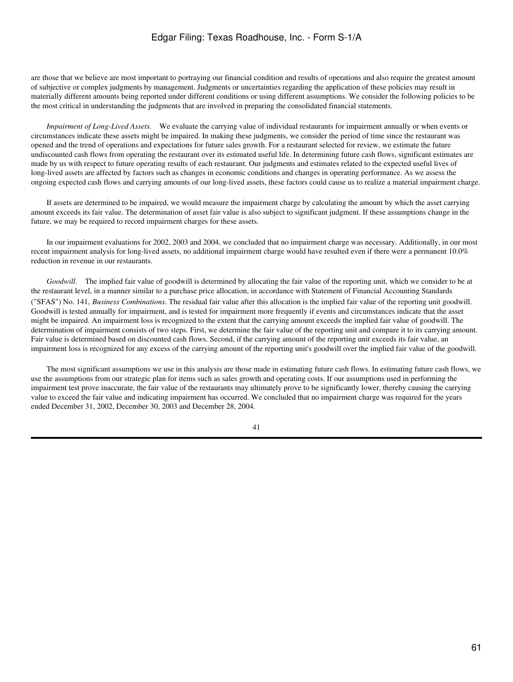are those that we believe are most important to portraying our financial condition and results of operations and also require the greatest amount of subjective or complex judgments by management. Judgments or uncertainties regarding the application of these policies may result in materially different amounts being reported under different conditions or using different assumptions. We consider the following policies to be the most critical in understanding the judgments that are involved in preparing the consolidated financial statements.

 *Impairment of Long-Lived Assets.* We evaluate the carrying value of individual restaurants for impairment annually or when events or circumstances indicate these assets might be impaired. In making these judgments, we consider the period of time since the restaurant was opened and the trend of operations and expectations for future sales growth. For a restaurant selected for review, we estimate the future undiscounted cash flows from operating the restaurant over its estimated useful life. In determining future cash flows, significant estimates are made by us with respect to future operating results of each restaurant. Our judgments and estimates related to the expected useful lives of long-lived assets are affected by factors such as changes in economic conditions and changes in operating performance. As we assess the ongoing expected cash flows and carrying amounts of our long-lived assets, these factors could cause us to realize a material impairment charge.

 If assets are determined to be impaired, we would measure the impairment charge by calculating the amount by which the asset carrying amount exceeds its fair value. The determination of asset fair value is also subject to significant judgment. If these assumptions change in the future, we may be required to record impairment charges for these assets.

 In our impairment evaluations for 2002, 2003 and 2004, we concluded that no impairment charge was necessary. Additionally, in our most recent impairment analysis for long-lived assets, no additional impairment charge would have resulted even if there were a permanent 10.0% reduction in revenue in our restaurants.

 *Goodwill.* The implied fair value of goodwill is determined by allocating the fair value of the reporting unit, which we consider to be at the restaurant level, in a manner similar to a purchase price allocation, in accordance with Statement of Financial Accounting Standards ("SFAS") No. 141, *Business Combinations*. The residual fair value after this allocation is the implied fair value of the reporting unit goodwill. Goodwill is tested annually for impairment, and is tested for impairment more frequently if events and circumstances indicate that the asset might be impaired. An impairment loss is recognized to the extent that the carrying amount exceeds the implied fair value of goodwill. The determination of impairment consists of two steps. First, we determine the fair value of the reporting unit and compare it to its carrying amount. Fair value is determined based on discounted cash flows. Second, if the carrying amount of the reporting unit exceeds its fair value, an impairment loss is recognized for any excess of the carrying amount of the reporting unit's goodwill over the implied fair value of the goodwill.

 The most significant assumptions we use in this analysis are those made in estimating future cash flows. In estimating future cash flows, we use the assumptions from our strategic plan for items such as sales growth and operating costs. If our assumptions used in performing the impairment test prove inaccurate, the fair value of the restaurants may ultimately prove to be significantly lower, thereby causing the carrying value to exceed the fair value and indicating impairment has occurred. We concluded that no impairment charge was required for the years ended December 31, 2002, December 30, 2003 and December 28, 2004.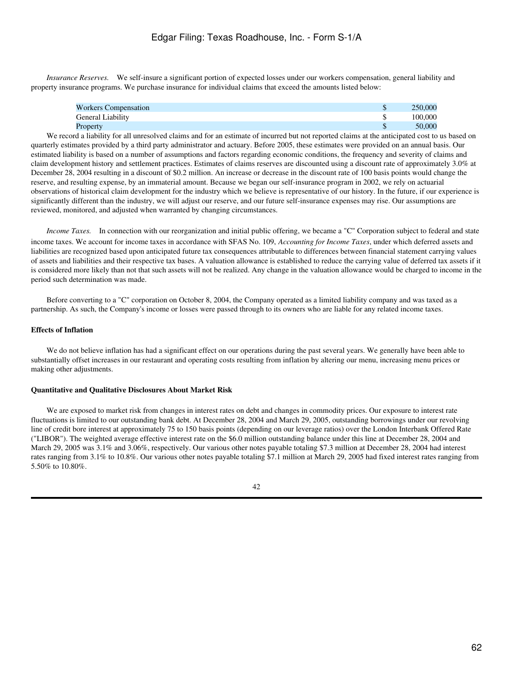*Insurance Reserves.* We self-insure a significant portion of expected losses under our workers compensation, general liability and property insurance programs. We purchase insurance for individual claims that exceed the amounts listed below:

| <b>Workers Compensation</b> | 250,000 |
|-----------------------------|---------|
| General Liability           | 100,000 |
| Property                    | 50,000  |

 We record a liability for all unresolved claims and for an estimate of incurred but not reported claims at the anticipated cost to us based on quarterly estimates provided by a third party administrator and actuary. Before 2005, these estimates were provided on an annual basis. Our estimated liability is based on a number of assumptions and factors regarding economic conditions, the frequency and severity of claims and claim development history and settlement practices. Estimates of claims reserves are discounted using a discount rate of approximately 3.0% at December 28, 2004 resulting in a discount of \$0.2 million. An increase or decrease in the discount rate of 100 basis points would change the reserve, and resulting expense, by an immaterial amount. Because we began our self-insurance program in 2002, we rely on actuarial observations of historical claim development for the industry which we believe is representative of our history. In the future, if our experience is significantly different than the industry, we will adjust our reserve, and our future self-insurance expenses may rise. Our assumptions are reviewed, monitored, and adjusted when warranted by changing circumstances.

*Income Taxes.* In connection with our reorganization and initial public offering, we became a "C" Corporation subject to federal and state income taxes. We account for income taxes in accordance with SFAS No. 109, *Accounting for Income Taxes*, under which deferred assets and liabilities are recognized based upon anticipated future tax consequences attributable to differences between financial statement carrying values of assets and liabilities and their respective tax bases. A valuation allowance is established to reduce the carrying value of deferred tax assets if it is considered more likely than not that such assets will not be realized. Any change in the valuation allowance would be charged to income in the period such determination was made.

 Before converting to a "C" corporation on October 8, 2004, the Company operated as a limited liability company and was taxed as a partnership. As such, the Company's income or losses were passed through to its owners who are liable for any related income taxes.

### **Effects of Inflation**

 We do not believe inflation has had a significant effect on our operations during the past several years. We generally have been able to substantially offset increases in our restaurant and operating costs resulting from inflation by altering our menu, increasing menu prices or making other adjustments.

#### **Quantitative and Qualitative Disclosures About Market Risk**

 We are exposed to market risk from changes in interest rates on debt and changes in commodity prices. Our exposure to interest rate fluctuations is limited to our outstanding bank debt. At December 28, 2004 and March 29, 2005, outstanding borrowings under our revolving line of credit bore interest at approximately 75 to 150 basis points (depending on our leverage ratios) over the London Interbank Offered Rate ("LIBOR"). The weighted average effective interest rate on the \$6.0 million outstanding balance under this line at December 28, 2004 and March 29, 2005 was  $3.1\%$  and  $3.06\%$ , respectively. Our various other notes payable totaling \$7.3 million at December 28, 2004 had interest rates ranging from 3.1% to 10.8%. Our various other notes payable totaling \$7.1 million at March 29, 2005 had fixed interest rates ranging from 5.50% to 10.80%.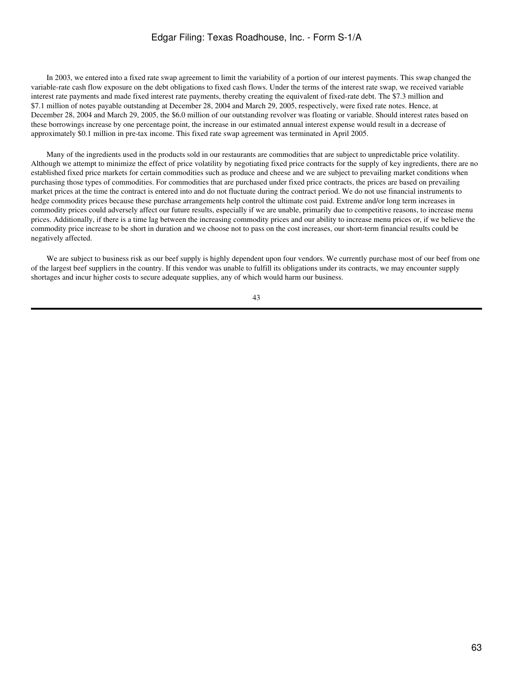In 2003, we entered into a fixed rate swap agreement to limit the variability of a portion of our interest payments. This swap changed the variable-rate cash flow exposure on the debt obligations to fixed cash flows. Under the terms of the interest rate swap, we received variable interest rate payments and made fixed interest rate payments, thereby creating the equivalent of fixed-rate debt. The \$7.3 million and \$7.1 million of notes payable outstanding at December 28, 2004 and March 29, 2005, respectively, were fixed rate notes. Hence, at December 28, 2004 and March 29, 2005, the \$6.0 million of our outstanding revolver was floating or variable. Should interest rates based on these borrowings increase by one percentage point, the increase in our estimated annual interest expense would result in a decrease of approximately \$0.1 million in pre-tax income. This fixed rate swap agreement was terminated in April 2005.

 Many of the ingredients used in the products sold in our restaurants are commodities that are subject to unpredictable price volatility. Although we attempt to minimize the effect of price volatility by negotiating fixed price contracts for the supply of key ingredients, there are no established fixed price markets for certain commodities such as produce and cheese and we are subject to prevailing market conditions when purchasing those types of commodities. For commodities that are purchased under fixed price contracts, the prices are based on prevailing market prices at the time the contract is entered into and do not fluctuate during the contract period. We do not use financial instruments to hedge commodity prices because these purchase arrangements help control the ultimate cost paid. Extreme and/or long term increases in commodity prices could adversely affect our future results, especially if we are unable, primarily due to competitive reasons, to increase menu prices. Additionally, if there is a time lag between the increasing commodity prices and our ability to increase menu prices or, if we believe the commodity price increase to be short in duration and we choose not to pass on the cost increases, our short-term financial results could be negatively affected.

We are subject to business risk as our beef supply is highly dependent upon four vendors. We currently purchase most of our beef from one of the largest beef suppliers in the country. If this vendor was unable to fulfill its obligations under its contracts, we may encounter supply shortages and incur higher costs to secure adequate supplies, any of which would harm our business.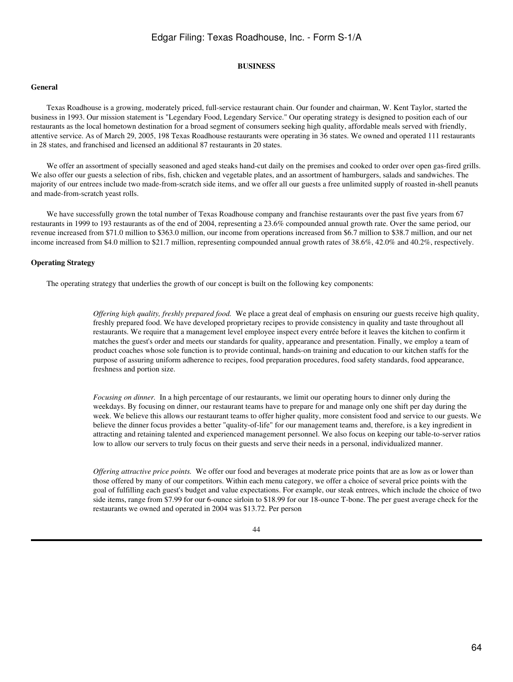### **BUSINESS**

### **General**

 Texas Roadhouse is a growing, moderately priced, full-service restaurant chain. Our founder and chairman, W. Kent Taylor, started the business in 1993. Our mission statement is "Legendary Food, Legendary Service." Our operating strategy is designed to position each of our restaurants as the local hometown destination for a broad segment of consumers seeking high quality, affordable meals served with friendly, attentive service. As of March 29, 2005, 198 Texas Roadhouse restaurants were operating in 36 states. We owned and operated 111 restaurants in 28 states, and franchised and licensed an additional 87 restaurants in 20 states.

We offer an assortment of specially seasoned and aged steaks hand-cut daily on the premises and cooked to order over open gas-fired grills. We also offer our guests a selection of ribs, fish, chicken and vegetable plates, and an assortment of hamburgers, salads and sandwiches. The majority of our entrees include two made-from-scratch side items, and we offer all our guests a free unlimited supply of roasted in-shell peanuts and made-from-scratch yeast rolls.

 We have successfully grown the total number of Texas Roadhouse company and franchise restaurants over the past five years from 67 restaurants in 1999 to 193 restaurants as of the end of 2004, representing a 23.6% compounded annual growth rate. Over the same period, our revenue increased from \$71.0 million to \$363.0 million, our income from operations increased from \$6.7 million to \$38.7 million, and our net income increased from \$4.0 million to \$21.7 million, representing compounded annual growth rates of 38.6%, 42.0% and 40.2%, respectively.

#### **Operating Strategy**

The operating strategy that underlies the growth of our concept is built on the following key components:

*Offering high quality, freshly prepared food.* We place a great deal of emphasis on ensuring our guests receive high quality, freshly prepared food. We have developed proprietary recipes to provide consistency in quality and taste throughout all restaurants. We require that a management level employee inspect every entrée before it leaves the kitchen to confirm it matches the guest's order and meets our standards for quality, appearance and presentation. Finally, we employ a team of product coaches whose sole function is to provide continual, hands-on training and education to our kitchen staffs for the purpose of assuring uniform adherence to recipes, food preparation procedures, food safety standards, food appearance, freshness and portion size.

*Focusing on dinner.* In a high percentage of our restaurants, we limit our operating hours to dinner only during the weekdays. By focusing on dinner, our restaurant teams have to prepare for and manage only one shift per day during the week. We believe this allows our restaurant teams to offer higher quality, more consistent food and service to our guests. We believe the dinner focus provides a better "quality-of-life" for our management teams and, therefore, is a key ingredient in attracting and retaining talented and experienced management personnel. We also focus on keeping our table-to-server ratios low to allow our servers to truly focus on their guests and serve their needs in a personal, individualized manner.

*Offering attractive price points.* We offer our food and beverages at moderate price points that are as low as or lower than those offered by many of our competitors. Within each menu category, we offer a choice of several price points with the goal of fulfilling each guest's budget and value expectations. For example, our steak entrees, which include the choice of two side items, range from \$7.99 for our 6-ounce sirloin to \$18.99 for our 18-ounce T-bone. The per guest average check for the restaurants we owned and operated in 2004 was \$13.72. Per person

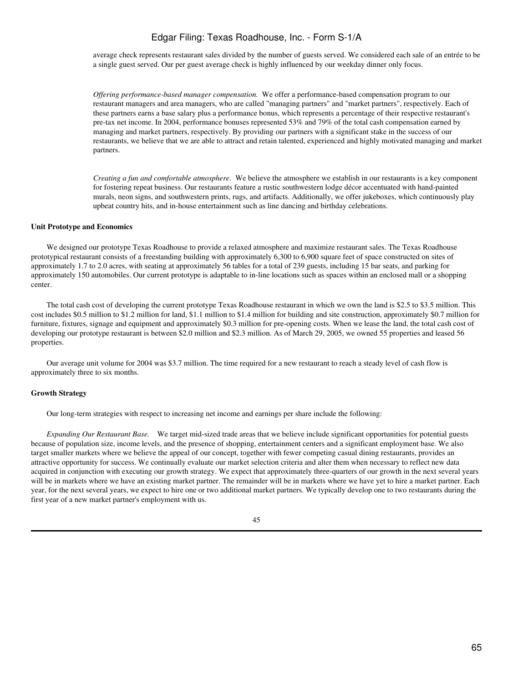average check represents restaurant sales divided by the number of guests served. We considered each sale of an entrée to be a single guest served. Our per guest average check is highly influenced by our weekday dinner only focus.

*Offering performance-based manager compensation.* We offer a performance-based compensation program to our restaurant managers and area managers, who are called "managing partners" and "market partners", respectively. Each of these partners earns a base salary plus a performance bonus, which represents a percentage of their respective restaurant's pre-tax net income. In 2004, performance bonuses represented 53% and 79% of the total cash compensation earned by managing and market partners, respectively. By providing our partners with a significant stake in the success of our restaurants, we believe that we are able to attract and retain talented, experienced and highly motivated managing and market partners.

*Creating a fun and comfortable atmosphere.* We believe the atmosphere we establish in our restaurants is a key component for fostering repeat business. Our restaurants feature a rustic southwestern lodge décor accentuated with hand-painted murals, neon signs, and southwestern prints, rugs, and artifacts. Additionally, we offer jukeboxes, which continuously play upbeat country hits, and in-house entertainment such as line dancing and birthday celebrations.

### **Unit Prototype and Economics**

 We designed our prototype Texas Roadhouse to provide a relaxed atmosphere and maximize restaurant sales. The Texas Roadhouse prototypical restaurant consists of a freestanding building with approximately 6,300 to 6,900 square feet of space constructed on sites of approximately 1.7 to 2.0 acres, with seating at approximately 56 tables for a total of 239 guests, including 15 bar seats, and parking for approximately 150 automobiles. Our current prototype is adaptable to in-line locations such as spaces within an enclosed mall or a shopping center.

 The total cash cost of developing the current prototype Texas Roadhouse restaurant in which we own the land is \$2.5 to \$3.5 million. This cost includes \$0.5 million to \$1.2 million for land, \$1.1 million to \$1.4 million for building and site construction, approximately \$0.7 million for furniture, fixtures, signage and equipment and approximately \$0.3 million for pre-opening costs. When we lease the land, the total cash cost of developing our prototype restaurant is between \$2.0 million and \$2.3 million. As of March 29, 2005, we owned 55 properties and leased 56 properties.

 Our average unit volume for 2004 was \$3.7 million. The time required for a new restaurant to reach a steady level of cash flow is approximately three to six months.

### **Growth Strategy**

Our long-term strategies with respect to increasing net income and earnings per share include the following:

 *Expanding Our Restaurant Base.* We target mid-sized trade areas that we believe include significant opportunities for potential guests because of population size, income levels, and the presence of shopping, entertainment centers and a significant employment base. We also target smaller markets where we believe the appeal of our concept, together with fewer competing casual dining restaurants, provides an attractive opportunity for success. We continually evaluate our market selection criteria and alter them when necessary to reflect new data acquired in conjunction with executing our growth strategy. We expect that approximately three-quarters of our growth in the next several years will be in markets where we have an existing market partner. The remainder will be in markets where we have yet to hire a market partner. Each year, for the next several years, we expect to hire one or two additional market partners. We typically develop one to two restaurants during the first year of a new market partner's employment with us.

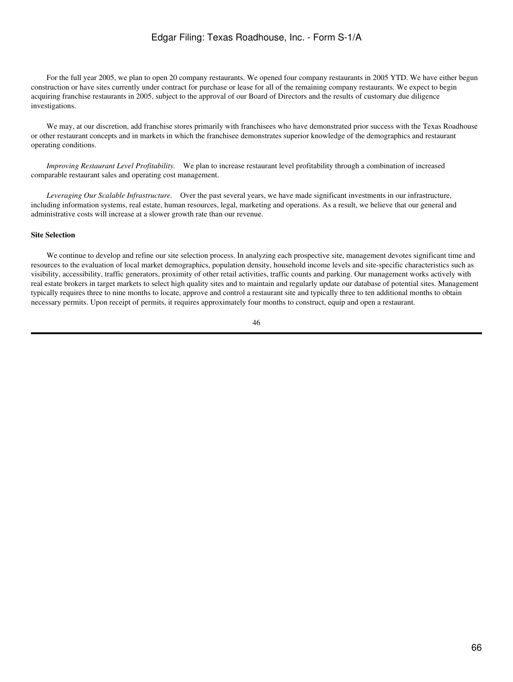For the full year 2005, we plan to open 20 company restaurants. We opened four company restaurants in 2005 YTD. We have either begun construction or have sites currently under contract for purchase or lease for all of the remaining company restaurants. We expect to begin acquiring franchise restaurants in 2005, subject to the approval of our Board of Directors and the results of customary due diligence investigations.

 We may, at our discretion, add franchise stores primarily with franchisees who have demonstrated prior success with the Texas Roadhouse or other restaurant concepts and in markets in which the franchisee demonstrates superior knowledge of the demographics and restaurant operating conditions.

 *Improving Restaurant Level Profitability.* We plan to increase restaurant level profitability through a combination of increased comparable restaurant sales and operating cost management.

 *Leveraging Our Scalable Infrastructure.* Over the past several years, we have made significant investments in our infrastructure, including information systems, real estate, human resources, legal, marketing and operations. As a result, we believe that our general and administrative costs will increase at a slower growth rate than our revenue.

#### **Site Selection**

 We continue to develop and refine our site selection process. In analyzing each prospective site, management devotes significant time and resources to the evaluation of local market demographics, population density, household income levels and site-specific characteristics such as visibility, accessibility, traffic generators, proximity of other retail activities, traffic counts and parking. Our management works actively with real estate brokers in target markets to select high quality sites and to maintain and regularly update our database of potential sites. Management typically requires three to nine months to locate, approve and control a restaurant site and typically three to ten additional months to obtain necessary permits. Upon receipt of permits, it requires approximately four months to construct, equip and open a restaurant.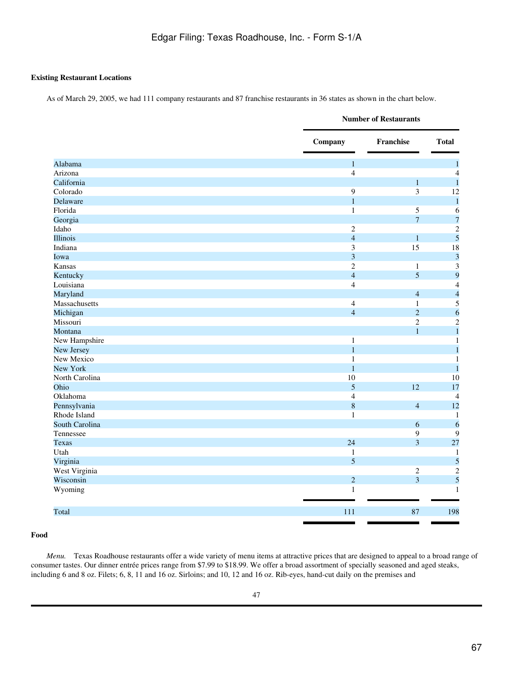## **Existing Restaurant Locations**

As of March 29, 2005, we had 111 company restaurants and 87 franchise restaurants in 36 states as shown in the chart below.

| <b>Total</b><br>Company<br><b>Franchise</b><br>Alabama<br>$\mathbf{1}$<br>$\,1$<br>Arizona<br>$\overline{4}$<br>$\overline{4}$<br>$\mathbf{1}$<br>California<br>$\mathbf 1$<br>$\mathbf{9}$<br>3<br>12<br>Colorado<br>$\mathbf{1}$<br>$\mathbf{1}$<br>Delaware<br>Florida<br>$\sqrt{5}$<br>$\mathbf{1}$<br>6<br>$\overline{7}$<br>Georgia<br>$\overline{7}$<br>$\overline{c}$<br>$\overline{c}$<br>Idaho<br>5<br>$\overline{4}$<br>$\mathbf 1$<br><b>Illinois</b><br>3<br>15<br>Indiana<br>18<br>3<br>3<br>Iowa<br>$\overline{2}$<br>3<br>Kansas<br>$\mathbf{1}$<br>5<br>$\overline{4}$<br>9<br>Kentucky<br>Louisiana<br>$\overline{4}$<br>$\overline{4}$<br>Maryland<br>$\overline{4}$<br>$\overline{\mathcal{L}}$<br>$\overline{\mathbf{5}}$<br>Massachusetts<br>$\overline{4}$<br>$\mathbf{1}$<br>$\overline{4}$<br>$\overline{2}$<br>Michigan<br>6<br>Missouri<br>$\mathbf{2}$<br>$\overline{c}$<br>$\,1\,$<br>$\mathbf{1}$<br>Montana<br>New Hampshire<br>$\mathbf{1}$<br>$\mathbf{1}$<br>$\mathbf{1}$<br>$\,1\,$<br>New Jersey<br>New Mexico<br>$\mathbf{1}$<br>$\,1$<br>New York<br>$\mathbf{1}$<br>$\mathbf{1}$<br>North Carolina<br>10<br>10<br>5<br>Ohio<br>17<br>12<br>Oklahoma<br>$\overline{4}$<br>$\overline{4}$<br>Pennsylvania<br>$\,8\,$<br>$\overline{4}$<br>12<br>Rhode Island<br>$\mathbf{1}$<br>$\mathbf{1}$<br>South Carolina<br>6<br>6<br>9<br>9<br>Tennessee<br>$\overline{\mathbf{3}}$<br>24<br>27<br><b>Texas</b><br>Utah<br>$\mathbf{1}$<br>$\mathbf{1}$<br>5<br>5<br>Virginia<br>$\overline{c}$<br>West Virginia<br>$\sqrt{2}$<br>5<br>Wisconsin<br>$\overline{2}$<br>3<br>Wyoming<br>$\mathbf 1$<br>$1\,$<br>87<br>198<br>Total<br>111 | <b>Number of Restaurants</b> |  |  |
|---------------------------------------------------------------------------------------------------------------------------------------------------------------------------------------------------------------------------------------------------------------------------------------------------------------------------------------------------------------------------------------------------------------------------------------------------------------------------------------------------------------------------------------------------------------------------------------------------------------------------------------------------------------------------------------------------------------------------------------------------------------------------------------------------------------------------------------------------------------------------------------------------------------------------------------------------------------------------------------------------------------------------------------------------------------------------------------------------------------------------------------------------------------------------------------------------------------------------------------------------------------------------------------------------------------------------------------------------------------------------------------------------------------------------------------------------------------------------------------------------------------------------------------------------------------------------------------------------------------------------------------------------------------------|------------------------------|--|--|
|                                                                                                                                                                                                                                                                                                                                                                                                                                                                                                                                                                                                                                                                                                                                                                                                                                                                                                                                                                                                                                                                                                                                                                                                                                                                                                                                                                                                                                                                                                                                                                                                                                                                     |                              |  |  |
|                                                                                                                                                                                                                                                                                                                                                                                                                                                                                                                                                                                                                                                                                                                                                                                                                                                                                                                                                                                                                                                                                                                                                                                                                                                                                                                                                                                                                                                                                                                                                                                                                                                                     |                              |  |  |
|                                                                                                                                                                                                                                                                                                                                                                                                                                                                                                                                                                                                                                                                                                                                                                                                                                                                                                                                                                                                                                                                                                                                                                                                                                                                                                                                                                                                                                                                                                                                                                                                                                                                     |                              |  |  |
|                                                                                                                                                                                                                                                                                                                                                                                                                                                                                                                                                                                                                                                                                                                                                                                                                                                                                                                                                                                                                                                                                                                                                                                                                                                                                                                                                                                                                                                                                                                                                                                                                                                                     |                              |  |  |
|                                                                                                                                                                                                                                                                                                                                                                                                                                                                                                                                                                                                                                                                                                                                                                                                                                                                                                                                                                                                                                                                                                                                                                                                                                                                                                                                                                                                                                                                                                                                                                                                                                                                     |                              |  |  |
|                                                                                                                                                                                                                                                                                                                                                                                                                                                                                                                                                                                                                                                                                                                                                                                                                                                                                                                                                                                                                                                                                                                                                                                                                                                                                                                                                                                                                                                                                                                                                                                                                                                                     |                              |  |  |
|                                                                                                                                                                                                                                                                                                                                                                                                                                                                                                                                                                                                                                                                                                                                                                                                                                                                                                                                                                                                                                                                                                                                                                                                                                                                                                                                                                                                                                                                                                                                                                                                                                                                     |                              |  |  |
|                                                                                                                                                                                                                                                                                                                                                                                                                                                                                                                                                                                                                                                                                                                                                                                                                                                                                                                                                                                                                                                                                                                                                                                                                                                                                                                                                                                                                                                                                                                                                                                                                                                                     |                              |  |  |
|                                                                                                                                                                                                                                                                                                                                                                                                                                                                                                                                                                                                                                                                                                                                                                                                                                                                                                                                                                                                                                                                                                                                                                                                                                                                                                                                                                                                                                                                                                                                                                                                                                                                     |                              |  |  |
|                                                                                                                                                                                                                                                                                                                                                                                                                                                                                                                                                                                                                                                                                                                                                                                                                                                                                                                                                                                                                                                                                                                                                                                                                                                                                                                                                                                                                                                                                                                                                                                                                                                                     |                              |  |  |
|                                                                                                                                                                                                                                                                                                                                                                                                                                                                                                                                                                                                                                                                                                                                                                                                                                                                                                                                                                                                                                                                                                                                                                                                                                                                                                                                                                                                                                                                                                                                                                                                                                                                     |                              |  |  |
|                                                                                                                                                                                                                                                                                                                                                                                                                                                                                                                                                                                                                                                                                                                                                                                                                                                                                                                                                                                                                                                                                                                                                                                                                                                                                                                                                                                                                                                                                                                                                                                                                                                                     |                              |  |  |
|                                                                                                                                                                                                                                                                                                                                                                                                                                                                                                                                                                                                                                                                                                                                                                                                                                                                                                                                                                                                                                                                                                                                                                                                                                                                                                                                                                                                                                                                                                                                                                                                                                                                     |                              |  |  |
|                                                                                                                                                                                                                                                                                                                                                                                                                                                                                                                                                                                                                                                                                                                                                                                                                                                                                                                                                                                                                                                                                                                                                                                                                                                                                                                                                                                                                                                                                                                                                                                                                                                                     |                              |  |  |
|                                                                                                                                                                                                                                                                                                                                                                                                                                                                                                                                                                                                                                                                                                                                                                                                                                                                                                                                                                                                                                                                                                                                                                                                                                                                                                                                                                                                                                                                                                                                                                                                                                                                     |                              |  |  |
|                                                                                                                                                                                                                                                                                                                                                                                                                                                                                                                                                                                                                                                                                                                                                                                                                                                                                                                                                                                                                                                                                                                                                                                                                                                                                                                                                                                                                                                                                                                                                                                                                                                                     |                              |  |  |
|                                                                                                                                                                                                                                                                                                                                                                                                                                                                                                                                                                                                                                                                                                                                                                                                                                                                                                                                                                                                                                                                                                                                                                                                                                                                                                                                                                                                                                                                                                                                                                                                                                                                     |                              |  |  |
|                                                                                                                                                                                                                                                                                                                                                                                                                                                                                                                                                                                                                                                                                                                                                                                                                                                                                                                                                                                                                                                                                                                                                                                                                                                                                                                                                                                                                                                                                                                                                                                                                                                                     |                              |  |  |
|                                                                                                                                                                                                                                                                                                                                                                                                                                                                                                                                                                                                                                                                                                                                                                                                                                                                                                                                                                                                                                                                                                                                                                                                                                                                                                                                                                                                                                                                                                                                                                                                                                                                     |                              |  |  |
|                                                                                                                                                                                                                                                                                                                                                                                                                                                                                                                                                                                                                                                                                                                                                                                                                                                                                                                                                                                                                                                                                                                                                                                                                                                                                                                                                                                                                                                                                                                                                                                                                                                                     |                              |  |  |
|                                                                                                                                                                                                                                                                                                                                                                                                                                                                                                                                                                                                                                                                                                                                                                                                                                                                                                                                                                                                                                                                                                                                                                                                                                                                                                                                                                                                                                                                                                                                                                                                                                                                     |                              |  |  |
|                                                                                                                                                                                                                                                                                                                                                                                                                                                                                                                                                                                                                                                                                                                                                                                                                                                                                                                                                                                                                                                                                                                                                                                                                                                                                                                                                                                                                                                                                                                                                                                                                                                                     |                              |  |  |
|                                                                                                                                                                                                                                                                                                                                                                                                                                                                                                                                                                                                                                                                                                                                                                                                                                                                                                                                                                                                                                                                                                                                                                                                                                                                                                                                                                                                                                                                                                                                                                                                                                                                     |                              |  |  |
|                                                                                                                                                                                                                                                                                                                                                                                                                                                                                                                                                                                                                                                                                                                                                                                                                                                                                                                                                                                                                                                                                                                                                                                                                                                                                                                                                                                                                                                                                                                                                                                                                                                                     |                              |  |  |
|                                                                                                                                                                                                                                                                                                                                                                                                                                                                                                                                                                                                                                                                                                                                                                                                                                                                                                                                                                                                                                                                                                                                                                                                                                                                                                                                                                                                                                                                                                                                                                                                                                                                     |                              |  |  |
|                                                                                                                                                                                                                                                                                                                                                                                                                                                                                                                                                                                                                                                                                                                                                                                                                                                                                                                                                                                                                                                                                                                                                                                                                                                                                                                                                                                                                                                                                                                                                                                                                                                                     |                              |  |  |
|                                                                                                                                                                                                                                                                                                                                                                                                                                                                                                                                                                                                                                                                                                                                                                                                                                                                                                                                                                                                                                                                                                                                                                                                                                                                                                                                                                                                                                                                                                                                                                                                                                                                     |                              |  |  |
|                                                                                                                                                                                                                                                                                                                                                                                                                                                                                                                                                                                                                                                                                                                                                                                                                                                                                                                                                                                                                                                                                                                                                                                                                                                                                                                                                                                                                                                                                                                                                                                                                                                                     |                              |  |  |
|                                                                                                                                                                                                                                                                                                                                                                                                                                                                                                                                                                                                                                                                                                                                                                                                                                                                                                                                                                                                                                                                                                                                                                                                                                                                                                                                                                                                                                                                                                                                                                                                                                                                     |                              |  |  |
|                                                                                                                                                                                                                                                                                                                                                                                                                                                                                                                                                                                                                                                                                                                                                                                                                                                                                                                                                                                                                                                                                                                                                                                                                                                                                                                                                                                                                                                                                                                                                                                                                                                                     |                              |  |  |
|                                                                                                                                                                                                                                                                                                                                                                                                                                                                                                                                                                                                                                                                                                                                                                                                                                                                                                                                                                                                                                                                                                                                                                                                                                                                                                                                                                                                                                                                                                                                                                                                                                                                     |                              |  |  |
|                                                                                                                                                                                                                                                                                                                                                                                                                                                                                                                                                                                                                                                                                                                                                                                                                                                                                                                                                                                                                                                                                                                                                                                                                                                                                                                                                                                                                                                                                                                                                                                                                                                                     |                              |  |  |
|                                                                                                                                                                                                                                                                                                                                                                                                                                                                                                                                                                                                                                                                                                                                                                                                                                                                                                                                                                                                                                                                                                                                                                                                                                                                                                                                                                                                                                                                                                                                                                                                                                                                     |                              |  |  |
|                                                                                                                                                                                                                                                                                                                                                                                                                                                                                                                                                                                                                                                                                                                                                                                                                                                                                                                                                                                                                                                                                                                                                                                                                                                                                                                                                                                                                                                                                                                                                                                                                                                                     |                              |  |  |
|                                                                                                                                                                                                                                                                                                                                                                                                                                                                                                                                                                                                                                                                                                                                                                                                                                                                                                                                                                                                                                                                                                                                                                                                                                                                                                                                                                                                                                                                                                                                                                                                                                                                     |                              |  |  |
|                                                                                                                                                                                                                                                                                                                                                                                                                                                                                                                                                                                                                                                                                                                                                                                                                                                                                                                                                                                                                                                                                                                                                                                                                                                                                                                                                                                                                                                                                                                                                                                                                                                                     |                              |  |  |
|                                                                                                                                                                                                                                                                                                                                                                                                                                                                                                                                                                                                                                                                                                                                                                                                                                                                                                                                                                                                                                                                                                                                                                                                                                                                                                                                                                                                                                                                                                                                                                                                                                                                     |                              |  |  |
|                                                                                                                                                                                                                                                                                                                                                                                                                                                                                                                                                                                                                                                                                                                                                                                                                                                                                                                                                                                                                                                                                                                                                                                                                                                                                                                                                                                                                                                                                                                                                                                                                                                                     |                              |  |  |

## **Food**

 *Menu.* Texas Roadhouse restaurants offer a wide variety of menu items at attractive prices that are designed to appeal to a broad range of consumer tastes. Our dinner entrée prices range from \$7.99 to \$18.99. We offer a broad assortment of specially seasoned and aged steaks, including 6 and 8 oz. Filets; 6, 8, 11 and 16 oz. Sirloins; and 10, 12 and 16 oz. Rib-eyes, hand-cut daily on the premises and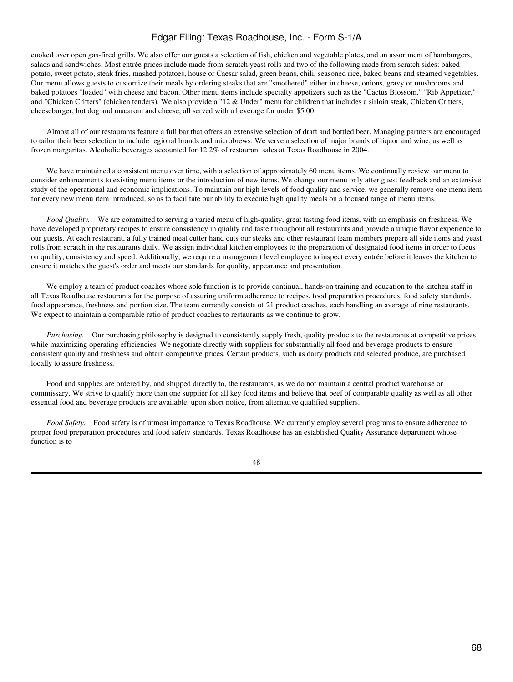cooked over open gas-fired grills. We also offer our guests a selection of fish, chicken and vegetable plates, and an assortment of hamburgers, salads and sandwiches. Most entrée prices include made-from-scratch yeast rolls and two of the following made from scratch sides: baked potato, sweet potato, steak fries, mashed potatoes, house or Caesar salad, green beans, chili, seasoned rice, baked beans and steamed vegetables. Our menu allows guests to customize their meals by ordering steaks that are "smothered" either in cheese, onions, gravy or mushrooms and baked potatoes "loaded" with cheese and bacon. Other menu items include specialty appetizers such as the "Cactus Blossom," "Rib Appetizer," and "Chicken Critters" (chicken tenders). We also provide a "12 & Under" menu for children that includes a sirloin steak, Chicken Critters, cheeseburger, hot dog and macaroni and cheese, all served with a beverage for under \$5.00.

 Almost all of our restaurants feature a full bar that offers an extensive selection of draft and bottled beer. Managing partners are encouraged to tailor their beer selection to include regional brands and microbrews. We serve a selection of major brands of liquor and wine, as well as frozen margaritas. Alcoholic beverages accounted for 12.2% of restaurant sales at Texas Roadhouse in 2004.

 We have maintained a consistent menu over time, with a selection of approximately 60 menu items. We continually review our menu to consider enhancements to existing menu items or the introduction of new items. We change our menu only after guest feedback and an extensive study of the operational and economic implications. To maintain our high levels of food quality and service, we generally remove one menu item for every new menu item introduced, so as to facilitate our ability to execute high quality meals on a focused range of menu items.

*Food Quality.* We are committed to serving a varied menu of high-quality, great tasting food items, with an emphasis on freshness. We have developed proprietary recipes to ensure consistency in quality and taste throughout all restaurants and provide a unique flavor experience to our guests. At each restaurant, a fully trained meat cutter hand cuts our steaks and other restaurant team members prepare all side items and yeast rolls from scratch in the restaurants daily. We assign individual kitchen employees to the preparation of designated food items in order to focus on quality, consistency and speed. Additionally, we require a management level employee to inspect every entrée before it leaves the kitchen to ensure it matches the guest's order and meets our standards for quality, appearance and presentation.

We employ a team of product coaches whose sole function is to provide continual, hands-on training and education to the kitchen staff in all Texas Roadhouse restaurants for the purpose of assuring uniform adherence to recipes, food preparation procedures, food safety standards, food appearance, freshness and portion size. The team currently consists of 21 product coaches, each handling an average of nine restaurants. We expect to maintain a comparable ratio of product coaches to restaurants as we continue to grow.

 *Purchasing.* Our purchasing philosophy is designed to consistently supply fresh, quality products to the restaurants at competitive prices while maximizing operating efficiencies. We negotiate directly with suppliers for substantially all food and beverage products to ensure consistent quality and freshness and obtain competitive prices. Certain products, such as dairy products and selected produce, are purchased locally to assure freshness.

 Food and supplies are ordered by, and shipped directly to, the restaurants, as we do not maintain a central product warehouse or commissary. We strive to qualify more than one supplier for all key food items and believe that beef of comparable quality as well as all other essential food and beverage products are available, upon short notice, from alternative qualified suppliers.

 *Food Safety.* Food safety is of utmost importance to Texas Roadhouse. We currently employ several programs to ensure adherence to proper food preparation procedures and food safety standards. Texas Roadhouse has an established Quality Assurance department whose function is to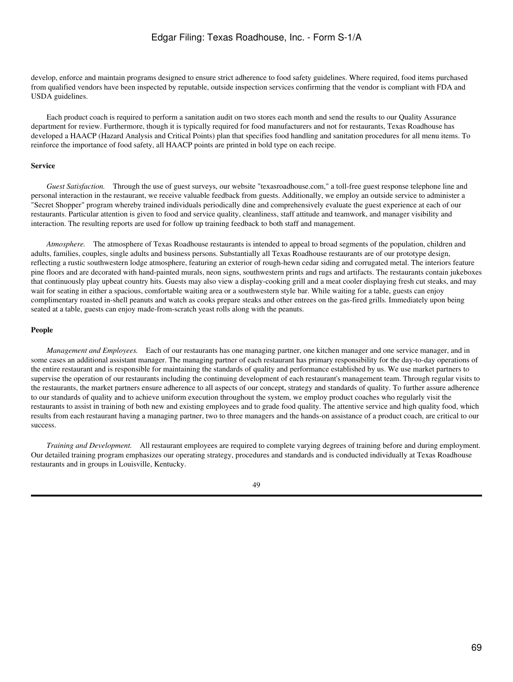develop, enforce and maintain programs designed to ensure strict adherence to food safety guidelines. Where required, food items purchased from qualified vendors have been inspected by reputable, outside inspection services confirming that the vendor is compliant with FDA and USDA guidelines.

 Each product coach is required to perform a sanitation audit on two stores each month and send the results to our Quality Assurance department for review. Furthermore, though it is typically required for food manufacturers and not for restaurants, Texas Roadhouse has developed a HAACP (Hazard Analysis and Critical Points) plan that specifies food handling and sanitation procedures for all menu items. To reinforce the importance of food safety, all HAACP points are printed in bold type on each recipe.

### **Service**

*Guest Satisfaction.* Through the use of guest surveys, our website "texasroadhouse.com," a toll-free guest response telephone line and personal interaction in the restaurant, we receive valuable feedback from guests. Additionally, we employ an outside service to administer a "Secret Shopper" program whereby trained individuals periodically dine and comprehensively evaluate the guest experience at each of our restaurants. Particular attention is given to food and service quality, cleanliness, staff attitude and teamwork, and manager visibility and interaction. The resulting reports are used for follow up training feedback to both staff and management.

 *Atmosphere.* The atmosphere of Texas Roadhouse restaurants is intended to appeal to broad segments of the population, children and adults, families, couples, single adults and business persons. Substantially all Texas Roadhouse restaurants are of our prototype design, reflecting a rustic southwestern lodge atmosphere, featuring an exterior of rough-hewn cedar siding and corrugated metal. The interiors feature pine floors and are decorated with hand-painted murals, neon signs, southwestern prints and rugs and artifacts. The restaurants contain jukeboxes that continuously play upbeat country hits. Guests may also view a display-cooking grill and a meat cooler displaying fresh cut steaks, and may wait for seating in either a spacious, comfortable waiting area or a southwestern style bar. While waiting for a table, guests can enjoy complimentary roasted in-shell peanuts and watch as cooks prepare steaks and other entrees on the gas-fired grills. Immediately upon being seated at a table, guests can enjoy made-from-scratch yeast rolls along with the peanuts.

#### **People**

 *Management and Employees.* Each of our restaurants has one managing partner, one kitchen manager and one service manager, and in some cases an additional assistant manager. The managing partner of each restaurant has primary responsibility for the day-to-day operations of the entire restaurant and is responsible for maintaining the standards of quality and performance established by us. We use market partners to supervise the operation of our restaurants including the continuing development of each restaurant's management team. Through regular visits to the restaurants, the market partners ensure adherence to all aspects of our concept, strategy and standards of quality. To further assure adherence to our standards of quality and to achieve uniform execution throughout the system, we employ product coaches who regularly visit the restaurants to assist in training of both new and existing employees and to grade food quality. The attentive service and high quality food, which results from each restaurant having a managing partner, two to three managers and the hands-on assistance of a product coach, are critical to our success.

*Training and Development.* All restaurant employees are required to complete varying degrees of training before and during employment. Our detailed training program emphasizes our operating strategy, procedures and standards and is conducted individually at Texas Roadhouse restaurants and in groups in Louisville, Kentucky.

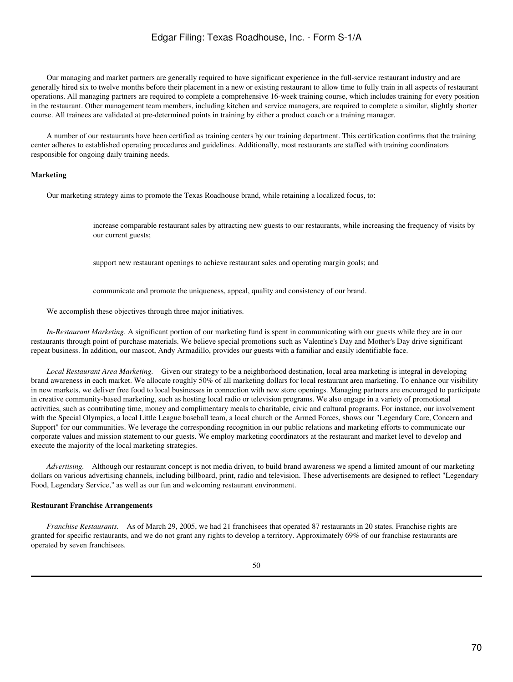Our managing and market partners are generally required to have significant experience in the full-service restaurant industry and are generally hired six to twelve months before their placement in a new or existing restaurant to allow time to fully train in all aspects of restaurant operations. All managing partners are required to complete a comprehensive 16-week training course, which includes training for every position in the restaurant. Other management team members, including kitchen and service managers, are required to complete a similar, slightly shorter course. All trainees are validated at pre-determined points in training by either a product coach or a training manager.

 A number of our restaurants have been certified as training centers by our training department. This certification confirms that the training center adheres to established operating procedures and guidelines. Additionally, most restaurants are staffed with training coordinators responsible for ongoing daily training needs.

### **Marketing**

Our marketing strategy aims to promote the Texas Roadhouse brand, while retaining a localized focus, to:

increase comparable restaurant sales by attracting new guests to our restaurants, while increasing the frequency of visits by our current guests;

support new restaurant openings to achieve restaurant sales and operating margin goals; and

communicate and promote the uniqueness, appeal, quality and consistency of our brand.

We accomplish these objectives through three major initiatives.

*In-Restaurant Marketing*. A significant portion of our marketing fund is spent in communicating with our guests while they are in our restaurants through point of purchase materials. We believe special promotions such as Valentine's Day and Mother's Day drive significant repeat business. In addition, our mascot, Andy Armadillo, provides our guests with a familiar and easily identifiable face.

 *Local Restaurant Area Marketing.* Given our strategy to be a neighborhood destination, local area marketing is integral in developing brand awareness in each market. We allocate roughly 50% of all marketing dollars for local restaurant area marketing. To enhance our visibility in new markets, we deliver free food to local businesses in connection with new store openings. Managing partners are encouraged to participate in creative community-based marketing, such as hosting local radio or television programs. We also engage in a variety of promotional activities, such as contributing time, money and complimentary meals to charitable, civic and cultural programs. For instance, our involvement with the Special Olympics, a local Little League baseball team, a local church or the Armed Forces, shows our "Legendary Care, Concern and Support" for our communities. We leverage the corresponding recognition in our public relations and marketing efforts to communicate our corporate values and mission statement to our guests. We employ marketing coordinators at the restaurant and market level to develop and execute the majority of the local marketing strategies.

 *Advertising.* Although our restaurant concept is not media driven, to build brand awareness we spend a limited amount of our marketing dollars on various advertising channels, including billboard, print, radio and television. These advertisements are designed to reflect "Legendary Food, Legendary Service," as well as our fun and welcoming restaurant environment.

#### **Restaurant Franchise Arrangements**

 *Franchise Restaurants.* As of March 29, 2005, we had 21 franchisees that operated 87 restaurants in 20 states. Franchise rights are granted for specific restaurants, and we do not grant any rights to develop a territory. Approximately 69% of our franchise restaurants are operated by seven franchisees.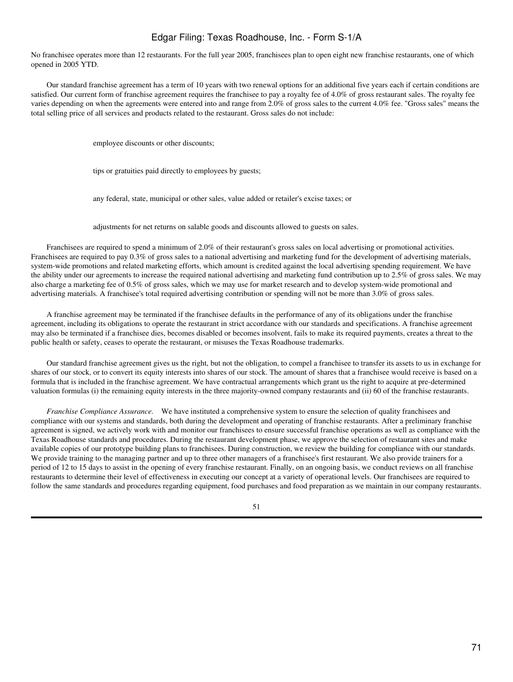No franchisee operates more than 12 restaurants. For the full year 2005, franchisees plan to open eight new franchise restaurants, one of which opened in 2005 YTD.

 Our standard franchise agreement has a term of 10 years with two renewal options for an additional five years each if certain conditions are satisfied. Our current form of franchise agreement requires the franchisee to pay a royalty fee of 4.0% of gross restaurant sales. The royalty fee varies depending on when the agreements were entered into and range from 2.0% of gross sales to the current 4.0% fee. "Gross sales" means the total selling price of all services and products related to the restaurant. Gross sales do not include:

employee discounts or other discounts;

tips or gratuities paid directly to employees by guests;

any federal, state, municipal or other sales, value added or retailer's excise taxes; or

adjustments for net returns on salable goods and discounts allowed to guests on sales.

 Franchisees are required to spend a minimum of 2.0% of their restaurant's gross sales on local advertising or promotional activities. Franchisees are required to pay 0.3% of gross sales to a national advertising and marketing fund for the development of advertising materials, system-wide promotions and related marketing efforts, which amount is credited against the local advertising spending requirement. We have the ability under our agreements to increase the required national advertising and marketing fund contribution up to 2.5% of gross sales. We may also charge a marketing fee of 0.5% of gross sales, which we may use for market research and to develop system-wide promotional and advertising materials. A franchisee's total required advertising contribution or spending will not be more than 3.0% of gross sales.

 A franchise agreement may be terminated if the franchisee defaults in the performance of any of its obligations under the franchise agreement, including its obligations to operate the restaurant in strict accordance with our standards and specifications. A franchise agreement may also be terminated if a franchisee dies, becomes disabled or becomes insolvent, fails to make its required payments, creates a threat to the public health or safety, ceases to operate the restaurant, or misuses the Texas Roadhouse trademarks.

 Our standard franchise agreement gives us the right, but not the obligation, to compel a franchisee to transfer its assets to us in exchange for shares of our stock, or to convert its equity interests into shares of our stock. The amount of shares that a franchisee would receive is based on a formula that is included in the franchise agreement. We have contractual arrangements which grant us the right to acquire at pre-determined valuation formulas (i) the remaining equity interests in the three majority-owned company restaurants and (ii) 60 of the franchise restaurants.

 *Franchise Compliance Assurance.* We have instituted a comprehensive system to ensure the selection of quality franchisees and compliance with our systems and standards, both during the development and operating of franchise restaurants. After a preliminary franchise agreement is signed, we actively work with and monitor our franchisees to ensure successful franchise operations as well as compliance with the Texas Roadhouse standards and procedures. During the restaurant development phase, we approve the selection of restaurant sites and make available copies of our prototype building plans to franchisees. During construction, we review the building for compliance with our standards. We provide training to the managing partner and up to three other managers of a franchisee's first restaurant. We also provide trainers for a period of 12 to 15 days to assist in the opening of every franchise restaurant. Finally, on an ongoing basis, we conduct reviews on all franchise restaurants to determine their level of effectiveness in executing our concept at a variety of operational levels. Our franchisees are required to follow the same standards and procedures regarding equipment, food purchases and food preparation as we maintain in our company restaurants.

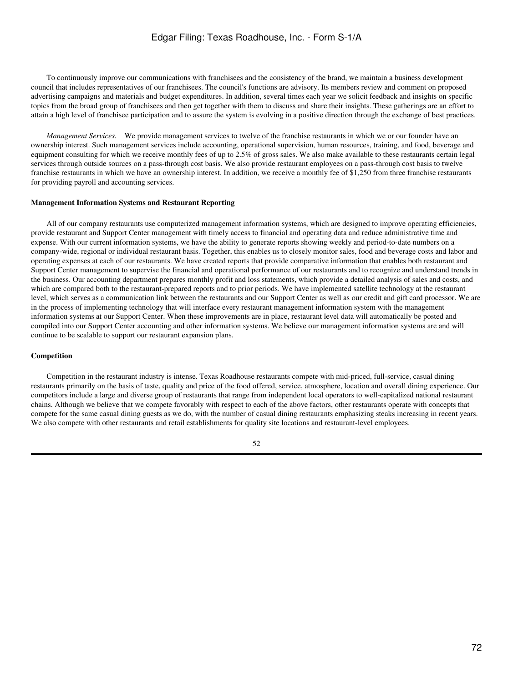To continuously improve our communications with franchisees and the consistency of the brand, we maintain a business development council that includes representatives of our franchisees. The council's functions are advisory. Its members review and comment on proposed advertising campaigns and materials and budget expenditures. In addition, several times each year we solicit feedback and insights on specific topics from the broad group of franchisees and then get together with them to discuss and share their insights. These gatherings are an effort to attain a high level of franchisee participation and to assure the system is evolving in a positive direction through the exchange of best practices.

 *Management Services.* We provide management services to twelve of the franchise restaurants in which we or our founder have an ownership interest. Such management services include accounting, operational supervision, human resources, training, and food, beverage and equipment consulting for which we receive monthly fees of up to 2.5% of gross sales. We also make available to these restaurants certain legal services through outside sources on a pass-through cost basis. We also provide restaurant employees on a pass-through cost basis to twelve franchise restaurants in which we have an ownership interest. In addition, we receive a monthly fee of \$1,250 from three franchise restaurants for providing payroll and accounting services.

### **Management Information Systems and Restaurant Reporting**

 All of our company restaurants use computerized management information systems, which are designed to improve operating efficiencies, provide restaurant and Support Center management with timely access to financial and operating data and reduce administrative time and expense. With our current information systems, we have the ability to generate reports showing weekly and period-to-date numbers on a company-wide, regional or individual restaurant basis. Together, this enables us to closely monitor sales, food and beverage costs and labor and operating expenses at each of our restaurants. We have created reports that provide comparative information that enables both restaurant and Support Center management to supervise the financial and operational performance of our restaurants and to recognize and understand trends in the business. Our accounting department prepares monthly profit and loss statements, which provide a detailed analysis of sales and costs, and which are compared both to the restaurant-prepared reports and to prior periods. We have implemented satellite technology at the restaurant level, which serves as a communication link between the restaurants and our Support Center as well as our credit and gift card processor. We are in the process of implementing technology that will interface every restaurant management information system with the management information systems at our Support Center. When these improvements are in place, restaurant level data will automatically be posted and compiled into our Support Center accounting and other information systems. We believe our management information systems are and will continue to be scalable to support our restaurant expansion plans.

### **Competition**

 Competition in the restaurant industry is intense. Texas Roadhouse restaurants compete with mid-priced, full-service, casual dining restaurants primarily on the basis of taste, quality and price of the food offered, service, atmosphere, location and overall dining experience. Our competitors include a large and diverse group of restaurants that range from independent local operators to well-capitalized national restaurant chains. Although we believe that we compete favorably with respect to each of the above factors, other restaurants operate with concepts that compete for the same casual dining guests as we do, with the number of casual dining restaurants emphasizing steaks increasing in recent years. We also compete with other restaurants and retail establishments for quality site locations and restaurant-level employees.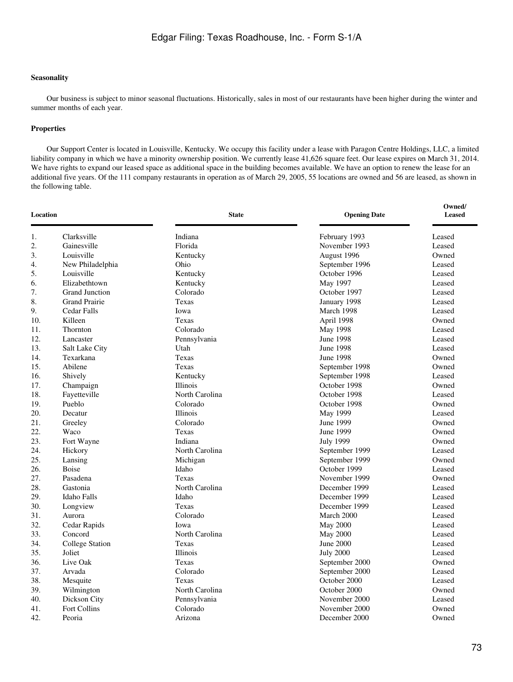### **Seasonality**

 Our business is subject to minor seasonal fluctuations. Historically, sales in most of our restaurants have been higher during the winter and summer months of each year.

### **Properties**

 Our Support Center is located in Louisville, Kentucky. We occupy this facility under a lease with Paragon Centre Holdings, LLC, a limited liability company in which we have a minority ownership position. We currently lease 41,626 square feet. Our lease expires on March 31, 2014. We have rights to expand our leased space as additional space in the building becomes available. We have an option to renew the lease for an additional five years. Of the 111 company restaurants in operation as of March 29, 2005, 55 locations are owned and 56 are leased, as shown in the following table.

| <b>Location</b> |                        | <b>State</b>    | <b>Opening Date</b> | Owned/<br><b>Leased</b> |  |
|-----------------|------------------------|-----------------|---------------------|-------------------------|--|
| 1.              | Clarksville            | Indiana         | February 1993       | Leased                  |  |
| 2.              | Gainesville            | Florida         | November 1993       | Leased                  |  |
| 3.              | Louisville             | Kentucky        | August 1996         | Owned                   |  |
| 4.              | New Philadelphia       | Ohio            | September 1996      | Leased                  |  |
| 5.              | Louisville             | Kentucky        | October 1996        | Leased                  |  |
| 6.              | Elizabethtown          | Kentucky        | May 1997            | Leased                  |  |
| 7.              | <b>Grand Junction</b>  | Colorado        | October 1997        | Leased                  |  |
| 8.              | <b>Grand Prairie</b>   | Texas           | January 1998        | Leased                  |  |
| 9.              | <b>Cedar Falls</b>     | Iowa            | March 1998          | Leased                  |  |
| 10.             | Killeen                | Texas           | April 1998          | Owned                   |  |
| 11.             | Thornton               | Colorado        | May 1998            | Leased                  |  |
| 12.             | Lancaster              | Pennsylvania    | June 1998           | Leased                  |  |
| 13.             | Salt Lake City         | Utah            | June 1998           | Leased                  |  |
| 14.             | Texarkana              | Texas           | June 1998           | Owned                   |  |
| 15.             | Abilene                | Texas           | September 1998      | Owned                   |  |
| 16.             | Shively                | Kentucky        | September 1998      | Leased                  |  |
| 17.             | Champaign              | Illinois        | October 1998        | Owned                   |  |
| 18.             | Fayetteville           | North Carolina  | October 1998        | Leased                  |  |
| 19.             | Pueblo                 | Colorado        | October 1998        | Owned                   |  |
| 20.             | Decatur                | <b>Illinois</b> | May 1999            | Leased                  |  |
| 21.             | Greeley                | Colorado        | June 1999           | Owned                   |  |
| 22.             | Waco                   | Texas           | June 1999           | Owned                   |  |
| 23.             | Fort Wayne             | Indiana         | <b>July 1999</b>    | Owned                   |  |
| 24.             | Hickory                | North Carolina  | September 1999      | Leased                  |  |
| 25.             | Lansing                | Michigan        | September 1999      | Owned                   |  |
| 26.             | <b>Boise</b>           | Idaho           | October 1999        | Leased                  |  |
| 27.             | Pasadena               | Texas           | November 1999       | Owned                   |  |
| 28.             | Gastonia               | North Carolina  | December 1999       | Leased                  |  |
| 29.             | <b>Idaho Falls</b>     | Idaho           | December 1999       | Leased                  |  |
| 30.             | Longview               | Texas           | December 1999       | Leased                  |  |
| 31.             | Aurora                 | Colorado        | March 2000          | Leased                  |  |
| 32.             | Cedar Rapids           | Iowa            | <b>May 2000</b>     | Leased                  |  |
| 33.             | Concord                | North Carolina  | <b>May 2000</b>     | Leased                  |  |
| 34.             | <b>College Station</b> | Texas           | June 2000           | Leased                  |  |
| 35.             | Joliet                 | Illinois        | <b>July 2000</b>    | Leased                  |  |
| 36.             | Live Oak               | Texas           | September 2000      | Owned                   |  |
| 37.             | Arvada                 | Colorado        | September 2000      | Leased                  |  |
| 38.             | Mesquite               | Texas           | October 2000        | Leased                  |  |
| 39.             | Wilmington             | North Carolina  | October 2000        | Owned                   |  |
| 40.             | Dickson City           | Pennsylvania    | November 2000       | Leased                  |  |
| 41.             | <b>Fort Collins</b>    | Colorado        | November 2000       | Owned                   |  |
| 42.             | Peoria                 | Arizona         | December 2000       | Owned                   |  |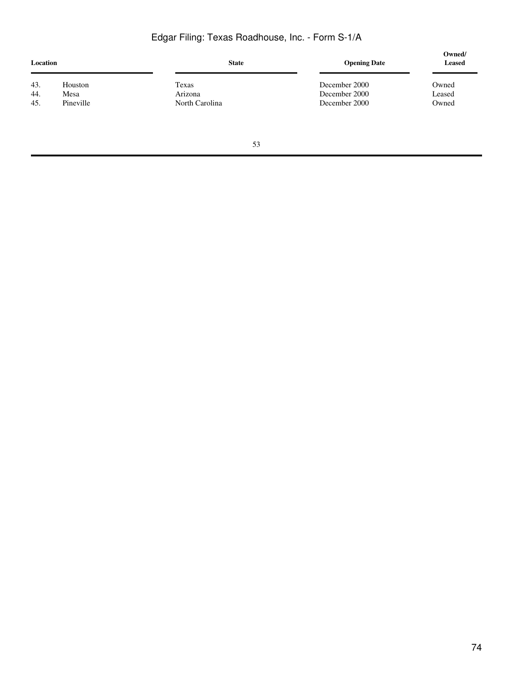| Location |           | <b>State</b>   | <b>Opening Date</b> | Owned/<br><b>Leased</b> |
|----------|-----------|----------------|---------------------|-------------------------|
| 43.      | Houston   | Texas          | December 2000       | Owned                   |
| 44.      | Mesa      | Arizona        | December 2000       | Leased                  |
| 45.      | Pineville | North Carolina | December 2000       | Owned                   |
|          |           |                |                     |                         |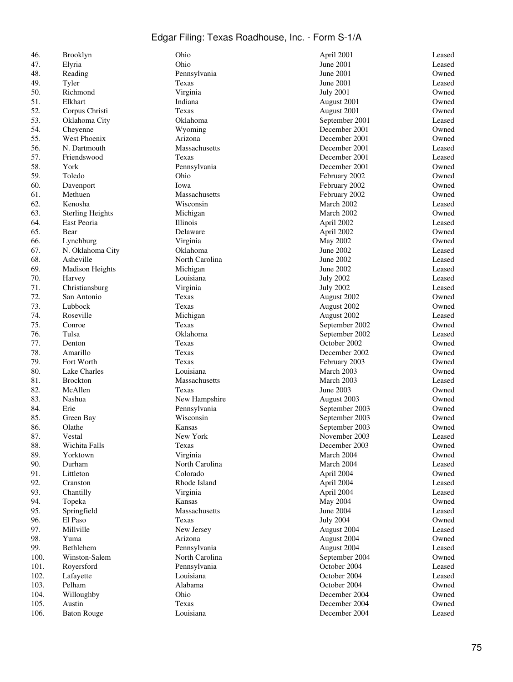| 46.  | Brooklyn                | Ohio           | April 2001       | Leased |
|------|-------------------------|----------------|------------------|--------|
| 47.  | Elyria                  | Ohio           | <b>June 2001</b> | Leased |
| 48.  | Reading                 | Pennsylvania   | June 2001        | Owned  |
| 49.  | Tyler                   | Texas          | June 2001        | Leased |
| 50.  | Richmond                | Virginia       | <b>July 2001</b> | Owned  |
| 51.  | Elkhart                 | Indiana        | August 2001      | Owned  |
| 52.  | Corpus Christi          | Texas          | August 2001      | Owned  |
| 53.  | Oklahoma City           | Oklahoma       | September 2001   | Leased |
| 54.  | Cheyenne                | Wyoming        | December 2001    | Owned  |
| 55.  | West Phoenix            | Arizona        | December 2001    | Owned  |
| 56.  | N. Dartmouth            | Massachusetts  | December 2001    | Leased |
| 57.  | Friendswood             | Texas          | December 2001    | Leased |
| 58.  | York                    | Pennsylvania   | December 2001    | Owned  |
| 59.  | Toledo                  | Ohio           |                  | Owned  |
| 60.  |                         | Iowa           | February 2002    | Owned  |
|      | Davenport               |                | February 2002    |        |
| 61.  | Methuen                 | Massachusetts  | February 2002    | Owned  |
| 62.  | Kenosha                 | Wisconsin      | March 2002       | Leased |
| 63.  | <b>Sterling Heights</b> | Michigan       | March 2002       | Owned  |
| 64.  | East Peoria             | Illinois       | April 2002       | Leased |
| 65.  | Bear                    | Delaware       | April 2002       | Owned  |
| 66.  | Lynchburg               | Virginia       | May 2002         | Owned  |
| 67.  | N. Oklahoma City        | Oklahoma       | June 2002        | Leased |
| 68.  | Asheville               | North Carolina | June 2002        | Leased |
| 69.  | <b>Madison Heights</b>  | Michigan       | June 2002        | Leased |
| 70.  | Harvey                  | Louisiana      | <b>July 2002</b> | Leased |
| 71.  | Christiansburg          | Virginia       | <b>July 2002</b> | Leased |
| 72.  | San Antonio             | Texas          | August 2002      | Owned  |
| 73.  | Lubbock                 | Texas          | August 2002      | Owned  |
| 74.  | Roseville               | Michigan       | August 2002      | Leased |
| 75.  | Conroe                  | Texas          | September 2002   | Owned  |
| 76.  | Tulsa                   | Oklahoma       | September 2002   | Leased |
| 77.  | Denton                  | Texas          | October 2002     | Owned  |
| 78.  | Amarillo                | Texas          | December 2002    | Owned  |
| 79.  | Fort Worth              | Texas          | February 2003    | Owned  |
| 80.  | Lake Charles            | Louisiana      | March 2003       | Owned  |
| 81.  | <b>Brockton</b>         | Massachusetts  | March 2003       | Leased |
| 82.  | McAllen                 | Texas          | June 2003        | Owned  |
| 83.  | Nashua                  | New Hampshire  | August 2003      | Owned  |
| 84.  | Erie                    | Pennsylvania   | September 2003   | Owned  |
| 85.  | Green Bay               | Wisconsin      |                  | Owned  |
|      | Olathe                  |                | September 2003   | Owned  |
| 86.  |                         | Kansas         | September 2003   |        |
| 87.  | Vestal                  | New York       | November 2003    | Leased |
| 88.  | Wichita Falls           | Texas          | December 2003    | Owned  |
| 89.  | Yorktown                | Virginia       | March 2004       | Owned  |
| 90.  | Durham                  | North Carolina | March 2004       | Leased |
| 91.  | Littleton               | Colorado       | April 2004       | Owned  |
| 92.  | Cranston                | Rhode Island   | April 2004       | Leased |
| 93.  | Chantilly               | Virginia       | April 2004       | Leased |
| 94.  | Topeka                  | Kansas         | May 2004         | Owned  |
| 95.  | Springfield             | Massachusetts  | June 2004        | Leased |
| 96.  | El Paso                 | Texas          | <b>July 2004</b> | Owned  |
| 97.  | Millville               | New Jersey     | August 2004      | Leased |
| 98.  | Yuma                    | Arizona        | August 2004      | Owned  |
| 99.  | Bethlehem               | Pennsylvania   | August 2004      | Leased |
| 100. | Winston-Salem           | North Carolina | September 2004   | Owned  |
| 101. | Royersford              | Pennsylvania   | October 2004     | Leased |
| 102. | Lafayette               | Louisiana      | October 2004     | Leased |
| 103. | Pelham                  | Alabama        | October 2004     | Owned  |
| 104. | Willoughby              | Ohio           | December 2004    | Owned  |
| 105. | Austin                  | Texas          | December 2004    | Owned  |
| 106. | <b>Baton Rouge</b>      | Louisiana      | December 2004    | Leased |
|      |                         |                |                  |        |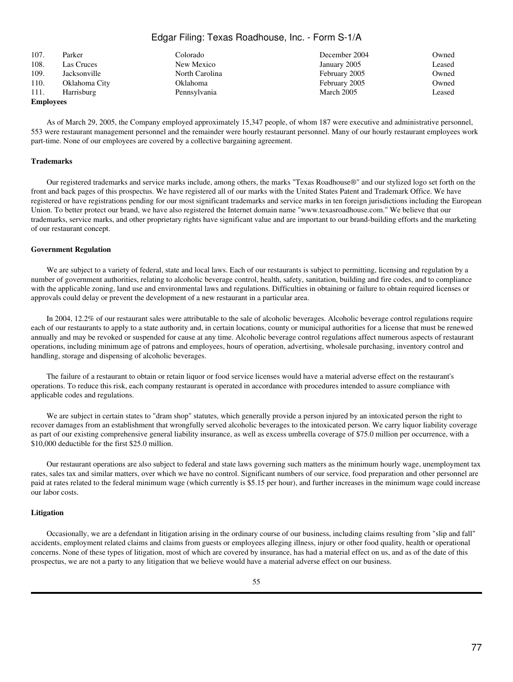| 107.             | Parker        | Colorado       | December 2004 | Owned  |
|------------------|---------------|----------------|---------------|--------|
| 108.             | Las Cruces    | New Mexico     | January 2005  | Leased |
| 109.             | Jacksonville  | North Carolina | February 2005 | Owned  |
| 110.             | Oklahoma City | Oklahoma       | February 2005 | Owned  |
| 111.             | Harrisburg    | Pennsylvania   | March 2005    | Leased |
| <b>Employees</b> |               |                |               |        |

 As of March 29, 2005, the Company employed approximately 15,347 people, of whom 187 were executive and administrative personnel, 553 were restaurant management personnel and the remainder were hourly restaurant personnel. Many of our hourly restaurant employees work part-time. None of our employees are covered by a collective bargaining agreement.

### **Trademarks**

 Our registered trademarks and service marks include, among others, the marks "Texas Roadhouse®" and our stylized logo set forth on the front and back pages of this prospectus. We have registered all of our marks with the United States Patent and Trademark Office. We have registered or have registrations pending for our most significant trademarks and service marks in ten foreign jurisdictions including the European Union. To better protect our brand, we have also registered the Internet domain name "www.texasroadhouse.com." We believe that our trademarks, service marks, and other proprietary rights have significant value and are important to our brand-building efforts and the marketing of our restaurant concept.

### **Government Regulation**

 We are subject to a variety of federal, state and local laws. Each of our restaurants is subject to permitting, licensing and regulation by a number of government authorities, relating to alcoholic beverage control, health, safety, sanitation, building and fire codes, and to compliance with the applicable zoning, land use and environmental laws and regulations. Difficulties in obtaining or failure to obtain required licenses or approvals could delay or prevent the development of a new restaurant in a particular area.

 In 2004, 12.2% of our restaurant sales were attributable to the sale of alcoholic beverages. Alcoholic beverage control regulations require each of our restaurants to apply to a state authority and, in certain locations, county or municipal authorities for a license that must be renewed annually and may be revoked or suspended for cause at any time. Alcoholic beverage control regulations affect numerous aspects of restaurant operations, including minimum age of patrons and employees, hours of operation, advertising, wholesale purchasing, inventory control and handling, storage and dispensing of alcoholic beverages.

 The failure of a restaurant to obtain or retain liquor or food service licenses would have a material adverse effect on the restaurant's operations. To reduce this risk, each company restaurant is operated in accordance with procedures intended to assure compliance with applicable codes and regulations.

 We are subject in certain states to "dram shop" statutes, which generally provide a person injured by an intoxicated person the right to recover damages from an establishment that wrongfully served alcoholic beverages to the intoxicated person. We carry liquor liability coverage as part of our existing comprehensive general liability insurance, as well as excess umbrella coverage of \$75.0 million per occurrence, with a \$10,000 deductible for the first \$25.0 million.

 Our restaurant operations are also subject to federal and state laws governing such matters as the minimum hourly wage, unemployment tax rates, sales tax and similar matters, over which we have no control. Significant numbers of our service, food preparation and other personnel are paid at rates related to the federal minimum wage (which currently is \$5.15 per hour), and further increases in the minimum wage could increase our labor costs.

### **Litigation**

 Occasionally, we are a defendant in litigation arising in the ordinary course of our business, including claims resulting from "slip and fall" accidents, employment related claims and claims from guests or employees alleging illness, injury or other food quality, health or operational concerns. None of these types of litigation, most of which are covered by insurance, has had a material effect on us, and as of the date of this prospectus, we are not a party to any litigation that we believe would have a material adverse effect on our business.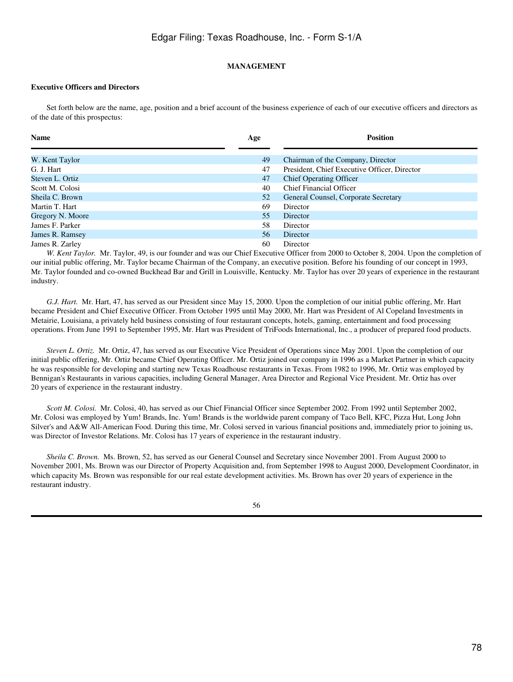### **MANAGEMENT**

### **Executive Officers and Directors**

 Set forth below are the name, age, position and a brief account of the business experience of each of our executive officers and directors as of the date of this prospectus:

| <b>Name</b>      | Age | <b>Position</b>                              |
|------------------|-----|----------------------------------------------|
|                  |     |                                              |
| W. Kent Taylor   | 49  | Chairman of the Company, Director            |
| G. J. Hart       | 47  | President, Chief Executive Officer, Director |
| Steven L. Ortiz  | 47  | <b>Chief Operating Officer</b>               |
| Scott M. Colosi  | 40  | <b>Chief Financial Officer</b>               |
| Sheila C. Brown  | 52  | General Counsel, Corporate Secretary         |
| Martin T. Hart   | 69  | Director                                     |
| Gregory N. Moore | 55  | Director                                     |
| James F. Parker  | 58  | Director                                     |
| James R. Ramsey  | 56  | Director                                     |
| James R. Zarley  | 60  | Director                                     |

*W. Kent Taylor.* Mr. Taylor, 49, is our founder and was our Chief Executive Officer from 2000 to October 8, 2004. Upon the completion of our initial public offering, Mr. Taylor became Chairman of the Company, an executive position. Before his founding of our concept in 1993, Mr. Taylor founded and co-owned Buckhead Bar and Grill in Louisville, Kentucky. Mr. Taylor has over 20 years of experience in the restaurant industry.

*G.J. Hart.* Mr. Hart, 47, has served as our President since May 15, 2000. Upon the completion of our initial public offering, Mr. Hart became President and Chief Executive Officer. From October 1995 until May 2000, Mr. Hart was President of Al Copeland Investments in Metairie, Louisiana, a privately held business consisting of four restaurant concepts, hotels, gaming, entertainment and food processing operations. From June 1991 to September 1995, Mr. Hart was President of TriFoods International, Inc., a producer of prepared food products.

*Steven L. Ortiz.* Mr. Ortiz, 47, has served as our Executive Vice President of Operations since May 2001. Upon the completion of our initial public offering, Mr. Ortiz became Chief Operating Officer. Mr. Ortiz joined our company in 1996 as a Market Partner in which capacity he was responsible for developing and starting new Texas Roadhouse restaurants in Texas. From 1982 to 1996, Mr. Ortiz was employed by Bennigan's Restaurants in various capacities, including General Manager, Area Director and Regional Vice President. Mr. Ortiz has over 20 years of experience in the restaurant industry.

*Scott M. Colosi.* Mr. Colosi, 40, has served as our Chief Financial Officer since September 2002. From 1992 until September 2002, Mr. Colosi was employed by Yum! Brands, Inc. Yum! Brands is the worldwide parent company of Taco Bell, KFC, Pizza Hut, Long John Silver's and A&W All-American Food. During this time, Mr. Colosi served in various financial positions and, immediately prior to joining us, was Director of Investor Relations. Mr. Colosi has 17 years of experience in the restaurant industry.

*Sheila C. Brown.* Ms. Brown, 52, has served as our General Counsel and Secretary since November 2001. From August 2000 to November 2001, Ms. Brown was our Director of Property Acquisition and, from September 1998 to August 2000, Development Coordinator, in which capacity Ms. Brown was responsible for our real estate development activities. Ms. Brown has over 20 years of experience in the restaurant industry.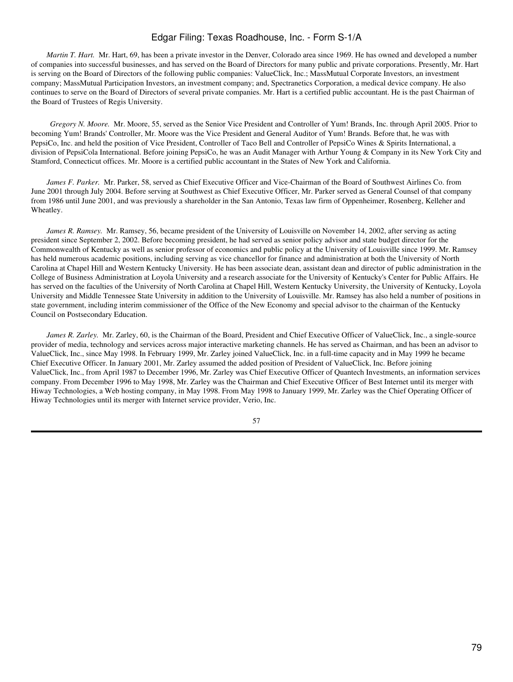*Martin T. Hart.* Mr. Hart, 69, has been a private investor in the Denver, Colorado area since 1969. He has owned and developed a number of companies into successful businesses, and has served on the Board of Directors for many public and private corporations. Presently, Mr. Hart is serving on the Board of Directors of the following public companies: ValueClick, Inc.; MassMutual Corporate Investors, an investment company; MassMutual Participation Investors, an investment company; and, Spectranetics Corporation, a medical device company. He also continues to serve on the Board of Directors of several private companies. Mr. Hart is a certified public accountant. He is the past Chairman of the Board of Trustees of Regis University.

*Gregory N. Moore.* Mr. Moore, 55, served as the Senior Vice President and Controller of Yum! Brands, Inc. through April 2005. Prior to becoming Yum! Brands' Controller, Mr. Moore was the Vice President and General Auditor of Yum! Brands. Before that, he was with PepsiCo, Inc. and held the position of Vice President, Controller of Taco Bell and Controller of PepsiCo Wines & Spirits International, a division of PepsiCola International. Before joining PepsiCo, he was an Audit Manager with Arthur Young & Company in its New York City and Stamford, Connecticut offices. Mr. Moore is a certified public accountant in the States of New York and California.

*James F. Parker.* Mr. Parker, 58, served as Chief Executive Officer and Vice-Chairman of the Board of Southwest Airlines Co. from June 2001 through July 2004. Before serving at Southwest as Chief Executive Officer, Mr. Parker served as General Counsel of that company from 1986 until June 2001, and was previously a shareholder in the San Antonio, Texas law firm of Oppenheimer, Rosenberg, Kelleher and Wheatley.

*James R. Ramsey.* Mr. Ramsey, 56, became president of the University of Louisville on November 14, 2002, after serving as acting president since September 2, 2002. Before becoming president, he had served as senior policy advisor and state budget director for the Commonwealth of Kentucky as well as senior professor of economics and public policy at the University of Louisville since 1999. Mr. Ramsey has held numerous academic positions, including serving as vice chancellor for finance and administration at both the University of North Carolina at Chapel Hill and Western Kentucky University. He has been associate dean, assistant dean and director of public administration in the College of Business Administration at Loyola University and a research associate for the University of Kentucky's Center for Public Affairs. He has served on the faculties of the University of North Carolina at Chapel Hill, Western Kentucky University, the University of Kentucky, Loyola University and Middle Tennessee State University in addition to the University of Louisville. Mr. Ramsey has also held a number of positions in state government, including interim commissioner of the Office of the New Economy and special advisor to the chairman of the Kentucky Council on Postsecondary Education.

*James R. Zarley.* Mr. Zarley, 60, is the Chairman of the Board, President and Chief Executive Officer of ValueClick, Inc., a single-source provider of media, technology and services across major interactive marketing channels. He has served as Chairman, and has been an advisor to ValueClick, Inc., since May 1998. In February 1999, Mr. Zarley joined ValueClick, Inc. in a full-time capacity and in May 1999 he became Chief Executive Officer. In January 2001, Mr. Zarley assumed the added position of President of ValueClick, Inc. Before joining ValueClick, Inc., from April 1987 to December 1996, Mr. Zarley was Chief Executive Officer of Quantech Investments, an information services company. From December 1996 to May 1998, Mr. Zarley was the Chairman and Chief Executive Officer of Best Internet until its merger with Hiway Technologies, a Web hosting company, in May 1998. From May 1998 to January 1999, Mr. Zarley was the Chief Operating Officer of Hiway Technologies until its merger with Internet service provider, Verio, Inc.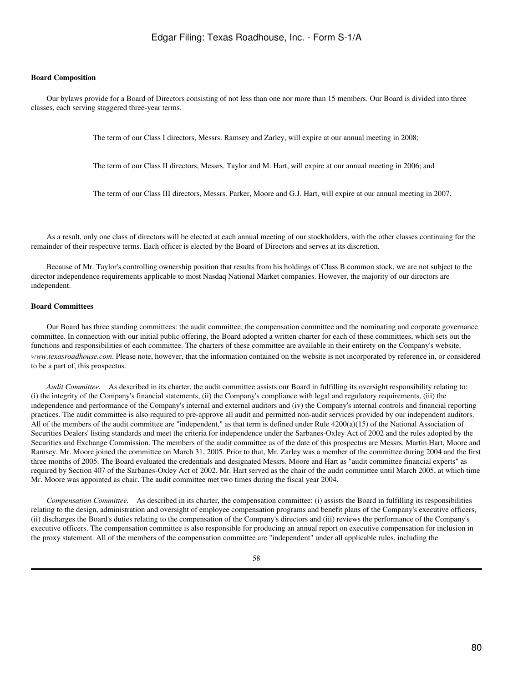### **Board Composition**

 Our bylaws provide for a Board of Directors consisting of not less than one nor more than 15 members. Our Board is divided into three classes, each serving staggered three-year terms.

The term of our Class I directors, Messrs. Ramsey and Zarley, will expire at our annual meeting in 2008;

The term of our Class II directors, Messrs. Taylor and M. Hart, will expire at our annual meeting in 2006; and

The term of our Class III directors, Messrs. Parker, Moore and G.J. Hart, will expire at our annual meeting in 2007.

 As a result, only one class of directors will be elected at each annual meeting of our stockholders, with the other classes continuing for the remainder of their respective terms. Each officer is elected by the Board of Directors and serves at its discretion.

 Because of Mr. Taylor's controlling ownership position that results from his holdings of Class B common stock, we are not subject to the director independence requirements applicable to most Nasdaq National Market companies. However, the majority of our directors are independent.

### **Board Committees**

 Our Board has three standing committees: the audit committee, the compensation committee and the nominating and corporate governance committee. In connection with our initial public offering, the Board adopted a written charter for each of these committees, which sets out the functions and responsibilities of each committee. The charters of these committee are available in their entirety on the Company's website, *www.texasroadhouse.com*. Please note, however, that the information contained on the website is not incorporated by reference in, or considered to be a part of, this prospectus.

 *Audit Committee.* As described in its charter, the audit committee assists our Board in fulfilling its oversight responsibility relating to: (i) the integrity of the Company's financial statements, (ii) the Company's compliance with legal and regulatory requirements, (iii) the independence and performance of the Company's internal and external auditors and (iv) the Company's internal controls and financial reporting practices. The audit committee is also required to pre-approve all audit and permitted non-audit services provided by our independent auditors. All of the members of the audit committee are "independent," as that term is defined under Rule 4200(a)(15) of the National Association of Securities Dealers' listing standards and meet the criteria for independence under the Sarbanes-Oxley Act of 2002 and the rules adopted by the Securities and Exchange Commission. The members of the audit committee as of the date of this prospectus are Messrs. Martin Hart, Moore and Ramsey. Mr. Moore joined the committee on March 31, 2005. Prior to that, Mr. Zarley was a member of the committee during 2004 and the first three months of 2005. The Board evaluated the credentials and designated Messrs. Moore and Hart as "audit committee financial experts" as required by Section 407 of the Sarbanes-Oxley Act of 2002. Mr. Hart served as the chair of the audit committee until March 2005, at which time Mr. Moore was appointed as chair. The audit committee met two times during the fiscal year 2004.

 *Compensation Committee.* As described in its charter, the compensation committee: (i) assists the Board in fulfilling its responsibilities relating to the design, administration and oversight of employee compensation programs and benefit plans of the Company's executive officers, (ii) discharges the Board's duties relating to the compensation of the Company's directors and (iii) reviews the performance of the Company's executive officers. The compensation committee is also responsible for producing an annual report on executive compensation for inclusion in the proxy statement. All of the members of the compensation committee are "independent" under all applicable rules, including the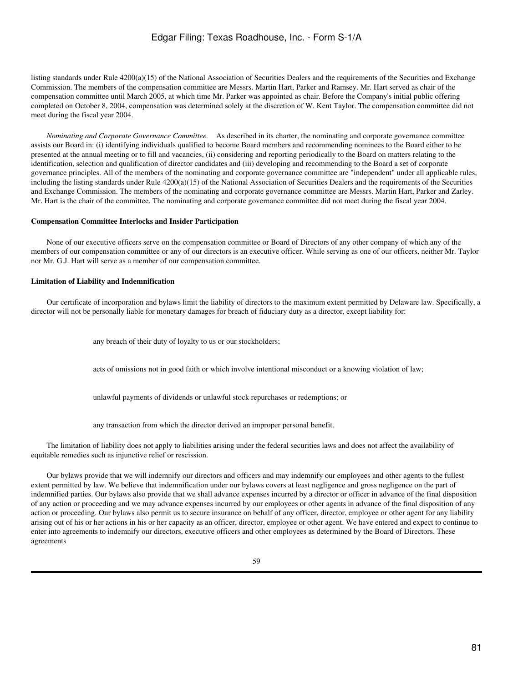listing standards under Rule 4200(a)(15) of the National Association of Securities Dealers and the requirements of the Securities and Exchange Commission. The members of the compensation committee are Messrs. Martin Hart, Parker and Ramsey. Mr. Hart served as chair of the compensation committee until March 2005, at which time Mr. Parker was appointed as chair. Before the Company's initial public offering completed on October 8, 2004, compensation was determined solely at the discretion of W. Kent Taylor. The compensation committee did not meet during the fiscal year 2004.

 *Nominating and Corporate Governance Committee.* As described in its charter, the nominating and corporate governance committee assists our Board in: (i) identifying individuals qualified to become Board members and recommending nominees to the Board either to be presented at the annual meeting or to fill and vacancies, (ii) considering and reporting periodically to the Board on matters relating to the identification, selection and qualification of director candidates and (iii) developing and recommending to the Board a set of corporate governance principles. All of the members of the nominating and corporate governance committee are "independent" under all applicable rules, including the listing standards under Rule  $4200(a)(15)$  of the National Association of Securities Dealers and the requirements of the Securities and Exchange Commission. The members of the nominating and corporate governance committee are Messrs. Martin Hart, Parker and Zarley. Mr. Hart is the chair of the committee. The nominating and corporate governance committee did not meet during the fiscal year 2004.

### **Compensation Committee Interlocks and Insider Participation**

 None of our executive officers serve on the compensation committee or Board of Directors of any other company of which any of the members of our compensation committee or any of our directors is an executive officer. While serving as one of our officers, neither Mr. Taylor nor Mr. G.J. Hart will serve as a member of our compensation committee.

### **Limitation of Liability and Indemnification**

 Our certificate of incorporation and bylaws limit the liability of directors to the maximum extent permitted by Delaware law. Specifically, a director will not be personally liable for monetary damages for breach of fiduciary duty as a director, except liability for:

any breach of their duty of loyalty to us or our stockholders;

acts of omissions not in good faith or which involve intentional misconduct or a knowing violation of law;

unlawful payments of dividends or unlawful stock repurchases or redemptions; or

any transaction from which the director derived an improper personal benefit.

 The limitation of liability does not apply to liabilities arising under the federal securities laws and does not affect the availability of equitable remedies such as injunctive relief or rescission.

 Our bylaws provide that we will indemnify our directors and officers and may indemnify our employees and other agents to the fullest extent permitted by law. We believe that indemnification under our bylaws covers at least negligence and gross negligence on the part of indemnified parties. Our bylaws also provide that we shall advance expenses incurred by a director or officer in advance of the final disposition of any action or proceeding and we may advance expenses incurred by our employees or other agents in advance of the final disposition of any action or proceeding. Our bylaws also permit us to secure insurance on behalf of any officer, director, employee or other agent for any liability arising out of his or her actions in his or her capacity as an officer, director, employee or other agent. We have entered and expect to continue to enter into agreements to indemnify our directors, executive officers and other employees as determined by the Board of Directors. These agreements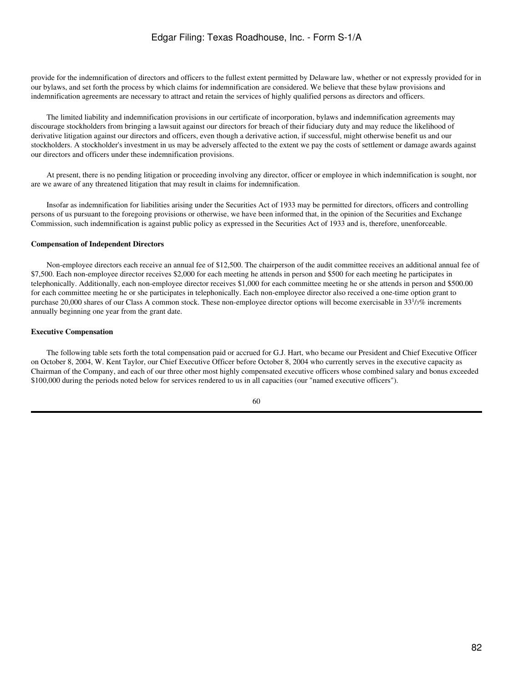provide for the indemnification of directors and officers to the fullest extent permitted by Delaware law, whether or not expressly provided for in our bylaws, and set forth the process by which claims for indemnification are considered. We believe that these bylaw provisions and indemnification agreements are necessary to attract and retain the services of highly qualified persons as directors and officers.

 The limited liability and indemnification provisions in our certificate of incorporation, bylaws and indemnification agreements may discourage stockholders from bringing a lawsuit against our directors for breach of their fiduciary duty and may reduce the likelihood of derivative litigation against our directors and officers, even though a derivative action, if successful, might otherwise benefit us and our stockholders. A stockholder's investment in us may be adversely affected to the extent we pay the costs of settlement or damage awards against our directors and officers under these indemnification provisions.

 At present, there is no pending litigation or proceeding involving any director, officer or employee in which indemnification is sought, nor are we aware of any threatened litigation that may result in claims for indemnification.

 Insofar as indemnification for liabilities arising under the Securities Act of 1933 may be permitted for directors, officers and controlling persons of us pursuant to the foregoing provisions or otherwise, we have been informed that, in the opinion of the Securities and Exchange Commission, such indemnification is against public policy as expressed in the Securities Act of 1933 and is, therefore, unenforceable.

### **Compensation of Independent Directors**

 Non-employee directors each receive an annual fee of \$12,500. The chairperson of the audit committee receives an additional annual fee of \$7,500. Each non-employee director receives \$2,000 for each meeting he attends in person and \$500 for each meeting he participates in telephonically. Additionally, each non-employee director receives \$1,000 for each committee meeting he or she attends in person and \$500.00 for each committee meeting he or she participates in telephonically. Each non-employee director also received a one-time option grant to purchase 20,000 shares of our Class A common stock. These non-employee director options will become exercisable in  $33^{1/3}\%$  increments annually beginning one year from the grant date.

### **Executive Compensation**

 The following table sets forth the total compensation paid or accrued for G.J. Hart, who became our President and Chief Executive Officer on October 8, 2004, W. Kent Taylor, our Chief Executive Officer before October 8, 2004 who currently serves in the executive capacity as Chairman of the Company, and each of our three other most highly compensated executive officers whose combined salary and bonus exceeded \$100,000 during the periods noted below for services rendered to us in all capacities (our "named executive officers").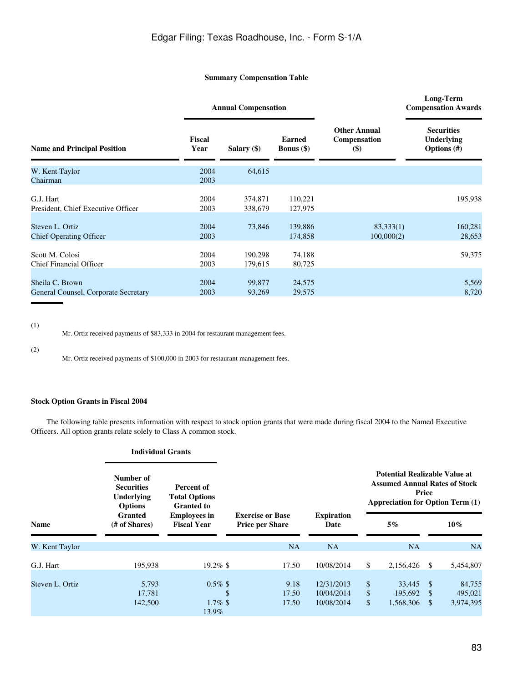### **Summary Compensation Table**

|                                                         | <b>Annual Compensation</b>    |                    |                                      |                                                                  | Long-Term<br><b>Compensation Awards</b>           |  |  |
|---------------------------------------------------------|-------------------------------|--------------------|--------------------------------------|------------------------------------------------------------------|---------------------------------------------------|--|--|
| <b>Name and Principal Position</b>                      | Fiscal<br>Year<br>Salary (\$) |                    | <b>Earned</b><br><b>Bonus</b> $(\$)$ | <b>Other Annual</b><br>Compensation<br>$\left( \text{\$}\right)$ | <b>Securities</b><br>Underlying<br>Options $(\#)$ |  |  |
| W. Kent Taylor<br>Chairman                              | 2004<br>2003                  | 64,615             |                                      |                                                                  |                                                   |  |  |
| G.J. Hart<br>President, Chief Executive Officer         | 2004<br>2003                  | 374,871<br>338,679 | 110,221<br>127,975                   |                                                                  | 195,938                                           |  |  |
| Steven L. Ortiz<br><b>Chief Operating Officer</b>       | 2004<br>2003                  | 73,846             | 139,886<br>174,858                   | 83,333(1)<br>100,000(2)                                          | 160,281<br>28,653                                 |  |  |
| Scott M. Colosi<br><b>Chief Financial Officer</b>       | 2004<br>2003                  | 190,298<br>179,615 | 74,188<br>80,725                     |                                                                  | 59,375                                            |  |  |
| Sheila C. Brown<br>General Counsel, Corporate Secretary | 2004<br>2003                  | 99,877<br>93,269   | 24,575<br>29,575                     |                                                                  | 5,569<br>8,720                                    |  |  |

(1)

Mr. Ortiz received payments of \$83,333 in 2004 for restaurant management fees.

(2)

Mr. Ortiz received payments of \$100,000 in 2003 for restaurant management fees.

### **Stock Option Grants in Fiscal 2004**

 The following table presents information with respect to stock option grants that were made during fiscal 2004 to the Named Executive Officers. All option grants relate solely to Class A common stock.

|                 | <b>Individual Grants</b>                                              |                                                         |                                                   |                                        |                                                                                                                                  |                                      |               |                                |  |
|-----------------|-----------------------------------------------------------------------|---------------------------------------------------------|---------------------------------------------------|----------------------------------------|----------------------------------------------------------------------------------------------------------------------------------|--------------------------------------|---------------|--------------------------------|--|
|                 | Number of<br><b>Securities</b><br><b>Underlying</b><br><b>Options</b> | Percent of<br><b>Total Options</b><br><b>Granted to</b> |                                                   |                                        | <b>Potential Realizable Value at</b><br><b>Assumed Annual Rates of Stock</b><br>Price<br><b>Appreciation for Option Term (1)</b> |                                      |               |                                |  |
| Name            | <b>Granted</b><br>(# of Shares)                                       | <b>Employees in</b><br><b>Fiscal Year</b>               | <b>Exercise or Base</b><br><b>Price per Share</b> | <b>Expiration</b><br>Date              |                                                                                                                                  | 5%                                   | $10\%$        |                                |  |
| W. Kent Taylor  |                                                                       |                                                         | NA                                                | <b>NA</b>                              |                                                                                                                                  | NA                                   |               | <b>NA</b>                      |  |
| G.J. Hart       | 195,938                                                               | $19.2\%$ \$                                             | 17.50                                             | 10/08/2014                             | \$                                                                                                                               | 2,156,426                            | <sup>S</sup>  | 5,454,807                      |  |
| Steven L. Ortiz | 5,793<br>17,781<br>142,500                                            | $0.5\%$ \$<br>S<br>$1.7\%$ \$<br>13.9%                  | 9.18<br>17.50<br>17.50                            | 12/31/2013<br>10/04/2014<br>10/08/2014 | \$<br>\$<br>\$                                                                                                                   | 33,445 \$<br>195,692 \$<br>1,568,306 | <sup>\$</sup> | 84,755<br>495,021<br>3,974,395 |  |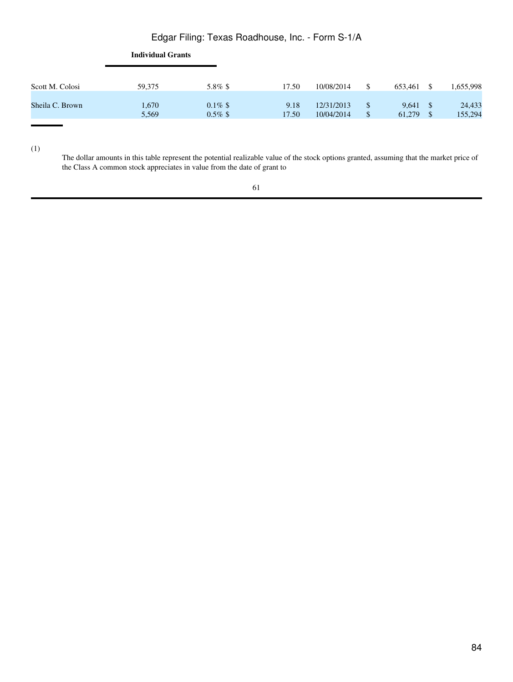### **Individual Grants**

| Scott M. Colosi | 59.375 | 5.8% \$    | 17.50 | 10/08/2014 | 653.461 | 1,655,998 |
|-----------------|--------|------------|-------|------------|---------|-----------|
|                 |        |            |       |            |         |           |
| Sheila C. Brown | .670   | $0.1\%$ \$ | 9.18  | 12/31/2013 | 9.641   | 24,433    |
|                 | 5.569  | $0.5\%$ \$ | 17.50 | 10/04/2014 | 61.279  | 155.294   |

(1)

j,

The dollar amounts in this table represent the potential realizable value of the stock options granted, assuming that the market price of the Class A common stock appreciates in value from the date of grant to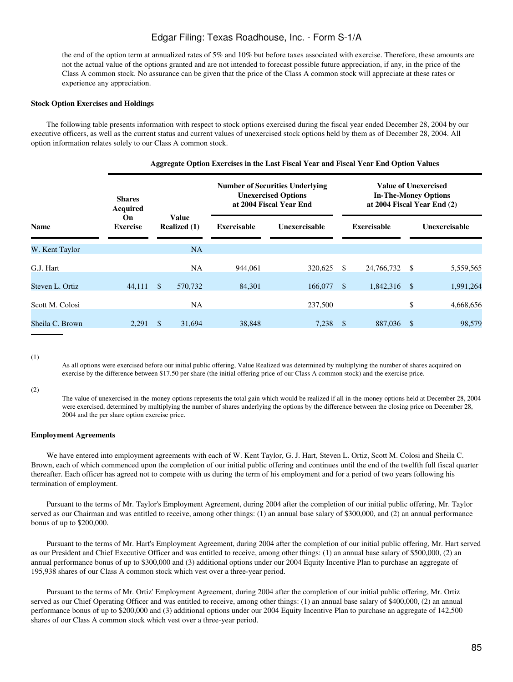the end of the option term at annualized rates of 5% and 10% but before taxes associated with exercise. Therefore, these amounts are not the actual value of the options granted and are not intended to forecast possible future appreciation, if any, in the price of the Class A common stock. No assurance can be given that the price of the Class A common stock will appreciate at these rates or experience any appreciation.

### **Stock Option Exercises and Holdings**

 The following table presents information with respect to stock options exercised during the fiscal year ended December 28, 2004 by our executive officers, as well as the current status and current values of unexercised stock options held by them as of December 28, 2004. All option information relates solely to our Class A common stock.

|                 | <b>Shares</b><br>Acquired<br><b>Value</b><br>On<br><b>Exercise</b><br><b>Realized</b> (1) |               | <b>Number of Securities Underlying</b><br><b>Unexercised Options</b><br>at 2004 Fiscal Year End |               |         | <b>Value of Unexercised</b><br><b>In-The-Money Options</b><br>at 2004 Fiscal Year End (2) |              |               |           |  |
|-----------------|-------------------------------------------------------------------------------------------|---------------|-------------------------------------------------------------------------------------------------|---------------|---------|-------------------------------------------------------------------------------------------|--------------|---------------|-----------|--|
| <b>Name</b>     |                                                                                           |               | <b>Exercisable</b>                                                                              | Unexercisable |         | <b>Exercisable</b>                                                                        |              | Unexercisable |           |  |
| W. Kent Taylor  |                                                                                           |               | NA                                                                                              |               |         |                                                                                           |              |               |           |  |
| G.J. Hart       |                                                                                           |               | <b>NA</b>                                                                                       | 944,061       | 320,625 | - \$                                                                                      | 24,766,732   | - \$          | 5,559,565 |  |
| Steven L. Ortiz | 44,111                                                                                    | $\mathbb{S}$  | 570,732                                                                                         | 84,301        | 166,077 | - \$                                                                                      | 1,842,316 \$ |               | 1,991,264 |  |
| Scott M. Colosi |                                                                                           |               | <b>NA</b>                                                                                       |               | 237,500 |                                                                                           |              | \$            | 4,668,656 |  |
| Sheila C. Brown | 2,291                                                                                     | <sup>\$</sup> | 31,694                                                                                          | 38,848        | 7,238   | - \$                                                                                      | 887,036      | <sup>\$</sup> | 98,579    |  |

#### **Aggregate Option Exercises in the Last Fiscal Year and Fiscal Year End Option Values**

(1)

As all options were exercised before our initial public offering, Value Realized was determined by multiplying the number of shares acquired on exercise by the difference between \$17.50 per share (the initial offering price of our Class A common stock) and the exercise price.

#### (2)

The value of unexercised in-the-money options represents the total gain which would be realized if all in-the-money options held at December 28, 2004 were exercised, determined by multiplying the number of shares underlying the options by the difference between the closing price on December 28, 2004 and the per share option exercise price.

### **Employment Agreements**

 We have entered into employment agreements with each of W. Kent Taylor, G. J. Hart, Steven L. Ortiz, Scott M. Colosi and Sheila C. Brown, each of which commenced upon the completion of our initial public offering and continues until the end of the twelfth full fiscal quarter thereafter. Each officer has agreed not to compete with us during the term of his employment and for a period of two years following his termination of employment.

 Pursuant to the terms of Mr. Taylor's Employment Agreement, during 2004 after the completion of our initial public offering, Mr. Taylor served as our Chairman and was entitled to receive, among other things: (1) an annual base salary of \$300,000, and (2) an annual performance bonus of up to \$200,000.

 Pursuant to the terms of Mr. Hart's Employment Agreement, during 2004 after the completion of our initial public offering, Mr. Hart served as our President and Chief Executive Officer and was entitled to receive, among other things: (1) an annual base salary of \$500,000, (2) an annual performance bonus of up to \$300,000 and (3) additional options under our 2004 Equity Incentive Plan to purchase an aggregate of 195,938 shares of our Class A common stock which vest over a three-year period.

 Pursuant to the terms of Mr. Ortiz' Employment Agreement, during 2004 after the completion of our initial public offering, Mr. Ortiz served as our Chief Operating Officer and was entitled to receive, among other things: (1) an annual base salary of \$400,000, (2) an annual performance bonus of up to \$200,000 and (3) additional options under our 2004 Equity Incentive Plan to purchase an aggregate of 142,500 shares of our Class A common stock which vest over a three-year period.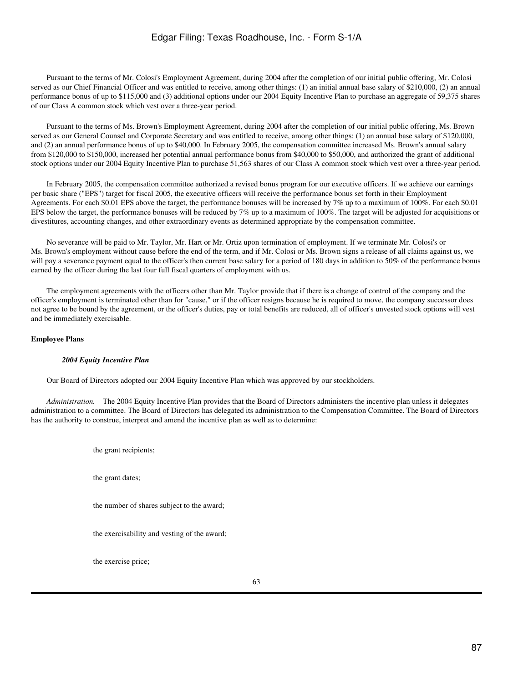Pursuant to the terms of Mr. Colosi's Employment Agreement, during 2004 after the completion of our initial public offering, Mr. Colosi served as our Chief Financial Officer and was entitled to receive, among other things: (1) an initial annual base salary of \$210,000, (2) an annual performance bonus of up to \$115,000 and (3) additional options under our 2004 Equity Incentive Plan to purchase an aggregate of 59,375 shares of our Class A common stock which vest over a three-year period.

 Pursuant to the terms of Ms. Brown's Employment Agreement, during 2004 after the completion of our initial public offering, Ms. Brown served as our General Counsel and Corporate Secretary and was entitled to receive, among other things: (1) an annual base salary of \$120,000, and (2) an annual performance bonus of up to \$40,000. In February 2005, the compensation committee increased Ms. Brown's annual salary from \$120,000 to \$150,000, increased her potential annual performance bonus from \$40,000 to \$50,000, and authorized the grant of additional stock options under our 2004 Equity Incentive Plan to purchase 51,563 shares of our Class A common stock which vest over a three-year period.

 In February 2005, the compensation committee authorized a revised bonus program for our executive officers. If we achieve our earnings per basic share ("EPS") target for fiscal 2005, the executive officers will receive the performance bonus set forth in their Employment Agreements. For each \$0.01 EPS above the target, the performance bonuses will be increased by 7% up to a maximum of 100%. For each \$0.01 EPS below the target, the performance bonuses will be reduced by 7% up to a maximum of 100%. The target will be adjusted for acquisitions or divestitures, accounting changes, and other extraordinary events as determined appropriate by the compensation committee.

 No severance will be paid to Mr. Taylor, Mr. Hart or Mr. Ortiz upon termination of employment. If we terminate Mr. Colosi's or Ms. Brown's employment without cause before the end of the term, and if Mr. Colosi or Ms. Brown signs a release of all claims against us, we will pay a severance payment equal to the officer's then current base salary for a period of 180 days in addition to 50% of the performance bonus earned by the officer during the last four full fiscal quarters of employment with us.

 The employment agreements with the officers other than Mr. Taylor provide that if there is a change of control of the company and the officer's employment is terminated other than for "cause," or if the officer resigns because he is required to move, the company successor does not agree to be bound by the agreement, or the officer's duties, pay or total benefits are reduced, all of officer's unvested stock options will vest and be immediately exercisable.

### **Employee Plans**

### *2004 Equity Incentive Plan*

Our Board of Directors adopted our 2004 Equity Incentive Plan which was approved by our stockholders.

 *Administration.* The 2004 Equity Incentive Plan provides that the Board of Directors administers the incentive plan unless it delegates administration to a committee. The Board of Directors has delegated its administration to the Compensation Committee. The Board of Directors has the authority to construe, interpret and amend the incentive plan as well as to determine:

the grant recipients;

the grant dates;

the number of shares subject to the award;

the exercisability and vesting of the award;

the exercise price;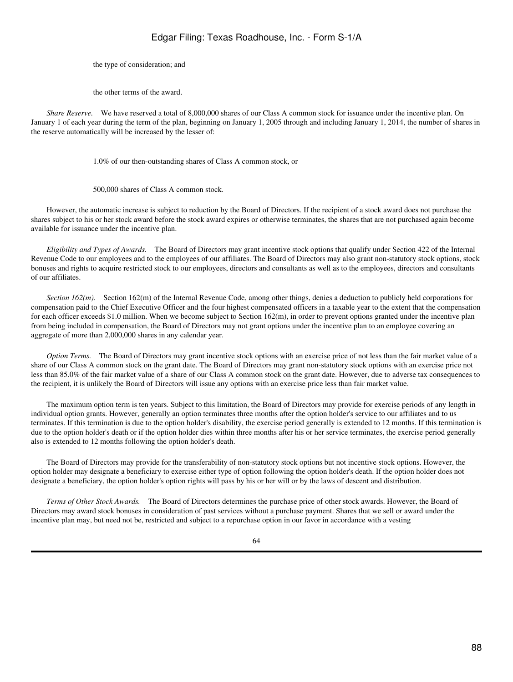the type of consideration; and

the other terms of the award.

 *Share Reserve.* We have reserved a total of 8,000,000 shares of our Class A common stock for issuance under the incentive plan. On January 1 of each year during the term of the plan, beginning on January 1, 2005 through and including January 1, 2014, the number of shares in the reserve automatically will be increased by the lesser of:

1.0% of our then-outstanding shares of Class A common stock, or

500,000 shares of Class A common stock.

 However, the automatic increase is subject to reduction by the Board of Directors. If the recipient of a stock award does not purchase the shares subject to his or her stock award before the stock award expires or otherwise terminates, the shares that are not purchased again become available for issuance under the incentive plan.

 *Eligibility and Types of Awards.* The Board of Directors may grant incentive stock options that qualify under Section 422 of the Internal Revenue Code to our employees and to the employees of our affiliates. The Board of Directors may also grant non-statutory stock options, stock bonuses and rights to acquire restricted stock to our employees, directors and consultants as well as to the employees, directors and consultants of our affiliates.

*Section 162(m)*. Section 162(m) of the Internal Revenue Code, among other things, denies a deduction to publicly held corporations for compensation paid to the Chief Executive Officer and the four highest compensated officers in a taxable year to the extent that the compensation for each officer exceeds \$1.0 million. When we become subject to Section 162(m), in order to prevent options granted under the incentive plan from being included in compensation, the Board of Directors may not grant options under the incentive plan to an employee covering an aggregate of more than 2,000,000 shares in any calendar year.

 *Option Terms.* The Board of Directors may grant incentive stock options with an exercise price of not less than the fair market value of a share of our Class A common stock on the grant date. The Board of Directors may grant non-statutory stock options with an exercise price not less than 85.0% of the fair market value of a share of our Class A common stock on the grant date. However, due to adverse tax consequences to the recipient, it is unlikely the Board of Directors will issue any options with an exercise price less than fair market value.

 The maximum option term is ten years. Subject to this limitation, the Board of Directors may provide for exercise periods of any length in individual option grants. However, generally an option terminates three months after the option holder's service to our affiliates and to us terminates. If this termination is due to the option holder's disability, the exercise period generally is extended to 12 months. If this termination is due to the option holder's death or if the option holder dies within three months after his or her service terminates, the exercise period generally also is extended to 12 months following the option holder's death.

 The Board of Directors may provide for the transferability of non-statutory stock options but not incentive stock options. However, the option holder may designate a beneficiary to exercise either type of option following the option holder's death. If the option holder does not designate a beneficiary, the option holder's option rights will pass by his or her will or by the laws of descent and distribution.

 *Terms of Other Stock Awards.* The Board of Directors determines the purchase price of other stock awards. However, the Board of Directors may award stock bonuses in consideration of past services without a purchase payment. Shares that we sell or award under the incentive plan may, but need not be, restricted and subject to a repurchase option in our favor in accordance with a vesting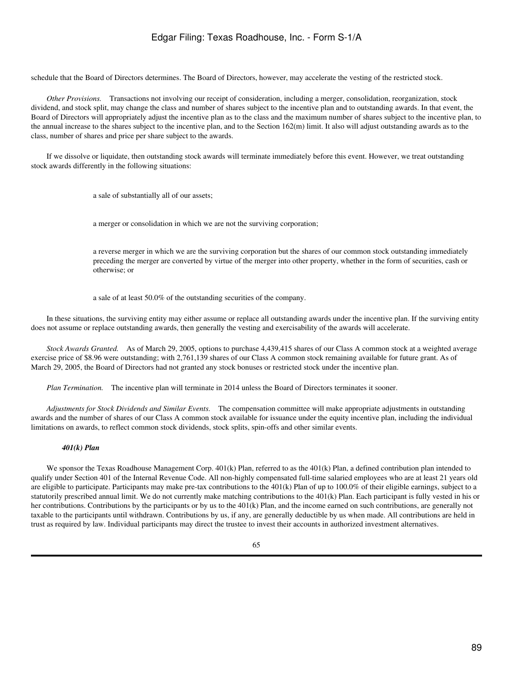schedule that the Board of Directors determines. The Board of Directors, however, may accelerate the vesting of the restricted stock.

 *Other Provisions.* Transactions not involving our receipt of consideration, including a merger, consolidation, reorganization, stock dividend, and stock split, may change the class and number of shares subject to the incentive plan and to outstanding awards. In that event, the Board of Directors will appropriately adjust the incentive plan as to the class and the maximum number of shares subject to the incentive plan, to the annual increase to the shares subject to the incentive plan, and to the Section 162(m) limit. It also will adjust outstanding awards as to the class, number of shares and price per share subject to the awards.

 If we dissolve or liquidate, then outstanding stock awards will terminate immediately before this event. However, we treat outstanding stock awards differently in the following situations:

a sale of substantially all of our assets;

a merger or consolidation in which we are not the surviving corporation;

a reverse merger in which we are the surviving corporation but the shares of our common stock outstanding immediately preceding the merger are converted by virtue of the merger into other property, whether in the form of securities, cash or otherwise; or

a sale of at least 50.0% of the outstanding securities of the company.

 In these situations, the surviving entity may either assume or replace all outstanding awards under the incentive plan. If the surviving entity does not assume or replace outstanding awards, then generally the vesting and exercisability of the awards will accelerate.

 *Stock Awards Granted.* As of March 29, 2005, options to purchase 4,439,415 shares of our Class A common stock at a weighted average exercise price of \$8.96 were outstanding; with 2,761,139 shares of our Class A common stock remaining available for future grant. As of March 29, 2005, the Board of Directors had not granted any stock bonuses or restricted stock under the incentive plan.

 *Plan Termination.* The incentive plan will terminate in 2014 unless the Board of Directors terminates it sooner.

 *Adjustments for Stock Dividends and Similar Events.* The compensation committee will make appropriate adjustments in outstanding awards and the number of shares of our Class A common stock available for issuance under the equity incentive plan, including the individual limitations on awards, to reflect common stock dividends, stock splits, spin-offs and other similar events.

### *401(k) Plan*

We sponsor the Texas Roadhouse Management Corp. 401(k) Plan, referred to as the 401(k) Plan, a defined contribution plan intended to qualify under Section 401 of the Internal Revenue Code. All non-highly compensated full-time salaried employees who are at least 21 years old are eligible to participate. Participants may make pre-tax contributions to the  $401(k)$  Plan of up to  $100.0\%$  of their eligible earnings, subject to a statutorily prescribed annual limit. We do not currently make matching contributions to the 401(k) Plan. Each participant is fully vested in his or her contributions. Contributions by the participants or by us to the 401(k) Plan, and the income earned on such contributions, are generally not taxable to the participants until withdrawn. Contributions by us, if any, are generally deductible by us when made. All contributions are held in trust as required by law. Individual participants may direct the trustee to invest their accounts in authorized investment alternatives.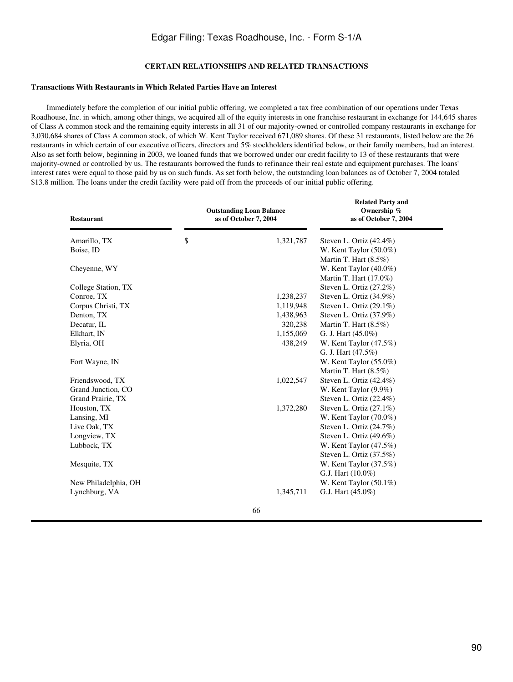### **CERTAIN RELATIONSHIPS AND RELATED TRANSACTIONS**

### **Transactions With Restaurants in Which Related Parties Have an Interest**

 Immediately before the completion of our initial public offering, we completed a tax free combination of our operations under Texas Roadhouse, Inc. in which, among other things, we acquired all of the equity interests in one franchise restaurant in exchange for 144,645 shares of Class A common stock and the remaining equity interests in all 31 of our majority-owned or controlled company restaurants in exchange for 3,030,684 shares of Class A common stock, of which W. Kent Taylor received 671,089 shares. Of these 31 restaurants, listed below are the 26 restaurants in which certain of our executive officers, directors and 5% stockholders identified below, or their family members, had an interest. Also as set forth below, beginning in 2003, we loaned funds that we borrowed under our credit facility to 13 of these restaurants that were majority-owned or controlled by us. The restaurants borrowed the funds to refinance their real estate and equipment purchases. The loans' interest rates were equal to those paid by us on such funds. As set forth below, the outstanding loan balances as of October 7, 2004 totaled \$13.8 million. The loans under the credit facility were paid off from the proceeds of our initial public offering.

| <b>Restaurant</b>    | <b>Outstanding Loan Balance</b><br>as of October 7, 2004 | <b>Related Party and</b><br>Ownership %<br>as of October 7, 2004 |
|----------------------|----------------------------------------------------------|------------------------------------------------------------------|
| Amarillo, TX         | \$<br>1,321,787                                          | Steven L. Ortiz (42.4%)                                          |
| Boise, ID            |                                                          | W. Kent Taylor $(50.0\%)$                                        |
|                      |                                                          | Martin T. Hart (8.5%)                                            |
| Cheyenne, WY         |                                                          | W. Kent Taylor $(40.0\%)$                                        |
|                      |                                                          | Martin T. Hart (17.0%)                                           |
| College Station, TX  |                                                          | Steven L. Ortiz (27.2%)                                          |
| Conroe, TX           | 1,238,237                                                | Steven L. Ortiz $(34.9\%)$                                       |
| Corpus Christi, TX   | 1,119,948                                                | Steven L. Ortiz $(29.1\%)$                                       |
| Denton, TX           | 1,438,963                                                | Steven L. Ortiz (37.9%)                                          |
| Decatur, IL          | 320,238                                                  | Martin T. Hart (8.5%)                                            |
| Elkhart, IN          | 1,155,069                                                | G. J. Hart $(45.0\%)$                                            |
| Elyria, OH           | 438,249                                                  | W. Kent Taylor $(47.5\%)$                                        |
|                      |                                                          | G. J. Hart $(47.5%)$                                             |
| Fort Wayne, IN       |                                                          | W. Kent Taylor $(55.0\%)$                                        |
|                      |                                                          | Martin T. Hart (8.5%)                                            |
| Friendswood, TX      | 1,022,547                                                | Steven L. Ortiz (42.4%)                                          |
| Grand Junction, CO   |                                                          | W. Kent Taylor $(9.9\%)$                                         |
| Grand Prairie, TX    |                                                          | Steven L. Ortiz (22.4%)                                          |
| Houston, TX          | 1,372,280                                                | Steven L. Ortiz $(27.1\%)$                                       |
| Lansing, MI          |                                                          | W. Kent Taylor $(70.0\%)$                                        |
| Live Oak, TX         |                                                          | Steven L. Ortiz (24.7%)                                          |
| Longview, TX         |                                                          | Steven L. Ortiz $(49.6\%)$                                       |
| Lubbock, TX          |                                                          | W. Kent Taylor $(47.5\%)$                                        |
|                      |                                                          | Steven L. Ortiz (37.5%)                                          |
| Mesquite, TX         |                                                          | W. Kent Taylor $(37.5\%)$                                        |
|                      |                                                          | G.J. Hart (10.0%)                                                |
| New Philadelphia, OH |                                                          | W. Kent Taylor $(50.1\%)$                                        |
| Lynchburg, VA        | 1,345,711                                                | G.J. Hart (45.0%)                                                |
|                      | - -                                                      |                                                                  |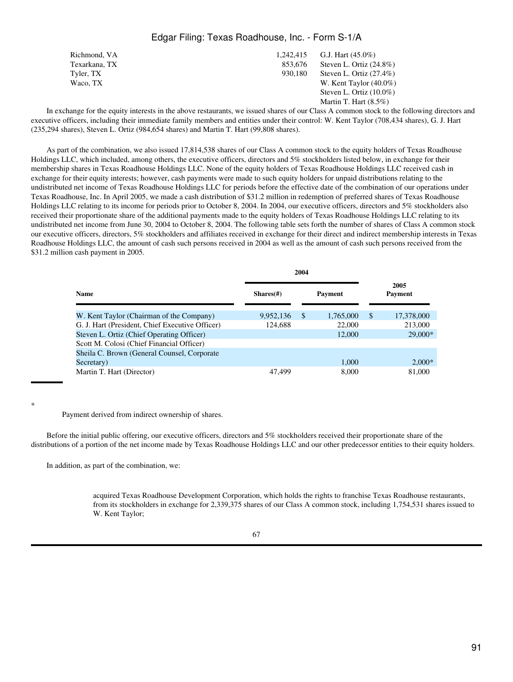| Richmond, VA  | 1.242.415 | G.J. Hart $(45.0\%)$       |
|---------------|-----------|----------------------------|
| Texarkana, TX | 853.676   | Steven L. Ortiz $(24.8\%)$ |
| Tyler, TX     | 930.180   | Steven L. Ortiz $(27.4\%)$ |
| Waco, TX      |           | W. Kent Taylor $(40.0\%)$  |
|               |           | Steven L. Ortiz $(10.0\%)$ |
|               |           | Martin T. Hart $(8.5\%)$   |

 In exchange for the equity interests in the above restaurants, we issued shares of our Class A common stock to the following directors and executive officers, including their immediate family members and entities under their control: W. Kent Taylor (708,434 shares), G. J. Hart (235,294 shares), Steven L. Ortiz (984,654 shares) and Martin T. Hart (99,808 shares).

 As part of the combination, we also issued 17,814,538 shares of our Class A common stock to the equity holders of Texas Roadhouse Holdings LLC, which included, among others, the executive officers, directors and 5% stockholders listed below, in exchange for their membership shares in Texas Roadhouse Holdings LLC. None of the equity holders of Texas Roadhouse Holdings LLC received cash in exchange for their equity interests; however, cash payments were made to such equity holders for unpaid distributions relating to the undistributed net income of Texas Roadhouse Holdings LLC for periods before the effective date of the combination of our operations under Texas Roadhouse, Inc. In April 2005, we made a cash distribution of \$31.2 million in redemption of preferred shares of Texas Roadhouse Holdings LLC relating to its income for periods prior to October 8, 2004. In 2004, our executive officers, directors and 5% stockholders also received their proportionate share of the additional payments made to the equity holders of Texas Roadhouse Holdings LLC relating to its undistributed net income from June 30, 2004 to October 8, 2004. The following table sets forth the number of shares of Class A common stock our executive officers, directors, 5% stockholders and affiliates received in exchange for their direct and indirect membership interests in Texas Roadhouse Holdings LLC, the amount of cash such persons received in 2004 as well as the amount of cash such persons received from the \$31.2 million cash payment in 2005.

|                                                 | 2004          |               |                |               |                 |
|-------------------------------------------------|---------------|---------------|----------------|---------------|-----------------|
| <b>Name</b>                                     | $Shares$ $#)$ |               | <b>Payment</b> |               | 2005<br>Payment |
| W. Kent Taylor (Chairman of the Company)        | 9,952,136     | <sup>\$</sup> | 1,765,000      | <sup>\$</sup> | 17,378,000      |
| G. J. Hart (President, Chief Executive Officer) | 124,688       |               | 22,000         |               | 213,000         |
| Steven L. Ortiz (Chief Operating Officer)       |               |               | 12,000         |               | $29,000*$       |
| Scott M. Colosi (Chief Financial Officer)       |               |               |                |               |                 |
| Sheila C. Brown (General Counsel, Corporate     |               |               |                |               |                 |
| Secretary)                                      |               |               | 1,000          |               | $2.000*$        |
| Martin T. Hart (Director)                       | 47.499        |               | 8.000          |               | 81,000          |

\*

Payment derived from indirect ownership of shares.

 Before the initial public offering, our executive officers, directors and 5% stockholders received their proportionate share of the distributions of a portion of the net income made by Texas Roadhouse Holdings LLC and our other predecessor entities to their equity holders.

In addition, as part of the combination, we:

acquired Texas Roadhouse Development Corporation, which holds the rights to franchise Texas Roadhouse restaurants, from its stockholders in exchange for 2,339,375 shares of our Class A common stock, including 1,754,531 shares issued to W. Kent Taylor;

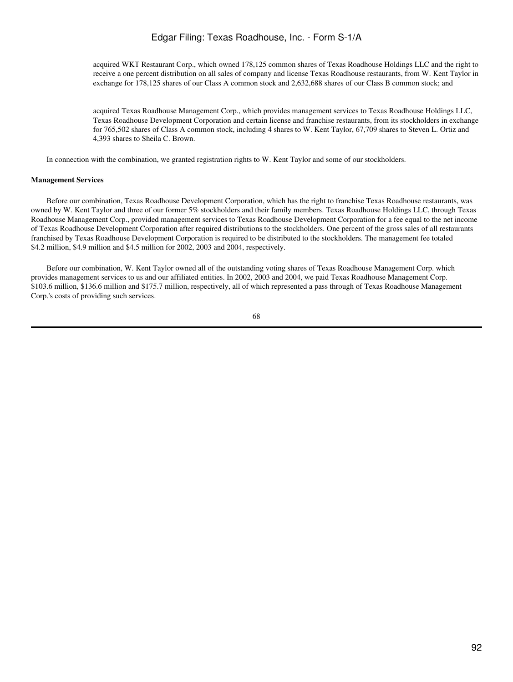acquired WKT Restaurant Corp., which owned 178,125 common shares of Texas Roadhouse Holdings LLC and the right to receive a one percent distribution on all sales of company and license Texas Roadhouse restaurants, from W. Kent Taylor in exchange for 178,125 shares of our Class A common stock and 2,632,688 shares of our Class B common stock; and

acquired Texas Roadhouse Management Corp., which provides management services to Texas Roadhouse Holdings LLC, Texas Roadhouse Development Corporation and certain license and franchise restaurants, from its stockholders in exchange for 765,502 shares of Class A common stock, including 4 shares to W. Kent Taylor, 67,709 shares to Steven L. Ortiz and 4,393 shares to Sheila C. Brown.

In connection with the combination, we granted registration rights to W. Kent Taylor and some of our stockholders.

### **Management Services**

 Before our combination, Texas Roadhouse Development Corporation, which has the right to franchise Texas Roadhouse restaurants, was owned by W. Kent Taylor and three of our former 5% stockholders and their family members. Texas Roadhouse Holdings LLC, through Texas Roadhouse Management Corp., provided management services to Texas Roadhouse Development Corporation for a fee equal to the net income of Texas Roadhouse Development Corporation after required distributions to the stockholders. One percent of the gross sales of all restaurants franchised by Texas Roadhouse Development Corporation is required to be distributed to the stockholders. The management fee totaled \$4.2 million, \$4.9 million and \$4.5 million for 2002, 2003 and 2004, respectively.

 Before our combination, W. Kent Taylor owned all of the outstanding voting shares of Texas Roadhouse Management Corp. which provides management services to us and our affiliated entities. In 2002, 2003 and 2004, we paid Texas Roadhouse Management Corp. \$103.6 million, \$136.6 million and \$175.7 million, respectively, all of which represented a pass through of Texas Roadhouse Management Corp.'s costs of providing such services.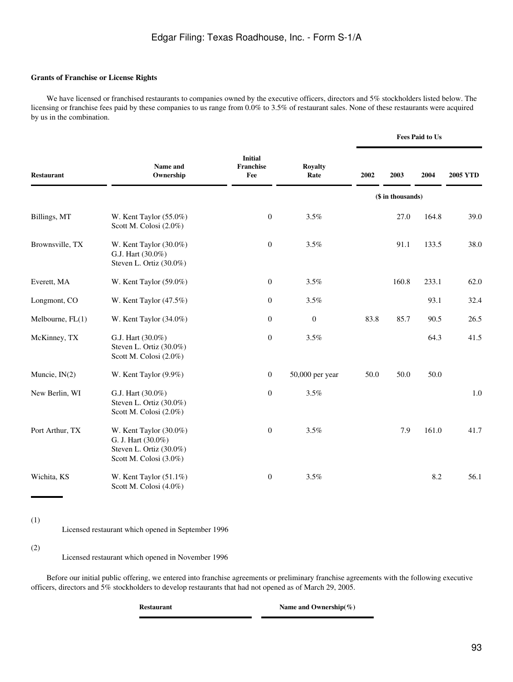### **Grants of Franchise or License Rights**

 We have licensed or franchised restaurants to companies owned by the executive officers, directors and 5% stockholders listed below. The licensing or franchise fees paid by these companies to us range from 0.0% to 3.5% of restaurant sales. None of these restaurants were acquired by us in the combination.

|                    |                                                                                                   |                                    |                        | Fees Paid to Us |                   |       |                 |
|--------------------|---------------------------------------------------------------------------------------------------|------------------------------------|------------------------|-----------------|-------------------|-------|-----------------|
| <b>Restaurant</b>  | Name and<br>Ownership                                                                             | <b>Initial</b><br>Franchise<br>Fee | <b>Royalty</b><br>Rate | 2002            | 2003              | 2004  | <b>2005 YTD</b> |
|                    |                                                                                                   |                                    |                        |                 | (\$ in thousands) |       |                 |
| Billings, MT       | W. Kent Taylor $(55.0\%)$<br>Scott M. Colosi (2.0%)                                               | $\boldsymbol{0}$                   | 3.5%                   |                 | 27.0              | 164.8 | 39.0            |
| Brownsville, TX    | W. Kent Taylor (30.0%)<br>G.J. Hart (30.0%)<br>Steven L. Ortiz (30.0%)                            | $\boldsymbol{0}$                   | 3.5%                   |                 | 91.1              | 133.5 | 38.0            |
| Everett, MA        | W. Kent Taylor (59.0%)                                                                            | $\boldsymbol{0}$                   | 3.5%                   |                 | 160.8             | 233.1 | 62.0            |
| Longmont, CO       | W. Kent Taylor $(47.5\%)$                                                                         | $\boldsymbol{0}$                   | 3.5%                   |                 |                   | 93.1  | 32.4            |
| Melbourne, $FL(1)$ | W. Kent Taylor (34.0%)                                                                            | $\boldsymbol{0}$                   | $\mathbf{0}$           | 83.8            | 85.7              | 90.5  | 26.5            |
| McKinney, TX       | G.J. Hart (30.0%)<br>Steven L. Ortiz (30.0%)<br>Scott M. Colosi (2.0%)                            | $\boldsymbol{0}$                   | 3.5%                   |                 |                   | 64.3  | 41.5            |
| Muncie, $IN(2)$    | W. Kent Taylor (9.9%)                                                                             | $\mathbf{0}$                       | 50,000 per year        | 50.0            | 50.0              | 50.0  |                 |
| New Berlin, WI     | G.J. Hart (30.0%)<br>Steven L. Ortiz (30.0%)<br>Scott M. Colosi (2.0%)                            | $\mathbf{0}$                       | 3.5%                   |                 |                   |       | $1.0\,$         |
| Port Arthur, TX    | W. Kent Taylor (30.0%)<br>G. J. Hart (30.0%)<br>Steven L. Ortiz (30.0%)<br>Scott M. Colosi (3.0%) | $\mathbf{0}$                       | 3.5%                   |                 | 7.9               | 161.0 | 41.7            |
| Wichita, KS        | W. Kent Taylor (51.1%)<br>Scott M. Colosi (4.0%)                                                  | $\boldsymbol{0}$                   | 3.5%                   |                 |                   | 8.2   | 56.1            |

(1)

Licensed restaurant which opened in September 1996

### (2)

Licensed restaurant which opened in November 1996

 Before our initial public offering, we entered into franchise agreements or preliminary franchise agreements with the following executive officers, directors and 5% stockholders to develop restaurants that had not opened as of March 29, 2005.

**Restaurant Name and Ownership**(%)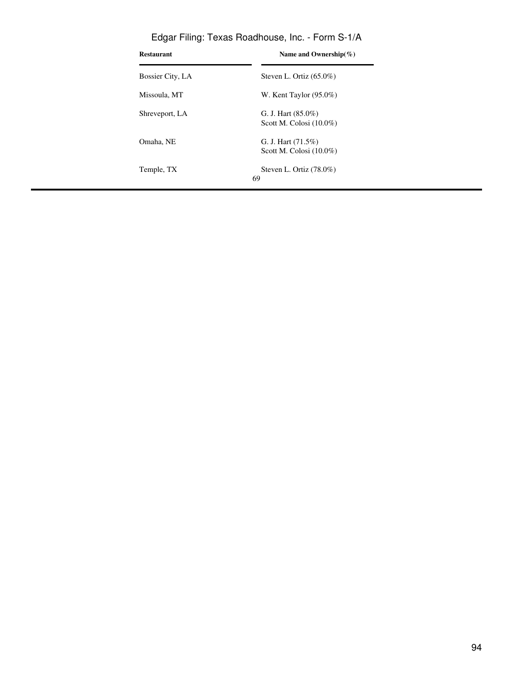| <b>Restaurant</b> | Name and Ownership $(\%)$                           |
|-------------------|-----------------------------------------------------|
| Bossier City, LA  | Steven L. Ortiz $(65.0\%)$                          |
| Missoula, MT      | W. Kent Taylor $(95.0\%)$                           |
| Shreveport, LA    | G. J. Hart $(85.0\%)$<br>Scott M. Colosi $(10.0\%)$ |
| Omaha, NE         | G. J. Hart $(71.5\%)$<br>Scott M. Colosi $(10.0\%)$ |
| Temple, TX        | Steven L. Ortiz $(78.0\%)$<br>69                    |

Edgar Filing: Texas Roadhouse, Inc. - Form S-1/A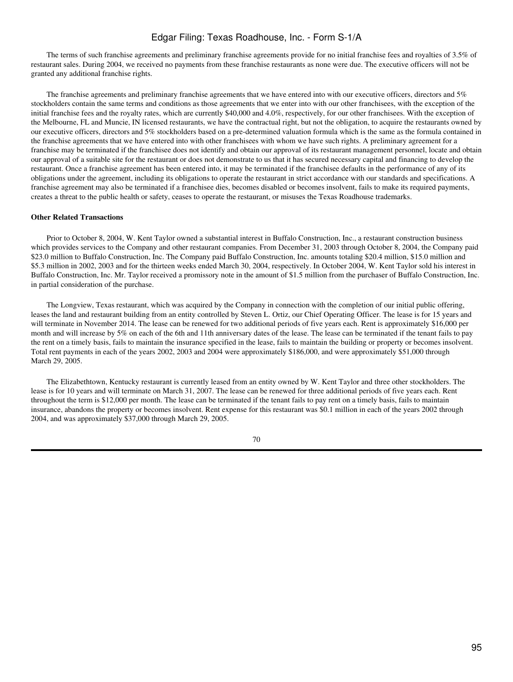The terms of such franchise agreements and preliminary franchise agreements provide for no initial franchise fees and royalties of 3.5% of restaurant sales. During 2004, we received no payments from these franchise restaurants as none were due. The executive officers will not be granted any additional franchise rights.

 The franchise agreements and preliminary franchise agreements that we have entered into with our executive officers, directors and 5% stockholders contain the same terms and conditions as those agreements that we enter into with our other franchisees, with the exception of the initial franchise fees and the royalty rates, which are currently \$40,000 and 4.0%, respectively, for our other franchisees. With the exception of the Melbourne, FL and Muncie, IN licensed restaurants, we have the contractual right, but not the obligation, to acquire the restaurants owned by our executive officers, directors and 5% stockholders based on a pre-determined valuation formula which is the same as the formula contained in the franchise agreements that we have entered into with other franchisees with whom we have such rights. A preliminary agreement for a franchise may be terminated if the franchisee does not identify and obtain our approval of its restaurant management personnel, locate and obtain our approval of a suitable site for the restaurant or does not demonstrate to us that it has secured necessary capital and financing to develop the restaurant. Once a franchise agreement has been entered into, it may be terminated if the franchisee defaults in the performance of any of its obligations under the agreement, including its obligations to operate the restaurant in strict accordance with our standards and specifications. A franchise agreement may also be terminated if a franchisee dies, becomes disabled or becomes insolvent, fails to make its required payments, creates a threat to the public health or safety, ceases to operate the restaurant, or misuses the Texas Roadhouse trademarks.

### **Other Related Transactions**

 Prior to October 8, 2004, W. Kent Taylor owned a substantial interest in Buffalo Construction, Inc., a restaurant construction business which provides services to the Company and other restaurant companies. From December 31, 2003 through October 8, 2004, the Company paid \$23.0 million to Buffalo Construction, Inc. The Company paid Buffalo Construction, Inc. amounts totaling \$20.4 million, \$15.0 million and \$5.3 million in 2002, 2003 and for the thirteen weeks ended March 30, 2004, respectively. In October 2004, W. Kent Taylor sold his interest in Buffalo Construction, Inc. Mr. Taylor received a promissory note in the amount of \$1.5 million from the purchaser of Buffalo Construction, Inc. in partial consideration of the purchase.

 The Longview, Texas restaurant, which was acquired by the Company in connection with the completion of our initial public offering, leases the land and restaurant building from an entity controlled by Steven L. Ortiz, our Chief Operating Officer. The lease is for 15 years and will terminate in November 2014. The lease can be renewed for two additional periods of five years each. Rent is approximately \$16,000 per month and will increase by 5% on each of the 6th and 11th anniversary dates of the lease. The lease can be terminated if the tenant fails to pay the rent on a timely basis, fails to maintain the insurance specified in the lease, fails to maintain the building or property or becomes insolvent. Total rent payments in each of the years 2002, 2003 and 2004 were approximately \$186,000, and were approximately \$51,000 through March 29, 2005.

 The Elizabethtown, Kentucky restaurant is currently leased from an entity owned by W. Kent Taylor and three other stockholders. The lease is for 10 years and will terminate on March 31, 2007. The lease can be renewed for three additional periods of five years each. Rent throughout the term is \$12,000 per month. The lease can be terminated if the tenant fails to pay rent on a timely basis, fails to maintain insurance, abandons the property or becomes insolvent. Rent expense for this restaurant was \$0.1 million in each of the years 2002 through 2004, and was approximately \$37,000 through March 29, 2005.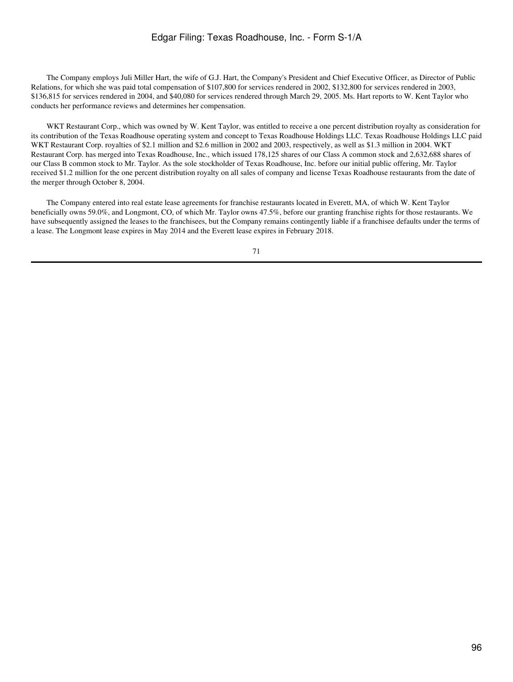The Company employs Juli Miller Hart, the wife of G.J. Hart, the Company's President and Chief Executive Officer, as Director of Public Relations, for which she was paid total compensation of \$107,800 for services rendered in 2002, \$132,800 for services rendered in 2003, \$136,815 for services rendered in 2004, and \$40,080 for services rendered through March 29, 2005. Ms. Hart reports to W. Kent Taylor who conducts her performance reviews and determines her compensation.

 WKT Restaurant Corp., which was owned by W. Kent Taylor, was entitled to receive a one percent distribution royalty as consideration for its contribution of the Texas Roadhouse operating system and concept to Texas Roadhouse Holdings LLC. Texas Roadhouse Holdings LLC paid WKT Restaurant Corp. royalties of \$2.1 million and \$2.6 million in 2002 and 2003, respectively, as well as \$1.3 million in 2004. WKT Restaurant Corp. has merged into Texas Roadhouse, Inc., which issued 178,125 shares of our Class A common stock and 2,632,688 shares of our Class B common stock to Mr. Taylor. As the sole stockholder of Texas Roadhouse, Inc. before our initial public offering, Mr. Taylor received \$1.2 million for the one percent distribution royalty on all sales of company and license Texas Roadhouse restaurants from the date of the merger through October 8, 2004.

 The Company entered into real estate lease agreements for franchise restaurants located in Everett, MA, of which W. Kent Taylor beneficially owns 59.0%, and Longmont, CO, of which Mr. Taylor owns 47.5%, before our granting franchise rights for those restaurants. We have subsequently assigned the leases to the franchisees, but the Company remains contingently liable if a franchisee defaults under the terms of a lease. The Longmont lease expires in May 2014 and the Everett lease expires in February 2018.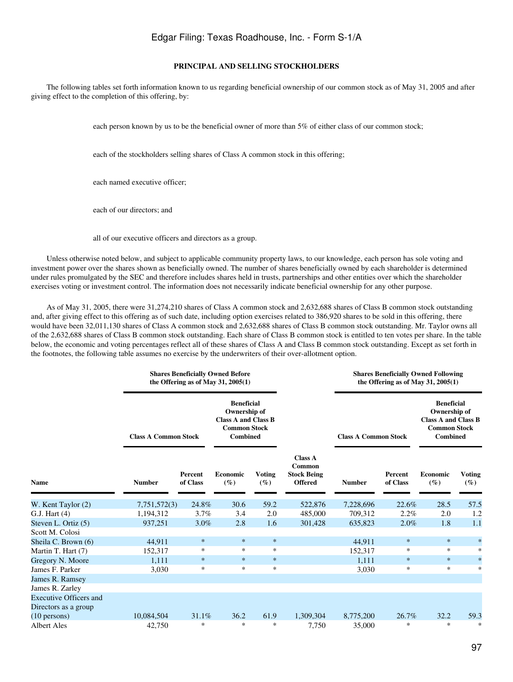### **PRINCIPAL AND SELLING STOCKHOLDERS**

 The following tables set forth information known to us regarding beneficial ownership of our common stock as of May 31, 2005 and after giving effect to the completion of this offering, by:

each person known by us to be the beneficial owner of more than 5% of either class of our common stock;

each of the stockholders selling shares of Class A common stock in this offering;

each named executive officer;

each of our directors; and

all of our executive officers and directors as a group.

 Unless otherwise noted below, and subject to applicable community property laws, to our knowledge, each person has sole voting and investment power over the shares shown as beneficially owned. The number of shares beneficially owned by each shareholder is determined under rules promulgated by the SEC and therefore includes shares held in trusts, partnerships and other entities over which the shareholder exercises voting or investment control. The information does not necessarily indicate beneficial ownership for any other purpose.

 As of May 31, 2005, there were 31,274,210 shares of Class A common stock and 2,632,688 shares of Class B common stock outstanding and, after giving effect to this offering as of such date, including option exercises related to 386,920 shares to be sold in this offering, there would have been 32,011,130 shares of Class A common stock and 2,632,688 shares of Class B common stock outstanding. Mr. Taylor owns all of the 2,632,688 shares of Class B common stock outstanding. Each share of Class B common stock is entitled to ten votes per share. In the table below, the economic and voting percentages reflect all of these shares of Class A and Class B common stock outstanding. Except as set forth in the footnotes, the following table assumes no exercise by the underwriters of their over-allotment option.

| <b>Shares Beneficially Owned Before</b><br>the Offering as of May 31, $2005(1)$ |                             |                            |                                                                                                           |                  |                                                                  | <b>Shares Beneficially Owned Following</b><br>the Offering as of May 31, 2005 $(1)$ |                     |                                                                                                           |                         |
|---------------------------------------------------------------------------------|-----------------------------|----------------------------|-----------------------------------------------------------------------------------------------------------|------------------|------------------------------------------------------------------|-------------------------------------------------------------------------------------|---------------------|-----------------------------------------------------------------------------------------------------------|-------------------------|
|                                                                                 | <b>Class A Common Stock</b> |                            | <b>Beneficial</b><br>Ownership of<br><b>Class A and Class B</b><br><b>Common Stock</b><br><b>Combined</b> |                  |                                                                  | <b>Class A Common Stock</b>                                                         |                     | <b>Beneficial</b><br>Ownership of<br><b>Class A and Class B</b><br><b>Common Stock</b><br><b>Combined</b> |                         |
| <b>Name</b>                                                                     | <b>Number</b>               | <b>Percent</b><br>of Class | <b>Economic</b><br>$(\%)$                                                                                 | Voting<br>$(\%)$ | <b>Class A</b><br>Common<br><b>Stock Being</b><br><b>Offered</b> | <b>Number</b>                                                                       | Percent<br>of Class | <b>Economic</b><br>$(\%)$                                                                                 | <b>Voting</b><br>$(\%)$ |
| W. Kent Taylor (2)                                                              | 7,751,572(3)                | 24.8%                      | 30.6                                                                                                      | 59.2             | 522,876                                                          | 7,228,696                                                                           | 22.6%               | 28.5                                                                                                      | 57.5                    |
| G.J. Hart (4)                                                                   | 1,194,312                   | $3.7\%$                    | 3.4                                                                                                       | 2.0              | 485,000                                                          | 709,312                                                                             | 2.2%                | 2.0                                                                                                       | 1.2                     |
| Steven L. Ortiz (5)                                                             | 937.251                     | 3.0%                       | 2.8                                                                                                       | 1.6              | 301,428                                                          | 635,823                                                                             | 2.0%                | 1.8                                                                                                       | 1.1                     |
| Scott M. Colosi                                                                 |                             |                            |                                                                                                           |                  |                                                                  |                                                                                     |                     |                                                                                                           |                         |
| Sheila C. Brown (6)                                                             | 44,911                      | $\ast$                     | $\ast$                                                                                                    | $\ast$           |                                                                  | 44,911                                                                              | $\ast$              | $\ast$                                                                                                    | $\ast$                  |
| Martin T. Hart (7)                                                              | 152,317                     | $\ast$                     | $\ast$                                                                                                    | $\ast$           |                                                                  | 152,317                                                                             | $\ast$              | $\ast$                                                                                                    | $\ast$                  |
| Gregory N. Moore                                                                | 1,111                       | $\ast$                     | $\ast$                                                                                                    | $\ast$           |                                                                  | 1,111                                                                               | $\ast$              | $\ast$                                                                                                    | $\ast$                  |
| James F. Parker                                                                 | 3,030                       | *                          | $\ast$                                                                                                    | *                |                                                                  | 3,030                                                                               | $\ast$              | $\ast$                                                                                                    | ∗                       |
| James R. Ramsey                                                                 |                             |                            |                                                                                                           |                  |                                                                  |                                                                                     |                     |                                                                                                           |                         |
| James R. Zarley                                                                 |                             |                            |                                                                                                           |                  |                                                                  |                                                                                     |                     |                                                                                                           |                         |
| <b>Executive Officers and</b>                                                   |                             |                            |                                                                                                           |                  |                                                                  |                                                                                     |                     |                                                                                                           |                         |
| Directors as a group                                                            |                             |                            |                                                                                                           |                  |                                                                  |                                                                                     |                     |                                                                                                           |                         |
| $(10 \text{ persons})$                                                          | 10,084,504                  | 31.1%                      | 36.2                                                                                                      | 61.9             | 1,309,304                                                        | 8,775,200                                                                           | 26.7%               | 32.2                                                                                                      | 59.3                    |
| <b>Albert Ales</b>                                                              | 42,750                      | *                          | $\ast$                                                                                                    | *                | 7,750                                                            | 35,000                                                                              | *                   | $\ast$                                                                                                    | ∗                       |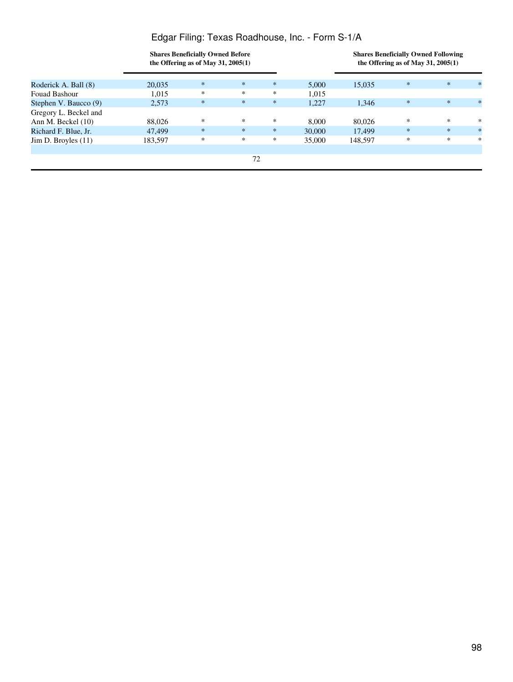|                       | <b>Shares Beneficially Owned Before</b><br>the Offering as of May 31, $2005(1)$ |        |        |        |        | <b>Shares Beneficially Owned Following</b><br>the Offering as of May 31, $2005(1)$ |        |        |        |
|-----------------------|---------------------------------------------------------------------------------|--------|--------|--------|--------|------------------------------------------------------------------------------------|--------|--------|--------|
| Roderick A. Ball (8)  | 20,035                                                                          | $\ast$ | $*$    | $\ast$ | 5.000  | 15,035                                                                             | $\ast$ | $*$    | $\ast$ |
| Fouad Bashour         | 1,015                                                                           | $\ast$ | *      | *      | 1,015  |                                                                                    |        |        |        |
| Stephen V. Baucco (9) | 2,573                                                                           | $\ast$ | $\ast$ | $\ast$ | 1,227  | 1.346                                                                              | $\ast$ | $\ast$ | $\ast$ |
| Gregory L. Beckel and |                                                                                 |        |        |        |        |                                                                                    |        |        |        |
| Ann M. Beckel (10)    | 88,026                                                                          | *      | $\ast$ | *      | 8.000  | 80,026                                                                             | *      | $\ast$ | $*$    |
| Richard F. Blue, Jr.  | 47,499                                                                          | $\ast$ | $\ast$ | $\ast$ | 30,000 | 17.499                                                                             | $\ast$ | $\ast$ | $\ast$ |
| Jim D. Broyles $(11)$ | 183,597                                                                         | *      | *      | *      | 35,000 | 148,597                                                                            | *      | *      | *      |
|                       |                                                                                 |        |        |        |        |                                                                                    |        |        |        |
|                       |                                                                                 |        | 72     |        |        |                                                                                    |        |        |        |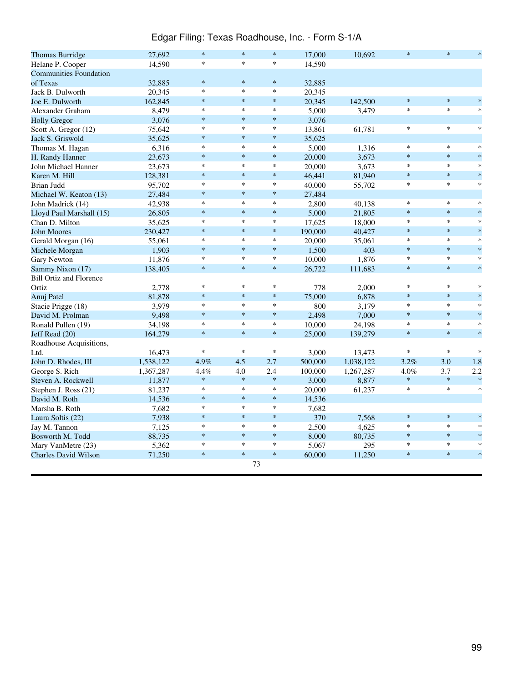| <b>Thomas Burridge</b>         | 27,692    | $\ast$ | $\ast$ | $\ast$ | 17,000  | 10,692    | $\ast$ | $\ast$ | $\ast$  |
|--------------------------------|-----------|--------|--------|--------|---------|-----------|--------|--------|---------|
| Helane P. Cooper               | 14,590    | $\ast$ | $\ast$ | $\ast$ | 14,590  |           |        |        |         |
| <b>Communities Foundation</b>  |           |        |        |        |         |           |        |        |         |
| of Texas                       | 32,885    | $\ast$ | $\ast$ | $\ast$ | 32,885  |           |        |        |         |
| Jack B. Dulworth               | 20,345    | $\ast$ | $\ast$ | $\ast$ | 20,345  |           |        |        |         |
| Joe E. Dulworth                | 162,845   | $\ast$ | $\ast$ | $\ast$ | 20,345  | 142,500   | $\ast$ | $\ast$ | $\ast$  |
| Alexander Graham               | 8,479     | $\ast$ | $\ast$ | $\ast$ | 5,000   | 3,479     | *      | $\ast$ | $\ast$  |
| <b>Holly Gregor</b>            | 3,076     | $\ast$ | $\ast$ | $\ast$ | 3,076   |           |        |        |         |
| Scott A. Gregor (12)           | 75,642    | $\ast$ | $\ast$ | $\ast$ | 13,861  | 61,781    | $\ast$ | $\ast$ | $\ast$  |
| Jack S. Griswold               | 35,625    | $\ast$ | $\ast$ | $\ast$ | 35,625  |           |        |        |         |
| Thomas M. Hagan                | 6,316     | $\ast$ | $\ast$ | $\ast$ | 5,000   | 1,316     | $\ast$ | $\ast$ | *       |
| H. Randy Hanner                | 23,673    | $\ast$ | $\ast$ | $\ast$ | 20,000  | 3,673     | $\ast$ | $\ast$ | $\ast$  |
| John Michael Hanner            | 23,673    | $\ast$ | $\ast$ | $\ast$ | 20,000  | 3,673     | *      | $\ast$ | *       |
| Karen M. Hill                  | 128,381   | $\ast$ | $\ast$ | $\ast$ | 46,441  | 81,940    | $\ast$ | $\ast$ | $\ast$  |
| Brian Judd                     | 95,702    | $\ast$ | $\ast$ | $\ast$ | 40,000  | 55,702    | $\ast$ | $\ast$ | $\ast$  |
| Michael W. Keaton (13)         | 27,484    | $\ast$ | $\ast$ | $\ast$ | 27,484  |           |        |        |         |
| John Madrick (14)              | 42,938    | $\ast$ | *      | $\ast$ | 2,800   | 40,138    | $\ast$ | *      | *       |
| Lloyd Paul Marshall (15)       | 26,805    | $\ast$ | $\ast$ | $\ast$ | 5,000   | 21,805    | $\ast$ | $\ast$ | $\ast$  |
| Chan D. Milton                 | 35,625    | $\ast$ | $\ast$ | $\ast$ | 17,625  | 18,000    | $\ast$ | $\ast$ | $\ast$  |
| <b>John Moores</b>             | 230,427   | $\ast$ | $\ast$ | $\ast$ | 190,000 | 40,427    | $\ast$ | $\ast$ | $\ast$  |
| Gerald Morgan (16)             | 55,061    | $\ast$ | $\ast$ | $\ast$ | 20,000  | 35,061    | $\ast$ | $\ast$ | $\ast$  |
| Michele Morgan                 | 1,903     | $\ast$ | $\ast$ | $\ast$ | 1,500   | 403       | $\ast$ | $\ast$ | $\star$ |
| Gary Newton                    | 11,876    | $\ast$ | $\ast$ | $\ast$ | 10,000  | 1,876     | $\ast$ | $\ast$ | *       |
| Sammy Nixon (17)               | 138,405   | $\ast$ | $\ast$ | $\ast$ | 26,722  | 111,683   | $\ast$ | $\ast$ | $\ast$  |
| <b>Bill Ortiz and Florence</b> |           |        |        |        |         |           |        |        |         |
| Ortiz                          | 2,778     | $\ast$ | $\ast$ | $\ast$ | 778     | 2,000     | $\ast$ | $\ast$ | ∗       |
| Anuj Patel                     | 81,878    | $\ast$ | $\ast$ | $\ast$ | 75,000  | 6,878     | $\ast$ | $\ast$ | $\ast$  |
| Stacie Prigge (18)             | 3,979     | $\ast$ | $\ast$ | $\ast$ | 800     | 3,179     | $\ast$ | $\ast$ | *       |
| David M. Prolman               | 9,498     | $\ast$ | $\ast$ | $\ast$ | 2,498   | 7,000     | $\ast$ | $\ast$ | $\ast$  |
| Ronald Pullen (19)             | 34,198    | $\ast$ | $\ast$ | $\ast$ | 10,000  | 24,198    | $\ast$ | $\ast$ | $\ast$  |
| Jeff Read (20)                 | 164,279   | $\ast$ | $\ast$ | $\ast$ | 25,000  | 139,279   | $\ast$ | $\ast$ | $\ast$  |
| Roadhouse Acquisitions,        |           |        |        |        |         |           |        |        |         |
| Ltd.                           | 16,473    | $\ast$ | $\ast$ | $\ast$ | 3,000   | 13,473    | $\ast$ | $\ast$ | $\ast$  |
| John D. Rhodes, III            | 1,538,122 | 4.9%   | 4.5    | 2.7    | 500,000 | 1,038,122 | 3.2%   | 3.0    | 1.8     |
| George S. Rich                 | 1,367,287 | 4.4%   | 4.0    | 2.4    | 100,000 | 1,267,287 | 4.0%   | 3.7    | 2.2     |
| Steven A. Rockwell             | 11,877    | $\ast$ | $\ast$ | $\ast$ | 3,000   | 8,877     | $\ast$ | $\ast$ | $\ast$  |
| Stephen J. Ross (21)           | 81,237    | $\ast$ | $\ast$ | $\ast$ | 20,000  | 61,237    | $\ast$ | $\ast$ | $\ast$  |
| David M. Roth                  | 14,536    | $\ast$ | $\ast$ | $\ast$ | 14,536  |           |        |        |         |
| Marsha B. Roth                 | 7,682     | $\ast$ | $\ast$ | $\ast$ | 7,682   |           |        |        |         |
| Laura Soltis (22)              | 7,938     | $\ast$ | $\ast$ | $\ast$ | 370     | 7,568     | $\ast$ | $\ast$ | $\ast$  |
| Jay M. Tannon                  | 7.125     | $\ast$ | $\ast$ | $\ast$ | 2,500   | 4.625     | $\ast$ | $\ast$ | *       |
| Bosworth M. Todd               | 88,735    | $\ast$ | $\ast$ | $\ast$ | 8,000   | 80,735    | $\ast$ | $\ast$ | $\ast$  |
| Mary VanMetre (23)             | 5,362     | $\ast$ | $\ast$ | $\ast$ | 5,067   | 295       | $\ast$ | $\ast$ | ∗       |
| <b>Charles David Wilson</b>    | 71,250    | $\ast$ | $\ast$ | $\ast$ | 60,000  | 11,250    | $\ast$ | $\ast$ | $\ast$  |
|                                |           |        |        | 73     |         |           |        |        |         |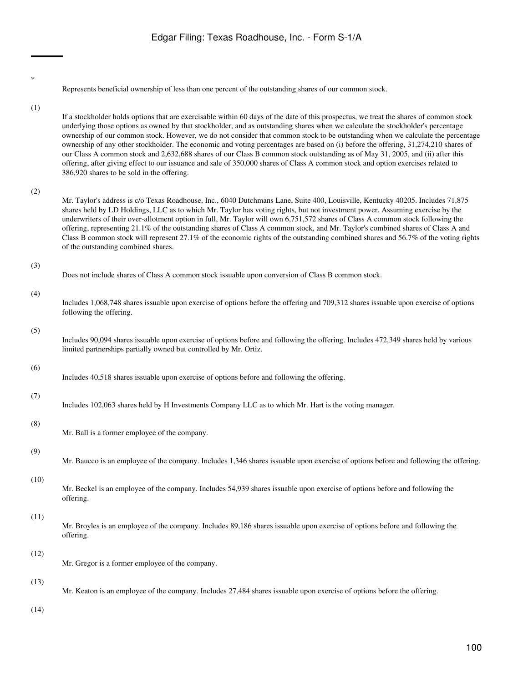(1)

\*

Represents beneficial ownership of less than one percent of the outstanding shares of our common stock.

If a stockholder holds options that are exercisable within 60 days of the date of this prospectus, we treat the shares of common stock underlying those options as owned by that stockholder, and as outstanding shares when we calculate the stockholder's percentage ownership of our common stock. However, we do not consider that common stock to be outstanding when we calculate the percentage ownership of any other stockholder. The economic and voting percentages are based on (i) before the offering, 31,274,210 shares of our Class A common stock and 2,632,688 shares of our Class B common stock outstanding as of May 31, 2005, and (ii) after this offering, after giving effect to our issuance and sale of 350,000 shares of Class A common stock and option exercises related to 386,920 shares to be sold in the offering.

(2)

Mr. Taylor's address is c/o Texas Roadhouse, Inc., 6040 Dutchmans Lane, Suite 400, Louisville, Kentucky 40205. Includes 71,875 shares held by LD Holdings, LLC as to which Mr. Taylor has voting rights, but not investment power. Assuming exercise by the underwriters of their over-allotment option in full, Mr. Taylor will own 6,751,572 shares of Class A common stock following the offering, representing 21.1% of the outstanding shares of Class A common stock, and Mr. Taylor's combined shares of Class A and Class B common stock will represent 27.1% of the economic rights of the outstanding combined shares and 56.7% of the voting rights of the outstanding combined shares.

(3)

Does not include shares of Class A common stock issuable upon conversion of Class B common stock.

(4)

Includes 1,068,748 shares issuable upon exercise of options before the offering and 709,312 shares issuable upon exercise of options following the offering.

(5)

Includes 90,094 shares issuable upon exercise of options before and following the offering. Includes 472,349 shares held by various limited partnerships partially owned but controlled by Mr. Ortiz.

(6)

Includes 40,518 shares issuable upon exercise of options before and following the offering.

(7)

Includes 102,063 shares held by H Investments Company LLC as to which Mr. Hart is the voting manager.

(8)

Mr. Ball is a former employee of the company.

(9)

Mr. Baucco is an employee of the company. Includes 1,346 shares issuable upon exercise of options before and following the offering.

(10)

Mr. Beckel is an employee of the company. Includes 54,939 shares issuable upon exercise of options before and following the offering.

(11)

Mr. Broyles is an employee of the company. Includes 89,186 shares issuable upon exercise of options before and following the offering.

(12)

Mr. Gregor is a former employee of the company.

(13)

Mr. Keaton is an employee of the company. Includes 27,484 shares issuable upon exercise of options before the offering.

(14)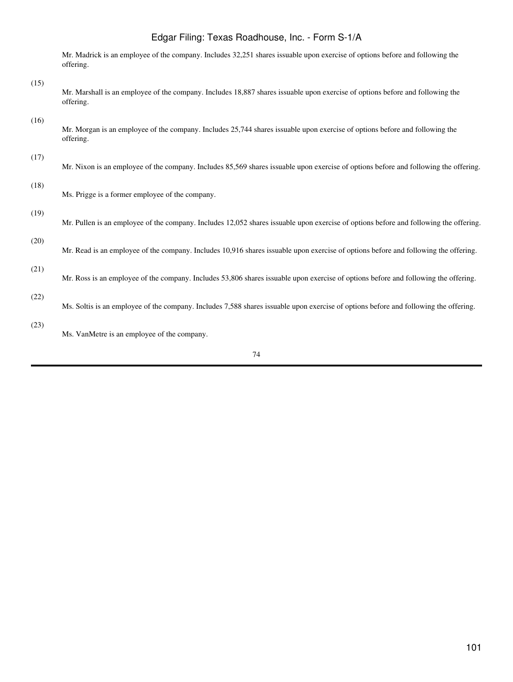|      | Mr. Madrick is an employee of the company. Includes 32,251 shares issuable upon exercise of options before and following the<br>offering.  |
|------|--------------------------------------------------------------------------------------------------------------------------------------------|
| (15) | Mr. Marshall is an employee of the company. Includes 18,887 shares issuable upon exercise of options before and following the<br>offering. |
| (16) | Mr. Morgan is an employee of the company. Includes 25,744 shares issuable upon exercise of options before and following the<br>offering.   |
| (17) | Mr. Nixon is an employee of the company. Includes 85,569 shares issuable upon exercise of options before and following the offering.       |
| (18) | Ms. Prigge is a former employee of the company.                                                                                            |
| (19) | Mr. Pullen is an employee of the company. Includes 12,052 shares issuable upon exercise of options before and following the offering.      |
| (20) | Mr. Read is an employee of the company. Includes 10,916 shares issuable upon exercise of options before and following the offering.        |
| (21) | Mr. Ross is an employee of the company. Includes 53,806 shares issuable upon exercise of options before and following the offering.        |
| (22) | Ms. Soltis is an employee of the company. Includes 7,588 shares issuable upon exercise of options before and following the offering.       |
| (23) | Ms. VanMetre is an employee of the company.                                                                                                |
|      |                                                                                                                                            |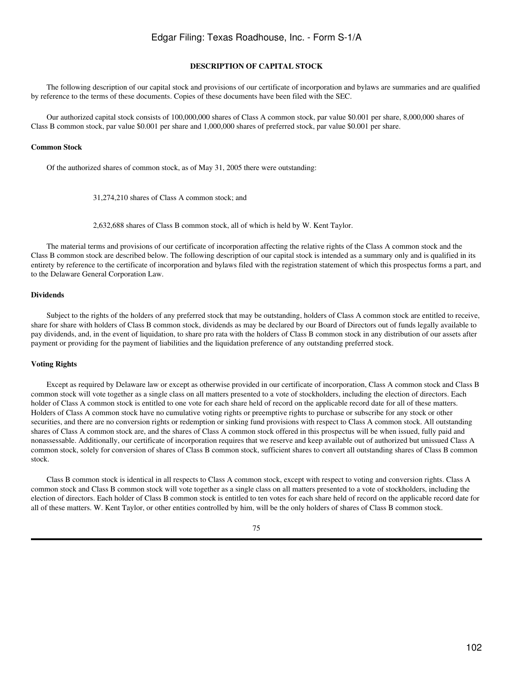### **DESCRIPTION OF CAPITAL STOCK**

 The following description of our capital stock and provisions of our certificate of incorporation and bylaws are summaries and are qualified by reference to the terms of these documents. Copies of these documents have been filed with the SEC.

 Our authorized capital stock consists of 100,000,000 shares of Class A common stock, par value \$0.001 per share, 8,000,000 shares of Class B common stock, par value \$0.001 per share and 1,000,000 shares of preferred stock, par value \$0.001 per share.

### **Common Stock**

Of the authorized shares of common stock, as of May 31, 2005 there were outstanding:

31,274,210 shares of Class A common stock; and

2,632,688 shares of Class B common stock, all of which is held by W. Kent Taylor.

 The material terms and provisions of our certificate of incorporation affecting the relative rights of the Class A common stock and the Class B common stock are described below. The following description of our capital stock is intended as a summary only and is qualified in its entirety by reference to the certificate of incorporation and bylaws filed with the registration statement of which this prospectus forms a part, and to the Delaware General Corporation Law.

#### **Dividends**

 Subject to the rights of the holders of any preferred stock that may be outstanding, holders of Class A common stock are entitled to receive, share for share with holders of Class B common stock, dividends as may be declared by our Board of Directors out of funds legally available to pay dividends, and, in the event of liquidation, to share pro rata with the holders of Class B common stock in any distribution of our assets after payment or providing for the payment of liabilities and the liquidation preference of any outstanding preferred stock.

### **Voting Rights**

 Except as required by Delaware law or except as otherwise provided in our certificate of incorporation, Class A common stock and Class B common stock will vote together as a single class on all matters presented to a vote of stockholders, including the election of directors. Each holder of Class A common stock is entitled to one vote for each share held of record on the applicable record date for all of these matters. Holders of Class A common stock have no cumulative voting rights or preemptive rights to purchase or subscribe for any stock or other securities, and there are no conversion rights or redemption or sinking fund provisions with respect to Class A common stock. All outstanding shares of Class A common stock are, and the shares of Class A common stock offered in this prospectus will be when issued, fully paid and nonassessable. Additionally, our certificate of incorporation requires that we reserve and keep available out of authorized but unissued Class A common stock, solely for conversion of shares of Class B common stock, sufficient shares to convert all outstanding shares of Class B common stock.

 Class B common stock is identical in all respects to Class A common stock, except with respect to voting and conversion rights. Class A common stock and Class B common stock will vote together as a single class on all matters presented to a vote of stockholders, including the election of directors. Each holder of Class B common stock is entitled to ten votes for each share held of record on the applicable record date for all of these matters. W. Kent Taylor, or other entities controlled by him, will be the only holders of shares of Class B common stock.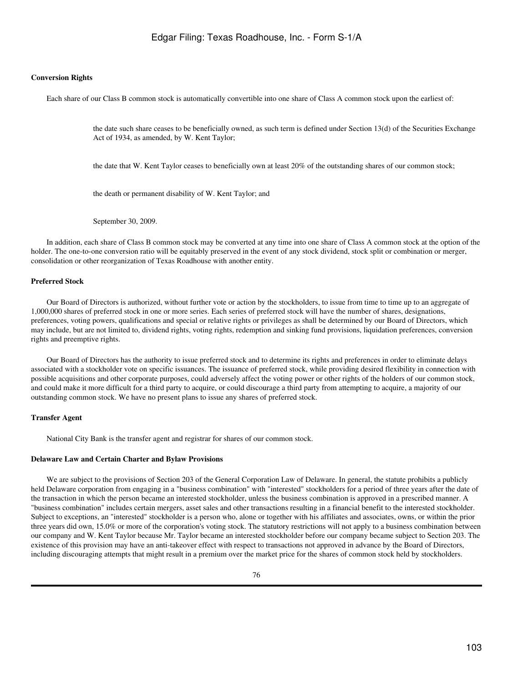### **Conversion Rights**

Each share of our Class B common stock is automatically convertible into one share of Class A common stock upon the earliest of:

the date such share ceases to be beneficially owned, as such term is defined under Section 13(d) of the Securities Exchange Act of 1934, as amended, by W. Kent Taylor;

the date that W. Kent Taylor ceases to beneficially own at least 20% of the outstanding shares of our common stock;

the death or permanent disability of W. Kent Taylor; and

September 30, 2009.

 In addition, each share of Class B common stock may be converted at any time into one share of Class A common stock at the option of the holder. The one-to-one conversion ratio will be equitably preserved in the event of any stock dividend, stock split or combination or merger, consolidation or other reorganization of Texas Roadhouse with another entity.

### **Preferred Stock**

 Our Board of Directors is authorized, without further vote or action by the stockholders, to issue from time to time up to an aggregate of 1,000,000 shares of preferred stock in one or more series. Each series of preferred stock will have the number of shares, designations, preferences, voting powers, qualifications and special or relative rights or privileges as shall be determined by our Board of Directors, which may include, but are not limited to, dividend rights, voting rights, redemption and sinking fund provisions, liquidation preferences, conversion rights and preemptive rights.

 Our Board of Directors has the authority to issue preferred stock and to determine its rights and preferences in order to eliminate delays associated with a stockholder vote on specific issuances. The issuance of preferred stock, while providing desired flexibility in connection with possible acquisitions and other corporate purposes, could adversely affect the voting power or other rights of the holders of our common stock, and could make it more difficult for a third party to acquire, or could discourage a third party from attempting to acquire, a majority of our outstanding common stock. We have no present plans to issue any shares of preferred stock.

### **Transfer Agent**

National City Bank is the transfer agent and registrar for shares of our common stock.

### **Delaware Law and Certain Charter and Bylaw Provisions**

We are subject to the provisions of Section 203 of the General Corporation Law of Delaware. In general, the statute prohibits a publicly held Delaware corporation from engaging in a "business combination" with "interested" stockholders for a period of three years after the date of the transaction in which the person became an interested stockholder, unless the business combination is approved in a prescribed manner. A "business combination" includes certain mergers, asset sales and other transactions resulting in a financial benefit to the interested stockholder. Subject to exceptions, an "interested" stockholder is a person who, alone or together with his affiliates and associates, owns, or within the prior three years did own, 15.0% or more of the corporation's voting stock. The statutory restrictions will not apply to a business combination between our company and W. Kent Taylor because Mr. Taylor became an interested stockholder before our company became subject to Section 203. The existence of this provision may have an anti-takeover effect with respect to transactions not approved in advance by the Board of Directors, including discouraging attempts that might result in a premium over the market price for the shares of common stock held by stockholders.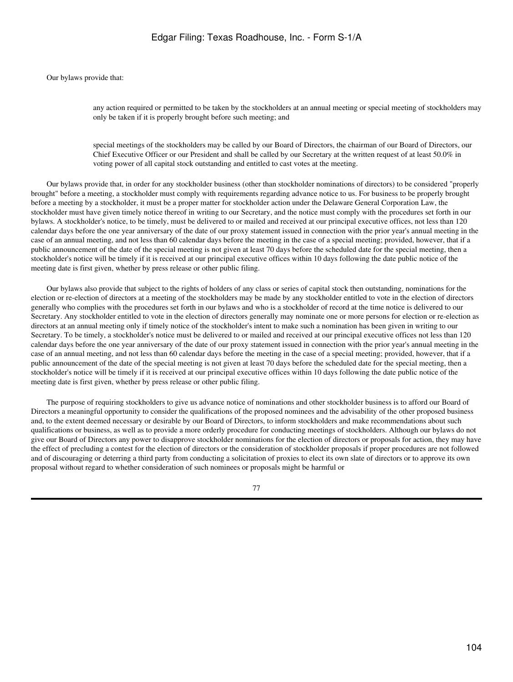Our bylaws provide that:

any action required or permitted to be taken by the stockholders at an annual meeting or special meeting of stockholders may only be taken if it is properly brought before such meeting; and

special meetings of the stockholders may be called by our Board of Directors, the chairman of our Board of Directors, our Chief Executive Officer or our President and shall be called by our Secretary at the written request of at least 50.0% in voting power of all capital stock outstanding and entitled to cast votes at the meeting.

 Our bylaws provide that, in order for any stockholder business (other than stockholder nominations of directors) to be considered "properly brought" before a meeting, a stockholder must comply with requirements regarding advance notice to us. For business to be properly brought before a meeting by a stockholder, it must be a proper matter for stockholder action under the Delaware General Corporation Law, the stockholder must have given timely notice thereof in writing to our Secretary, and the notice must comply with the procedures set forth in our bylaws. A stockholder's notice, to be timely, must be delivered to or mailed and received at our principal executive offices, not less than 120 calendar days before the one year anniversary of the date of our proxy statement issued in connection with the prior year's annual meeting in the case of an annual meeting, and not less than 60 calendar days before the meeting in the case of a special meeting; provided, however, that if a public announcement of the date of the special meeting is not given at least 70 days before the scheduled date for the special meeting, then a stockholder's notice will be timely if it is received at our principal executive offices within 10 days following the date public notice of the meeting date is first given, whether by press release or other public filing.

 Our bylaws also provide that subject to the rights of holders of any class or series of capital stock then outstanding, nominations for the election or re-election of directors at a meeting of the stockholders may be made by any stockholder entitled to vote in the election of directors generally who complies with the procedures set forth in our bylaws and who is a stockholder of record at the time notice is delivered to our Secretary. Any stockholder entitled to vote in the election of directors generally may nominate one or more persons for election or re-election as directors at an annual meeting only if timely notice of the stockholder's intent to make such a nomination has been given in writing to our Secretary. To be timely, a stockholder's notice must be delivered to or mailed and received at our principal executive offices not less than 120 calendar days before the one year anniversary of the date of our proxy statement issued in connection with the prior year's annual meeting in the case of an annual meeting, and not less than 60 calendar days before the meeting in the case of a special meeting; provided, however, that if a public announcement of the date of the special meeting is not given at least 70 days before the scheduled date for the special meeting, then a stockholder's notice will be timely if it is received at our principal executive offices within 10 days following the date public notice of the meeting date is first given, whether by press release or other public filing.

 The purpose of requiring stockholders to give us advance notice of nominations and other stockholder business is to afford our Board of Directors a meaningful opportunity to consider the qualifications of the proposed nominees and the advisability of the other proposed business and, to the extent deemed necessary or desirable by our Board of Directors, to inform stockholders and make recommendations about such qualifications or business, as well as to provide a more orderly procedure for conducting meetings of stockholders. Although our bylaws do not give our Board of Directors any power to disapprove stockholder nominations for the election of directors or proposals for action, they may have the effect of precluding a contest for the election of directors or the consideration of stockholder proposals if proper procedures are not followed and of discouraging or deterring a third party from conducting a solicitation of proxies to elect its own slate of directors or to approve its own proposal without regard to whether consideration of such nominees or proposals might be harmful or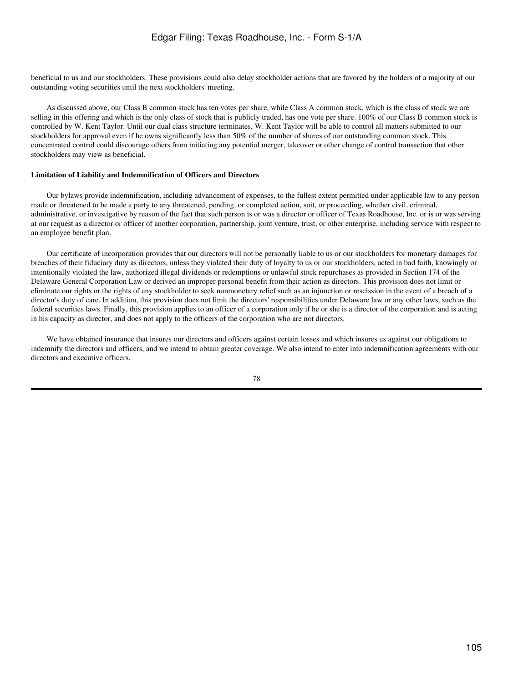beneficial to us and our stockholders. These provisions could also delay stockholder actions that are favored by the holders of a majority of our outstanding voting securities until the next stockholders' meeting.

 As discussed above, our Class B common stock has ten votes per share, while Class A common stock, which is the class of stock we are selling in this offering and which is the only class of stock that is publicly traded, has one vote per share. 100% of our Class B common stock is controlled by W. Kent Taylor. Until our dual class structure terminates, W. Kent Taylor will be able to control all matters submitted to our stockholders for approval even if he owns significantly less than 50% of the number of shares of our outstanding common stock. This concentrated control could discourage others from initiating any potential merger, takeover or other change of control transaction that other stockholders may view as beneficial.

### **Limitation of Liability and Indemnification of Officers and Directors**

 Our bylaws provide indemnification, including advancement of expenses, to the fullest extent permitted under applicable law to any person made or threatened to be made a party to any threatened, pending, or completed action, suit, or proceeding, whether civil, criminal, administrative, or investigative by reason of the fact that such person is or was a director or officer of Texas Roadhouse, Inc. or is or was serving at our request as a director or officer of another corporation, partnership, joint venture, trust, or other enterprise, including service with respect to an employee benefit plan.

 Our certificate of incorporation provides that our directors will not be personally liable to us or our stockholders for monetary damages for breaches of their fiduciary duty as directors, unless they violated their duty of loyalty to us or our stockholders, acted in bad faith, knowingly or intentionally violated the law, authorized illegal dividends or redemptions or unlawful stock repurchases as provided in Section 174 of the Delaware General Corporation Law or derived an improper personal benefit from their action as directors. This provision does not limit or eliminate our rights or the rights of any stockholder to seek nonmonetary relief such as an injunction or rescission in the event of a breach of a director's duty of care. In addition, this provision does not limit the directors' responsibilities under Delaware law or any other laws, such as the federal securities laws. Finally, this provision applies to an officer of a corporation only if he or she is a director of the corporation and is acting in his capacity as director, and does not apply to the officers of the corporation who are not directors.

 We have obtained insurance that insures our directors and officers against certain losses and which insures us against our obligations to indemnify the directors and officers, and we intend to obtain greater coverage. We also intend to enter into indemnification agreements with our directors and executive officers.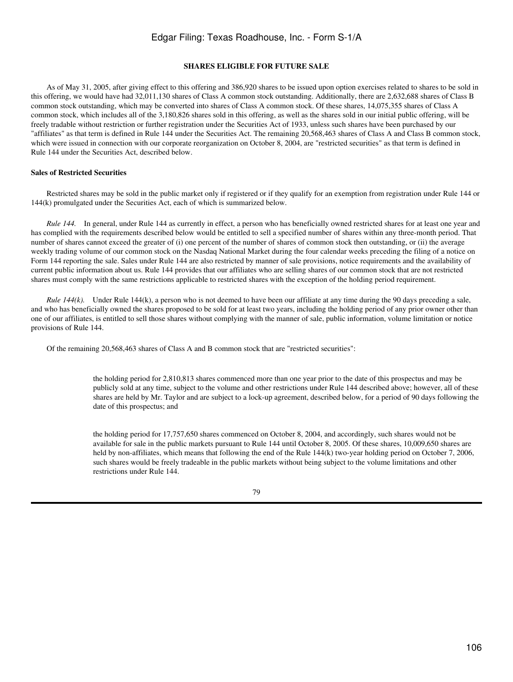### **SHARES ELIGIBLE FOR FUTURE SALE**

 As of May 31, 2005, after giving effect to this offering and 386,920 shares to be issued upon option exercises related to shares to be sold in this offering, we would have had 32,011,130 shares of Class A common stock outstanding. Additionally, there are 2,632,688 shares of Class B common stock outstanding, which may be converted into shares of Class A common stock. Of these shares, 14,075,355 shares of Class A common stock, which includes all of the 3,180,826 shares sold in this offering, as well as the shares sold in our initial public offering, will be freely tradable without restriction or further registration under the Securities Act of 1933, unless such shares have been purchased by our "affiliates" as that term is defined in Rule 144 under the Securities Act. The remaining 20,568,463 shares of Class A and Class B common stock, which were issued in connection with our corporate reorganization on October 8, 2004, are "restricted securities" as that term is defined in Rule 144 under the Securities Act, described below.

### **Sales of Restricted Securities**

 Restricted shares may be sold in the public market only if registered or if they qualify for an exemption from registration under Rule 144 or 144(k) promulgated under the Securities Act, each of which is summarized below.

 *Rule 144.* In general, under Rule 144 as currently in effect, a person who has beneficially owned restricted shares for at least one year and has complied with the requirements described below would be entitled to sell a specified number of shares within any three-month period. That number of shares cannot exceed the greater of (i) one percent of the number of shares of common stock then outstanding, or (ii) the average weekly trading volume of our common stock on the Nasdaq National Market during the four calendar weeks preceding the filing of a notice on Form 144 reporting the sale. Sales under Rule 144 are also restricted by manner of sale provisions, notice requirements and the availability of current public information about us. Rule 144 provides that our affiliates who are selling shares of our common stock that are not restricted shares must comply with the same restrictions applicable to restricted shares with the exception of the holding period requirement.

*Rule 144(k).* Under Rule 144(k), a person who is not deemed to have been our affiliate at any time during the 90 days preceding a sale, and who has beneficially owned the shares proposed to be sold for at least two years, including the holding period of any prior owner other than one of our affiliates, is entitled to sell those shares without complying with the manner of sale, public information, volume limitation or notice provisions of Rule 144.

Of the remaining 20,568,463 shares of Class A and B common stock that are "restricted securities":

the holding period for 2,810,813 shares commenced more than one year prior to the date of this prospectus and may be publicly sold at any time, subject to the volume and other restrictions under Rule 144 described above; however, all of these shares are held by Mr. Taylor and are subject to a lock-up agreement, described below, for a period of 90 days following the date of this prospectus; and

the holding period for 17,757,650 shares commenced on October 8, 2004, and accordingly, such shares would not be available for sale in the public markets pursuant to Rule 144 until October 8, 2005. Of these shares, 10,009,650 shares are held by non-affiliates, which means that following the end of the Rule 144(k) two-year holding period on October 7, 2006, such shares would be freely tradeable in the public markets without being subject to the volume limitations and other restrictions under Rule 144.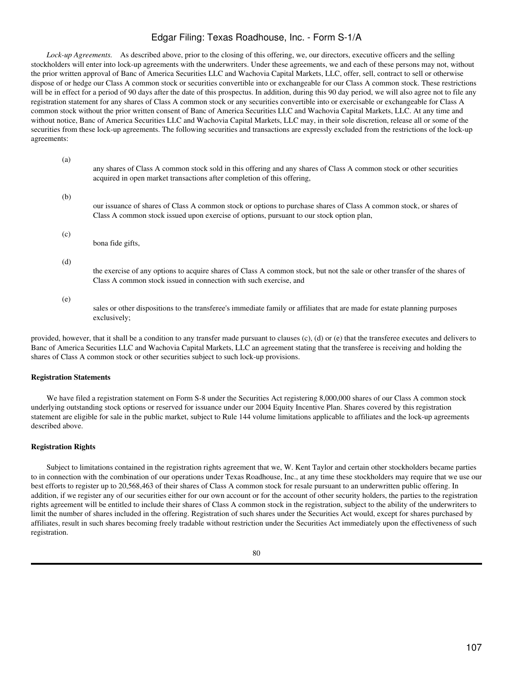*Lock-up Agreements.* As described above, prior to the closing of this offering, we, our directors, executive officers and the selling stockholders will enter into lock-up agreements with the underwriters. Under these agreements, we and each of these persons may not, without the prior written approval of Banc of America Securities LLC and Wachovia Capital Markets, LLC, offer, sell, contract to sell or otherwise dispose of or hedge our Class A common stock or securities convertible into or exchangeable for our Class A common stock. These restrictions will be in effect for a period of 90 days after the date of this prospectus. In addition, during this 90 day period, we will also agree not to file any registration statement for any shares of Class A common stock or any securities convertible into or exercisable or exchangeable for Class A common stock without the prior written consent of Banc of America Securities LLC and Wachovia Capital Markets, LLC. At any time and without notice, Banc of America Securities LLC and Wachovia Capital Markets, LLC may, in their sole discretion, release all or some of the securities from these lock-up agreements. The following securities and transactions are expressly excluded from the restrictions of the lock-up agreements:

| (a) | any shares of Class A common stock sold in this offering and any shares of Class A common stock or other securities<br>acquired in open market transactions after completion of this offering,                 |
|-----|----------------------------------------------------------------------------------------------------------------------------------------------------------------------------------------------------------------|
| (b) | our issuance of shares of Class A common stock or options to purchase shares of Class A common stock, or shares of<br>Class A common stock issued upon exercise of options, pursuant to our stock option plan, |
| (c) | bona fide gifts.                                                                                                                                                                                               |
| (d) | the exercise of any options to acquire shares of Class A common stock, but not the sale or other transfer of the shares of<br>Class A common stock issued in connection with such exercise, and                |
| (e) | sales or other dispositions to the transferee's immediate family or affiliates that are made for estate planning purposes<br>exclusively;                                                                      |

provided, however, that it shall be a condition to any transfer made pursuant to clauses (c), (d) or (e) that the transferee executes and delivers to Banc of America Securities LLC and Wachovia Capital Markets, LLC an agreement stating that the transferee is receiving and holding the shares of Class A common stock or other securities subject to such lock-up provisions.

### **Registration Statements**

 We have filed a registration statement on Form S-8 under the Securities Act registering 8,000,000 shares of our Class A common stock underlying outstanding stock options or reserved for issuance under our 2004 Equity Incentive Plan. Shares covered by this registration statement are eligible for sale in the public market, subject to Rule 144 volume limitations applicable to affiliates and the lock-up agreements described above.

#### **Registration Rights**

 Subject to limitations contained in the registration rights agreement that we, W. Kent Taylor and certain other stockholders became parties to in connection with the combination of our operations under Texas Roadhouse, Inc., at any time these stockholders may require that we use our best efforts to register up to 20,568,463 of their shares of Class A common stock for resale pursuant to an underwritten public offering. In addition, if we register any of our securities either for our own account or for the account of other security holders, the parties to the registration rights agreement will be entitled to include their shares of Class A common stock in the registration, subject to the ability of the underwriters to limit the number of shares included in the offering. Registration of such shares under the Securities Act would, except for shares purchased by affiliates, result in such shares becoming freely tradable without restriction under the Securities Act immediately upon the effectiveness of such registration.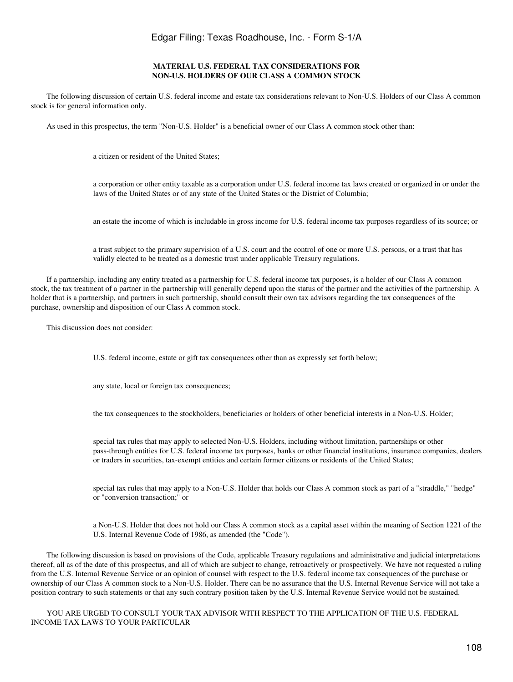### **MATERIAL U.S. FEDERAL TAX CONSIDERATIONS FOR NON-U.S. HOLDERS OF OUR CLASS A COMMON STOCK**

 The following discussion of certain U.S. federal income and estate tax considerations relevant to Non-U.S. Holders of our Class A common stock is for general information only.

As used in this prospectus, the term "Non-U.S. Holder" is a beneficial owner of our Class A common stock other than:

a citizen or resident of the United States;

a corporation or other entity taxable as a corporation under U.S. federal income tax laws created or organized in or under the laws of the United States or of any state of the United States or the District of Columbia;

an estate the income of which is includable in gross income for U.S. federal income tax purposes regardless of its source; or

a trust subject to the primary supervision of a U.S. court and the control of one or more U.S. persons, or a trust that has validly elected to be treated as a domestic trust under applicable Treasury regulations.

 If a partnership, including any entity treated as a partnership for U.S. federal income tax purposes, is a holder of our Class A common stock, the tax treatment of a partner in the partnership will generally depend upon the status of the partner and the activities of the partnership. A holder that is a partnership, and partners in such partnership, should consult their own tax advisors regarding the tax consequences of the purchase, ownership and disposition of our Class A common stock.

This discussion does not consider:

U.S. federal income, estate or gift tax consequences other than as expressly set forth below;

any state, local or foreign tax consequences;

the tax consequences to the stockholders, beneficiaries or holders of other beneficial interests in a Non-U.S. Holder;

special tax rules that may apply to selected Non-U.S. Holders, including without limitation, partnerships or other pass-through entities for U.S. federal income tax purposes, banks or other financial institutions, insurance companies, dealers or traders in securities, tax-exempt entities and certain former citizens or residents of the United States;

special tax rules that may apply to a Non-U.S. Holder that holds our Class A common stock as part of a "straddle," "hedge" or "conversion transaction;" or

a Non-U.S. Holder that does not hold our Class A common stock as a capital asset within the meaning of Section 1221 of the U.S. Internal Revenue Code of 1986, as amended (the "Code").

 The following discussion is based on provisions of the Code, applicable Treasury regulations and administrative and judicial interpretations thereof, all as of the date of this prospectus, and all of which are subject to change, retroactively or prospectively. We have not requested a ruling from the U.S. Internal Revenue Service or an opinion of counsel with respect to the U.S. federal income tax consequences of the purchase or ownership of our Class A common stock to a Non-U.S. Holder. There can be no assurance that the U.S. Internal Revenue Service will not take a position contrary to such statements or that any such contrary position taken by the U.S. Internal Revenue Service would not be sustained.

 YOU ARE URGED TO CONSULT YOUR TAX ADVISOR WITH RESPECT TO THE APPLICATION OF THE U.S. FEDERAL INCOME TAX LAWS TO YOUR PARTICULAR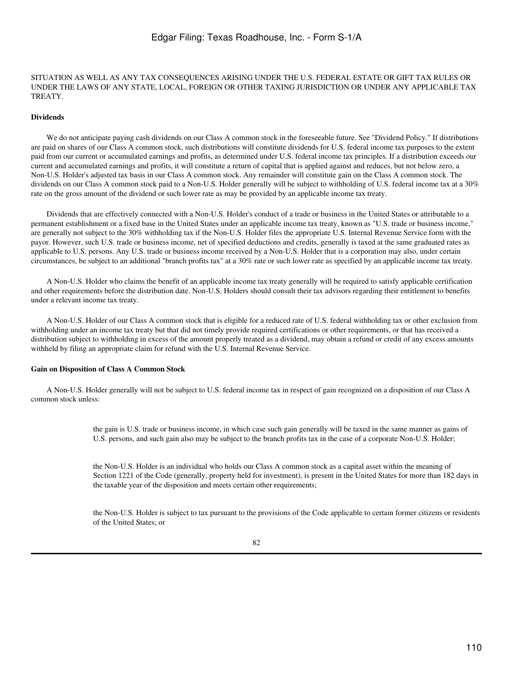#### SITUATION AS WELL AS ANY TAX CONSEQUENCES ARISING UNDER THE U.S. FEDERAL ESTATE OR GIFT TAX RULES OR UNDER THE LAWS OF ANY STATE, LOCAL, FOREIGN OR OTHER TAXING JURISDICTION OR UNDER ANY APPLICABLE TAX TREATY.

#### **Dividends**

 We do not anticipate paying cash dividends on our Class A common stock in the foreseeable future. See "Dividend Policy." If distributions are paid on shares of our Class A common stock, such distributions will constitute dividends for U.S. federal income tax purposes to the extent paid from our current or accumulated earnings and profits, as determined under U.S. federal income tax principles. If a distribution exceeds our current and accumulated earnings and profits, it will constitute a return of capital that is applied against and reduces, but not below zero, a Non-U.S. Holder's adjusted tax basis in our Class A common stock. Any remainder will constitute gain on the Class A common stock. The dividends on our Class A common stock paid to a Non-U.S. Holder generally will be subject to withholding of U.S. federal income tax at a 30% rate on the gross amount of the dividend or such lower rate as may be provided by an applicable income tax treaty.

 Dividends that are effectively connected with a Non-U.S. Holder's conduct of a trade or business in the United States or attributable to a permanent establishment or a fixed base in the United States under an applicable income tax treaty, known as "U.S. trade or business income," are generally not subject to the 30% withholding tax if the Non-U.S. Holder files the appropriate U.S. Internal Revenue Service form with the payor. However, such U.S. trade or business income, net of specified deductions and credits, generally is taxed at the same graduated rates as applicable to U.S. persons. Any U.S. trade or business income received by a Non-U.S. Holder that is a corporation may also, under certain circumstances, be subject to an additional "branch profits tax" at a 30% rate or such lower rate as specified by an applicable income tax treaty.

 A Non-U.S. Holder who claims the benefit of an applicable income tax treaty generally will be required to satisfy applicable certification and other requirements before the distribution date. Non-U.S. Holders should consult their tax advisors regarding their entitlement to benefits under a relevant income tax treaty.

 A Non-U.S. Holder of our Class A common stock that is eligible for a reduced rate of U.S. federal withholding tax or other exclusion from withholding under an income tax treaty but that did not timely provide required certifications or other requirements, or that has received a distribution subject to withholding in excess of the amount properly treated as a dividend, may obtain a refund or credit of any excess amounts withheld by filing an appropriate claim for refund with the U.S. Internal Revenue Service.

#### **Gain on Disposition of Class A Common Stock**

 A Non-U.S. Holder generally will not be subject to U.S. federal income tax in respect of gain recognized on a disposition of our Class A common stock unless:

> the gain is U.S. trade or business income, in which case such gain generally will be taxed in the same manner as gains of U.S. persons, and such gain also may be subject to the branch profits tax in the case of a corporate Non-U.S. Holder;

the Non-U.S. Holder is an individual who holds our Class A common stock as a capital asset within the meaning of Section 1221 of the Code (generally, property held for investment), is present in the United States for more than 182 days in the taxable year of the disposition and meets certain other requirements;

the Non-U.S. Holder is subject to tax pursuant to the provisions of the Code applicable to certain former citizens or residents of the United States; or

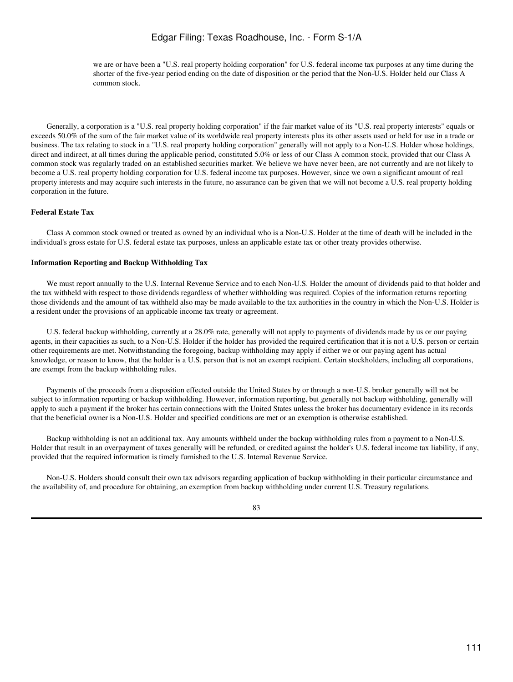we are or have been a "U.S. real property holding corporation" for U.S. federal income tax purposes at any time during the shorter of the five-year period ending on the date of disposition or the period that the Non-U.S. Holder held our Class A common stock.

 Generally, a corporation is a "U.S. real property holding corporation" if the fair market value of its "U.S. real property interests" equals or exceeds 50.0% of the sum of the fair market value of its worldwide real property interests plus its other assets used or held for use in a trade or business. The tax relating to stock in a "U.S. real property holding corporation" generally will not apply to a Non-U.S. Holder whose holdings, direct and indirect, at all times during the applicable period, constituted 5.0% or less of our Class A common stock, provided that our Class A common stock was regularly traded on an established securities market. We believe we have never been, are not currently and are not likely to become a U.S. real property holding corporation for U.S. federal income tax purposes. However, since we own a significant amount of real property interests and may acquire such interests in the future, no assurance can be given that we will not become a U.S. real property holding corporation in the future.

## **Federal Estate Tax**

 Class A common stock owned or treated as owned by an individual who is a Non-U.S. Holder at the time of death will be included in the individual's gross estate for U.S. federal estate tax purposes, unless an applicable estate tax or other treaty provides otherwise.

#### **Information Reporting and Backup Withholding Tax**

 We must report annually to the U.S. Internal Revenue Service and to each Non-U.S. Holder the amount of dividends paid to that holder and the tax withheld with respect to those dividends regardless of whether withholding was required. Copies of the information returns reporting those dividends and the amount of tax withheld also may be made available to the tax authorities in the country in which the Non-U.S. Holder is a resident under the provisions of an applicable income tax treaty or agreement.

 U.S. federal backup withholding, currently at a 28.0% rate, generally will not apply to payments of dividends made by us or our paying agents, in their capacities as such, to a Non-U.S. Holder if the holder has provided the required certification that it is not a U.S. person or certain other requirements are met. Notwithstanding the foregoing, backup withholding may apply if either we or our paying agent has actual knowledge, or reason to know, that the holder is a U.S. person that is not an exempt recipient. Certain stockholders, including all corporations, are exempt from the backup withholding rules.

 Payments of the proceeds from a disposition effected outside the United States by or through a non-U.S. broker generally will not be subject to information reporting or backup withholding. However, information reporting, but generally not backup withholding, generally will apply to such a payment if the broker has certain connections with the United States unless the broker has documentary evidence in its records that the beneficial owner is a Non-U.S. Holder and specified conditions are met or an exemption is otherwise established.

 Backup withholding is not an additional tax. Any amounts withheld under the backup withholding rules from a payment to a Non-U.S. Holder that result in an overpayment of taxes generally will be refunded, or credited against the holder's U.S. federal income tax liability, if any, provided that the required information is timely furnished to the U.S. Internal Revenue Service.

 Non-U.S. Holders should consult their own tax advisors regarding application of backup withholding in their particular circumstance and the availability of, and procedure for obtaining, an exemption from backup withholding under current U.S. Treasury regulations.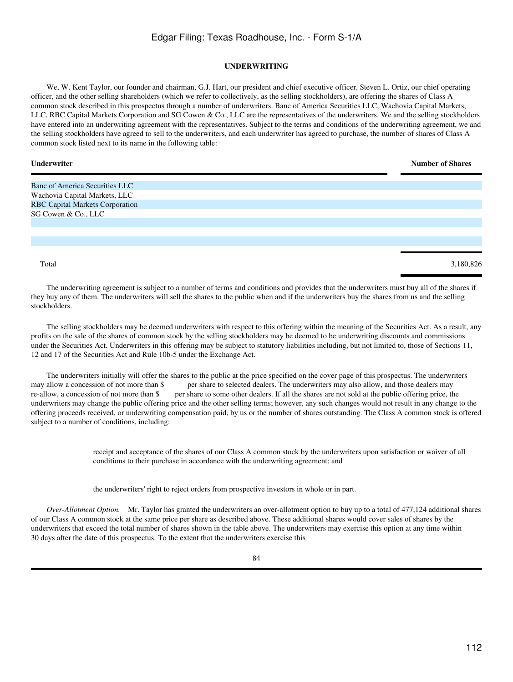#### **UNDERWRITING**

 We, W. Kent Taylor, our founder and chairman, G.J. Hart, our president and chief executive officer, Steven L. Ortiz, our chief operating officer, and the other selling shareholders (which we refer to collectively, as the selling stockholders), are offering the shares of Class A common stock described in this prospectus through a number of underwriters. Banc of America Securities LLC, Wachovia Capital Markets, LLC, RBC Capital Markets Corporation and SG Cowen & Co., LLC are the representatives of the underwriters. We and the selling stockholders have entered into an underwriting agreement with the representatives. Subject to the terms and conditions of the underwriting agreement, we and the selling stockholders have agreed to sell to the underwriters, and each underwriter has agreed to purchase, the number of shares of Class A common stock listed next to its name in the following table:

# **Underwriter Number of Shares** Banc of America Securities LLC Wachovia Capital Markets, LLC RBC Capital Markets Corporation SG Cowen & Co., LLC Total 3,180,826

 The underwriting agreement is subject to a number of terms and conditions and provides that the underwriters must buy all of the shares if they buy any of them. The underwriters will sell the shares to the public when and if the underwriters buy the shares from us and the selling stockholders.

 The selling stockholders may be deemed underwriters with respect to this offering within the meaning of the Securities Act. As a result, any profits on the sale of the shares of common stock by the selling stockholders may be deemed to be underwriting discounts and commissions under the Securities Act. Underwriters in this offering may be subject to statutory liabilities including, but not limited to, those of Sections 11, 12 and 17 of the Securities Act and Rule 10b-5 under the Exchange Act.

 The underwriters initially will offer the shares to the public at the price specified on the cover page of this prospectus. The underwriters may allow a concession of not more than \$ per share to selected dealers. The underwriters may also allow, and those dealers may re-allow, a concession of not more than \$ per share to some other dealers. If all the shares are not sold at the public offering price, the underwriters may change the public offering price and the other selling terms; however, any such changes would not result in any change to the offering proceeds received, or underwriting compensation paid, by us or the number of shares outstanding. The Class A common stock is offered subject to a number of conditions, including:

> receipt and acceptance of the shares of our Class A common stock by the underwriters upon satisfaction or waiver of all conditions to their purchase in accordance with the underwriting agreement; and

the underwriters' right to reject orders from prospective investors in whole or in part.

 *Over-Allotment Option.* Mr. Taylor has granted the underwriters an over-allotment option to buy up to a total of 477,124 additional shares of our Class A common stock at the same price per share as described above. These additional shares would cover sales of shares by the underwriters that exceed the total number of shares shown in the table above. The underwriters may exercise this option at any time within 30 days after the date of this prospectus. To the extent that the underwriters exercise this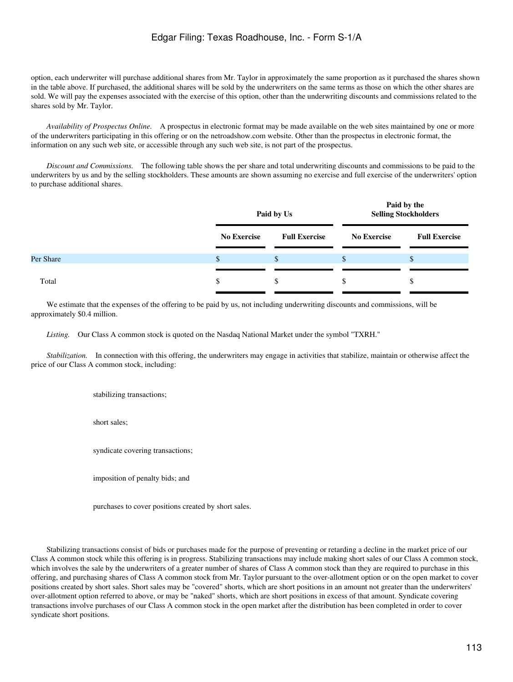option, each underwriter will purchase additional shares from Mr. Taylor in approximately the same proportion as it purchased the shares shown in the table above. If purchased, the additional shares will be sold by the underwriters on the same terms as those on which the other shares are sold. We will pay the expenses associated with the exercise of this option, other than the underwriting discounts and commissions related to the shares sold by Mr. Taylor.

 *Availability of Prospectus Online.* A prospectus in electronic format may be made available on the web sites maintained by one or more of the underwriters participating in this offering or on the netroadshow.com website. Other than the prospectus in electronic format, the information on any such web site, or accessible through any such web site, is not part of the prospectus.

 *Discount and Commissions.* The following table shows the per share and total underwriting discounts and commissions to be paid to the underwriters by us and by the selling stockholders. These amounts are shown assuming no exercise and full exercise of the underwriters' option to purchase additional shares.

|           |                    | Paid by Us           |                    | Paid by the<br><b>Selling Stockholders</b> |
|-----------|--------------------|----------------------|--------------------|--------------------------------------------|
|           | <b>No Exercise</b> | <b>Full Exercise</b> | <b>No Exercise</b> | <b>Full Exercise</b>                       |
| Per Share | £.                 | \$.                  | \$                 | \$                                         |
| Total     | \$                 | \$.                  | \$                 | \$                                         |

 We estimate that the expenses of the offering to be paid by us, not including underwriting discounts and commissions, will be approximately \$0.4 million.

 *Listing.* Our Class A common stock is quoted on the Nasdaq National Market under the symbol "TXRH."

 *Stabilization.* In connection with this offering, the underwriters may engage in activities that stabilize, maintain or otherwise affect the price of our Class A common stock, including:

stabilizing transactions;

short sales;

syndicate covering transactions;

imposition of penalty bids; and

purchases to cover positions created by short sales.

 Stabilizing transactions consist of bids or purchases made for the purpose of preventing or retarding a decline in the market price of our Class A common stock while this offering is in progress. Stabilizing transactions may include making short sales of our Class A common stock, which involves the sale by the underwriters of a greater number of shares of Class A common stock than they are required to purchase in this offering, and purchasing shares of Class A common stock from Mr. Taylor pursuant to the over-allotment option or on the open market to cover positions created by short sales. Short sales may be "covered" shorts, which are short positions in an amount not greater than the underwriters' over-allotment option referred to above, or may be "naked" shorts, which are short positions in excess of that amount. Syndicate covering transactions involve purchases of our Class A common stock in the open market after the distribution has been completed in order to cover syndicate short positions.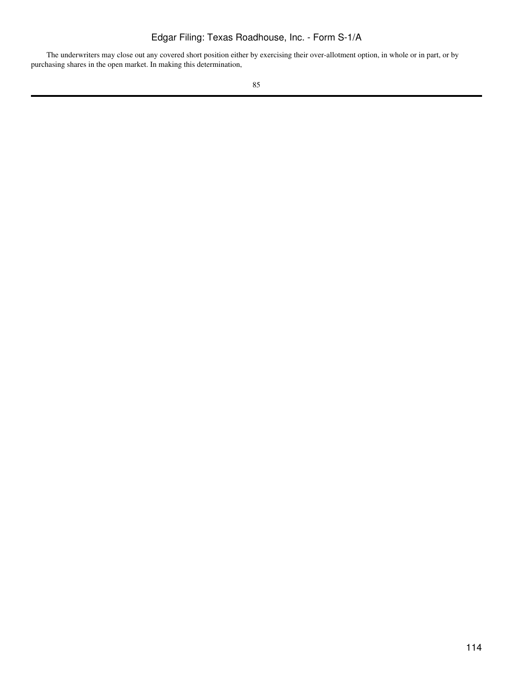The underwriters may close out any covered short position either by exercising their over-allotment option, in whole or in part, or by purchasing shares in the open market. In making this determination,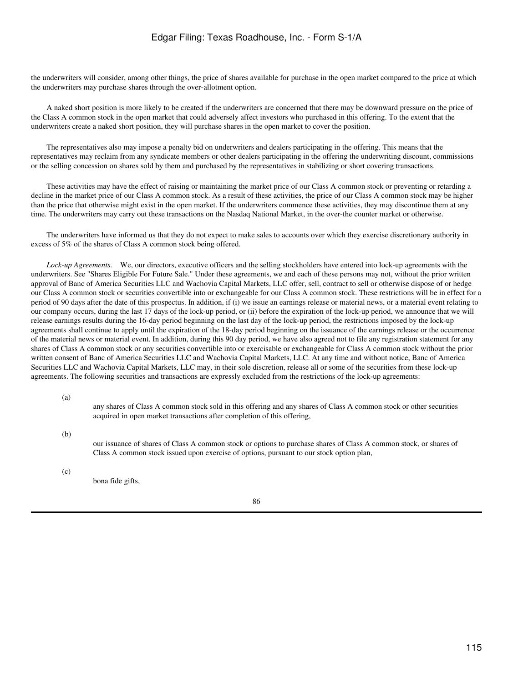the underwriters will consider, among other things, the price of shares available for purchase in the open market compared to the price at which the underwriters may purchase shares through the over-allotment option.

 A naked short position is more likely to be created if the underwriters are concerned that there may be downward pressure on the price of the Class A common stock in the open market that could adversely affect investors who purchased in this offering. To the extent that the underwriters create a naked short position, they will purchase shares in the open market to cover the position.

 The representatives also may impose a penalty bid on underwriters and dealers participating in the offering. This means that the representatives may reclaim from any syndicate members or other dealers participating in the offering the underwriting discount, commissions or the selling concession on shares sold by them and purchased by the representatives in stabilizing or short covering transactions.

 These activities may have the effect of raising or maintaining the market price of our Class A common stock or preventing or retarding a decline in the market price of our Class A common stock. As a result of these activities, the price of our Class A common stock may be higher than the price that otherwise might exist in the open market. If the underwriters commence these activities, they may discontinue them at any time. The underwriters may carry out these transactions on the Nasdaq National Market, in the over-the counter market or otherwise.

 The underwriters have informed us that they do not expect to make sales to accounts over which they exercise discretionary authority in excess of 5% of the shares of Class A common stock being offered.

 *Lock-up Agreements.* We, our directors, executive officers and the selling stockholders have entered into lock-up agreements with the underwriters. See "Shares Eligible For Future Sale." Under these agreements, we and each of these persons may not, without the prior written approval of Banc of America Securities LLC and Wachovia Capital Markets, LLC offer, sell, contract to sell or otherwise dispose of or hedge our Class A common stock or securities convertible into or exchangeable for our Class A common stock. These restrictions will be in effect for a period of 90 days after the date of this prospectus. In addition, if (i) we issue an earnings release or material news, or a material event relating to our company occurs, during the last 17 days of the lock-up period, or (ii) before the expiration of the lock-up period, we announce that we will release earnings results during the 16-day period beginning on the last day of the lock-up period, the restrictions imposed by the lock-up agreements shall continue to apply until the expiration of the 18-day period beginning on the issuance of the earnings release or the occurrence of the material news or material event. In addition, during this 90 day period, we have also agreed not to file any registration statement for any shares of Class A common stock or any securities convertible into or exercisable or exchangeable for Class A common stock without the prior written consent of Banc of America Securities LLC and Wachovia Capital Markets, LLC. At any time and without notice, Banc of America Securities LLC and Wachovia Capital Markets, LLC may, in their sole discretion, release all or some of the securities from these lock-up agreements. The following securities and transactions are expressly excluded from the restrictions of the lock-up agreements:

(a)

any shares of Class A common stock sold in this offering and any shares of Class A common stock or other securities acquired in open market transactions after completion of this offering,

(b)

our issuance of shares of Class A common stock or options to purchase shares of Class A common stock, or shares of Class A common stock issued upon exercise of options, pursuant to our stock option plan,

(c)

bona fide gifts,

86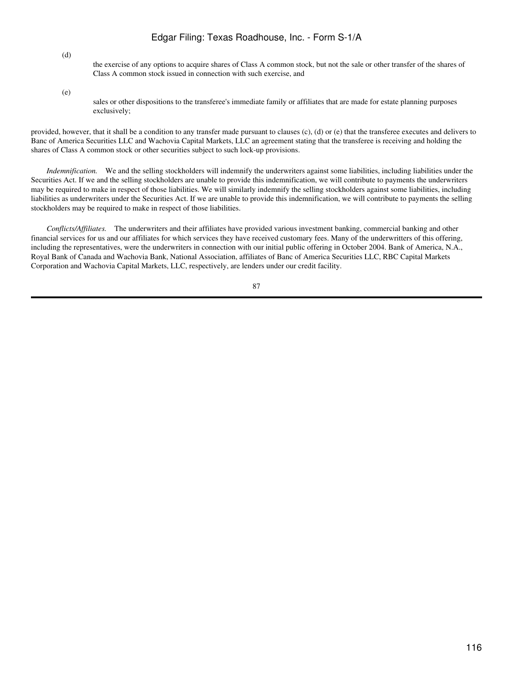(d)

the exercise of any options to acquire shares of Class A common stock, but not the sale or other transfer of the shares of Class A common stock issued in connection with such exercise, and

(e)

sales or other dispositions to the transferee's immediate family or affiliates that are made for estate planning purposes exclusively;

provided, however, that it shall be a condition to any transfer made pursuant to clauses (c), (d) or (e) that the transferee executes and delivers to Banc of America Securities LLC and Wachovia Capital Markets, LLC an agreement stating that the transferee is receiving and holding the shares of Class A common stock or other securities subject to such lock-up provisions.

 *Indemnification.* We and the selling stockholders will indemnify the underwriters against some liabilities, including liabilities under the Securities Act. If we and the selling stockholders are unable to provide this indemnification, we will contribute to payments the underwriters may be required to make in respect of those liabilities. We will similarly indemnify the selling stockholders against some liabilities, including liabilities as underwriters under the Securities Act. If we are unable to provide this indemnification, we will contribute to payments the selling stockholders may be required to make in respect of those liabilities.

 *Conflicts/Affiliates.* The underwriters and their affiliates have provided various investment banking, commercial banking and other financial services for us and our affiliates for which services they have received customary fees. Many of the underwritters of this offering, including the representatives, were the underwriters in connection with our initial public offering in October 2004. Bank of America, N.A., Royal Bank of Canada and Wachovia Bank, National Association, affiliates of Banc of America Securities LLC, RBC Capital Markets Corporation and Wachovia Capital Markets, LLC, respectively, are lenders under our credit facility.

87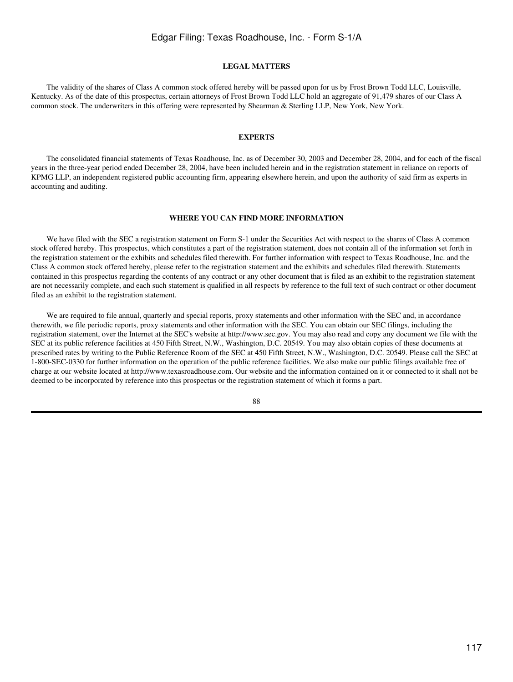#### **LEGAL MATTERS**

 The validity of the shares of Class A common stock offered hereby will be passed upon for us by Frost Brown Todd LLC, Louisville, Kentucky. As of the date of this prospectus, certain attorneys of Frost Brown Todd LLC hold an aggregate of 91,479 shares of our Class A common stock. The underwriters in this offering were represented by Shearman & Sterling LLP, New York, New York.

## **EXPERTS**

 The consolidated financial statements of Texas Roadhouse, Inc. as of December 30, 2003 and December 28, 2004, and for each of the fiscal years in the three-year period ended December 28, 2004, have been included herein and in the registration statement in reliance on reports of KPMG LLP, an independent registered public accounting firm, appearing elsewhere herein, and upon the authority of said firm as experts in accounting and auditing.

#### **WHERE YOU CAN FIND MORE INFORMATION**

We have filed with the SEC a registration statement on Form S-1 under the Securities Act with respect to the shares of Class A common stock offered hereby. This prospectus, which constitutes a part of the registration statement, does not contain all of the information set forth in the registration statement or the exhibits and schedules filed therewith. For further information with respect to Texas Roadhouse, Inc. and the Class A common stock offered hereby, please refer to the registration statement and the exhibits and schedules filed therewith. Statements contained in this prospectus regarding the contents of any contract or any other document that is filed as an exhibit to the registration statement are not necessarily complete, and each such statement is qualified in all respects by reference to the full text of such contract or other document filed as an exhibit to the registration statement.

 We are required to file annual, quarterly and special reports, proxy statements and other information with the SEC and, in accordance therewith, we file periodic reports, proxy statements and other information with the SEC. You can obtain our SEC filings, including the registration statement, over the Internet at the SEC's website at http://www.sec.gov. You may also read and copy any document we file with the SEC at its public reference facilities at 450 Fifth Street, N.W., Washington, D.C. 20549. You may also obtain copies of these documents at prescribed rates by writing to the Public Reference Room of the SEC at 450 Fifth Street, N.W., Washington, D.C. 20549. Please call the SEC at 1-800-SEC-0330 for further information on the operation of the public reference facilities. We also make our public filings available free of charge at our website located at http://www.texasroadhouse.com. Our website and the information contained on it or connected to it shall not be deemed to be incorporated by reference into this prospectus or the registration statement of which it forms a part.

88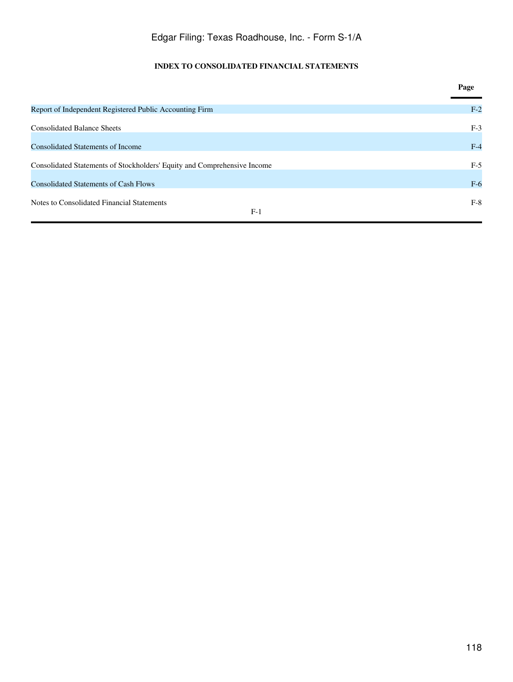## **INDEX TO CONSOLIDATED FINANCIAL STATEMENTS**

|                                                                          | Page  |
|--------------------------------------------------------------------------|-------|
| Report of Independent Registered Public Accounting Firm                  | $F-2$ |
| <b>Consolidated Balance Sheets</b>                                       | $F-3$ |
| <b>Consolidated Statements of Income</b>                                 | $F-4$ |
| Consolidated Statements of Stockholders' Equity and Comprehensive Income | $F-5$ |
| <b>Consolidated Statements of Cash Flows</b>                             | $F-6$ |
| Notes to Consolidated Financial Statements                               | $F-8$ |
| $F-1$                                                                    |       |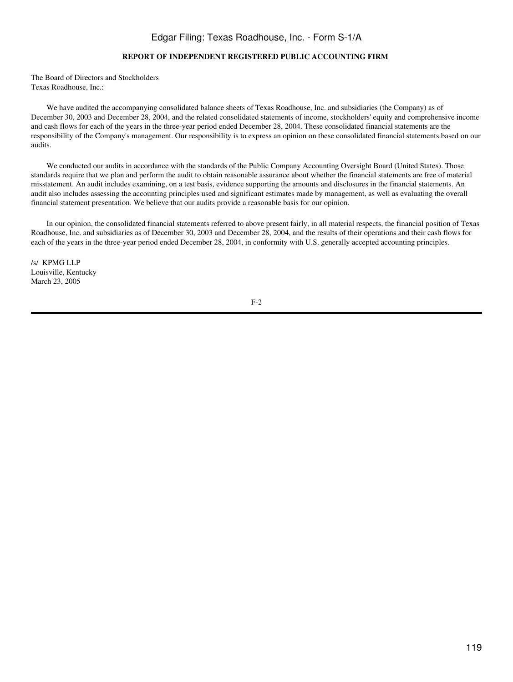## **REPORT OF INDEPENDENT REGISTERED PUBLIC ACCOUNTING FIRM**

The Board of Directors and Stockholders Texas Roadhouse, Inc.:

 We have audited the accompanying consolidated balance sheets of Texas Roadhouse, Inc. and subsidiaries (the Company) as of December 30, 2003 and December 28, 2004, and the related consolidated statements of income, stockholders' equity and comprehensive income and cash flows for each of the years in the three-year period ended December 28, 2004. These consolidated financial statements are the responsibility of the Company's management. Our responsibility is to express an opinion on these consolidated financial statements based on our audits.

 We conducted our audits in accordance with the standards of the Public Company Accounting Oversight Board (United States). Those standards require that we plan and perform the audit to obtain reasonable assurance about whether the financial statements are free of material misstatement. An audit includes examining, on a test basis, evidence supporting the amounts and disclosures in the financial statements. An audit also includes assessing the accounting principles used and significant estimates made by management, as well as evaluating the overall financial statement presentation. We believe that our audits provide a reasonable basis for our opinion.

 In our opinion, the consolidated financial statements referred to above present fairly, in all material respects, the financial position of Texas Roadhouse, Inc. and subsidiaries as of December 30, 2003 and December 28, 2004, and the results of their operations and their cash flows for each of the years in the three-year period ended December 28, 2004, in conformity with U.S. generally accepted accounting principles.

/s/ KPMG LLP Louisville, Kentucky March 23, 2005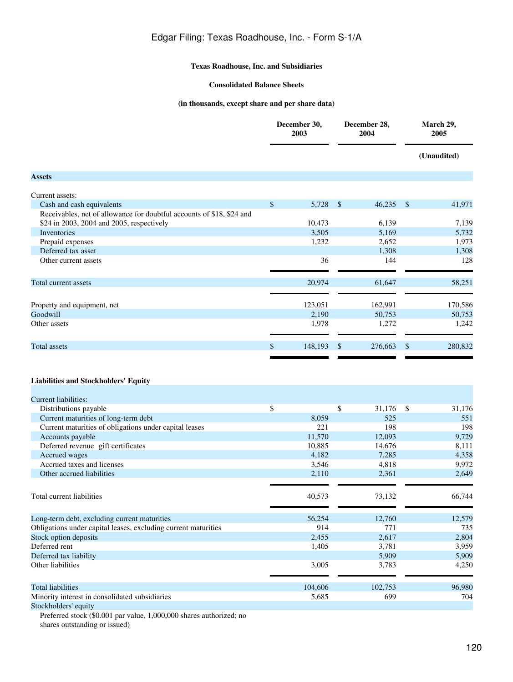## **Texas Roadhouse, Inc. and Subsidiaries**

## **Consolidated Balance Sheets**

## **(in thousands, except share and per share data)**

|                                                                       |               | December 30,<br>2003 |               | December 28,<br>2004 |               | March 29,<br>2005 |
|-----------------------------------------------------------------------|---------------|----------------------|---------------|----------------------|---------------|-------------------|
|                                                                       |               |                      |               |                      |               | (Unaudited)       |
| <b>Assets</b>                                                         |               |                      |               |                      |               |                   |
| Current assets:                                                       |               |                      |               |                      |               |                   |
| Cash and cash equivalents                                             | $\mathcal{S}$ | 5,728                | $\frac{1}{2}$ | 46,235               | $\mathcal{S}$ | 41,971            |
| Receivables, net of allowance for doubtful accounts of \$18, \$24 and |               |                      |               |                      |               |                   |
| \$24 in 2003, 2004 and 2005, respectively                             |               | 10,473               |               | 6,139                |               | 7,139             |
| Inventories                                                           |               | 3,505                |               | 5,169                |               | 5,732             |
| Prepaid expenses                                                      |               | 1,232                |               | 2,652                |               | 1,973             |
| Deferred tax asset                                                    |               |                      |               | 1,308                |               | 1,308             |
| Other current assets                                                  |               | 36                   |               | 144                  |               | 128               |
|                                                                       |               |                      |               |                      |               |                   |
| Total current assets                                                  |               | 20,974               |               | 61,647               |               | 58,251            |
|                                                                       |               |                      |               |                      |               |                   |
| Property and equipment, net                                           |               | 123,051              |               | 162,991              |               | 170,586           |
| Goodwill                                                              |               | 2,190                |               | 50,753               |               | 50,753            |
| Other assets                                                          |               | 1,978                |               | 1,272                |               | 1,242             |
|                                                                       |               |                      |               |                      |               |                   |
| <b>Total</b> assets                                                   | \$            | 148,193              | \$            | 276,663              | \$            | 280,832           |
|                                                                       |               |                      |               |                      |               |                   |
| <b>Liabilities and Stockholders' Equity</b>                           |               |                      |               |                      |               |                   |
| <b>Current liabilities:</b>                                           |               |                      |               |                      |               |                   |
| Distributions payable                                                 | \$            |                      | \$            | 31,176               | $\mathcal{S}$ | 31,176            |
| Current maturities of long-term debt                                  |               |                      |               | 525                  |               |                   |
| Current maturities of obligations under capital leases                |               | 8,059<br>221         |               | 198                  |               | 551<br>198        |
| Accounts payable                                                      |               | 11,570               |               | 12,093               |               | 9,729             |
| Deferred revenue gift certificates                                    |               | 10,885               |               | 14,676               |               | 8,111             |
|                                                                       |               |                      |               |                      |               |                   |
| Accrued wages<br>Accrued taxes and licenses                           |               | 4,182                |               | 7,285                |               | 4,358<br>9.972    |
| Other accrued liabilities                                             |               | 3,546                |               | 4,818                |               |                   |
|                                                                       |               | 2,110                |               | 2,361                |               | 2,649             |
| Total current liabilities                                             |               | 40,573               |               | 73,132               |               | 66,744            |
|                                                                       |               |                      |               |                      |               |                   |
| Long-term debt, excluding current maturities                          |               | 56,254               |               | 12,760               |               | 12,579            |
| Obligations under capital leases, excluding current maturities        |               | 914                  |               | 771                  |               | 735               |
| Stock option deposits                                                 |               | 2,455                |               | 2,617                |               | 2,804             |
| Deferred rent                                                         |               | 1,405                |               | 3,781                |               | 3,959             |
| Deferred tax liability                                                |               |                      |               | 5,909                |               | 5,909             |
| Other liabilities                                                     |               | 3,005                |               | 3,783                |               | 4,250             |
|                                                                       |               |                      |               |                      |               |                   |
| <b>Total liabilities</b>                                              |               | 104,606              |               | 102,753              |               | 96,980            |
| Minority interest in consolidated subsidiaries                        |               | 5,685                |               | 699                  |               | 704               |

Stockholders' equity

Preferred stock (\$0.001 par value, 1,000,000 shares authorized; no

shares outstanding or issued)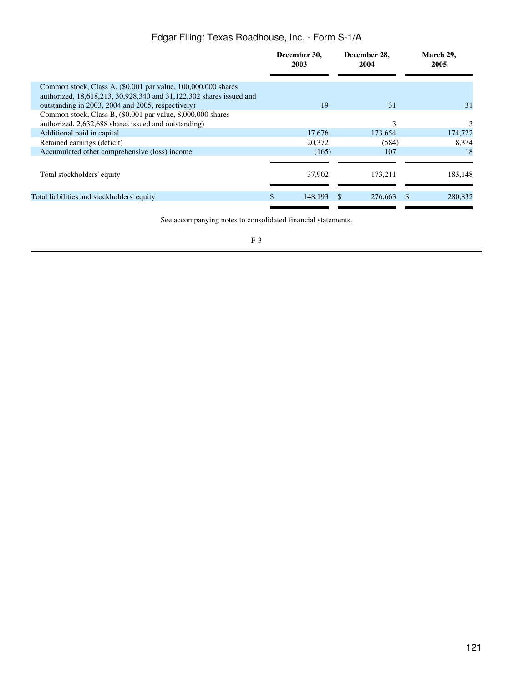|                                                                                                                                                                                               | December 30,<br>2003     | December 28,<br>2004 | March 29,<br>2005 |
|-----------------------------------------------------------------------------------------------------------------------------------------------------------------------------------------------|--------------------------|----------------------|-------------------|
| Common stock, Class A, $(\$0.001$ par value, $100,000,000$ shares<br>authorized, 18,618,213, 30,928,340 and 31,122,302 shares issued and<br>outstanding in 2003, 2004 and 2005, respectively) | 19                       | 31                   | 31                |
| Common stock, Class B, (\$0.001 par value, 8,000,000 shares<br>authorized, 2,632,688 shares issued and outstanding)                                                                           |                          | 3                    | 3                 |
| Additional paid in capital<br>Retained earnings (deficit)                                                                                                                                     | 17.676<br>20.372         | 173,654<br>(584)     | 174,722<br>8,374  |
| Accumulated other comprehensive (loss) income                                                                                                                                                 | (165)                    | 107                  | 18                |
| Total stockholders' equity                                                                                                                                                                    | 37,902                   | 173,211              | 183,148           |
| Total liabilities and stockholders' equity                                                                                                                                                    | $\mathcal{S}$<br>148.193 | 276,663              | 280,832           |

See accompanying notes to consolidated financial statements.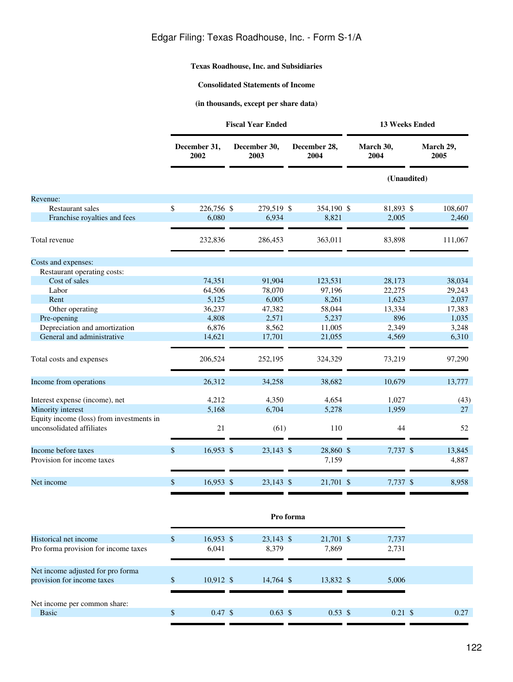## **Texas Roadhouse, Inc. and Subsidiaries**

## **Consolidated Statements of Income**

## **(in thousands, except per share data)**

|                                                                       |                      | <b>Fiscal Year Ended</b> |                      |                   | <b>13 Weeks Ended</b> |
|-----------------------------------------------------------------------|----------------------|--------------------------|----------------------|-------------------|-----------------------|
|                                                                       | December 31,<br>2002 | December 30,<br>2003     | December 28,<br>2004 | March 30,<br>2004 | March 29,<br>2005     |
|                                                                       |                      |                          |                      |                   | (Unaudited)           |
| Revenue:                                                              |                      |                          |                      |                   |                       |
| Restaurant sales                                                      | \$<br>226,756 \$     | 279,519 \$               | 354,190 \$           | 81,893 \$         | 108,607               |
| Franchise royalties and fees                                          | 6.080                | 6,934                    | 8,821                | 2,005             | 2,460                 |
| Total revenue                                                         | 232,836              | 286,453                  | 363,011              | 83,898            | 111,067               |
| Costs and expenses:                                                   |                      |                          |                      |                   |                       |
| Restaurant operating costs:                                           |                      |                          |                      |                   |                       |
| Cost of sales                                                         | 74,351               | 91,904                   | 123,531              | 28,173            | 38,034                |
| Labor                                                                 | 64,506               | 78,070                   | 97,196               | 22,275            | 29,243                |
| Rent                                                                  | 5,125                | 6,005                    | 8,261                | 1,623             | 2,037                 |
| Other operating                                                       | 36,237               | 47,382                   | 58,044               | 13,334            | 17,383                |
| Pre-opening                                                           | 4,808                | 2,571                    | 5,237                | 896               | 1,035                 |
| Depreciation and amortization                                         | 6,876                | 8,562                    | 11,005               | 2,349             | 3,248                 |
| General and administrative                                            | 14,621               | 17,701                   | 21,055               | 4,569             | 6,310                 |
| Total costs and expenses                                              | 206,524              | 252,195                  | 324,329              | 73,219            | 97,290                |
| Income from operations                                                | 26,312               | 34,258                   | 38,682               | 10,679            | 13,777                |
| Interest expense (income), net                                        | 4,212                | 4,350                    | 4,654                | 1,027             | (43)                  |
| Minority interest                                                     | 5,168                | 6,704                    | 5,278                | 1,959             | 27                    |
| Equity income (loss) from investments in<br>unconsolidated affiliates | 21                   | (61)                     | 110                  | 44                | 52                    |
| Income before taxes                                                   | 16,953 \$<br>\$      | 23,143 \$                | 28,860 \$            | 7,737 \$          | 13,845                |
| Provision for income taxes                                            |                      |                          | 7,159                |                   | 4,887                 |
| Net income                                                            | 16,953 \$<br>\$      | 23,143 \$                | 21,701 \$            | 7,737 \$          | 8,958                 |
|                                                                       |                      |                          |                      |                   |                       |

| \$ | $16,953$ \$          | 23,143 \$          | 21,701 \$          | 7,737              |      |  |
|----|----------------------|--------------------|--------------------|--------------------|------|--|
|    | 6,041                | 8,379              | 7,869              | 2,731              |      |  |
| \$ | $10,912 \text{ }$ \$ | $14,764$ \$        | 13,832 \$          | 5,006              |      |  |
|    |                      |                    |                    |                    |      |  |
| \$ | $0.47 \text{ }$ \$   | $0.63 \text{ }$ \$ | $0.53 \text{ }$ \$ | $0.21 \text{ }$ \$ | 0.27 |  |
|    |                      |                    |                    | Pro forma          |      |  |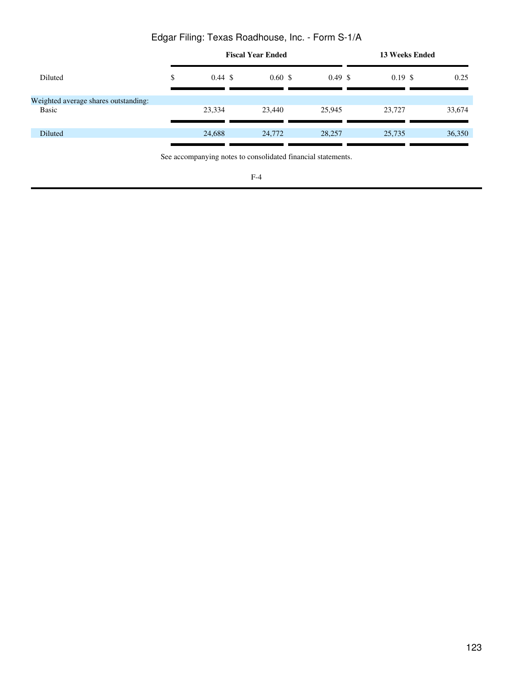|                                               |                          | <b>Fiscal Year Ended</b> |                    |                    | <b>13 Weeks Ended</b> |
|-----------------------------------------------|--------------------------|--------------------------|--------------------|--------------------|-----------------------|
| Diluted                                       | \$<br>$0.44 \text{ }$ \$ | $0.60 \text{ }$ \$       | $0.49 \text{ }$ \$ | $0.19 \text{ }$ \$ | 0.25                  |
| Weighted average shares outstanding:<br>Basic | 23,334                   | 23,440                   | 25,945             | 23,727             | 33,674                |
|                                               |                          |                          |                    |                    |                       |
| Diluted                                       | 24,688                   | 24,772                   | 28,257             | 25,735             | 36,350                |

See accompanying notes to consolidated financial statements.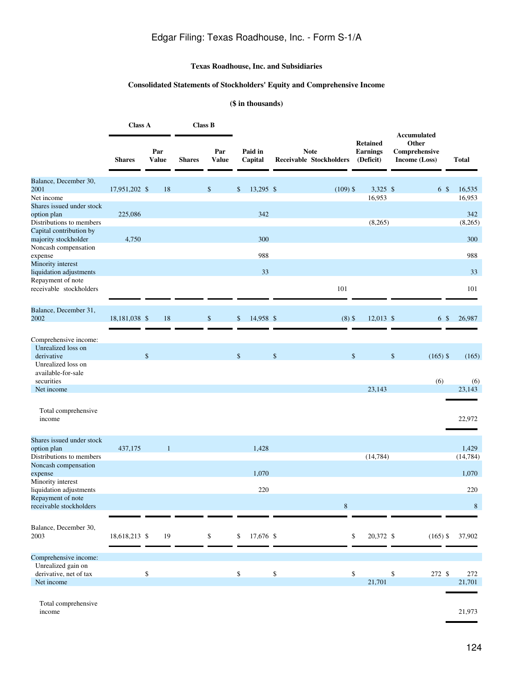## **Texas Roadhouse, Inc. and Subsidiaries**

## **Consolidated Statements of Stockholders' Equity and Comprehensive Income**

## **(\$ in thousands)**

|                                                        |               | <b>Class A</b><br><b>Class B</b> |               |              |              |                    |        |                                               |                                                 |                                                        |  |                  |
|--------------------------------------------------------|---------------|----------------------------------|---------------|--------------|--------------|--------------------|--------|-----------------------------------------------|-------------------------------------------------|--------------------------------------------------------|--|------------------|
|                                                        | <b>Shares</b> | Par<br><b>Value</b>              | <b>Shares</b> | Par<br>Value |              | Paid in<br>Capital |        | <b>Note</b><br><b>Receivable Stockholders</b> | <b>Retained</b><br><b>Earnings</b><br>(Deficit) | Accumulated<br>Other<br>Comprehensive<br>Income (Loss) |  | <b>Total</b>     |
| Balance, December 30,                                  |               |                                  |               |              |              |                    |        |                                               |                                                 |                                                        |  |                  |
| 2001<br>Net income<br>Shares issued under stock        | 17,951,202 \$ |                                  | 18            | \$           | \$           | 13,295 \$          |        | $(109)$ \$                                    | $3,325$ \$<br>16,953                            | 6 \$                                                   |  | 16,535<br>16,953 |
| option plan<br>Distributions to members                | 225,086       |                                  |               |              |              | 342                |        |                                               | (8,265)                                         |                                                        |  | 342<br>(8,265)   |
| Capital contribution by                                |               |                                  |               |              |              |                    |        |                                               |                                                 |                                                        |  |                  |
| majority stockholder<br>Noncash compensation           | 4,750         |                                  |               |              |              | 300                |        |                                               |                                                 |                                                        |  | 300              |
| expense<br>Minority interest                           |               |                                  |               |              |              | 988                |        |                                               |                                                 |                                                        |  | 988              |
| liquidation adjustments<br>Repayment of note           |               |                                  |               |              |              | 33                 |        |                                               |                                                 |                                                        |  | 33               |
| receivable stockholders                                |               |                                  |               |              |              |                    |        | 101                                           |                                                 |                                                        |  | 101              |
| Balance, December 31,                                  |               |                                  |               |              |              | 14,958 \$          |        |                                               |                                                 |                                                        |  |                  |
| 2002                                                   | 18,181,038 \$ |                                  | 18            | \$           | \$           |                    |        | $(8)$ \$                                      | 12,013 \$                                       | 6 \$                                                   |  | 26,987           |
| Comprehensive income:                                  |               |                                  |               |              |              |                    |        |                                               |                                                 |                                                        |  |                  |
| Unrealized loss on<br>derivative                       |               | \$                               |               |              | $\$$         |                    | $\$\,$ |                                               | \$                                              | \$<br>$(165)$ \$                                       |  | (165)            |
| Unrealized loss on<br>available-for-sale<br>securities |               |                                  |               |              |              |                    |        |                                               |                                                 | (6)                                                    |  | (6)              |
| Net income                                             |               |                                  |               |              |              |                    |        |                                               | 23,143                                          |                                                        |  | 23,143           |
| Total comprehensive<br>income                          |               |                                  |               |              |              |                    |        |                                               |                                                 |                                                        |  | 22,972           |
| Shares issued under stock                              |               |                                  |               |              |              |                    |        |                                               |                                                 |                                                        |  |                  |
| option plan                                            | 437,175       |                                  | 1             |              |              | 1,428              |        |                                               |                                                 |                                                        |  | 1,429            |
| Distributions to members<br>Noncash compensation       |               |                                  |               |              |              | 1,070              |        |                                               | (14, 784)                                       |                                                        |  | (14, 784)        |
| expense<br>Minority interest                           |               |                                  |               |              |              |                    |        |                                               |                                                 |                                                        |  | 1,070            |
| liquidation adjustments<br>Repayment of note           |               |                                  |               |              |              | 220                |        |                                               |                                                 |                                                        |  | 220              |
| receivable stockholders                                |               |                                  |               |              |              |                    |        | $\,8\,$                                       |                                                 |                                                        |  | $8\phantom{.0}$  |
|                                                        |               |                                  |               |              |              |                    |        |                                               |                                                 |                                                        |  |                  |
| Balance, December 30,<br>2003                          | 18,618,213 \$ |                                  | 19            | \$           | \$           | 17,676 \$          |        |                                               | 20,372 \$<br>\$                                 | $(165)$ \$                                             |  | 37,902           |
| Comprehensive income:                                  |               |                                  |               |              |              |                    |        |                                               |                                                 |                                                        |  |                  |
| Unrealized gain on<br>derivative, net of tax           |               | $\boldsymbol{\$}$                |               |              | $\mathbb{S}$ |                    | $\$$   |                                               | \$                                              | 272 \$<br>\$                                           |  | 272              |
| Net income                                             |               |                                  |               |              |              |                    |        |                                               | 21,701                                          |                                                        |  | 21,701           |
| Total comprehensive<br>income                          |               |                                  |               |              |              |                    |        |                                               |                                                 |                                                        |  | 21,973           |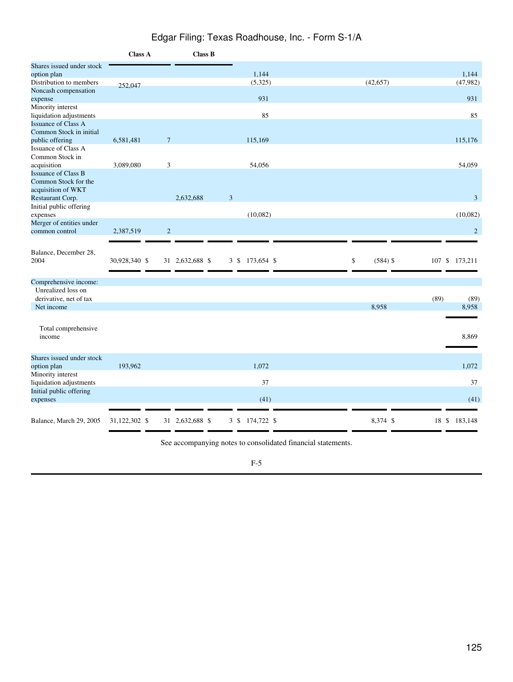|                            | <b>Class A</b> |                 | <b>Class B</b>  |   |      |                 |    |            |                   |               |
|----------------------------|----------------|-----------------|-----------------|---|------|-----------------|----|------------|-------------------|---------------|
| Shares issued under stock  |                |                 |                 |   |      |                 |    |            |                   |               |
| option plan                |                |                 |                 |   |      | 1,144           |    |            |                   | 1.144         |
| Distribution to members    | 252,047        |                 |                 |   |      | (5,325)         |    | (42, 657)  |                   | (47,982)      |
| Noncash compensation       |                |                 |                 |   |      |                 |    |            |                   |               |
| expense                    |                |                 |                 |   |      | 931             |    |            |                   | 931           |
| Minority interest          |                |                 |                 |   |      |                 |    |            |                   |               |
| liquidation adjustments    |                |                 |                 |   |      | 85              |    |            |                   | 85            |
| <b>Issuance of Class A</b> |                |                 |                 |   |      |                 |    |            |                   |               |
| Common Stock in initial    |                |                 |                 |   |      |                 |    |            |                   |               |
| public offering            | 6,581,481      | $7\overline{ }$ |                 |   |      | 115,169         |    |            |                   | 115,176       |
| Issuance of Class A        |                |                 |                 |   |      |                 |    |            |                   |               |
| Common Stock in            |                |                 |                 |   |      |                 |    |            |                   |               |
| acquisition                | 3,089,080      | 3               |                 |   |      | 54,056          |    |            |                   | 54,059        |
| <b>Issuance of Class B</b> |                |                 |                 |   |      |                 |    |            |                   |               |
| Common Stock for the       |                |                 |                 |   |      |                 |    |            |                   |               |
| acquisition of WKT         |                |                 |                 |   |      |                 |    |            |                   |               |
| Restaurant Corp.           |                |                 | 2,632,688       | 3 |      |                 |    |            |                   | 3             |
| Initial public offering    |                |                 |                 |   |      |                 |    |            |                   |               |
| expenses                   |                |                 |                 |   |      | (10,082)        |    |            |                   | (10,082)      |
| Merger of entities under   |                |                 |                 |   |      |                 |    |            |                   |               |
| common control             | 2,387,519      | $\overline{c}$  |                 |   |      |                 |    |            |                   | 2             |
|                            |                |                 |                 |   |      |                 |    |            |                   |               |
|                            |                |                 |                 |   |      |                 |    |            |                   |               |
| Balance, December 28,      |                |                 |                 |   |      |                 |    |            |                   |               |
| 2004                       | 30,928,340 \$  |                 | 31 2,632,688 \$ |   | 3 \$ | 173,654 \$      | \$ | $(584)$ \$ | $107 \text{ }$ \$ | 173,211       |
|                            |                |                 |                 |   |      |                 |    |            |                   |               |
| Comprehensive income:      |                |                 |                 |   |      |                 |    |            |                   |               |
| Unrealized loss on         |                |                 |                 |   |      |                 |    |            |                   |               |
| derivative, net of tax     |                |                 |                 |   |      |                 |    |            | (89)              | (89)          |
| Net income                 |                |                 |                 |   |      |                 |    | 8,958      |                   | 8,958         |
|                            |                |                 |                 |   |      |                 |    |            |                   |               |
|                            |                |                 |                 |   |      |                 |    |            |                   |               |
| Total comprehensive        |                |                 |                 |   |      |                 |    |            |                   |               |
| income                     |                |                 |                 |   |      |                 |    |            |                   | 8,869         |
|                            |                |                 |                 |   |      |                 |    |            |                   |               |
| Shares issued under stock  |                |                 |                 |   |      |                 |    |            |                   |               |
| option plan                | 193,962        |                 |                 |   |      | 1,072           |    |            |                   | 1,072         |
| Minority interest          |                |                 |                 |   |      |                 |    |            |                   |               |
| liquidation adjustments    |                |                 |                 |   |      | 37              |    |            |                   | 37            |
| Initial public offering    |                |                 |                 |   |      |                 |    |            |                   |               |
| expenses                   |                |                 |                 |   |      | (41)            |    |            |                   | (41)          |
|                            |                |                 |                 |   |      |                 |    |            |                   |               |
|                            |                |                 |                 |   |      |                 |    |            |                   |               |
| Balance, March 29, 2005    | 31,122,302 \$  |                 | 31 2,632,688 \$ |   |      | 3 \$ 174,722 \$ |    | 8,374 \$   |                   | 18 \$ 183,148 |

See accompanying notes to consolidated financial statements.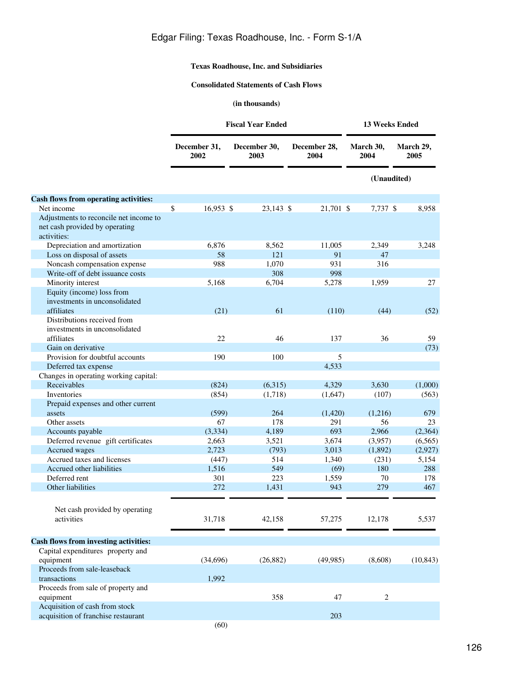## **Texas Roadhouse, Inc. and Subsidiaries**

## **Consolidated Statements of Cash Flows**

## **(in thousands)**

|                                                                                         |                                           | <b>Fiscal Year Ended</b> |                      |                   | <b>13 Weeks Ended</b> |
|-----------------------------------------------------------------------------------------|-------------------------------------------|--------------------------|----------------------|-------------------|-----------------------|
|                                                                                         | December 31,<br>2002                      | December 30,<br>2003     | December 28,<br>2004 | March 30,<br>2004 | March 29,<br>2005     |
|                                                                                         |                                           |                          |                      | (Unaudited)       |                       |
| <b>Cash flows from operating activities:</b>                                            |                                           |                          |                      |                   |                       |
| Net income                                                                              | \$<br>16,953 \$                           | 23,143 \$                | 21,701 \$            | 7,737 \$          | 8,958                 |
| Adjustments to reconcile net income to<br>net cash provided by operating<br>activities: |                                           |                          |                      |                   |                       |
| Depreciation and amortization                                                           | 6,876                                     | 8,562                    | 11,005               | 2,349             | 3,248                 |
| Loss on disposal of assets                                                              | 58                                        | 121                      | 91                   | 47                |                       |
| Noncash compensation expense                                                            | 988                                       | 1,070                    | 931                  | 316               |                       |
| Write-off of debt issuance costs                                                        |                                           | 308                      | 998                  |                   |                       |
| Minority interest                                                                       | 5,168                                     | 6,704                    | 5,278                | 1,959             | 27                    |
| Equity (income) loss from<br>investments in unconsolidated<br>affiliates                | (21)                                      | 61                       | (110)                | (44)              | (52)                  |
| Distributions received from<br>investments in unconsolidated                            |                                           |                          |                      |                   |                       |
| affiliates                                                                              | 22                                        | 46                       | 137                  | 36                | 59                    |
| Gain on derivative                                                                      |                                           |                          |                      |                   | (73)                  |
| Provision for doubtful accounts                                                         | 190                                       | 100                      | 5                    |                   |                       |
| Deferred tax expense                                                                    |                                           |                          | 4,533                |                   |                       |
| Changes in operating working capital:                                                   |                                           |                          |                      |                   |                       |
| Receivables                                                                             | (824)                                     | (6,315)                  | 4,329                | 3,630             | (1,000)               |
| Inventories                                                                             | (854)                                     | (1,718)                  | (1,647)              | (107)             | (563)                 |
| Prepaid expenses and other current                                                      |                                           |                          |                      |                   |                       |
| assets                                                                                  | (599)                                     | 264                      | (1,420)              | (1,216)           | 679                   |
| Other assets                                                                            | 67                                        | 178                      | 291                  | 56                | 23                    |
| Accounts payable                                                                        | (3, 334)                                  | 4,189                    | 693                  | 2,966             | (2,364)               |
| Deferred revenue gift certificates                                                      | 2,663                                     | 3,521                    | 3,674                | (3,957)           | (6, 565)              |
| Accrued wages                                                                           | 2,723                                     | (793)                    | 3,013                | (1,892)           | (2,927)               |
| Accrued taxes and licenses                                                              | (447)                                     | 514                      | 1,340                | (231)             | 5,154                 |
| Accrued other liabilities                                                               | 1,516                                     | 549                      | (69)                 | 180               | 288                   |
| Deferred rent                                                                           | 301                                       | 223                      | 1,559                | 70                | 178                   |
| Other liabilities                                                                       | 272                                       | 1,431                    | 943                  | 279               | 467                   |
| Net cash provided by operating<br>activities                                            | 31,718                                    | 42,158                   | 57,275               | 12,178            | 5,537                 |
| <b>Cash flows from investing activities:</b>                                            |                                           |                          |                      |                   |                       |
| Capital expenditures property and                                                       |                                           |                          |                      |                   |                       |
| equipment                                                                               | (34,696)                                  | (26, 882)                | (49, 985)            | (8,608)           | (10, 843)             |
| Proceeds from sale-leaseback                                                            |                                           |                          |                      |                   |                       |
| transactions                                                                            | 1,992                                     |                          |                      |                   |                       |
| Proceeds from sale of property and                                                      |                                           |                          |                      |                   |                       |
| equipment                                                                               |                                           | 358                      | 47                   | 2                 |                       |
| Acquisition of cash from stock                                                          |                                           |                          |                      |                   |                       |
| acquisition of franchise restaurant                                                     |                                           |                          | 203                  |                   |                       |
|                                                                                         | $\epsilon$ <sup><math>\alpha</math></sup> |                          |                      |                   |                       |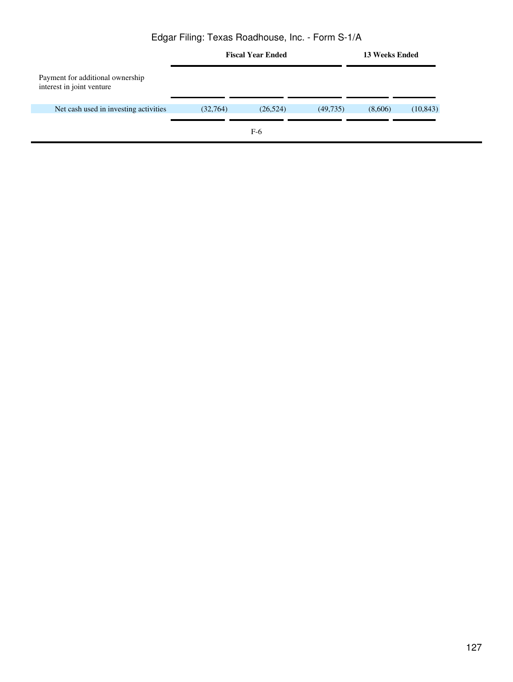|                                                               |          | <b>Fiscal Year Ended</b> |           | <b>13 Weeks Ended</b> |           |  |
|---------------------------------------------------------------|----------|--------------------------|-----------|-----------------------|-----------|--|
| Payment for additional ownership<br>interest in joint venture |          |                          |           |                       |           |  |
| Net cash used in investing activities                         | (32,764) | (26, 524)                | (49, 735) | (8,606)               | (10, 843) |  |
|                                                               |          | $F-6$                    |           |                       |           |  |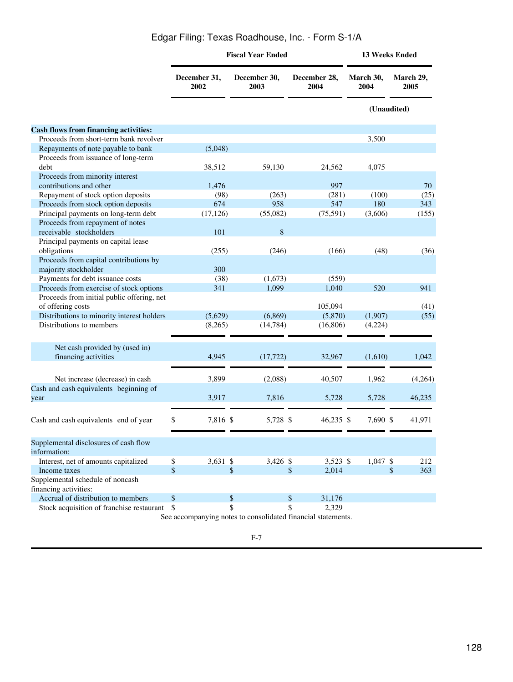|                                                                 | <b>Fiscal Year Ended</b>                                             | 13 Weeks Ended |              |                   |                   |
|-----------------------------------------------------------------|----------------------------------------------------------------------|----------------|--------------|-------------------|-------------------|
|                                                                 | December 31,<br>December 28,<br>December 30,<br>2004<br>2002<br>2003 |                |              | March 30.<br>2004 | March 29,<br>2005 |
|                                                                 |                                                                      |                |              | (Unaudited)       |                   |
| <b>Cash flows from financing activities:</b>                    |                                                                      |                |              |                   |                   |
| Proceeds from short-term bank revolver                          |                                                                      |                |              | 3,500             |                   |
| Repayments of note payable to bank                              | (5,048)                                                              |                |              |                   |                   |
| Proceeds from issuance of long-term<br>debt                     | 38,512                                                               | 59,130         | 24,562       | 4,075             |                   |
| Proceeds from minority interest                                 |                                                                      |                |              |                   |                   |
| contributions and other                                         | 1,476                                                                |                | 997          |                   | 70                |
| Repayment of stock option deposits                              | (98)                                                                 | (263)          | (281)        | (100)             | (25)              |
| Proceeds from stock option deposits                             | 674                                                                  | 958            | 547          | 180               | 343               |
| Principal payments on long-term debt                            | (17, 126)                                                            | (55,082)       | (75, 591)    | (3,606)           | (155)             |
| Proceeds from repayment of notes                                |                                                                      |                |              |                   |                   |
| receivable stockholders                                         | 101                                                                  | 8              |              |                   |                   |
| Principal payments on capital lease                             |                                                                      |                |              |                   |                   |
| obligations                                                     | (255)                                                                | (246)          | (166)        | (48)              | (36)              |
| Proceeds from capital contributions by                          |                                                                      |                |              |                   |                   |
| majority stockholder                                            | 300                                                                  |                |              |                   |                   |
| Payments for debt issuance costs                                | (38)                                                                 | (1,673)        | (559)        |                   |                   |
| Proceeds from exercise of stock options                         | 341                                                                  | 1,099          | 1,040        | 520               | 941               |
| Proceeds from initial public offering, net                      |                                                                      |                |              |                   |                   |
| of offering costs<br>Distributions to minority interest holders |                                                                      |                | 105,094      |                   | (41)              |
| Distributions to members                                        | (5,629)                                                              | (6,869)        | (5,870)      | (1,907)           | (55)              |
|                                                                 | (8,265)                                                              | (14, 784)      | (16, 806)    | (4,224)           |                   |
| Net cash provided by (used in)                                  |                                                                      |                |              |                   |                   |
| financing activities                                            | 4,945                                                                | (17, 722)      | 32,967       | (1,610)           | 1,042             |
|                                                                 |                                                                      |                |              |                   |                   |
| Net increase (decrease) in cash                                 | 3,899                                                                | (2,088)        | 40,507       | 1,962             | (4,264)           |
| Cash and cash equivalents beginning of                          |                                                                      |                |              |                   |                   |
| year                                                            | 3,917                                                                | 7,816          | 5,728        | 5,728             | 46,235            |
| Cash and cash equivalents end of year                           | 7,816 \$<br>\$                                                       | 5,728 \$       | 46,235 \$    | 7,690 \$          | 41,971            |
|                                                                 |                                                                      |                |              |                   |                   |
| Supplemental disclosures of cash flow<br>information:           |                                                                      |                |              |                   |                   |
| Interest, net of amounts capitalized                            | 3,631 \$<br>\$                                                       | 3,426 \$       | 3,523 \$     | 1,047 \$          | 212               |
| Income taxes                                                    | \$                                                                   | \$             | \$<br>2,014  |                   | \$<br>363         |
| Supplemental schedule of noncash                                |                                                                      |                |              |                   |                   |
| financing activities:                                           |                                                                      |                |              |                   |                   |
| Accrual of distribution to members                              | \$                                                                   | \$             | \$<br>31,176 |                   |                   |
| Stock acquisition of franchise restaurant                       | $\$$                                                                 | \$             | 2,329<br>\$  |                   |                   |
|                                                                 |                                                                      |                |              |                   |                   |

See accompanying notes to consolidated financial statements.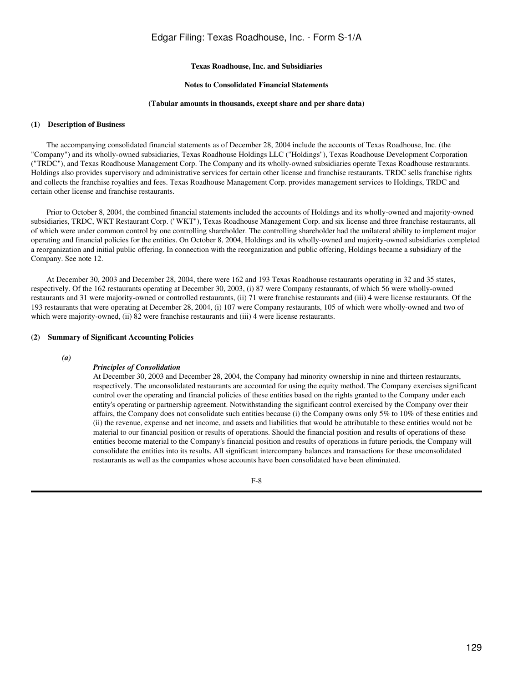#### **Texas Roadhouse, Inc. and Subsidiaries**

#### **Notes to Consolidated Financial Statements**

#### **(Tabular amounts in thousands, except share and per share data)**

#### **(1) Description of Business**

 The accompanying consolidated financial statements as of December 28, 2004 include the accounts of Texas Roadhouse, Inc. (the "Company") and its wholly-owned subsidiaries, Texas Roadhouse Holdings LLC ("Holdings"), Texas Roadhouse Development Corporation ("TRDC"), and Texas Roadhouse Management Corp. The Company and its wholly-owned subsidiaries operate Texas Roadhouse restaurants. Holdings also provides supervisory and administrative services for certain other license and franchise restaurants. TRDC sells franchise rights and collects the franchise royalties and fees. Texas Roadhouse Management Corp. provides management services to Holdings, TRDC and certain other license and franchise restaurants.

 Prior to October 8, 2004, the combined financial statements included the accounts of Holdings and its wholly-owned and majority-owned subsidiaries, TRDC, WKT Restaurant Corp. ("WKT"), Texas Roadhouse Management Corp. and six license and three franchise restaurants, all of which were under common control by one controlling shareholder. The controlling shareholder had the unilateral ability to implement major operating and financial policies for the entities. On October 8, 2004, Holdings and its wholly-owned and majority-owned subsidiaries completed a reorganization and initial public offering. In connection with the reorganization and public offering, Holdings became a subsidiary of the Company. See note 12.

 At December 30, 2003 and December 28, 2004, there were 162 and 193 Texas Roadhouse restaurants operating in 32 and 35 states, respectively. Of the 162 restaurants operating at December 30, 2003, (i) 87 were Company restaurants, of which 56 were wholly-owned restaurants and 31 were majority-owned or controlled restaurants, (ii) 71 were franchise restaurants and (iii) 4 were license restaurants. Of the 193 restaurants that were operating at December 28, 2004, (i) 107 were Company restaurants, 105 of which were wholly-owned and two of which were majority-owned, (ii) 82 were franchise restaurants and (iii) 4 were license restaurants.

#### **(2) Summary of Significant Accounting Policies**

*(a)*

#### *Principles of Consolidation*

At December 30, 2003 and December 28, 2004, the Company had minority ownership in nine and thirteen restaurants, respectively. The unconsolidated restaurants are accounted for using the equity method. The Company exercises significant control over the operating and financial policies of these entities based on the rights granted to the Company under each entity's operating or partnership agreement. Notwithstanding the significant control exercised by the Company over their affairs, the Company does not consolidate such entities because (i) the Company owns only 5% to 10% of these entities and (ii) the revenue, expense and net income, and assets and liabilities that would be attributable to these entities would not be material to our financial position or results of operations. Should the financial position and results of operations of these entities become material to the Company's financial position and results of operations in future periods, the Company will consolidate the entities into its results. All significant intercompany balances and transactions for these unconsolidated restaurants as well as the companies whose accounts have been consolidated have been eliminated.

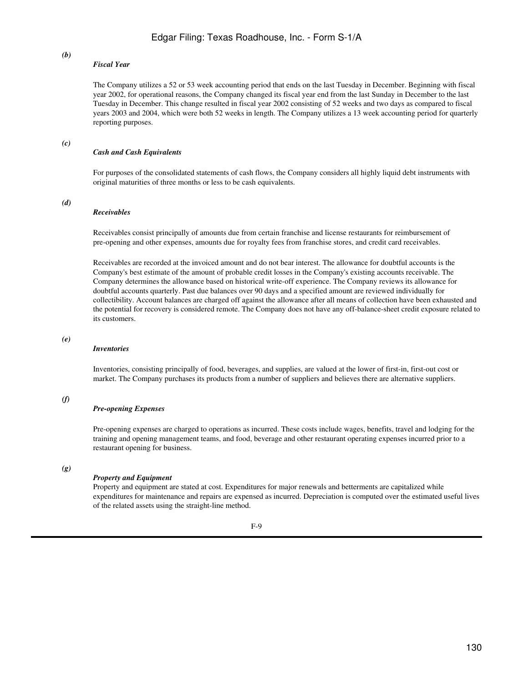#### *Fiscal Year*

The Company utilizes a 52 or 53 week accounting period that ends on the last Tuesday in December. Beginning with fiscal year 2002, for operational reasons, the Company changed its fiscal year end from the last Sunday in December to the last Tuesday in December. This change resulted in fiscal year 2002 consisting of 52 weeks and two days as compared to fiscal years 2003 and 2004, which were both 52 weeks in length. The Company utilizes a 13 week accounting period for quarterly reporting purposes.

#### *(c)*

*(b)*

#### *Cash and Cash Equivalents*

For purposes of the consolidated statements of cash flows, the Company considers all highly liquid debt instruments with original maturities of three months or less to be cash equivalents.

#### *(d)*

#### *Receivables*

Receivables consist principally of amounts due from certain franchise and license restaurants for reimbursement of pre-opening and other expenses, amounts due for royalty fees from franchise stores, and credit card receivables.

Receivables are recorded at the invoiced amount and do not bear interest. The allowance for doubtful accounts is the Company's best estimate of the amount of probable credit losses in the Company's existing accounts receivable. The Company determines the allowance based on historical write-off experience. The Company reviews its allowance for doubtful accounts quarterly. Past due balances over 90 days and a specified amount are reviewed individually for collectibility. Account balances are charged off against the allowance after all means of collection have been exhausted and the potential for recovery is considered remote. The Company does not have any off-balance-sheet credit exposure related to its customers.

#### *(e)*

#### *Inventories*

Inventories, consisting principally of food, beverages, and supplies, are valued at the lower of first-in, first-out cost or market. The Company purchases its products from a number of suppliers and believes there are alternative suppliers.

#### *(f)*

#### *Pre-opening Expenses*

Pre-opening expenses are charged to operations as incurred. These costs include wages, benefits, travel and lodging for the training and opening management teams, and food, beverage and other restaurant operating expenses incurred prior to a restaurant opening for business.

#### *(g)*

#### *Property and Equipment*

Property and equipment are stated at cost. Expenditures for major renewals and betterments are capitalized while expenditures for maintenance and repairs are expensed as incurred. Depreciation is computed over the estimated useful lives of the related assets using the straight-line method.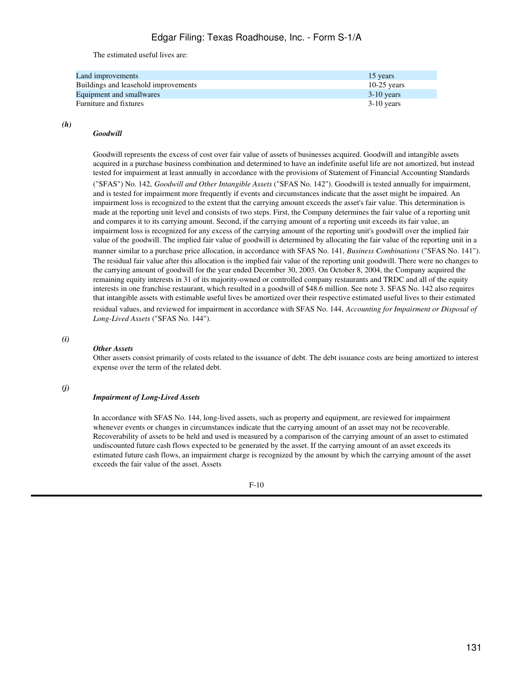The estimated useful lives are:

| Land improvements                    | 15 years      |
|--------------------------------------|---------------|
| Buildings and leasehold improvements | $10-25$ years |
| Equipment and smallwares             | $3-10$ years  |
| Furniture and fixtures               | $3-10$ years  |

#### *(h)*

#### *Goodwill*

Goodwill represents the excess of cost over fair value of assets of businesses acquired. Goodwill and intangible assets acquired in a purchase business combination and determined to have an indefinite useful life are not amortized, but instead tested for impairment at least annually in accordance with the provisions of Statement of Financial Accounting Standards ("SFAS") No. 142, *Goodwill and Other Intangible Assets* ("SFAS No. 142"). Goodwill is tested annually for impairment, and is tested for impairment more frequently if events and circumstances indicate that the asset might be impaired. An impairment loss is recognized to the extent that the carrying amount exceeds the asset's fair value. This determination is made at the reporting unit level and consists of two steps. First, the Company determines the fair value of a reporting unit and compares it to its carrying amount. Second, if the carrying amount of a reporting unit exceeds its fair value, an impairment loss is recognized for any excess of the carrying amount of the reporting unit's goodwill over the implied fair value of the goodwill. The implied fair value of goodwill is determined by allocating the fair value of the reporting unit in a manner similar to a purchase price allocation, in accordance with SFAS No. 141, *Business Combinations* ("SFAS No. 141"). The residual fair value after this allocation is the implied fair value of the reporting unit goodwill. There were no changes to the carrying amount of goodwill for the year ended December 30, 2003. On October 8, 2004, the Company acquired the remaining equity interests in 31 of its majority-owned or controlled company restaurants and TRDC and all of the equity interests in one franchise restaurant, which resulted in a goodwill of \$48.6 million. See note 3. SFAS No. 142 also requires that intangible assets with estimable useful lives be amortized over their respective estimated useful lives to their estimated residual values, and reviewed for impairment in accordance with SFAS No. 144, *Accounting for Impairment or Disposal of Long-Lived Assets* ("SFAS No. 144").

*(i)*

#### *Other Assets*

Other assets consist primarily of costs related to the issuance of debt. The debt issuance costs are being amortized to interest expense over the term of the related debt.

#### *(j)*

#### *Impairment of Long-Lived Assets*

In accordance with SFAS No. 144, long-lived assets, such as property and equipment, are reviewed for impairment whenever events or changes in circumstances indicate that the carrying amount of an asset may not be recoverable. Recoverability of assets to be held and used is measured by a comparison of the carrying amount of an asset to estimated undiscounted future cash flows expected to be generated by the asset. If the carrying amount of an asset exceeds its estimated future cash flows, an impairment charge is recognized by the amount by which the carrying amount of the asset exceeds the fair value of the asset. Assets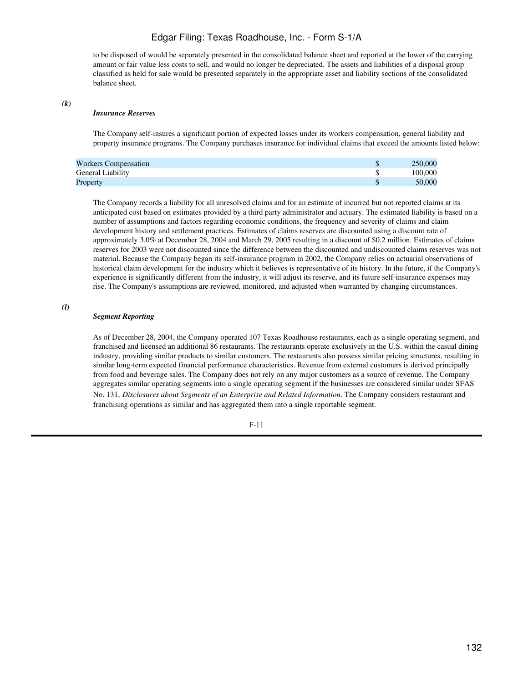to be disposed of would be separately presented in the consolidated balance sheet and reported at the lower of the carrying amount or fair value less costs to sell, and would no longer be depreciated. The assets and liabilities of a disposal group classified as held for sale would be presented separately in the appropriate asset and liability sections of the consolidated balance sheet.

#### *(k)*

#### *Insurance Reserves*

The Company self-insures a significant portion of expected losses under its workers compensation, general liability and property insurance programs. The Company purchases insurance for individual claims that exceed the amounts listed below:

| <b>Workers Compensation</b> | 250,000 |
|-----------------------------|---------|
| General Liability           | 100,000 |
| Property                    | 50,000  |

The Company records a liability for all unresolved claims and for an estimate of incurred but not reported claims at its anticipated cost based on estimates provided by a third party administrator and actuary. The estimated liability is based on a number of assumptions and factors regarding economic conditions, the frequency and severity of claims and claim development history and settlement practices. Estimates of claims reserves are discounted using a discount rate of approximately 3.0% at December 28, 2004 and March 29, 2005 resulting in a discount of \$0.2 million. Estimates of claims reserves for 2003 were not discounted since the difference between the discounted and undiscounted claims reserves was not material. Because the Company began its self-insurance program in 2002, the Company relies on actuarial observations of historical claim development for the industry which it believes is representative of its history. In the future, if the Company's experience is significantly different from the industry, it will adjust its reserve, and its future self-insurance expenses may rise. The Company's assumptions are reviewed, monitored, and adjusted when warranted by changing circumstances.

*(l)*

#### *Segment Reporting*

As of December 28, 2004, the Company operated 107 Texas Roadhouse restaurants, each as a single operating segment, and franchised and licensed an additional 86 restaurants. The restaurants operate exclusively in the U.S. within the casual dining industry, providing similar products to similar customers. The restaurants also possess similar pricing structures, resulting in similar long-term expected financial performance characteristics. Revenue from external customers is derived principally from food and beverage sales. The Company does not rely on any major customers as a source of revenue. The Company aggregates similar operating segments into a single operating segment if the businesses are considered similar under SFAS No. 131, *Disclosures about Segments of an Enterprise and Related Information*. The Company considers restaurant and franchising operations as similar and has aggregated them into a single reportable segment.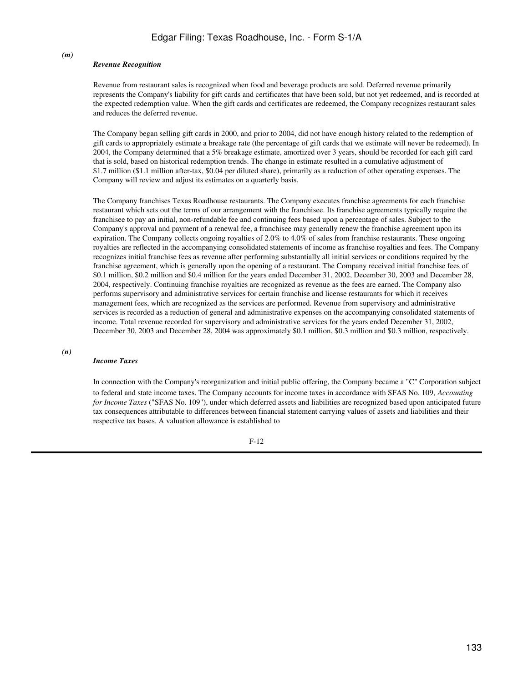#### *Revenue Recognition*

*(m)*

Revenue from restaurant sales is recognized when food and beverage products are sold. Deferred revenue primarily represents the Company's liability for gift cards and certificates that have been sold, but not yet redeemed, and is recorded at the expected redemption value. When the gift cards and certificates are redeemed, the Company recognizes restaurant sales and reduces the deferred revenue.

The Company began selling gift cards in 2000, and prior to 2004, did not have enough history related to the redemption of gift cards to appropriately estimate a breakage rate (the percentage of gift cards that we estimate will never be redeemed). In 2004, the Company determined that a 5% breakage estimate, amortized over 3 years, should be recorded for each gift card that is sold, based on historical redemption trends. The change in estimate resulted in a cumulative adjustment of \$1.7 million (\$1.1 million after-tax, \$0.04 per diluted share), primarily as a reduction of other operating expenses. The Company will review and adjust its estimates on a quarterly basis.

The Company franchises Texas Roadhouse restaurants. The Company executes franchise agreements for each franchise restaurant which sets out the terms of our arrangement with the franchisee. Its franchise agreements typically require the franchisee to pay an initial, non-refundable fee and continuing fees based upon a percentage of sales. Subject to the Company's approval and payment of a renewal fee, a franchisee may generally renew the franchise agreement upon its expiration. The Company collects ongoing royalties of 2.0% to 4.0% of sales from franchise restaurants. These ongoing royalties are reflected in the accompanying consolidated statements of income as franchise royalties and fees. The Company recognizes initial franchise fees as revenue after performing substantially all initial services or conditions required by the franchise agreement, which is generally upon the opening of a restaurant. The Company received initial franchise fees of \$0.1 million, \$0.2 million and \$0.4 million for the years ended December 31, 2002, December 30, 2003 and December 28, 2004, respectively. Continuing franchise royalties are recognized as revenue as the fees are earned. The Company also performs supervisory and administrative services for certain franchise and license restaurants for which it receives management fees, which are recognized as the services are performed. Revenue from supervisory and administrative services is recorded as a reduction of general and administrative expenses on the accompanying consolidated statements of income. Total revenue recorded for supervisory and administrative services for the years ended December 31, 2002, December 30, 2003 and December 28, 2004 was approximately \$0.1 million, \$0.3 million and \$0.3 million, respectively.

*(n)*

#### *Income Taxes*

In connection with the Company's reorganization and initial public offering, the Company became a "C" Corporation subject to federal and state income taxes. The Company accounts for income taxes in accordance with SFAS No. 109, *Accounting for Income Taxes* ("SFAS No. 109"), under which deferred assets and liabilities are recognized based upon anticipated future tax consequences attributable to differences between financial statement carrying values of assets and liabilities and their respective tax bases. A valuation allowance is established to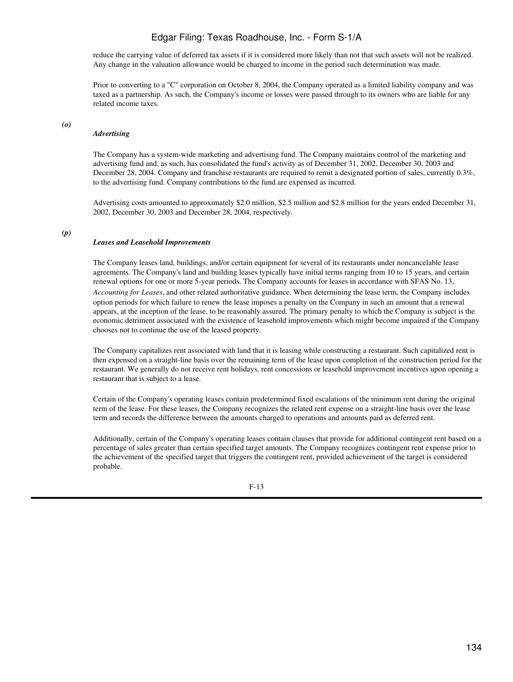reduce the carrying value of deferred tax assets if it is considered more likely than not that such assets will not be realized. Any change in the valuation allowance would be charged to income in the period such determination was made.

Prior to converting to a "C" corporation on October 8, 2004, the Company operated as a limited liability company and was taxed as a partnership. As such, the Company's income or losses were passed through to its owners who are liable for any related income taxes.

*(o)*

#### *Advertising*

The Company has a system-wide marketing and advertising fund. The Company maintains control of the marketing and advertising fund and, as such, has consolidated the fund's activity as of December 31, 2002, December 30, 2003 and December 28, 2004. Company and franchise restaurants are required to remit a designated portion of sales, currently 0.3%, to the advertising fund. Company contributions to the fund are expensed as incurred.

Advertising costs amounted to approximately \$2.0 million, \$2.5 million and \$2.8 million for the years ended December 31, 2002, December 30, 2003 and December 28, 2004, respectively.

#### *(p)*

#### *Leases and Leasehold Improvements*

The Company leases land, buildings, and/or certain equipment for several of its restaurants under noncancelable lease agreements. The Company's land and building leases typically have initial terms ranging from 10 to 15 years, and certain renewal options for one or more 5-year periods. The Company accounts for leases in accordance with SFAS No. 13, *Accounting for Leases*, and other related authoritative guidance. When determining the lease term, the Company includes option periods for which failure to renew the lease imposes a penalty on the Company in such an amount that a renewal appears, at the inception of the lease, to be reasonably assured. The primary penalty to which the Company is subject is the economic detriment associated with the existence of leasehold improvements which might become impaired if the Company chooses not to continue the use of the leased property.

The Company capitalizes rent associated with land that it is leasing while constructing a restaurant. Such capitalized rent is then expensed on a straight-line basis over the remaining term of the lease upon completion of the construction period for the restaurant. We generally do not receive rent holidays, rent concessions or leasehold improvement incentives upon opening a restaurant that is subject to a lease.

Certain of the Company's operating leases contain predetermined fixed escalations of the minimum rent during the original term of the lease. For these leases, the Company recognizes the related rent expense on a straight-line basis over the lease term and records the difference between the amounts charged to operations and amounts paid as deferred rent.

Additionally, certain of the Company's operating leases contain clauses that provide for additional contingent rent based on a percentage of sales greater than certain specified target amounts. The Company recognizes contingent rent expense prior to the achievement of the specified target that triggers the contingent rent, provided achievement of the target is considered probable.

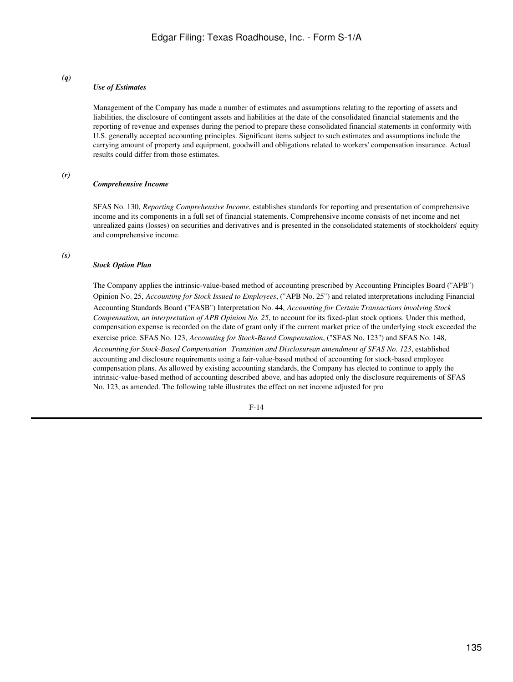## *Use of Estimates*

Management of the Company has made a number of estimates and assumptions relating to the reporting of assets and liabilities, the disclosure of contingent assets and liabilities at the date of the consolidated financial statements and the reporting of revenue and expenses during the period to prepare these consolidated financial statements in conformity with U.S. generally accepted accounting principles. Significant items subject to such estimates and assumptions include the carrying amount of property and equipment, goodwill and obligations related to workers' compensation insurance. Actual results could differ from those estimates.

#### *(r)*

*(q)*

#### *Comprehensive Income*

SFAS No. 130, *Reporting Comprehensive Income*, establishes standards for reporting and presentation of comprehensive income and its components in a full set of financial statements. Comprehensive income consists of net income and net unrealized gains (losses) on securities and derivatives and is presented in the consolidated statements of stockholders' equity and comprehensive income.

#### *(s)*

#### *Stock Option Plan*

The Company applies the intrinsic-value-based method of accounting prescribed by Accounting Principles Board ("APB") Opinion No. 25, *Accounting for Stock Issued to Employees*, ("APB No. 25") and related interpretations including Financial Accounting Standards Board ("FASB") Interpretation No. 44, *Accounting for Certain Transactions involving Stock Compensation, an interpretation of APB Opinion No. 25*, to account for its fixed-plan stock options. Under this method, compensation expense is recorded on the date of grant only if the current market price of the underlying stock exceeded the exercise price. SFAS No. 123, *Accounting for Stock-Based Compensation*, ("SFAS No. 123") and SFAS No. 148,

Accounting for Stock-Based Compensation Transition and Disclosurean amendment of SFAS No. 123, established accounting and disclosure requirements using a fair-value-based method of accounting for stock-based employee compensation plans. As allowed by existing accounting standards, the Company has elected to continue to apply the intrinsic-value-based method of accounting described above, and has adopted only the disclosure requirements of SFAS No. 123, as amended. The following table illustrates the effect on net income adjusted for pro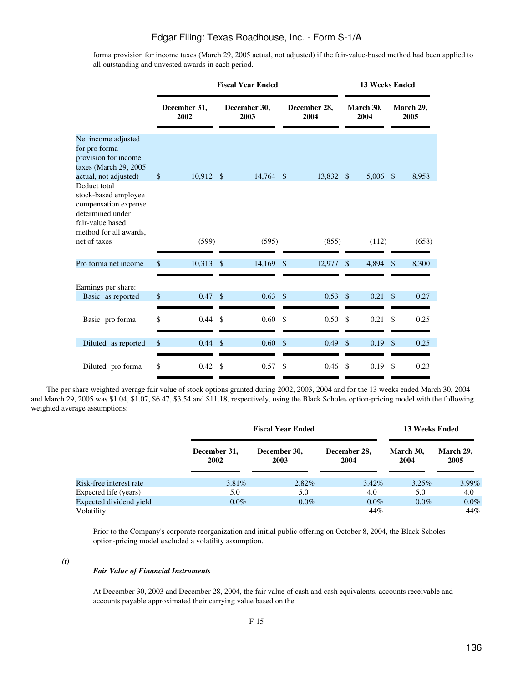forma provision for income taxes (March 29, 2005 actual, not adjusted) if the fair-value-based method had been applied to all outstanding and unvested awards in each period.

|                                                                                                                                | <b>Fiscal Year Ended</b> |           |                      |           |                      | <b>13 Weeks Ended</b> |                   |            |                   |       |
|--------------------------------------------------------------------------------------------------------------------------------|--------------------------|-----------|----------------------|-----------|----------------------|-----------------------|-------------------|------------|-------------------|-------|
|                                                                                                                                | December 31,<br>2002     |           | December 30,<br>2003 |           | December 28,<br>2004 |                       | March 30,<br>2004 |            | March 29,<br>2005 |       |
| Net income adjusted<br>for pro forma<br>provision for income<br>taxes (March 29, 2005<br>actual, not adjusted)                 | \$                       | 10,912 \$ |                      | 14,764 \$ |                      | 13,832 \$             |                   | $5,006$ \$ |                   | 8,958 |
| Deduct total<br>stock-based employee<br>compensation expense<br>determined under<br>fair-value based<br>method for all awards, |                          |           |                      |           |                      |                       |                   |            |                   |       |
| net of taxes                                                                                                                   |                          | (599)     |                      | (595)     |                      | (855)                 |                   | (112)      |                   | (658) |
| Pro forma net income                                                                                                           | \$                       | 10,313    | \$                   | 14,169    | $\mathcal{S}$        | 12,977                | $\mathcal{S}$     | 4,894      | $\mathcal{S}$     | 8,300 |
| Earnings per share:                                                                                                            |                          |           |                      |           |                      |                       |                   |            |                   |       |
| Basic as reported                                                                                                              | $\mathbb{S}$             | 0.47      | $\mathcal{S}$        | 0.63      | $\mathcal{S}$        | 0.53                  | $\mathcal{S}$     | 0.21       | $\mathcal{S}$     | 0.27  |
| Basic pro forma                                                                                                                | \$                       | 0.44      | $\mathcal{S}$        | 0.60      | \$                   | 0.50                  | $\mathcal{S}$     | 0.21       | \$                | 0.25  |
| Diluted as reported                                                                                                            | $\mathbb{S}$             | 0.44      | $\mathcal{S}$        | 0.60      | $\mathbb{S}$         | 0.49                  | \$                | 0.19       | $\mathbb{S}$      | 0.25  |
| Diluted pro forma                                                                                                              | \$                       | 0.42      | \$                   | 0.57      | \$                   | 0.46                  | \$.               | 0.19       | \$                | 0.23  |

 The per share weighted average fair value of stock options granted during 2002, 2003, 2004 and for the 13 weeks ended March 30, 2004 and March 29, 2005 was \$1.04, \$1.07, \$6.47, \$3.54 and \$11.18, respectively, using the Black Scholes option-pricing model with the following weighted average assumptions:

|                         |                      | <b>Fiscal Year Ended</b> | <b>13 Weeks Ended</b> |                   |                   |
|-------------------------|----------------------|--------------------------|-----------------------|-------------------|-------------------|
|                         | December 31,<br>2002 | December 30,<br>2003     | December 28,<br>2004  | March 30.<br>2004 | March 29,<br>2005 |
| Risk-free interest rate | $3.81\%$             | 2.82%                    | $3.42\%$              | $3.25\%$          | 3.99%             |
| Expected life (years)   | 5.0                  | 5.0                      | 4.0                   | 5.0               | 4.0               |
| Expected dividend yield | $0.0\%$              | $0.0\%$                  | $0.0\%$               | $0.0\%$           | $0.0\%$           |
| Volatility              |                      |                          | 44%                   |                   | 44%               |

Prior to the Company's corporate reorganization and initial public offering on October 8, 2004, the Black Scholes option-pricing model excluded a volatility assumption.

*(t)*

#### *Fair Value of Financial Instruments*

At December 30, 2003 and December 28, 2004, the fair value of cash and cash equivalents, accounts receivable and accounts payable approximated their carrying value based on the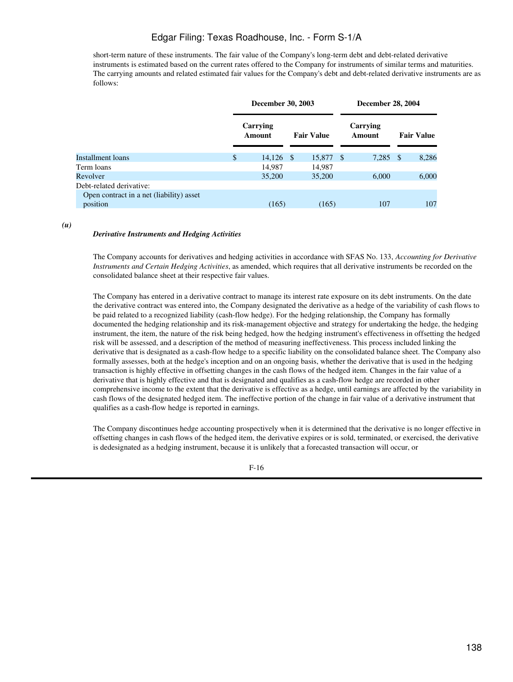short-term nature of these instruments. The fair value of the Company's long-term debt and debt-related derivative instruments is estimated based on the current rates offered to the Company for instruments of similar terms and maturities. The carrying amounts and related estimated fair values for the Company's debt and debt-related derivative instruments are as follows:

| <b>December 30, 2003</b> |        |                    |             |                   | <b>December 28, 2004</b> |  |                   |  |
|--------------------------|--------|--------------------|-------------|-------------------|--------------------------|--|-------------------|--|
|                          |        |                    |             |                   | Carrying<br>Amount       |  | <b>Fair Value</b> |  |
| $\mathbb{S}$             |        |                    |             |                   |                          |  | 8,286             |  |
|                          | 14,987 |                    | 14,987      |                   |                          |  |                   |  |
|                          | 35,200 |                    | 35,200      |                   | 6,000                    |  | 6,000             |  |
|                          |        |                    |             |                   |                          |  |                   |  |
|                          | (165)  |                    | (165)       |                   | 107                      |  | 107               |  |
|                          |        | Carrying<br>Amount | $14,126$ \$ | <b>Fair Value</b> | 15,877 \$                |  | $7,285$ \$        |  |

*(u)*

#### *Derivative Instruments and Hedging Activities*

The Company accounts for derivatives and hedging activities in accordance with SFAS No. 133, *Accounting for Derivative Instruments and Certain Hedging Activities*, as amended, which requires that all derivative instruments be recorded on the consolidated balance sheet at their respective fair values.

The Company has entered in a derivative contract to manage its interest rate exposure on its debt instruments. On the date the derivative contract was entered into, the Company designated the derivative as a hedge of the variability of cash flows to be paid related to a recognized liability (cash-flow hedge). For the hedging relationship, the Company has formally documented the hedging relationship and its risk-management objective and strategy for undertaking the hedge, the hedging instrument, the item, the nature of the risk being hedged, how the hedging instrument's effectiveness in offsetting the hedged risk will be assessed, and a description of the method of measuring ineffectiveness. This process included linking the derivative that is designated as a cash-flow hedge to a specific liability on the consolidated balance sheet. The Company also formally assesses, both at the hedge's inception and on an ongoing basis, whether the derivative that is used in the hedging transaction is highly effective in offsetting changes in the cash flows of the hedged item. Changes in the fair value of a derivative that is highly effective and that is designated and qualifies as a cash-flow hedge are recorded in other comprehensive income to the extent that the derivative is effective as a hedge, until earnings are affected by the variability in cash flows of the designated hedged item. The ineffective portion of the change in fair value of a derivative instrument that qualifies as a cash-flow hedge is reported in earnings.

The Company discontinues hedge accounting prospectively when it is determined that the derivative is no longer effective in offsetting changes in cash flows of the hedged item, the derivative expires or is sold, terminated, or exercised, the derivative is dedesignated as a hedging instrument, because it is unlikely that a forecasted transaction will occur, or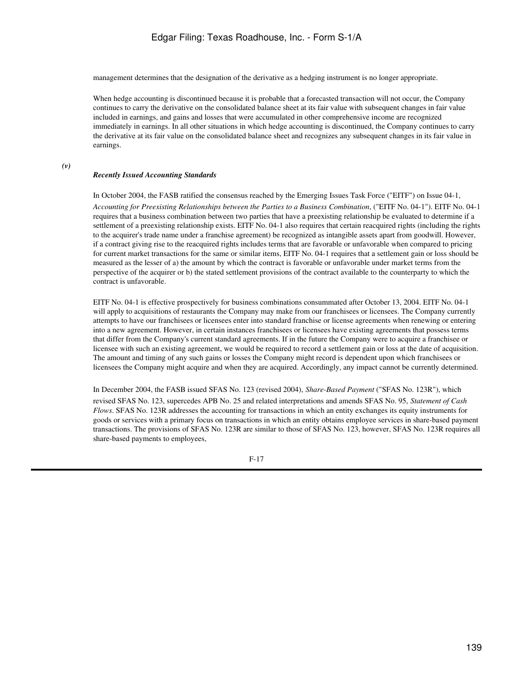management determines that the designation of the derivative as a hedging instrument is no longer appropriate.

When hedge accounting is discontinued because it is probable that a forecasted transaction will not occur, the Company continues to carry the derivative on the consolidated balance sheet at its fair value with subsequent changes in fair value included in earnings, and gains and losses that were accumulated in other comprehensive income are recognized immediately in earnings. In all other situations in which hedge accounting is discontinued, the Company continues to carry the derivative at its fair value on the consolidated balance sheet and recognizes any subsequent changes in its fair value in earnings.

#### *(v)*

#### *Recently Issued Accounting Standards*

In October 2004, the FASB ratified the consensus reached by the Emerging Issues Task Force ("EITF") on Issue 04-1, *Accounting for Preexisting Relationships between the Parties to a Business Combination*, ("EITF No. 04-1"). EITF No. 04-1 requires that a business combination between two parties that have a preexisting relationship be evaluated to determine if a settlement of a preexisting relationship exists. EITF No. 04-1 also requires that certain reacquired rights (including the rights to the acquirer's trade name under a franchise agreement) be recognized as intangible assets apart from goodwill. However, if a contract giving rise to the reacquired rights includes terms that are favorable or unfavorable when compared to pricing for current market transactions for the same or similar items, EITF No. 04-1 requires that a settlement gain or loss should be measured as the lesser of a) the amount by which the contract is favorable or unfavorable under market terms from the perspective of the acquirer or b) the stated settlement provisions of the contract available to the counterparty to which the contract is unfavorable.

EITF No. 04-1 is effective prospectively for business combinations consummated after October 13, 2004. EITF No. 04-1 will apply to acquisitions of restaurants the Company may make from our franchisees or licensees. The Company currently attempts to have our franchisees or licensees enter into standard franchise or license agreements when renewing or entering into a new agreement. However, in certain instances franchisees or licensees have existing agreements that possess terms that differ from the Company's current standard agreements. If in the future the Company were to acquire a franchisee or licensee with such an existing agreement, we would be required to record a settlement gain or loss at the date of acquisition. The amount and timing of any such gains or losses the Company might record is dependent upon which franchisees or licensees the Company might acquire and when they are acquired. Accordingly, any impact cannot be currently determined.

In December 2004, the FASB issued SFAS No. 123 (revised 2004), *Share-Based Payment* ("SFAS No. 123R"), which revised SFAS No. 123, supercedes APB No. 25 and related interpretations and amends SFAS No. 95, *Statement of Cash Flows*. SFAS No. 123R addresses the accounting for transactions in which an entity exchanges its equity instruments for goods or services with a primary focus on transactions in which an entity obtains employee services in share-based payment transactions. The provisions of SFAS No. 123R are similar to those of SFAS No. 123, however, SFAS No. 123R requires all share-based payments to employees,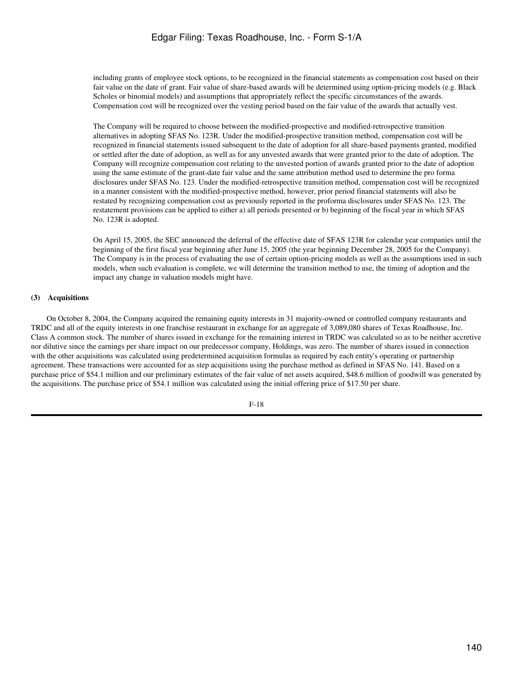including grants of employee stock options, to be recognized in the financial statements as compensation cost based on their fair value on the date of grant. Fair value of share-based awards will be determined using option-pricing models (e.g. Black Scholes or binomial models) and assumptions that appropriately reflect the specific circumstances of the awards. Compensation cost will be recognized over the vesting period based on the fair value of the awards that actually vest.

The Company will be required to choose between the modified-prospective and modified-retrospective transition alternatives in adopting SFAS No. 123R. Under the modified-prospective transition method, compensation cost will be recognized in financial statements issued subsequent to the date of adoption for all share-based payments granted, modified or settled after the date of adoption, as well as for any unvested awards that were granted prior to the date of adoption. The Company will recognize compensation cost relating to the unvested portion of awards granted prior to the date of adoption using the same estimate of the grant-date fair value and the same attribution method used to determine the pro forma disclosures under SFAS No. 123. Under the modified-retrospective transition method, compensation cost will be recognized in a manner consistent with the modified-prospective method, however, prior period financial statements will also be restated by recognizing compensation cost as previously reported in the proforma disclosures under SFAS No. 123. The restatement provisions can be applied to either a) all periods presented or b) beginning of the fiscal year in which SFAS No. 123R is adopted.

On April 15, 2005, the SEC announced the deferral of the effective date of SFAS 123R for calendar year companies until the beginning of the first fiscal year beginning after June 15, 2005 (the year beginning December 28, 2005 for the Company). The Company is in the process of evaluating the use of certain option-pricing models as well as the assumptions used in such models, when such evaluation is complete, we will determine the transition method to use, the timing of adoption and the impact any change in valuation models might have.

#### **(3) Acquisitions**

 On October 8, 2004, the Company acquired the remaining equity interests in 31 majority-owned or controlled company restaurants and TRDC and all of the equity interests in one franchise restaurant in exchange for an aggregate of 3,089,080 shares of Texas Roadhouse, Inc. Class A common stock. The number of shares issued in exchange for the remaining interest in TRDC was calculated so as to be neither accretive nor dilutive since the earnings per share impact on our predecessor company, Holdings, was zero. The number of shares issued in connection with the other acquisitions was calculated using predetermined acquisition formulas as required by each entity's operating or partnership agreement. These transactions were accounted for as step acquisitions using the purchase method as defined in SFAS No. 141. Based on a purchase price of \$54.1 million and our preliminary estimates of the fair value of net assets acquired, \$48.6 million of goodwill was generated by the acquisitions. The purchase price of \$54.1 million was calculated using the initial offering price of \$17.50 per share.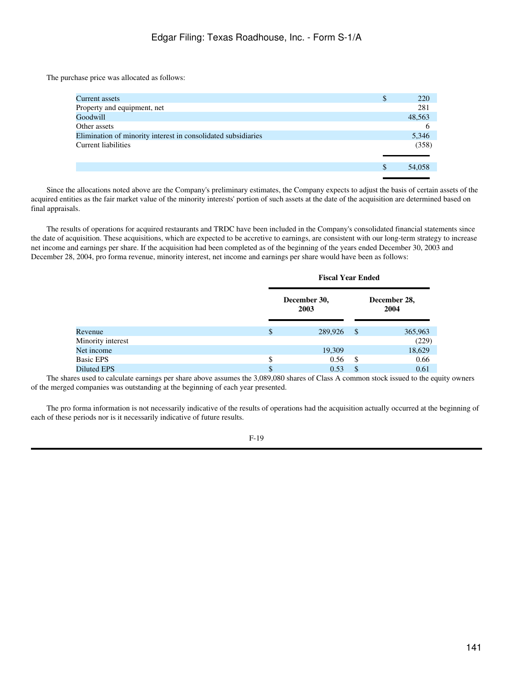The purchase price was allocated as follows:

| Current assets                                                | \$<br>220    |
|---------------------------------------------------------------|--------------|
| Property and equipment, net                                   | 281          |
| Goodwill                                                      | 48,563       |
| Other assets                                                  | 6            |
| Elimination of minority interest in consolidated subsidiaries | 5,346        |
| Current liabilities                                           | (358)        |
|                                                               |              |
|                                                               | \$<br>54,058 |
|                                                               |              |

 Since the allocations noted above are the Company's preliminary estimates, the Company expects to adjust the basis of certain assets of the acquired entities as the fair market value of the minority interests' portion of such assets at the date of the acquisition are determined based on final appraisals.

 The results of operations for acquired restaurants and TRDC have been included in the Company's consolidated financial statements since the date of acquisition. These acquisitions, which are expected to be accretive to earnings, are consistent with our long-term strategy to increase net income and earnings per share. If the acquisition had been completed as of the beginning of the years ended December 30, 2003 and December 28, 2004, pro forma revenue, minority interest, net income and earnings per share would have been as follows:

|                   | <b>Fiscal Year Ended</b> |     |                      |  |  |  |  |
|-------------------|--------------------------|-----|----------------------|--|--|--|--|
|                   | December 30,<br>2003     |     | December 28,<br>2004 |  |  |  |  |
| Revenue           | \$<br>289,926            | -\$ | 365,963              |  |  |  |  |
| Minority interest |                          |     | (229)                |  |  |  |  |
| Net income        | 19,309                   |     | 18,629               |  |  |  |  |
| <b>Basic EPS</b>  | \$<br>0.56               | -\$ | 0.66                 |  |  |  |  |
| Diluted EPS       | \$<br>0.53               | \$  | 0.61                 |  |  |  |  |

 The shares used to calculate earnings per share above assumes the 3,089,080 shares of Class A common stock issued to the equity owners of the merged companies was outstanding at the beginning of each year presented.

 The pro forma information is not necessarily indicative of the results of operations had the acquisition actually occurred at the beginning of each of these periods nor is it necessarily indicative of future results.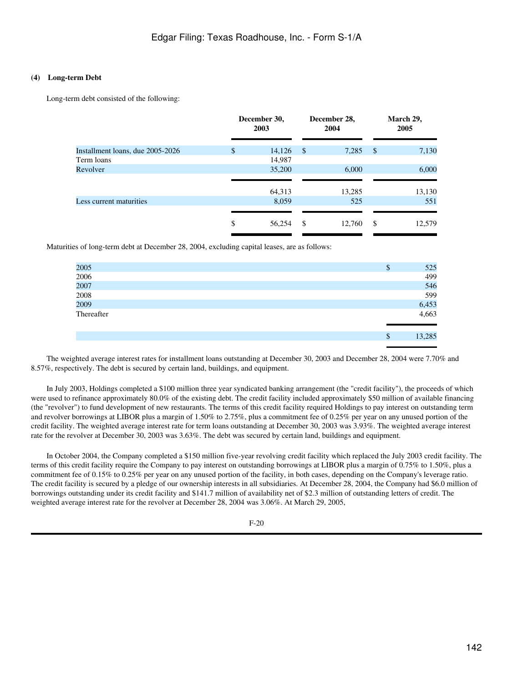### **(4) Long-term Debt**

Long-term debt consisted of the following:

|                                  |              | December 30,<br>2003 |    | December 28,<br>2004 |              | March 29,<br>2005 |  |
|----------------------------------|--------------|----------------------|----|----------------------|--------------|-------------------|--|
| Installment loans, due 2005-2026 | $\mathbb{S}$ | 14,126               | -S | 7,285                | $\mathbb{S}$ | 7,130             |  |
| Term loans                       |              | 14,987               |    |                      |              |                   |  |
| Revolver                         |              | 35,200               |    | 6,000                |              | 6,000             |  |
|                                  |              |                      |    |                      |              |                   |  |
|                                  |              | 64,313               |    | 13,285               |              | 13,130            |  |
| Less current maturities          |              | 8,059                |    | 525                  |              | 551               |  |
|                                  | \$           | 56,254               | \$ | 12,760               | \$           | 12,579            |  |

Maturities of long-term debt at December 28, 2004, excluding capital leases, are as follows:

| 2005         | Φ  | 525            |
|--------------|----|----------------|
| 2006         |    | 499            |
| 2007         |    | 546            |
| 2008<br>2009 |    | 599            |
|              |    | 6,453<br>4,663 |
| Thereafter   |    |                |
|              |    |                |
|              | \$ | 13,285         |
|              |    |                |

 The weighted average interest rates for installment loans outstanding at December 30, 2003 and December 28, 2004 were 7.70% and 8.57%, respectively. The debt is secured by certain land, buildings, and equipment.

 In July 2003, Holdings completed a \$100 million three year syndicated banking arrangement (the "credit facility"), the proceeds of which were used to refinance approximately 80.0% of the existing debt. The credit facility included approximately \$50 million of available financing (the "revolver") to fund development of new restaurants. The terms of this credit facility required Holdings to pay interest on outstanding term and revolver borrowings at LIBOR plus a margin of 1.50% to 2.75%, plus a commitment fee of 0.25% per year on any unused portion of the credit facility. The weighted average interest rate for term loans outstanding at December 30, 2003 was 3.93%. The weighted average interest rate for the revolver at December 30, 2003 was 3.63%. The debt was secured by certain land, buildings and equipment.

 In October 2004, the Company completed a \$150 million five-year revolving credit facility which replaced the July 2003 credit facility. The terms of this credit facility require the Company to pay interest on outstanding borrowings at LIBOR plus a margin of 0.75% to 1.50%, plus a commitment fee of 0.15% to 0.25% per year on any unused portion of the facility, in both cases, depending on the Company's leverage ratio. The credit facility is secured by a pledge of our ownership interests in all subsidiaries. At December 28, 2004, the Company had \$6.0 million of borrowings outstanding under its credit facility and \$141.7 million of availability net of \$2.3 million of outstanding letters of credit. The weighted average interest rate for the revolver at December 28, 2004 was 3.06%. At March 29, 2005,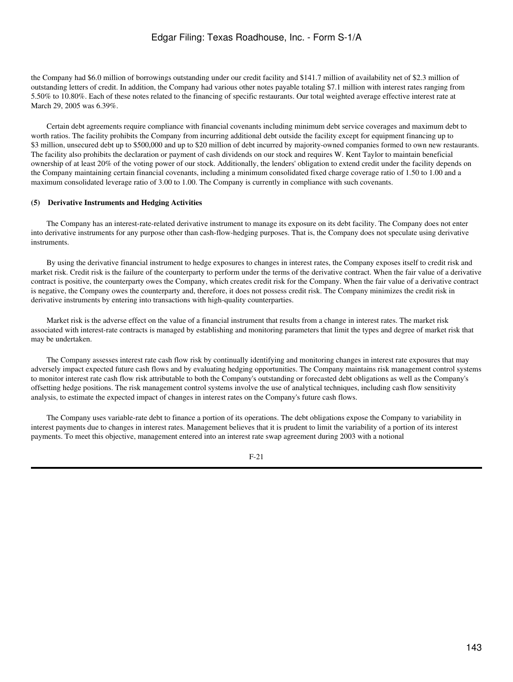the Company had \$6.0 million of borrowings outstanding under our credit facility and \$141.7 million of availability net of \$2.3 million of outstanding letters of credit. In addition, the Company had various other notes payable totaling \$7.1 million with interest rates ranging from 5.50% to 10.80%. Each of these notes related to the financing of specific restaurants. Our total weighted average effective interest rate at March 29, 2005 was 6.39%.

 Certain debt agreements require compliance with financial covenants including minimum debt service coverages and maximum debt to worth ratios. The facility prohibits the Company from incurring additional debt outside the facility except for equipment financing up to \$3 million, unsecured debt up to \$500,000 and up to \$20 million of debt incurred by majority-owned companies formed to own new restaurants. The facility also prohibits the declaration or payment of cash dividends on our stock and requires W. Kent Taylor to maintain beneficial ownership of at least 20% of the voting power of our stock. Additionally, the lenders' obligation to extend credit under the facility depends on the Company maintaining certain financial covenants, including a minimum consolidated fixed charge coverage ratio of 1.50 to 1.00 and a maximum consolidated leverage ratio of 3.00 to 1.00. The Company is currently in compliance with such covenants.

#### **(5) Derivative Instruments and Hedging Activities**

 The Company has an interest-rate-related derivative instrument to manage its exposure on its debt facility. The Company does not enter into derivative instruments for any purpose other than cash-flow-hedging purposes. That is, the Company does not speculate using derivative instruments.

 By using the derivative financial instrument to hedge exposures to changes in interest rates, the Company exposes itself to credit risk and market risk. Credit risk is the failure of the counterparty to perform under the terms of the derivative contract. When the fair value of a derivative contract is positive, the counterparty owes the Company, which creates credit risk for the Company. When the fair value of a derivative contract is negative, the Company owes the counterparty and, therefore, it does not possess credit risk. The Company minimizes the credit risk in derivative instruments by entering into transactions with high-quality counterparties.

 Market risk is the adverse effect on the value of a financial instrument that results from a change in interest rates. The market risk associated with interest-rate contracts is managed by establishing and monitoring parameters that limit the types and degree of market risk that may be undertaken.

 The Company assesses interest rate cash flow risk by continually identifying and monitoring changes in interest rate exposures that may adversely impact expected future cash flows and by evaluating hedging opportunities. The Company maintains risk management control systems to monitor interest rate cash flow risk attributable to both the Company's outstanding or forecasted debt obligations as well as the Company's offsetting hedge positions. The risk management control systems involve the use of analytical techniques, including cash flow sensitivity analysis, to estimate the expected impact of changes in interest rates on the Company's future cash flows.

 The Company uses variable-rate debt to finance a portion of its operations. The debt obligations expose the Company to variability in interest payments due to changes in interest rates. Management believes that it is prudent to limit the variability of a portion of its interest payments. To meet this objective, management entered into an interest rate swap agreement during 2003 with a notional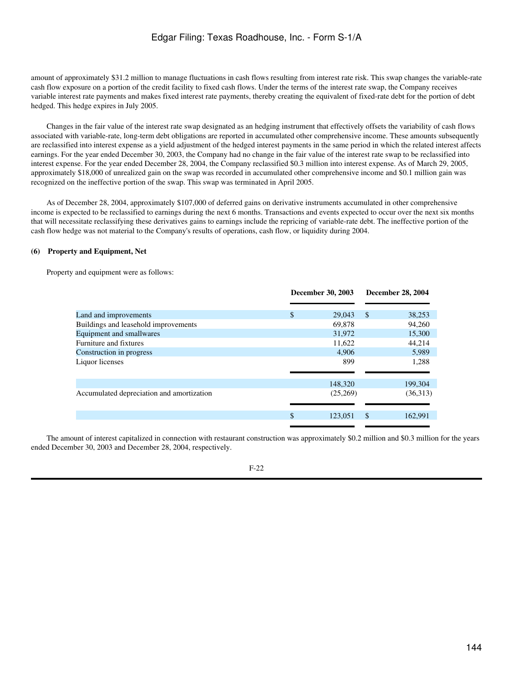amount of approximately \$31.2 million to manage fluctuations in cash flows resulting from interest rate risk. This swap changes the variable-rate cash flow exposure on a portion of the credit facility to fixed cash flows. Under the terms of the interest rate swap, the Company receives variable interest rate payments and makes fixed interest rate payments, thereby creating the equivalent of fixed-rate debt for the portion of debt hedged. This hedge expires in July 2005.

 Changes in the fair value of the interest rate swap designated as an hedging instrument that effectively offsets the variability of cash flows associated with variable-rate, long-term debt obligations are reported in accumulated other comprehensive income. These amounts subsequently are reclassified into interest expense as a yield adjustment of the hedged interest payments in the same period in which the related interest affects earnings. For the year ended December 30, 2003, the Company had no change in the fair value of the interest rate swap to be reclassified into interest expense. For the year ended December 28, 2004, the Company reclassified \$0.3 million into interest expense. As of March 29, 2005, approximately \$18,000 of unrealized gain on the swap was recorded in accumulated other comprehensive income and \$0.1 million gain was recognized on the ineffective portion of the swap. This swap was terminated in April 2005.

 As of December 28, 2004, approximately \$107,000 of deferred gains on derivative instruments accumulated in other comprehensive income is expected to be reclassified to earnings during the next 6 months. Transactions and events expected to occur over the next six months that will necessitate reclassifying these derivatives gains to earnings include the repricing of variable-rate debt. The ineffective portion of the cash flow hedge was not material to the Company's results of operations, cash flow, or liquidity during 2004.

#### **(6) Property and Equipment, Net**

Property and equipment were as follows:

| December 30, 2003 |          | <b>December 28, 2004</b> |          |  |
|-------------------|----------|--------------------------|----------|--|
|                   |          |                          |          |  |
| \$                | 29,043   | <sup>\$</sup>            | 38,253   |  |
|                   | 69,878   |                          | 94,260   |  |
|                   | 31,972   |                          | 15,300   |  |
|                   | 11,622   |                          | 44,214   |  |
|                   | 4,906    |                          | 5,989    |  |
|                   | 899      |                          | 1,288    |  |
|                   |          |                          |          |  |
|                   | 148,320  |                          | 199,304  |  |
|                   | (25,269) |                          | (36,313) |  |
|                   |          |                          |          |  |
| \$                | 123,051  | \$                       | 162,991  |  |
|                   |          |                          |          |  |

 The amount of interest capitalized in connection with restaurant construction was approximately \$0.2 million and \$0.3 million for the years ended December 30, 2003 and December 28, 2004, respectively.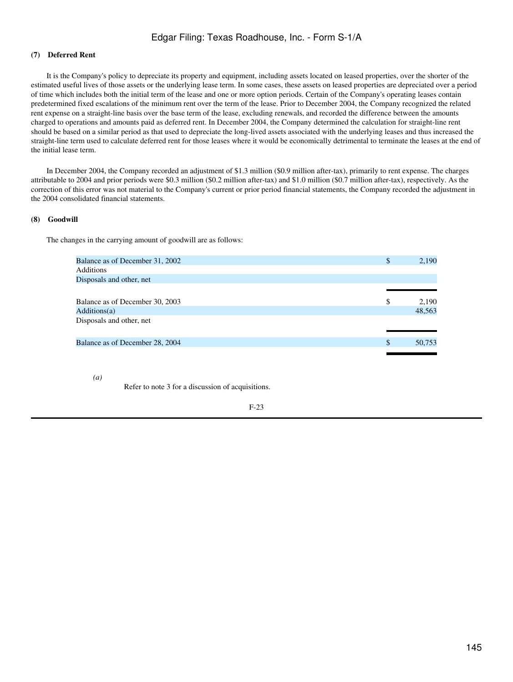### **(7) Deferred Rent**

 It is the Company's policy to depreciate its property and equipment, including assets located on leased properties, over the shorter of the estimated useful lives of those assets or the underlying lease term. In some cases, these assets on leased properties are depreciated over a period of time which includes both the initial term of the lease and one or more option periods. Certain of the Company's operating leases contain predetermined fixed escalations of the minimum rent over the term of the lease. Prior to December 2004, the Company recognized the related rent expense on a straight-line basis over the base term of the lease, excluding renewals, and recorded the difference between the amounts charged to operations and amounts paid as deferred rent. In December 2004, the Company determined the calculation for straight-line rent should be based on a similar period as that used to depreciate the long-lived assets associated with the underlying leases and thus increased the straight-line term used to calculate deferred rent for those leases where it would be economically detrimental to terminate the leases at the end of the initial lease term.

 In December 2004, the Company recorded an adjustment of \$1.3 million (\$0.9 million after-tax), primarily to rent expense. The charges attributable to 2004 and prior periods were \$0.3 million (\$0.2 million after-tax) and \$1.0 million (\$0.7 million after-tax), respectively. As the correction of this error was not material to the Company's current or prior period financial statements, the Company recorded the adjustment in the 2004 consolidated financial statements.

#### **(8) Goodwill**

The changes in the carrying amount of goodwill are as follows:

| Balance as of December 31, 2002 | \$ | 2,190  |
|---------------------------------|----|--------|
| <b>Additions</b>                |    |        |
| Disposals and other, net        |    |        |
|                                 |    |        |
| Balance as of December 30, 2003 | S  | 2,190  |
| Additions(a)                    |    | 48,563 |
| Disposals and other, net        |    |        |
|                                 |    |        |
| Balance as of December 28, 2004 | \$ | 50,753 |
|                                 |    |        |

*(a)*

Refer to note 3 for a discussion of acquisitions.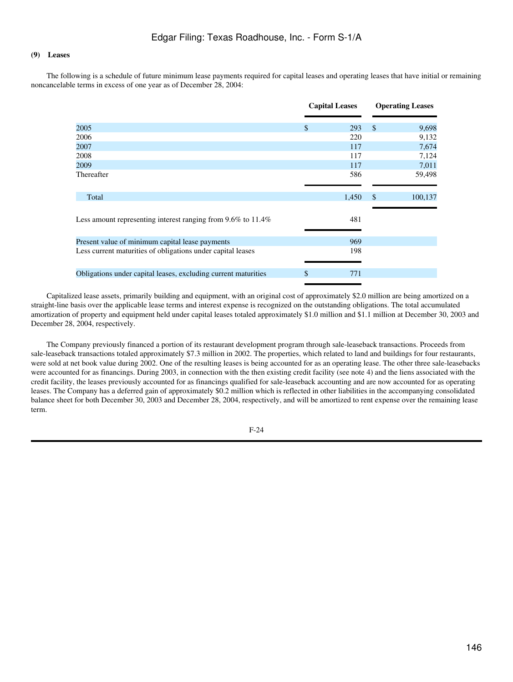#### **(9) Leases**

 The following is a schedule of future minimum lease payments required for capital leases and operating leases that have initial or remaining noncancelable terms in excess of one year as of December 28, 2004:

|                                                                    | <b>Capital Leases</b> |       | <b>Operating Leases</b> |         |  |
|--------------------------------------------------------------------|-----------------------|-------|-------------------------|---------|--|
| 2005                                                               | $\mathcal{S}$         | 293   | $\mathcal{S}$           | 9,698   |  |
| 2006                                                               |                       | 220   |                         | 9,132   |  |
| 2007                                                               |                       | 117   |                         | 7,674   |  |
| 2008                                                               |                       | 117   |                         | 7,124   |  |
| 2009                                                               |                       | 117   |                         | 7,011   |  |
| Thereafter                                                         |                       | 586   |                         | 59,498  |  |
| Total                                                              |                       | 1,450 | $\mathcal{S}$           | 100,137 |  |
| Less amount representing interest ranging from $9.6\%$ to $11.4\%$ |                       | 481   |                         |         |  |
| Present value of minimum capital lease payments                    |                       | 969   |                         |         |  |
| Less current maturities of obligations under capital leases        |                       | 198   |                         |         |  |
| Obligations under capital leases, excluding current maturities     | $\mathbb{S}$          | 771   |                         |         |  |

 Capitalized lease assets, primarily building and equipment, with an original cost of approximately \$2.0 million are being amortized on a straight-line basis over the applicable lease terms and interest expense is recognized on the outstanding obligations. The total accumulated amortization of property and equipment held under capital leases totaled approximately \$1.0 million and \$1.1 million at December 30, 2003 and December 28, 2004, respectively.

 The Company previously financed a portion of its restaurant development program through sale-leaseback transactions. Proceeds from sale-leaseback transactions totaled approximately \$7.3 million in 2002. The properties, which related to land and buildings for four restaurants, were sold at net book value during 2002. One of the resulting leases is being accounted for as an operating lease. The other three sale-leasebacks were accounted for as financings. During 2003, in connection with the then existing credit facility (see note 4) and the liens associated with the credit facility, the leases previously accounted for as financings qualified for sale-leaseback accounting and are now accounted for as operating leases. The Company has a deferred gain of approximately \$0.2 million which is reflected in other liabilities in the accompanying consolidated balance sheet for both December 30, 2003 and December 28, 2004, respectively, and will be amortized to rent expense over the remaining lease term.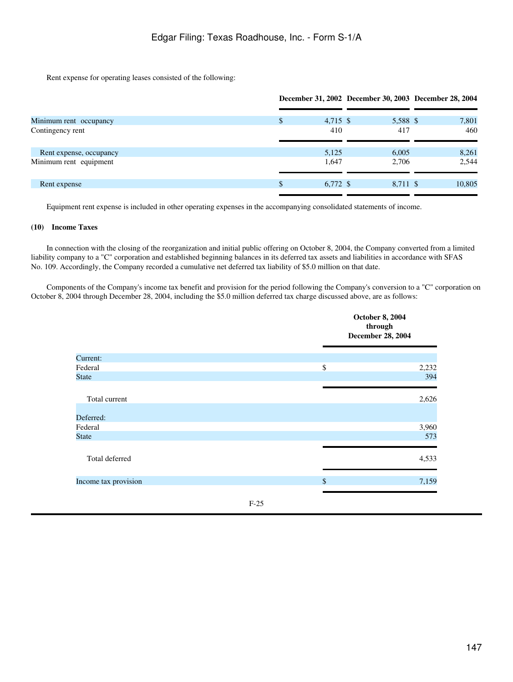Rent expense for operating leases consisted of the following:

| \$<br>4,715 \$ |     | 7,801                                                                                           |
|----------------|-----|-------------------------------------------------------------------------------------------------|
| 410            | 417 | 460                                                                                             |
| 5.125          |     | 8,261                                                                                           |
| 1,647          |     | 2,544                                                                                           |
| $6,772$ \$     |     | 10,805                                                                                          |
|                |     | December 31, 2002 December 30, 2003 December 28, 2004<br>5,588 \$<br>6.005<br>2,706<br>8,711 \$ |

Equipment rent expense is included in other operating expenses in the accompanying consolidated statements of income.

### **(10) Income Taxes**

 In connection with the closing of the reorganization and initial public offering on October 8, 2004, the Company converted from a limited liability company to a "C" corporation and established beginning balances in its deferred tax assets and liabilities in accordance with SFAS No. 109. Accordingly, the Company recorded a cumulative net deferred tax liability of \$5.0 million on that date.

 Components of the Company's income tax benefit and provision for the period following the Company's conversion to a "C" corporation on October 8, 2004 through December 28, 2004, including the \$5.0 million deferred tax charge discussed above, are as follows:

|                      |        |                           | <b>October 8, 2004</b><br>through<br>December 28, 2004 |
|----------------------|--------|---------------------------|--------------------------------------------------------|
| Current:             |        |                           |                                                        |
| Federal              |        | \$                        | 2,232                                                  |
| <b>State</b>         |        |                           | 394                                                    |
|                      |        |                           |                                                        |
| Total current        |        |                           | 2,626                                                  |
| Deferred:            |        |                           |                                                        |
| Federal              |        |                           | 3,960                                                  |
| <b>State</b>         |        |                           | 573                                                    |
|                      |        |                           |                                                        |
| Total deferred       |        |                           | 4,533                                                  |
|                      |        |                           |                                                        |
| Income tax provision |        | $\boldsymbol{\mathsf{S}}$ | 7,159                                                  |
|                      |        |                           |                                                        |
|                      | $F-25$ |                           |                                                        |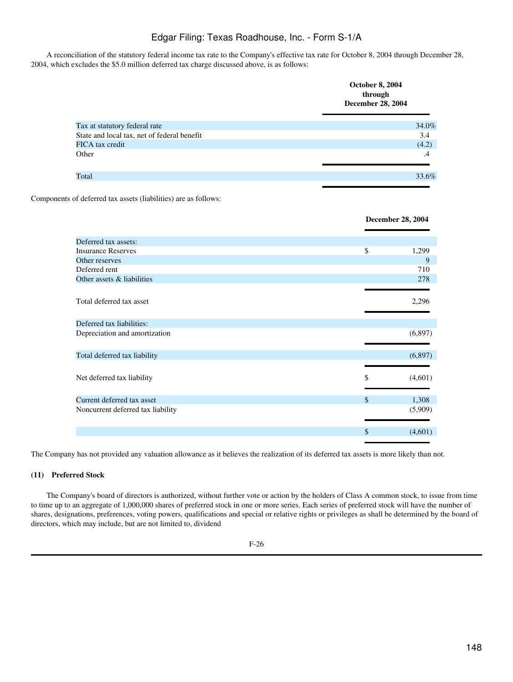A reconciliation of the statutory federal income tax rate to the Company's effective tax rate for October 8, 2004 through December 28, 2004, which excludes the \$5.0 million deferred tax charge discussed above, is as follows:

|                                             | <b>October 8, 2004</b><br>through<br><b>December 28, 2004</b> |
|---------------------------------------------|---------------------------------------------------------------|
| Tax at statutory federal rate               | 34.0%                                                         |
| State and local tax, net of federal benefit | 3.4                                                           |
| FICA tax credit                             | (4.2)                                                         |
| Other                                       | .4                                                            |
|                                             |                                                               |
| Total                                       | 33.6%                                                         |
|                                             |                                                               |

Components of deferred tax assets (liabilities) are as follows:

|                                   | <b>December 28, 2004</b> |
|-----------------------------------|--------------------------|
|                                   |                          |
| Deferred tax assets:              |                          |
| <b>Insurance Reserves</b>         | \$<br>1,299              |
| Other reserves                    | 9                        |
| Deferred rent                     | 710                      |
| Other assets & liabilities        | 278                      |
|                                   |                          |
| Total deferred tax asset          | 2,296                    |
|                                   |                          |
| Deferred tax liabilities:         |                          |
| Depreciation and amortization     | (6,897)                  |
|                                   |                          |
| Total deferred tax liability      | (6,897)                  |
|                                   |                          |
| Net deferred tax liability        | \$<br>(4,601)            |
|                                   |                          |
| Current deferred tax asset        | \$<br>1,308              |
| Noncurrent deferred tax liability | (5,909)                  |
|                                   |                          |
|                                   | \$<br>(4,601)            |
|                                   |                          |

The Company has not provided any valuation allowance as it believes the realization of its deferred tax assets is more likely than not.

### **(11) Preferred Stock**

 The Company's board of directors is authorized, without further vote or action by the holders of Class A common stock, to issue from time to time up to an aggregate of 1,000,000 shares of preferred stock in one or more series. Each series of preferred stock will have the number of shares, designations, preferences, voting powers, qualifications and special or relative rights or privileges as shall be determined by the board of directors, which may include, but are not limited to, dividend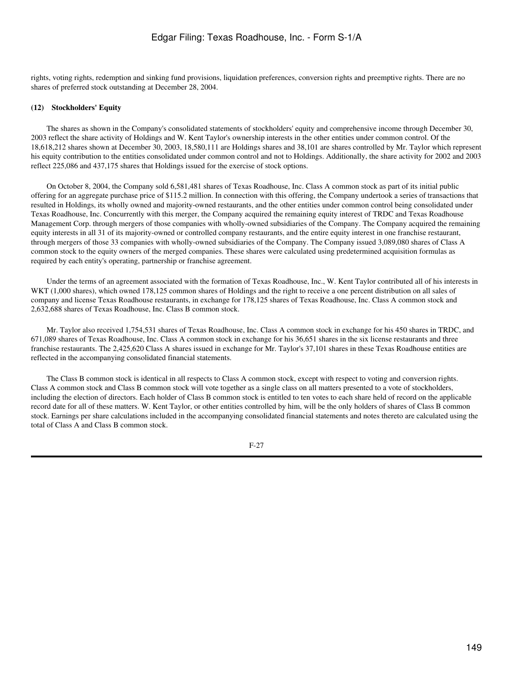rights, voting rights, redemption and sinking fund provisions, liquidation preferences, conversion rights and preemptive rights. There are no shares of preferred stock outstanding at December 28, 2004.

#### **(12) Stockholders' Equity**

 The shares as shown in the Company's consolidated statements of stockholders' equity and comprehensive income through December 30, 2003 reflect the share activity of Holdings and W. Kent Taylor's ownership interests in the other entities under common control. Of the 18,618,212 shares shown at December 30, 2003, 18,580,111 are Holdings shares and 38,101 are shares controlled by Mr. Taylor which represent his equity contribution to the entities consolidated under common control and not to Holdings. Additionally, the share activity for 2002 and 2003 reflect 225,086 and 437,175 shares that Holdings issued for the exercise of stock options.

 On October 8, 2004, the Company sold 6,581,481 shares of Texas Roadhouse, Inc. Class A common stock as part of its initial public offering for an aggregate purchase price of \$115.2 million. In connection with this offering, the Company undertook a series of transactions that resulted in Holdings, its wholly owned and majority-owned restaurants, and the other entities under common control being consolidated under Texas Roadhouse, Inc. Concurrently with this merger, the Company acquired the remaining equity interest of TRDC and Texas Roadhouse Management Corp. through mergers of those companies with wholly-owned subsidiaries of the Company. The Company acquired the remaining equity interests in all 31 of its majority-owned or controlled company restaurants, and the entire equity interest in one franchise restaurant, through mergers of those 33 companies with wholly-owned subsidiaries of the Company. The Company issued 3,089,080 shares of Class A common stock to the equity owners of the merged companies. These shares were calculated using predetermined acquisition formulas as required by each entity's operating, partnership or franchise agreement.

 Under the terms of an agreement associated with the formation of Texas Roadhouse, Inc., W. Kent Taylor contributed all of his interests in WKT (1,000 shares), which owned 178,125 common shares of Holdings and the right to receive a one percent distribution on all sales of company and license Texas Roadhouse restaurants, in exchange for 178,125 shares of Texas Roadhouse, Inc. Class A common stock and 2,632,688 shares of Texas Roadhouse, Inc. Class B common stock.

 Mr. Taylor also received 1,754,531 shares of Texas Roadhouse, Inc. Class A common stock in exchange for his 450 shares in TRDC, and 671,089 shares of Texas Roadhouse, Inc. Class A common stock in exchange for his 36,651 shares in the six license restaurants and three franchise restaurants. The 2,425,620 Class A shares issued in exchange for Mr. Taylor's 37,101 shares in these Texas Roadhouse entities are reflected in the accompanying consolidated financial statements.

 The Class B common stock is identical in all respects to Class A common stock, except with respect to voting and conversion rights. Class A common stock and Class B common stock will vote together as a single class on all matters presented to a vote of stockholders, including the election of directors. Each holder of Class B common stock is entitled to ten votes to each share held of record on the applicable record date for all of these matters. W. Kent Taylor, or other entities controlled by him, will be the only holders of shares of Class B common stock. Earnings per share calculations included in the accompanying consolidated financial statements and notes thereto are calculated using the total of Class A and Class B common stock.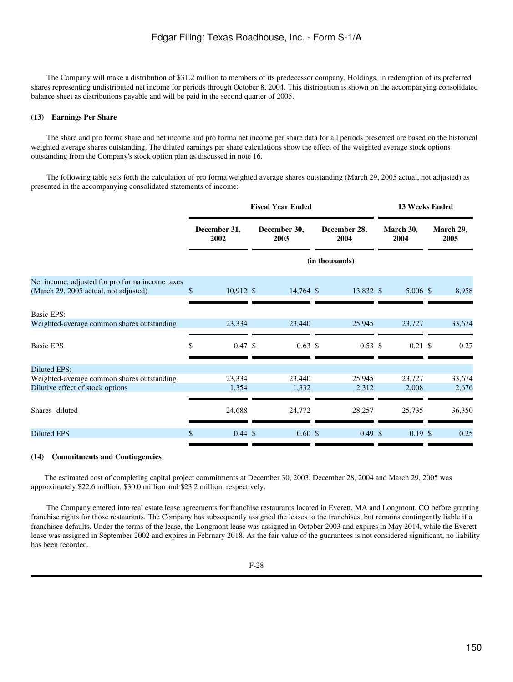The Company will make a distribution of \$31.2 million to members of its predecessor company, Holdings, in redemption of its preferred shares representing undistributed net income for periods through October 8, 2004. This distribution is shown on the accompanying consolidated balance sheet as distributions payable and will be paid in the second quarter of 2005.

#### **(13) Earnings Per Share**

 The share and pro forma share and net income and pro forma net income per share data for all periods presented are based on the historical weighted average shares outstanding. The diluted earnings per share calculations show the effect of the weighted average stock options outstanding from the Company's stock option plan as discussed in note 16.

 The following table sets forth the calculation of pro forma weighted average shares outstanding (March 29, 2005 actual, not adjusted) as presented in the accompanying consolidated statements of income:

|                                                                                          | <b>Fiscal Year Ended</b> |                      |                      |                    |                      |                    | <b>13 Weeks Ended</b> |                    |  |                   |
|------------------------------------------------------------------------------------------|--------------------------|----------------------|----------------------|--------------------|----------------------|--------------------|-----------------------|--------------------|--|-------------------|
|                                                                                          | December 31,<br>2002     |                      | December 30,<br>2003 |                    | December 28,<br>2004 |                    | March 30,<br>2004     |                    |  | March 29,<br>2005 |
|                                                                                          |                          |                      |                      |                    |                      | (in thousands)     |                       |                    |  |                   |
| Net income, adjusted for pro forma income taxes<br>(March 29, 2005 actual, not adjusted) | \$                       | $10,912 \text{ }$ \$ |                      | 14,764 \$          |                      | 13,832 \$          |                       | $5,006$ \$         |  | 8,958             |
| Basic EPS:<br>Weighted-average common shares outstanding                                 |                          | 23,334               |                      | 23,440             |                      | 25,945             |                       | 23,727             |  | 33,674            |
| <b>Basic EPS</b>                                                                         | \$                       | $0.47 \text{ }$ \$   |                      | $0.63 \text{ }$ \$ |                      | $0.53 \text{ }$ \$ |                       | $0.21 \text{ }$ \$ |  | 0.27              |
| <b>Diluted EPS:</b>                                                                      |                          |                      |                      |                    |                      |                    |                       |                    |  |                   |
| Weighted-average common shares outstanding<br>Dilutive effect of stock options           |                          | 23,334<br>1,354      |                      | 23,440<br>1,332    |                      | 25,945<br>2,312    |                       | 23,727<br>2,008    |  | 33,674<br>2,676   |
| Shares diluted                                                                           |                          | 24,688               |                      | 24,772             |                      | 28,257             |                       | 25,735             |  | 36,350            |
| <b>Diluted EPS</b>                                                                       | \$                       | $0.44 \text{ } $$    |                      | $0.60 \text{ }$ \$ |                      | $0.49~\text{\AA}$  |                       | $0.19$ \$          |  | 0.25              |

#### **(14) Commitments and Contingencies**

 The estimated cost of completing capital project commitments at December 30, 2003, December 28, 2004 and March 29, 2005 was approximately \$22.6 million, \$30.0 million and \$23.2 million, respectively.

 The Company entered into real estate lease agreements for franchise restaurants located in Everett, MA and Longmont, CO before granting franchise rights for those restaurants. The Company has subsequently assigned the leases to the franchises, but remains contingently liable if a franchisee defaults. Under the terms of the lease, the Longmont lease was assigned in October 2003 and expires in May 2014, while the Everett lease was assigned in September 2002 and expires in February 2018. As the fair value of the guarantees is not considered significant, no liability has been recorded.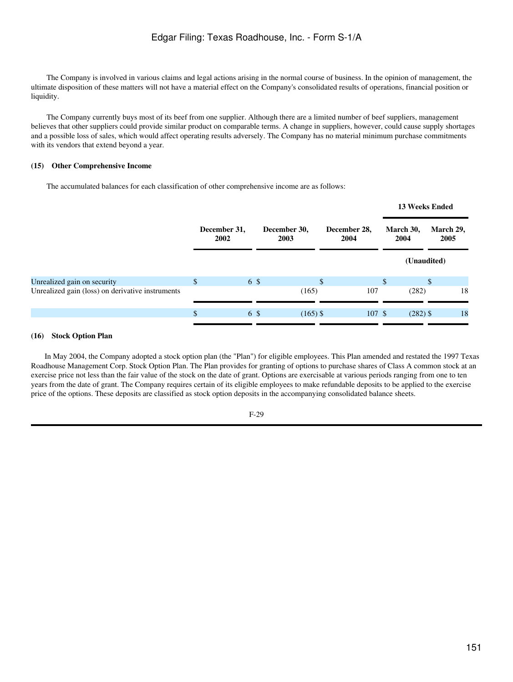The Company is involved in various claims and legal actions arising in the normal course of business. In the opinion of management, the ultimate disposition of these matters will not have a material effect on the Company's consolidated results of operations, financial position or liquidity.

 The Company currently buys most of its beef from one supplier. Although there are a limited number of beef suppliers, management believes that other suppliers could provide similar product on comparable terms. A change in suppliers, however, could cause supply shortages and a possible loss of sales, which would affect operating results adversely. The Company has no material minimum purchase commitments with its vendors that extend beyond a year.

#### **(15) Other Comprehensive Income**

The accumulated balances for each classification of other comprehensive income are as follows:

|                                                  |    | December 31,<br>2002 |                      |            |                      |  | <b>13 Weeks Ended</b> |                   |
|--------------------------------------------------|----|----------------------|----------------------|------------|----------------------|--|-----------------------|-------------------|
|                                                  |    |                      | December 30,<br>2003 |            | December 28,<br>2004 |  | March 30,<br>2004     | March 29,<br>2005 |
|                                                  |    |                      |                      |            |                      |  | (Unaudited)           |                   |
| Unrealized gain on security                      | \$ | 6 \$                 |                      |            |                      |  | \$                    | \$                |
| Unrealized gain (loss) on derivative instruments |    |                      |                      | (165)      | 107                  |  | (282)                 | 18                |
|                                                  | \$ | 6 \$                 |                      | $(165)$ \$ | 107S                 |  | $(282)$ \$            | 18                |
|                                                  |    |                      |                      |            |                      |  |                       |                   |

#### **(16) Stock Option Plan**

 In May 2004, the Company adopted a stock option plan (the "Plan") for eligible employees. This Plan amended and restated the 1997 Texas Roadhouse Management Corp. Stock Option Plan. The Plan provides for granting of options to purchase shares of Class A common stock at an exercise price not less than the fair value of the stock on the date of grant. Options are exercisable at various periods ranging from one to ten years from the date of grant. The Company requires certain of its eligible employees to make refundable deposits to be applied to the exercise price of the options. These deposits are classified as stock option deposits in the accompanying consolidated balance sheets.

$$
F-29
$$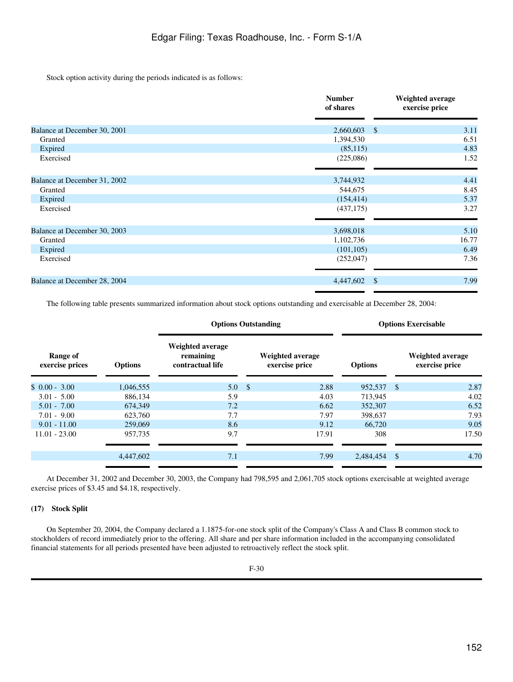Stock option activity during the periods indicated is as follows:

|                              | <b>Number</b><br>of shares | Weighted average<br>exercise price |
|------------------------------|----------------------------|------------------------------------|
| Balance at December 30, 2001 | 2,660,603                  | $\mathcal{S}$<br>3.11              |
| Granted                      | 1,394,530                  | 6.51                               |
| Expired                      | (85, 115)                  | 4.83                               |
| Exercised                    | (225,086)                  | 1.52                               |
| Balance at December 31, 2002 | 3,744,932                  | 4.41                               |
| Granted                      | 544,675                    | 8.45                               |
| Expired                      | (154, 414)                 | 5.37                               |
| Exercised                    | (437, 175)                 | 3.27                               |
| Balance at December 30, 2003 | 3,698,018                  | 5.10                               |
| Granted                      | 1,102,736                  | 16.77                              |
| Expired                      | (101, 105)                 | 6.49                               |
| Exercised                    | (252, 047)                 | 7.36                               |
| Balance at December 28, 2004 | 4,447,602                  | 7.99<br><sup>\$</sup>              |
|                              |                            |                                    |

The following table presents summarized information about stock options outstanding and exercisable at December 28, 2004:

|                             | <b>Options Outstanding</b> |                                                   |  |                                           |                |      | <b>Options Exercisable</b>         |  |  |  |
|-----------------------------|----------------------------|---------------------------------------------------|--|-------------------------------------------|----------------|------|------------------------------------|--|--|--|
| Range of<br>exercise prices | <b>Options</b>             | Weighted average<br>remaining<br>contractual life |  | <b>Weighted average</b><br>exercise price | <b>Options</b> |      | Weighted average<br>exercise price |  |  |  |
| $$0.00 - 3.00$              | 1,046,555                  | $5.0 \,$ \$                                       |  | 2.88                                      | 952,537        | - \$ | 2.87                               |  |  |  |
| $3.01 - 5.00$               | 886.134                    | 5.9                                               |  | 4.03                                      | 713,945        |      | 4.02                               |  |  |  |
| $5.01 - 7.00$               | 674,349                    | 7.2                                               |  | 6.62                                      | 352,307        |      | 6.52                               |  |  |  |
| $7.01 - 9.00$               | 623,760                    | 7.7                                               |  | 7.97                                      | 398,637        |      | 7.93                               |  |  |  |
| $9.01 - 11.00$              | 259,069                    | 8.6                                               |  | 9.12                                      | 66,720         |      | 9.05                               |  |  |  |
| $11.01 - 23.00$             | 957,735                    | 9.7                                               |  | 17.91                                     | 308            |      | 17.50                              |  |  |  |
|                             | 4,447,602                  | 7.1                                               |  | 7.99                                      | 2,484,454      | S    | 4.70                               |  |  |  |
|                             |                            |                                                   |  |                                           |                |      |                                    |  |  |  |

 At December 31, 2002 and December 30, 2003, the Company had 798,595 and 2,061,705 stock options exercisable at weighted average exercise prices of \$3.45 and \$4.18, respectively.

#### **(17) Stock Split**

 On September 20, 2004, the Company declared a 1.1875-for-one stock split of the Company's Class A and Class B common stock to stockholders of record immediately prior to the offering. All share and per share information included in the accompanying consolidated financial statements for all periods presented have been adjusted to retroactively reflect the stock split.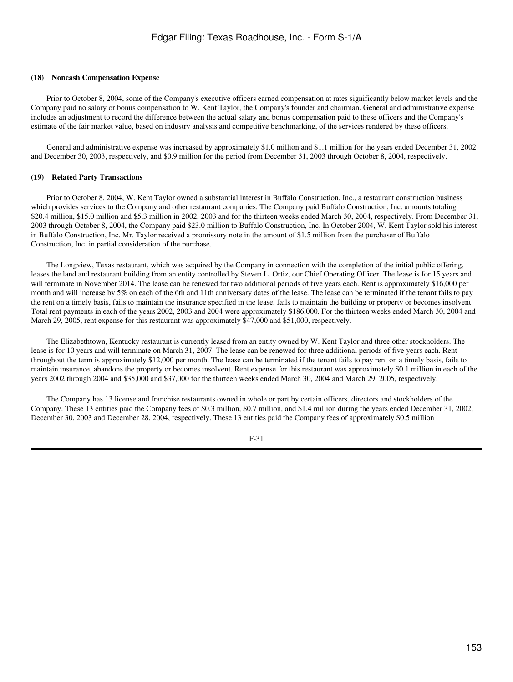#### **(18) Noncash Compensation Expense**

 Prior to October 8, 2004, some of the Company's executive officers earned compensation at rates significantly below market levels and the Company paid no salary or bonus compensation to W. Kent Taylor, the Company's founder and chairman. General and administrative expense includes an adjustment to record the difference between the actual salary and bonus compensation paid to these officers and the Company's estimate of the fair market value, based on industry analysis and competitive benchmarking, of the services rendered by these officers.

 General and administrative expense was increased by approximately \$1.0 million and \$1.1 million for the years ended December 31, 2002 and December 30, 2003, respectively, and \$0.9 million for the period from December 31, 2003 through October 8, 2004, respectively.

#### **(19) Related Party Transactions**

 Prior to October 8, 2004, W. Kent Taylor owned a substantial interest in Buffalo Construction, Inc., a restaurant construction business which provides services to the Company and other restaurant companies. The Company paid Buffalo Construction, Inc. amounts totaling \$20.4 million, \$15.0 million and \$5.3 million in 2002, 2003 and for the thirteen weeks ended March 30, 2004, respectively. From December 31, 2003 through October 8, 2004, the Company paid \$23.0 million to Buffalo Construction, Inc. In October 2004, W. Kent Taylor sold his interest in Buffalo Construction, Inc. Mr. Taylor received a promissory note in the amount of \$1.5 million from the purchaser of Buffalo Construction, Inc. in partial consideration of the purchase.

 The Longview, Texas restaurant, which was acquired by the Company in connection with the completion of the initial public offering, leases the land and restaurant building from an entity controlled by Steven L. Ortiz, our Chief Operating Officer. The lease is for 15 years and will terminate in November 2014. The lease can be renewed for two additional periods of five years each. Rent is approximately \$16,000 per month and will increase by 5% on each of the 6th and 11th anniversary dates of the lease. The lease can be terminated if the tenant fails to pay the rent on a timely basis, fails to maintain the insurance specified in the lease, fails to maintain the building or property or becomes insolvent. Total rent payments in each of the years 2002, 2003 and 2004 were approximately \$186,000. For the thirteen weeks ended March 30, 2004 and March 29, 2005, rent expense for this restaurant was approximately \$47,000 and \$51,000, respectively.

 The Elizabethtown, Kentucky restaurant is currently leased from an entity owned by W. Kent Taylor and three other stockholders. The lease is for 10 years and will terminate on March 31, 2007. The lease can be renewed for three additional periods of five years each. Rent throughout the term is approximately \$12,000 per month. The lease can be terminated if the tenant fails to pay rent on a timely basis, fails to maintain insurance, abandons the property or becomes insolvent. Rent expense for this restaurant was approximately \$0.1 million in each of the years 2002 through 2004 and \$35,000 and \$37,000 for the thirteen weeks ended March 30, 2004 and March 29, 2005, respectively.

 The Company has 13 license and franchise restaurants owned in whole or part by certain officers, directors and stockholders of the Company. These 13 entities paid the Company fees of \$0.3 million, \$0.7 million, and \$1.4 million during the years ended December 31, 2002, December 30, 2003 and December 28, 2004, respectively. These 13 entities paid the Company fees of approximately \$0.5 million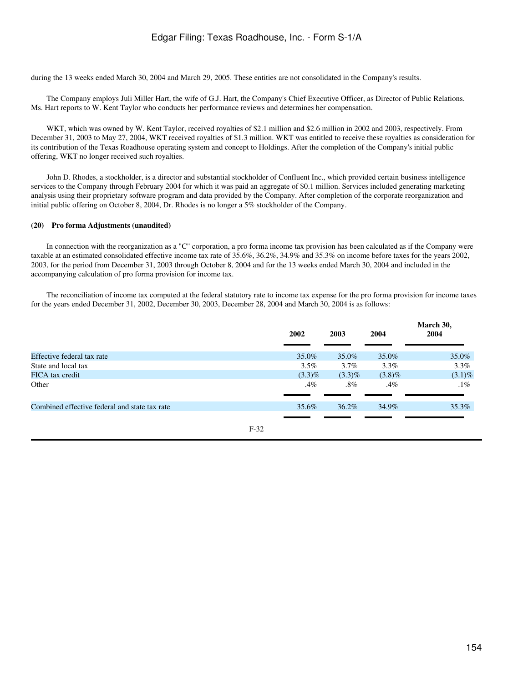during the 13 weeks ended March 30, 2004 and March 29, 2005. These entities are not consolidated in the Company's results.

 The Company employs Juli Miller Hart, the wife of G.J. Hart, the Company's Chief Executive Officer, as Director of Public Relations. Ms. Hart reports to W. Kent Taylor who conducts her performance reviews and determines her compensation.

 WKT, which was owned by W. Kent Taylor, received royalties of \$2.1 million and \$2.6 million in 2002 and 2003, respectively. From December 31, 2003 to May 27, 2004, WKT received royalties of \$1.3 million. WKT was entitled to receive these royalties as consideration for its contribution of the Texas Roadhouse operating system and concept to Holdings. After the completion of the Company's initial public offering, WKT no longer received such royalties.

 John D. Rhodes, a stockholder, is a director and substantial stockholder of Confluent Inc., which provided certain business intelligence services to the Company through February 2004 for which it was paid an aggregate of \$0.1 million. Services included generating marketing analysis using their proprietary software program and data provided by the Company. After completion of the corporate reorganization and initial public offering on October 8, 2004, Dr. Rhodes is no longer a 5% stockholder of the Company.

#### **(20) Pro forma Adjustments (unaudited)**

 In connection with the reorganization as a "C" corporation, a pro forma income tax provision has been calculated as if the Company were taxable at an estimated consolidated effective income tax rate of 35.6%, 36.2%, 34.9% and 35.3% on income before taxes for the years 2002, 2003, for the period from December 31, 2003 through October 8, 2004 and for the 13 weeks ended March 30, 2004 and included in the accompanying calculation of pro forma provision for income tax.

 The reconciliation of income tax computed at the federal statutory rate to income tax expense for the pro forma provision for income taxes for the years ended December 31, 2002, December 30, 2003, December 28, 2004 and March 30, 2004 is as follows:

|                                               |        | 2002      | 2003      | 2004      | March 30,<br>2004 |
|-----------------------------------------------|--------|-----------|-----------|-----------|-------------------|
| Effective federal tax rate                    |        | 35.0%     | 35.0%     | 35.0%     | 35.0%             |
| State and local tax                           |        | $3.5\%$   | $3.7\%$   | $3.3\%$   | $3.3\%$           |
| FICA tax credit                               |        | $(3.3)\%$ | $(3.3)\%$ | $(3.8)\%$ | $(3.1)\%$         |
| Other                                         |        | .4%       | $.8\%$    | .4%       | $.1\%$            |
| Combined effective federal and state tax rate |        | 35.6%     | 36.2%     | 34.9%     | 35.3%             |
|                                               | $F-32$ |           |           |           |                   |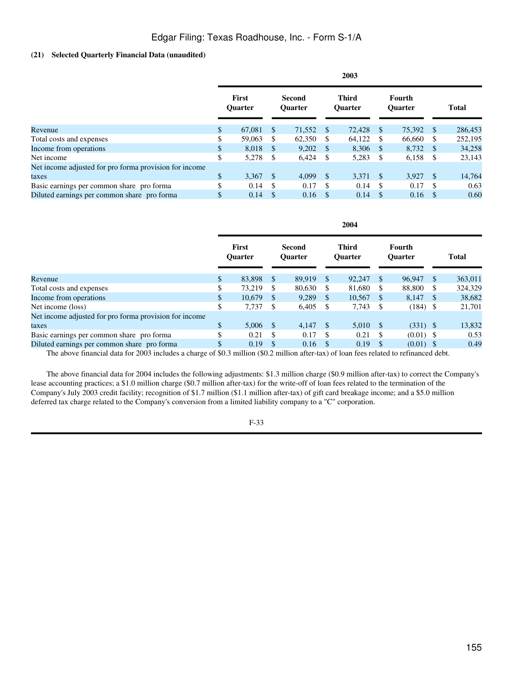### **(21) Selected Quarterly Financial Data (unaudited)**

|                                                        | 2003                    |        |                                 |        |                                |        |                          |        |          |              |  |
|--------------------------------------------------------|-------------------------|--------|---------------------------------|--------|--------------------------------|--------|--------------------------|--------|----------|--------------|--|
|                                                        | First<br><b>Ouarter</b> |        | <b>Second</b><br><b>Ouarter</b> |        | <b>Third</b><br><b>Ouarter</b> |        | Fourth<br><b>Ouarter</b> |        |          | <b>Total</b> |  |
| Revenue                                                | \$                      | 67,081 | \$                              | 71,552 | - \$                           | 72,428 | - S                      | 75,392 | - \$     | 286,453      |  |
| Total costs and expenses                               | \$                      | 59,063 | \$.                             | 62,350 | S                              | 64.122 |                          | 66,660 |          | 252,195      |  |
| Income from operations                                 | \$                      | 8.018  | <sup>\$</sup>                   | 9,202  | -\$                            | 8,306  | - \$                     | 8,732  | <b>S</b> | 34,258       |  |
| Net income                                             | \$                      | 5,278  | - \$                            | 6,424  | - S                            | 5,283  | - \$                     | 6,158  | - S      | 23,143       |  |
| Net income adjusted for pro forma provision for income |                         |        |                                 |        |                                |        |                          |        |          |              |  |
| taxes                                                  | \$                      | 3,367  | - \$                            | 4.099  | -\$                            | 3.371  | - \$                     | 3.927  | - \$     | 14,764       |  |
| Basic earnings per common share pro forma              |                         | 0.14   | -S                              | 0.17   | £.                             | 0.14   | <b>S</b>                 | 0.17   |          | 0.63         |  |
| Diluted earnings per common share pro forma            | \$.                     | 0.14   | -S                              | 0.16   |                                | 0.14   | $\mathbf{S}$             | 0.16   |          | 0.60         |  |

|                                                        | 2004          |                         |          |                                 |               |                                |               |                          |               |              |
|--------------------------------------------------------|---------------|-------------------------|----------|---------------------------------|---------------|--------------------------------|---------------|--------------------------|---------------|--------------|
|                                                        |               | First<br><b>Ouarter</b> |          | <b>Second</b><br><b>Ouarter</b> |               | <b>Third</b><br><b>Ouarter</b> |               | Fourth<br><b>Ouarter</b> |               | <b>Total</b> |
| Revenue                                                | $\mathcal{S}$ | 83,898                  | \$.      | 89.919                          | <sup>\$</sup> | 92,247                         | <sup>\$</sup> | 96,947                   | - \$          | 363,011      |
| Total costs and expenses                               |               | 73.219                  | \$.      | 80.630                          | \$.           | 81.680                         | \$.           | 88,800                   | -S            | 324,329      |
| Income from operations                                 | \$            | 10.679                  | <b>S</b> | 9,289                           | \$.           | 10.567                         | <sup>\$</sup> | 8,147                    | <sup>\$</sup> | 38,682       |
| Net income (loss)                                      | \$            | 7,737                   | \$.      | 6,405                           | S             | 7,743                          | -S            | $(184)$ \$               |               | 21,701       |
| Net income adjusted for pro forma provision for income |               |                         |          |                                 |               |                                |               |                          |               |              |
| taxes                                                  | \$            | 5,006                   | -S       | 4.147                           | <sup>\$</sup> | 5.010                          | - \$          | $(331)$ \$               |               | 13,832       |
| Basic earnings per common share pro forma              |               | 0.21                    | \$.      | 0.17                            | -S            | 0.21                           | <b>S</b>      | $(0.01)$ \$              |               | 0.53         |
| Diluted earnings per common share pro forma            | \$            | 0.19                    | <b>S</b> | $0.16$ \$                       |               | 0.19                           | <b>S</b>      | $(0.01)$ \$              |               | 0.49         |

The above financial data for 2003 includes a charge of \$0.3 million (\$0.2 million after-tax) of loan fees related to refinanced debt.

 The above financial data for 2004 includes the following adjustments: \$1.3 million charge (\$0.9 million after-tax) to correct the Company's lease accounting practices; a \$1.0 million charge (\$0.7 million after-tax) for the write-off of loan fees related to the termination of the Company's July 2003 credit facility; recognition of \$1.7 million (\$1.1 million after-tax) of gift card breakage income; and a \$5.0 million deferred tax charge related to the Company's conversion from a limited liability company to a "C" corporation.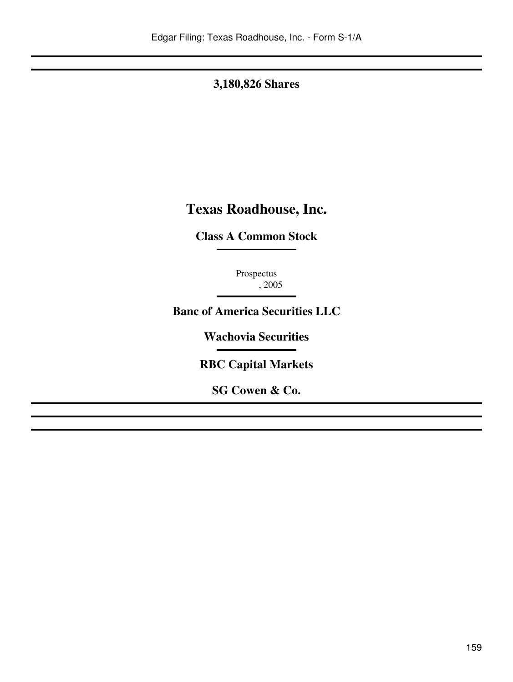**3,180,826 Shares**

# **Texas Roadhouse, Inc.**

**Class A Common Stock**

Prospectus , 2005

**Banc of America Securities LLC**

**Wachovia Securities**

**RBC Capital Markets**

**SG Cowen & Co.**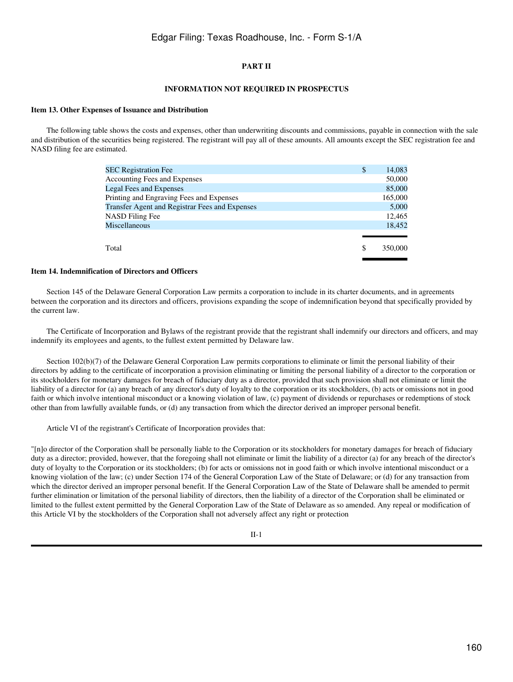### **PART II**

#### **INFORMATION NOT REQUIRED IN PROSPECTUS**

#### <span id="page-159-1"></span><span id="page-159-0"></span>**Item 13. Other Expenses of Issuance and Distribution**

 The following table shows the costs and expenses, other than underwriting discounts and commissions, payable in connection with the sale and distribution of the securities being registered. The registrant will pay all of these amounts. All amounts except the SEC registration fee and NASD filing fee are estimated.

| <b>SEC Registration Fee</b>                    | S  | 14,083  |
|------------------------------------------------|----|---------|
| Accounting Fees and Expenses                   |    | 50,000  |
| Legal Fees and Expenses                        |    | 85,000  |
| Printing and Engraving Fees and Expenses       |    | 165,000 |
| Transfer Agent and Registrar Fees and Expenses |    | 5,000   |
| <b>NASD Filing Fee</b>                         |    | 12,465  |
| Miscellaneous                                  |    | 18.452  |
|                                                |    |         |
| Total                                          | \$ | 350,000 |
|                                                |    |         |

#### **Item 14. Indemnification of Directors and Officers**

 Section 145 of the Delaware General Corporation Law permits a corporation to include in its charter documents, and in agreements between the corporation and its directors and officers, provisions expanding the scope of indemnification beyond that specifically provided by the current law.

 The Certificate of Incorporation and Bylaws of the registrant provide that the registrant shall indemnify our directors and officers, and may indemnify its employees and agents, to the fullest extent permitted by Delaware law.

Section 102(b)(7) of the Delaware General Corporation Law permits corporations to eliminate or limit the personal liability of their directors by adding to the certificate of incorporation a provision eliminating or limiting the personal liability of a director to the corporation or its stockholders for monetary damages for breach of fiduciary duty as a director, provided that such provision shall not eliminate or limit the liability of a director for (a) any breach of any director's duty of loyalty to the corporation or its stockholders, (b) acts or omissions not in good faith or which involve intentional misconduct or a knowing violation of law, (c) payment of dividends or repurchases or redemptions of stock other than from lawfully available funds, or (d) any transaction from which the director derived an improper personal benefit.

Article VI of the registrant's Certificate of Incorporation provides that:

"[n]o director of the Corporation shall be personally liable to the Corporation or its stockholders for monetary damages for breach of fiduciary duty as a director; provided, however, that the foregoing shall not eliminate or limit the liability of a director (a) for any breach of the director's duty of loyalty to the Corporation or its stockholders; (b) for acts or omissions not in good faith or which involve intentional misconduct or a knowing violation of the law; (c) under Section 174 of the General Corporation Law of the State of Delaware; or (d) for any transaction from which the director derived an improper personal benefit. If the General Corporation Law of the State of Delaware shall be amended to permit further elimination or limitation of the personal liability of directors, then the liability of a director of the Corporation shall be eliminated or limited to the fullest extent permitted by the General Corporation Law of the State of Delaware as so amended. Any repeal or modification of this Article VI by the stockholders of the Corporation shall not adversely affect any right or protection

II-1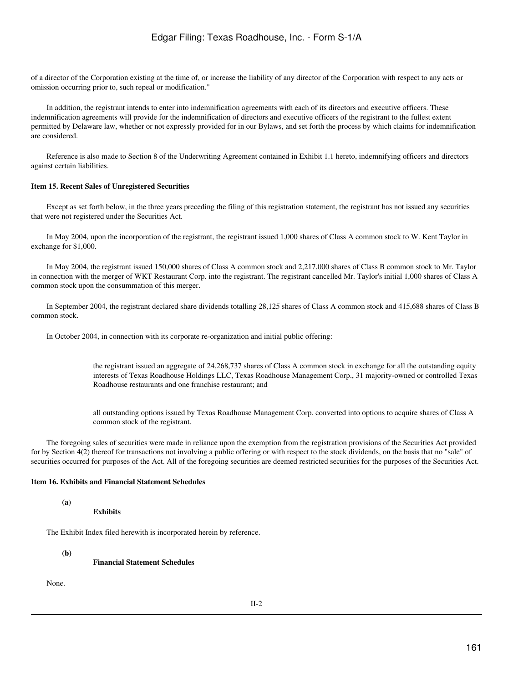of a director of the Corporation existing at the time of, or increase the liability of any director of the Corporation with respect to any acts or omission occurring prior to, such repeal or modification."

 In addition, the registrant intends to enter into indemnification agreements with each of its directors and executive officers. These indemnification agreements will provide for the indemnification of directors and executive officers of the registrant to the fullest extent permitted by Delaware law, whether or not expressly provided for in our Bylaws, and set forth the process by which claims for indemnification are considered.

 Reference is also made to Section 8 of the Underwriting Agreement contained in Exhibit 1.1 hereto, indemnifying officers and directors against certain liabilities.

#### **Item 15. Recent Sales of Unregistered Securities**

 Except as set forth below, in the three years preceding the filing of this registration statement, the registrant has not issued any securities that were not registered under the Securities Act.

 In May 2004, upon the incorporation of the registrant, the registrant issued 1,000 shares of Class A common stock to W. Kent Taylor in exchange for \$1,000.

 In May 2004, the registrant issued 150,000 shares of Class A common stock and 2,217,000 shares of Class B common stock to Mr. Taylor in connection with the merger of WKT Restaurant Corp. into the registrant. The registrant cancelled Mr. Taylor's initial 1,000 shares of Class A common stock upon the consummation of this merger.

 In September 2004, the registrant declared share dividends totalling 28,125 shares of Class A common stock and 415,688 shares of Class B common stock.

In October 2004, in connection with its corporate re-organization and initial public offering:

the registrant issued an aggregate of 24,268,737 shares of Class A common stock in exchange for all the outstanding equity interests of Texas Roadhouse Holdings LLC, Texas Roadhouse Management Corp., 31 majority-owned or controlled Texas Roadhouse restaurants and one franchise restaurant; and

all outstanding options issued by Texas Roadhouse Management Corp. converted into options to acquire shares of Class A common stock of the registrant.

 The foregoing sales of securities were made in reliance upon the exemption from the registration provisions of the Securities Act provided for by Section 4(2) thereof for transactions not involving a public offering or with respect to the stock dividends, on the basis that no "sale" of securities occurred for purposes of the Act. All of the foregoing securities are deemed restricted securities for the purposes of the Securities Act.

#### **Item 16. Exhibits and Financial Statement Schedules**

#### **(a)**

**Exhibits**

The Exhibit Index filed herewith is incorporated herein by reference.

**(b)**

#### **Financial Statement Schedules**

None.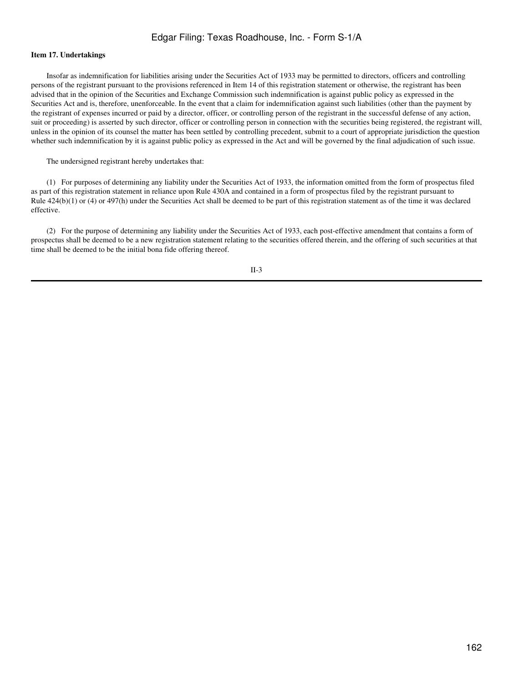#### **Item 17. Undertakings**

 Insofar as indemnification for liabilities arising under the Securities Act of 1933 may be permitted to directors, officers and controlling persons of the registrant pursuant to the provisions referenced in Item 14 of this registration statement or otherwise, the registrant has been advised that in the opinion of the Securities and Exchange Commission such indemnification is against public policy as expressed in the Securities Act and is, therefore, unenforceable. In the event that a claim for indemnification against such liabilities (other than the payment by the registrant of expenses incurred or paid by a director, officer, or controlling person of the registrant in the successful defense of any action, suit or proceeding) is asserted by such director, officer or controlling person in connection with the securities being registered, the registrant will, unless in the opinion of its counsel the matter has been settled by controlling precedent, submit to a court of appropriate jurisdiction the question whether such indemnification by it is against public policy as expressed in the Act and will be governed by the final adjudication of such issue.

The undersigned registrant hereby undertakes that:

 (1) For purposes of determining any liability under the Securities Act of 1933, the information omitted from the form of prospectus filed as part of this registration statement in reliance upon Rule 430A and contained in a form of prospectus filed by the registrant pursuant to Rule 424(b)(1) or (4) or 497(h) under the Securities Act shall be deemed to be part of this registration statement as of the time it was declared effective.

 (2) For the purpose of determining any liability under the Securities Act of 1933, each post-effective amendment that contains a form of prospectus shall be deemed to be a new registration statement relating to the securities offered therein, and the offering of such securities at that time shall be deemed to be the initial bona fide offering thereof.

#### II-3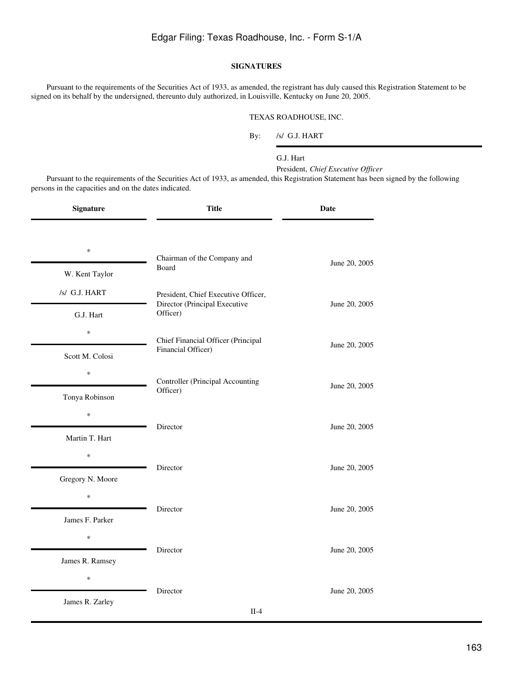### **SIGNATURES**

<span id="page-162-0"></span> Pursuant to the requirements of the Securities Act of 1933, as amended, the registrant has duly caused this Registration Statement to be signed on its behalf by the undersigned, thereunto duly authorized, in Louisville, Kentucky on June 20, 2005.

### TEXAS ROADHOUSE, INC.

By: /s/ G.J. HART

G.J. Hart

President, *Chief Executive Officer*

 Pursuant to the requirements of the Securities Act of 1933, as amended, this Registration Statement has been signed by the following persons in the capacities and on the dates indicated.

| <b>Signature</b> | <b>Title</b>                                                         | Date          |  |  |  |
|------------------|----------------------------------------------------------------------|---------------|--|--|--|
|                  |                                                                      |               |  |  |  |
| *                | Chairman of the Company and                                          | June 20, 2005 |  |  |  |
| W. Kent Taylor   | Board                                                                |               |  |  |  |
| /s/ G.J. HART    | President, Chief Executive Officer,<br>Director (Principal Executive | June 20, 2005 |  |  |  |
| G.J. Hart        | Officer)                                                             |               |  |  |  |
| *                | Chief Financial Officer (Principal                                   | June 20, 2005 |  |  |  |
| Scott M. Colosi  | Financial Officer)                                                   |               |  |  |  |
| $\ast$           | Controller (Principal Accounting                                     | June 20, 2005 |  |  |  |
| Tonya Robinson   | Officer)                                                             |               |  |  |  |
| *                | Director                                                             | June 20, 2005 |  |  |  |
| Martin T. Hart   |                                                                      |               |  |  |  |
| $\ast$           | Director                                                             | June 20, 2005 |  |  |  |
| Gregory N. Moore |                                                                      |               |  |  |  |
| $\ast$           | Director                                                             | June 20, 2005 |  |  |  |
| James F. Parker  |                                                                      |               |  |  |  |
| *                | Director                                                             |               |  |  |  |
| James R. Ramsey  |                                                                      | June 20, 2005 |  |  |  |
| $\ast$           |                                                                      |               |  |  |  |
| James R. Zarley  | Director                                                             | June 20, 2005 |  |  |  |
|                  | $II-4$                                                               |               |  |  |  |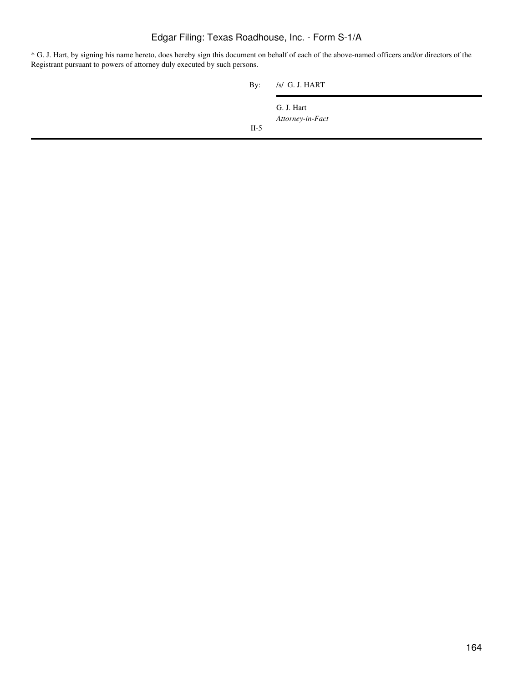\* G. J. Hart, by signing his name hereto, does hereby sign this document on behalf of each of the above-named officers and/or directors of the Registrant pursuant to powers of attorney duly executed by such persons.

II-5

By: /s/ G. J. HART

G. J. Hart *Attorney-in-Fact*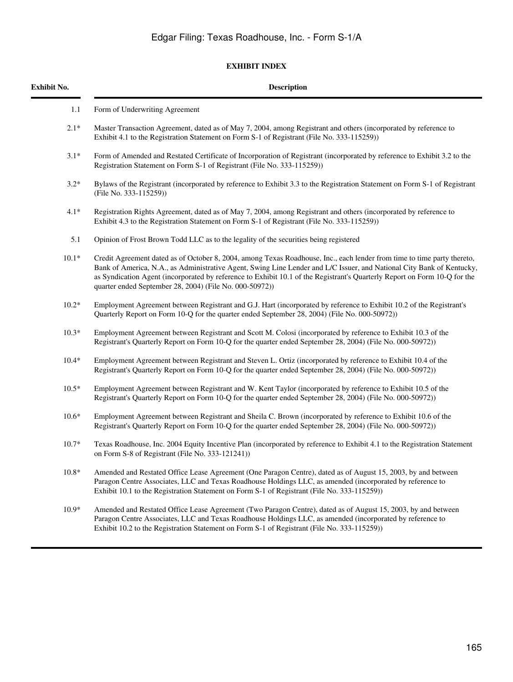# **EXHIBIT INDEX**

<span id="page-164-0"></span>

| Exhibit No. | <b>Description</b>                                                                                                                                                                                                                                                                                                                                                                                                                       |
|-------------|------------------------------------------------------------------------------------------------------------------------------------------------------------------------------------------------------------------------------------------------------------------------------------------------------------------------------------------------------------------------------------------------------------------------------------------|
| 1.1         | Form of Underwriting Agreement                                                                                                                                                                                                                                                                                                                                                                                                           |
| $2.1*$      | Master Transaction Agreement, dated as of May 7, 2004, among Registrant and others (incorporated by reference to<br>Exhibit 4.1 to the Registration Statement on Form S-1 of Registrant (File No. 333-115259))                                                                                                                                                                                                                           |
| $3.1*$      | Form of Amended and Restated Certificate of Incorporation of Registrant (incorporated by reference to Exhibit 3.2 to the<br>Registration Statement on Form S-1 of Registrant (File No. 333-115259))                                                                                                                                                                                                                                      |
| $3.2*$      | Bylaws of the Registrant (incorporated by reference to Exhibit 3.3 to the Registration Statement on Form S-1 of Registrant<br>(File No. 333-115259))                                                                                                                                                                                                                                                                                     |
| $4.1*$      | Registration Rights Agreement, dated as of May 7, 2004, among Registrant and others (incorporated by reference to<br>Exhibit 4.3 to the Registration Statement on Form S-1 of Registrant (File No. 333-115259))                                                                                                                                                                                                                          |
| 5.1         | Opinion of Frost Brown Todd LLC as to the legality of the securities being registered                                                                                                                                                                                                                                                                                                                                                    |
| $10.1*$     | Credit Agreement dated as of October 8, 2004, among Texas Roadhouse, Inc., each lender from time to time party thereto,<br>Bank of America, N.A., as Administrative Agent, Swing Line Lender and L/C Issuer, and National City Bank of Kentucky,<br>as Syndication Agent (incorporated by reference to Exhibit 10.1 of the Registrant's Quarterly Report on Form 10-Q for the<br>quarter ended September 28, 2004) (File No. 000-50972)) |
| $10.2*$     | Employment Agreement between Registrant and G.J. Hart (incorporated by reference to Exhibit 10.2 of the Registrant's<br>Quarterly Report on Form 10-Q for the quarter ended September 28, 2004) (File No. 000-50972))                                                                                                                                                                                                                    |
| $10.3*$     | Employment Agreement between Registrant and Scott M. Colosi (incorporated by reference to Exhibit 10.3 of the<br>Registrant's Quarterly Report on Form 10-Q for the quarter ended September 28, 2004) (File No. 000-50972))                                                                                                                                                                                                              |
| $10.4*$     | Employment Agreement between Registrant and Steven L. Ortiz (incorporated by reference to Exhibit 10.4 of the<br>Registrant's Quarterly Report on Form 10-Q for the quarter ended September 28, 2004) (File No. 000-50972))                                                                                                                                                                                                              |
| $10.5*$     | Employment Agreement between Registrant and W. Kent Taylor (incorporated by reference to Exhibit 10.5 of the<br>Registrant's Quarterly Report on Form 10-Q for the quarter ended September 28, 2004) (File No. 000-50972))                                                                                                                                                                                                               |
| $10.6*$     | Employment Agreement between Registrant and Sheila C. Brown (incorporated by reference to Exhibit 10.6 of the<br>Registrant's Quarterly Report on Form 10-Q for the quarter ended September 28, 2004) (File No. 000-50972))                                                                                                                                                                                                              |
| $10.7*$     | Texas Roadhouse, Inc. 2004 Equity Incentive Plan (incorporated by reference to Exhibit 4.1 to the Registration Statement<br>on Form S-8 of Registrant (File No. 333-121241))                                                                                                                                                                                                                                                             |
| $10.8\,^*$  | Amended and Restated Office Lease Agreement (One Paragon Centre), dated as of August 15, 2003, by and between<br>Paragon Centre Associates, LLC and Texas Roadhouse Holdings LLC, as amended (incorporated by reference to<br>Exhibit 10.1 to the Registration Statement on Form S-1 of Registrant (File No. 333-115259))                                                                                                                |
| $10.9*$     | Amended and Restated Office Lease Agreement (Two Paragon Centre), dated as of August 15, 2003, by and between<br>Paragon Centre Associates, LLC and Texas Roadhouse Holdings LLC, as amended (incorporated by reference to<br>Exhibit 10.2 to the Registration Statement on Form S-1 of Registrant (File No. 333-115259))                                                                                                                |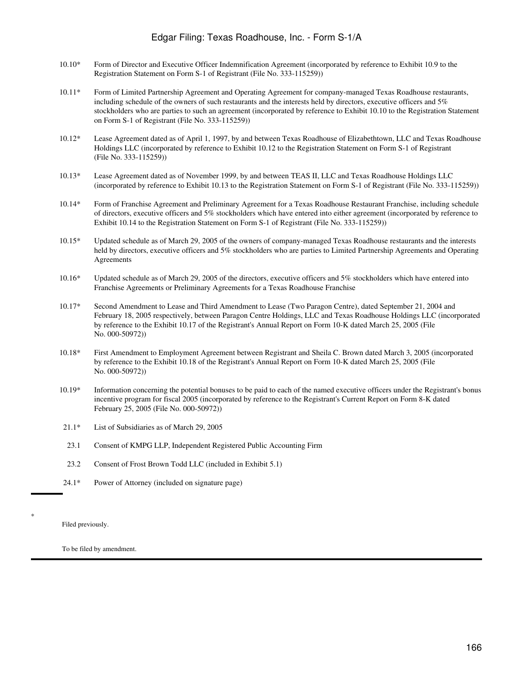- 10.10\* Form of Director and Executive Officer Indemnification Agreement (incorporated by reference to Exhibit 10.9 to the Registration Statement on Form S-1 of Registrant (File No. 333-115259))
- 10.11\* Form of Limited Partnership Agreement and Operating Agreement for company-managed Texas Roadhouse restaurants, including schedule of the owners of such restaurants and the interests held by directors, executive officers and 5% stockholders who are parties to such an agreement (incorporated by reference to Exhibit 10.10 to the Registration Statement on Form S-1 of Registrant (File No. 333-115259))
- 10.12\* Lease Agreement dated as of April 1, 1997, by and between Texas Roadhouse of Elizabethtown, LLC and Texas Roadhouse Holdings LLC (incorporated by reference to Exhibit 10.12 to the Registration Statement on Form S-1 of Registrant (File No. 333-115259))
- 10.13\* Lease Agreement dated as of November 1999, by and between TEAS II, LLC and Texas Roadhouse Holdings LLC (incorporated by reference to Exhibit 10.13 to the Registration Statement on Form S-1 of Registrant (File No. 333-115259))
- 10.14\* Form of Franchise Agreement and Preliminary Agreement for a Texas Roadhouse Restaurant Franchise, including schedule of directors, executive officers and 5% stockholders which have entered into either agreement (incorporated by reference to Exhibit 10.14 to the Registration Statement on Form S-1 of Registrant (File No. 333-115259))
- 10.15\* Updated schedule as of March 29, 2005 of the owners of company-managed Texas Roadhouse restaurants and the interests held by directors, executive officers and 5% stockholders who are parties to Limited Partnership Agreements and Operating Agreements
- 10.16\* Updated schedule as of March 29, 2005 of the directors, executive officers and 5% stockholders which have entered into Franchise Agreements or Preliminary Agreements for a Texas Roadhouse Franchise
- 10.17\* Second Amendment to Lease and Third Amendment to Lease (Two Paragon Centre), dated September 21, 2004 and February 18, 2005 respectively, between Paragon Centre Holdings, LLC and Texas Roadhouse Holdings LLC (incorporated by reference to the Exhibit 10.17 of the Registrant's Annual Report on Form 10-K dated March 25, 2005 (File No. 000-50972))
- 10.18\* First Amendment to Employment Agreement between Registrant and Sheila C. Brown dated March 3, 2005 (incorporated by reference to the Exhibit 10.18 of the Registrant's Annual Report on Form 10-K dated March 25, 2005 (File No. 000-50972))
- 10.19\* Information concerning the potential bonuses to be paid to each of the named executive officers under the Registrant's bonus incentive program for fiscal 2005 (incorporated by reference to the Registrant's Current Report on Form 8-K dated February 25, 2005 (File No. 000-50972))
- 21.1\* List of Subsidiaries as of March 29, 2005
- 23.1 Consent of KMPG LLP, Independent Registered Public Accounting Firm
- 23.2 Consent of Frost Brown Todd LLC (included in Exhibit 5.1)
- 24.1\* Power of Attorney (included on signature page)

Filed previously.

\*

To be filed by amendment.